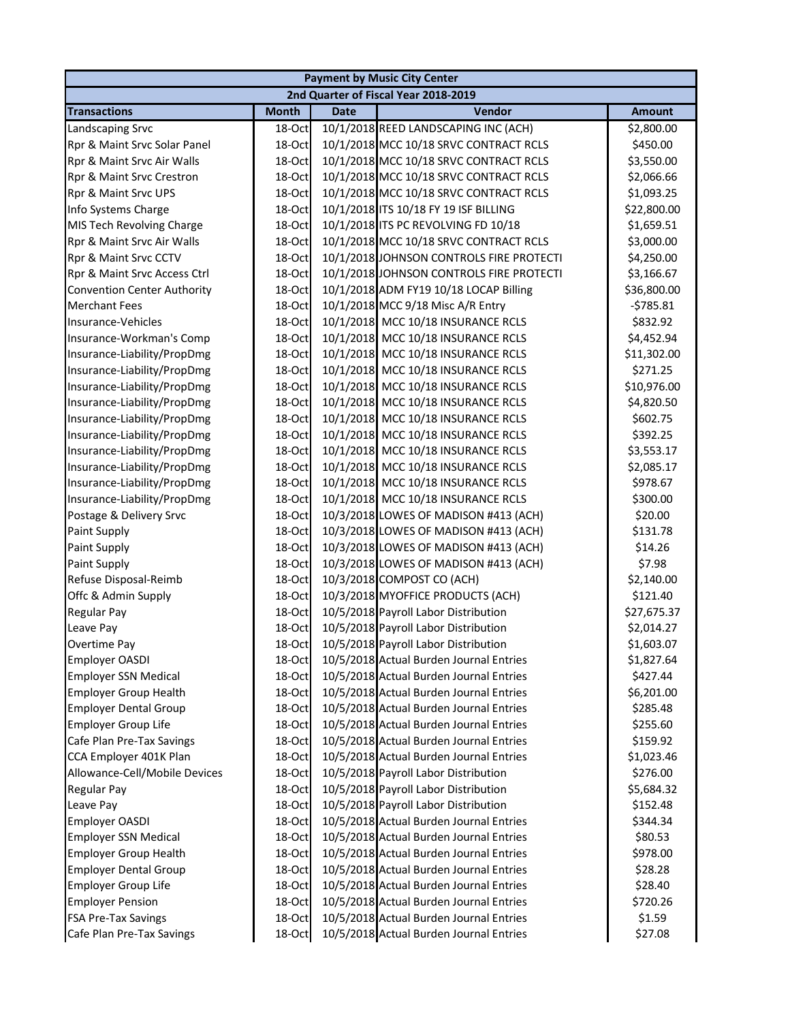| <b>Payment by Music City Center</b> |              |             |                                          |               |  |  |
|-------------------------------------|--------------|-------------|------------------------------------------|---------------|--|--|
|                                     |              |             | 2nd Quarter of Fiscal Year 2018-2019     |               |  |  |
| <b>Transactions</b>                 | <b>Month</b> | <b>Date</b> | Vendor                                   | <b>Amount</b> |  |  |
| <b>Landscaping Srvc</b>             | 18-Oct       |             | 10/1/2018 REED LANDSCAPING INC (ACH)     | \$2,800.00    |  |  |
| Rpr & Maint Srvc Solar Panel        | 18-Oct       |             | 10/1/2018 MCC 10/18 SRVC CONTRACT RCLS   | \$450.00      |  |  |
| Rpr & Maint Srvc Air Walls          | 18-Oct       |             | 10/1/2018 MCC 10/18 SRVC CONTRACT RCLS   | \$3,550.00    |  |  |
| Rpr & Maint Srvc Crestron           | 18-Oct       |             | 10/1/2018 MCC 10/18 SRVC CONTRACT RCLS   | \$2,066.66    |  |  |
| Rpr & Maint Srvc UPS                | 18-Oct       |             | 10/1/2018 MCC 10/18 SRVC CONTRACT RCLS   | \$1,093.25    |  |  |
| Info Systems Charge                 | 18-Oct       |             | 10/1/2018 ITS 10/18 FY 19 ISF BILLING    | \$22,800.00   |  |  |
| MIS Tech Revolving Charge           | 18-Oct       |             | 10/1/2018 ITS PC REVOLVING FD 10/18      | \$1,659.51    |  |  |
| Rpr & Maint Srvc Air Walls          | 18-Oct       |             | 10/1/2018 MCC 10/18 SRVC CONTRACT RCLS   | \$3,000.00    |  |  |
| Rpr & Maint Srvc CCTV               | 18-Oct       |             | 10/1/2018 JOHNSON CONTROLS FIRE PROTECTI | \$4,250.00    |  |  |
| Rpr & Maint Srvc Access Ctrl        | 18-Oct       |             | 10/1/2018 JOHNSON CONTROLS FIRE PROTECTI | \$3,166.67    |  |  |
| <b>Convention Center Authority</b>  | 18-Oct       |             | 10/1/2018 ADM FY19 10/18 LOCAP Billing   | \$36,800.00   |  |  |
| <b>Merchant Fees</b>                | 18-Oct       |             | 10/1/2018 MCC 9/18 Misc A/R Entry        | $-5785.81$    |  |  |
| Insurance-Vehicles                  | 18-Oct       |             | 10/1/2018 MCC 10/18 INSURANCE RCLS       | \$832.92      |  |  |
| Insurance-Workman's Comp            | 18-Oct       |             | 10/1/2018 MCC 10/18 INSURANCE RCLS       | \$4,452.94    |  |  |
| Insurance-Liability/PropDmg         | 18-Oct       |             | 10/1/2018 MCC 10/18 INSURANCE RCLS       | \$11,302.00   |  |  |
| Insurance-Liability/PropDmg         | 18-Oct       |             | 10/1/2018 MCC 10/18 INSURANCE RCLS       | \$271.25      |  |  |
| Insurance-Liability/PropDmg         | 18-Oct       |             | 10/1/2018 MCC 10/18 INSURANCE RCLS       | \$10,976.00   |  |  |
| Insurance-Liability/PropDmg         | 18-Oct       |             | 10/1/2018 MCC 10/18 INSURANCE RCLS       | \$4,820.50    |  |  |
| Insurance-Liability/PropDmg         | 18-Oct       |             | 10/1/2018 MCC 10/18 INSURANCE RCLS       | \$602.75      |  |  |
| Insurance-Liability/PropDmg         | 18-Oct       |             | 10/1/2018 MCC 10/18 INSURANCE RCLS       | \$392.25      |  |  |
| Insurance-Liability/PropDmg         | 18-Oct       |             | 10/1/2018 MCC 10/18 INSURANCE RCLS       | \$3,553.17    |  |  |
| Insurance-Liability/PropDmg         | 18-Oct       |             | 10/1/2018 MCC 10/18 INSURANCE RCLS       | \$2,085.17    |  |  |
| Insurance-Liability/PropDmg         | 18-Oct       |             | 10/1/2018 MCC 10/18 INSURANCE RCLS       | \$978.67      |  |  |
| Insurance-Liability/PropDmg         | 18-Oct       |             | 10/1/2018 MCC 10/18 INSURANCE RCLS       | \$300.00      |  |  |
| Postage & Delivery Srvc             | 18-Oct       |             | 10/3/2018 LOWES OF MADISON #413 (ACH)    | \$20.00       |  |  |
| Paint Supply                        | 18-Oct       |             | 10/3/2018 LOWES OF MADISON #413 (ACH)    | \$131.78      |  |  |
| Paint Supply                        | 18-Oct       |             | 10/3/2018 LOWES OF MADISON #413 (ACH)    | \$14.26       |  |  |
| Paint Supply                        | 18-Oct       |             | 10/3/2018 LOWES OF MADISON #413 (ACH)    | \$7.98        |  |  |
| Refuse Disposal-Reimb               | 18-Oct       |             | 10/3/2018 COMPOST CO (ACH)               | \$2,140.00    |  |  |
| Offc & Admin Supply                 | 18-Oct       |             | 10/3/2018 MYOFFICE PRODUCTS (ACH)        | \$121.40      |  |  |
| <b>Regular Pay</b>                  | 18-Oct       |             | 10/5/2018 Payroll Labor Distribution     | \$27,675.37   |  |  |
| Leave Pay                           | 18-Oct       |             | 10/5/2018 Payroll Labor Distribution     | \$2,014.27    |  |  |
| Overtime Pay                        | 18-Oct       |             | 10/5/2018 Payroll Labor Distribution     | \$1,603.07    |  |  |
| <b>Employer OASDI</b>               | 18-Oct       |             | 10/5/2018 Actual Burden Journal Entries  | \$1,827.64    |  |  |
| <b>Employer SSN Medical</b>         | 18-Oct       |             | 10/5/2018 Actual Burden Journal Entries  | \$427.44      |  |  |
| <b>Employer Group Health</b>        | 18-Oct       |             | 10/5/2018 Actual Burden Journal Entries  | \$6,201.00    |  |  |
| <b>Employer Dental Group</b>        | 18-Oct       |             | 10/5/2018 Actual Burden Journal Entries  | \$285.48      |  |  |
| <b>Employer Group Life</b>          | 18-Oct       |             | 10/5/2018 Actual Burden Journal Entries  | \$255.60      |  |  |
| Cafe Plan Pre-Tax Savings           | 18-Oct       |             | 10/5/2018 Actual Burden Journal Entries  | \$159.92      |  |  |
| CCA Employer 401K Plan              | 18-Oct       |             | 10/5/2018 Actual Burden Journal Entries  | \$1,023.46    |  |  |
| Allowance-Cell/Mobile Devices       | 18-Oct       |             | 10/5/2018 Payroll Labor Distribution     | \$276.00      |  |  |
| Regular Pay                         | 18-Oct       |             | 10/5/2018 Payroll Labor Distribution     | \$5,684.32    |  |  |
| Leave Pay                           | 18-Oct       |             | 10/5/2018 Payroll Labor Distribution     | \$152.48      |  |  |
| Employer OASDI                      | 18-Oct       |             | 10/5/2018 Actual Burden Journal Entries  | \$344.34      |  |  |
| <b>Employer SSN Medical</b>         | 18-Oct       |             | 10/5/2018 Actual Burden Journal Entries  | \$80.53       |  |  |
| <b>Employer Group Health</b>        | 18-Oct       |             | 10/5/2018 Actual Burden Journal Entries  | \$978.00      |  |  |
| <b>Employer Dental Group</b>        | 18-Oct       |             | 10/5/2018 Actual Burden Journal Entries  | \$28.28       |  |  |
| <b>Employer Group Life</b>          | 18-Oct       |             | 10/5/2018 Actual Burden Journal Entries  | \$28.40       |  |  |
| <b>Employer Pension</b>             | 18-Oct       |             | 10/5/2018 Actual Burden Journal Entries  | \$720.26      |  |  |
| <b>FSA Pre-Tax Savings</b>          | 18-Oct       |             | 10/5/2018 Actual Burden Journal Entries  | \$1.59        |  |  |
| Cafe Plan Pre-Tax Savings           | 18-Oct       |             | 10/5/2018 Actual Burden Journal Entries  | \$27.08       |  |  |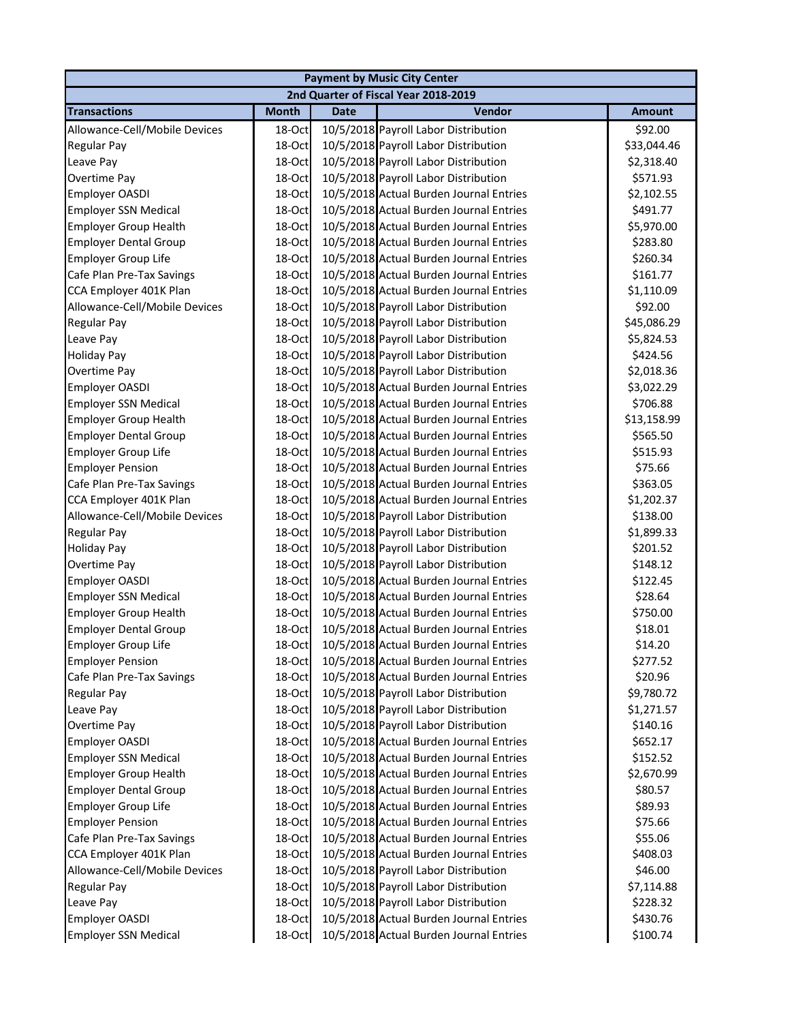| <b>Payment by Music City Center</b> |              |             |                                         |               |  |
|-------------------------------------|--------------|-------------|-----------------------------------------|---------------|--|
|                                     |              |             | 2nd Quarter of Fiscal Year 2018-2019    |               |  |
| <b>Transactions</b>                 | <b>Month</b> | <b>Date</b> | <b>Vendor</b>                           | <b>Amount</b> |  |
| Allowance-Cell/Mobile Devices       | 18-Oct       |             | 10/5/2018 Payroll Labor Distribution    | \$92.00       |  |
| Regular Pay                         | 18-Oct       |             | 10/5/2018 Payroll Labor Distribution    | \$33,044.46   |  |
| Leave Pay                           | 18-Oct       |             | 10/5/2018 Payroll Labor Distribution    | \$2,318.40    |  |
| Overtime Pay                        | 18-Oct       |             | 10/5/2018 Payroll Labor Distribution    | \$571.93      |  |
| Employer OASDI                      | 18-Oct       |             | 10/5/2018 Actual Burden Journal Entries | \$2,102.55    |  |
| <b>Employer SSN Medical</b>         | 18-Oct       |             | 10/5/2018 Actual Burden Journal Entries | \$491.77      |  |
| <b>Employer Group Health</b>        | 18-Oct       |             | 10/5/2018 Actual Burden Journal Entries | \$5,970.00    |  |
| <b>Employer Dental Group</b>        | 18-Oct       |             | 10/5/2018 Actual Burden Journal Entries | \$283.80      |  |
| Employer Group Life                 | 18-Oct       |             | 10/5/2018 Actual Burden Journal Entries | \$260.34      |  |
| Cafe Plan Pre-Tax Savings           | 18-Oct       |             | 10/5/2018 Actual Burden Journal Entries | \$161.77      |  |
| CCA Employer 401K Plan              | 18-Oct       |             | 10/5/2018 Actual Burden Journal Entries | \$1,110.09    |  |
| Allowance-Cell/Mobile Devices       | 18-Oct       |             | 10/5/2018 Payroll Labor Distribution    | \$92.00       |  |
| Regular Pay                         | 18-Oct       |             | 10/5/2018 Payroll Labor Distribution    | \$45,086.29   |  |
| Leave Pay                           | 18-Oct       |             | 10/5/2018 Payroll Labor Distribution    | \$5,824.53    |  |
| <b>Holiday Pay</b>                  | 18-Oct       |             | 10/5/2018 Payroll Labor Distribution    | \$424.56      |  |
| Overtime Pay                        | 18-Oct       |             | 10/5/2018 Payroll Labor Distribution    | \$2,018.36    |  |
| Employer OASDI                      | 18-Oct       |             | 10/5/2018 Actual Burden Journal Entries | \$3,022.29    |  |
| <b>Employer SSN Medical</b>         | 18-Oct       |             | 10/5/2018 Actual Burden Journal Entries | \$706.88      |  |
| <b>Employer Group Health</b>        | 18-Oct       |             | 10/5/2018 Actual Burden Journal Entries | \$13,158.99   |  |
| <b>Employer Dental Group</b>        | 18-Oct       |             | 10/5/2018 Actual Burden Journal Entries | \$565.50      |  |
| <b>Employer Group Life</b>          | 18-Oct       |             | 10/5/2018 Actual Burden Journal Entries | \$515.93      |  |
| <b>Employer Pension</b>             | 18-Oct       |             | 10/5/2018 Actual Burden Journal Entries | \$75.66       |  |
| Cafe Plan Pre-Tax Savings           | 18-Oct       |             | 10/5/2018 Actual Burden Journal Entries | \$363.05      |  |
| CCA Employer 401K Plan              | 18-Oct       |             | 10/5/2018 Actual Burden Journal Entries | \$1,202.37    |  |
| Allowance-Cell/Mobile Devices       | 18-Oct       |             | 10/5/2018 Payroll Labor Distribution    | \$138.00      |  |
| Regular Pay                         | 18-Oct       |             | 10/5/2018 Payroll Labor Distribution    | \$1,899.33    |  |
| <b>Holiday Pay</b>                  | 18-Oct       |             | 10/5/2018 Payroll Labor Distribution    | \$201.52      |  |
| Overtime Pay                        | 18-Oct       |             | 10/5/2018 Payroll Labor Distribution    | \$148.12      |  |
| Employer OASDI                      | 18-Oct       |             | 10/5/2018 Actual Burden Journal Entries | \$122.45      |  |
| <b>Employer SSN Medical</b>         | 18-Oct       |             | 10/5/2018 Actual Burden Journal Entries | \$28.64       |  |
| <b>Employer Group Health</b>        | 18-Oct       |             | 10/5/2018 Actual Burden Journal Entries | \$750.00      |  |
| <b>Employer Dental Group</b>        | 18-Oct       |             | 10/5/2018 Actual Burden Journal Entries | \$18.01       |  |
| <b>Employer Group Life</b>          | 18-Oct       |             | 10/5/2018 Actual Burden Journal Entries | \$14.20       |  |
| <b>Employer Pension</b>             | 18-Oct       |             | 10/5/2018 Actual Burden Journal Entries | \$277.52      |  |
| Cafe Plan Pre-Tax Savings           | 18-Oct       |             | 10/5/2018 Actual Burden Journal Entries | \$20.96       |  |
| Regular Pay                         | 18-Oct       |             | 10/5/2018 Payroll Labor Distribution    | \$9,780.72    |  |
| Leave Pay                           | 18-Oct       |             | 10/5/2018 Payroll Labor Distribution    | \$1,271.57    |  |
| Overtime Pay                        | 18-Oct       |             | 10/5/2018 Payroll Labor Distribution    | \$140.16      |  |
| Employer OASDI                      | 18-Oct       |             | 10/5/2018 Actual Burden Journal Entries | \$652.17      |  |
| <b>Employer SSN Medical</b>         | 18-Oct       |             | 10/5/2018 Actual Burden Journal Entries | \$152.52      |  |
| <b>Employer Group Health</b>        | 18-Oct       |             | 10/5/2018 Actual Burden Journal Entries | \$2,670.99    |  |
| <b>Employer Dental Group</b>        | 18-Oct       |             | 10/5/2018 Actual Burden Journal Entries | \$80.57       |  |
| Employer Group Life                 | 18-Oct       |             | 10/5/2018 Actual Burden Journal Entries | \$89.93       |  |
| <b>Employer Pension</b>             | 18-Oct       |             | 10/5/2018 Actual Burden Journal Entries | \$75.66       |  |
| Cafe Plan Pre-Tax Savings           | 18-Oct       |             | 10/5/2018 Actual Burden Journal Entries | \$55.06       |  |
| CCA Employer 401K Plan              | 18-Oct       |             | 10/5/2018 Actual Burden Journal Entries | \$408.03      |  |
| Allowance-Cell/Mobile Devices       | 18-Oct       |             | 10/5/2018 Payroll Labor Distribution    | \$46.00       |  |
| <b>Regular Pay</b>                  | 18-Oct       |             | 10/5/2018 Payroll Labor Distribution    | \$7,114.88    |  |
| Leave Pay                           | 18-Oct       |             | 10/5/2018 Payroll Labor Distribution    | \$228.32      |  |
| Employer OASDI                      | 18-Oct       |             | 10/5/2018 Actual Burden Journal Entries | \$430.76      |  |
| <b>Employer SSN Medical</b>         | 18-Oct       |             | 10/5/2018 Actual Burden Journal Entries | \$100.74      |  |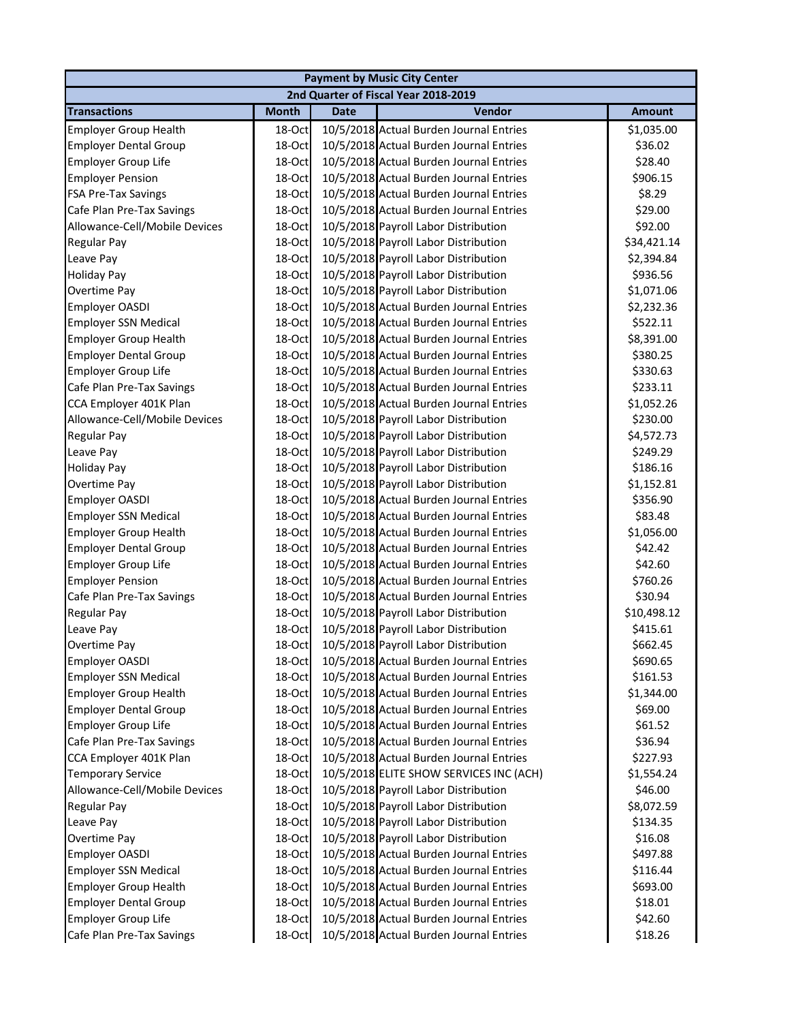|                               |              |             | <b>Payment by Music City Center</b>     |               |
|-------------------------------|--------------|-------------|-----------------------------------------|---------------|
|                               |              |             | 2nd Quarter of Fiscal Year 2018-2019    |               |
| <b>Transactions</b>           | <b>Month</b> | <b>Date</b> | <b>Vendor</b>                           | <b>Amount</b> |
| <b>Employer Group Health</b>  | 18-Oct       |             | 10/5/2018 Actual Burden Journal Entries | \$1,035.00    |
| <b>Employer Dental Group</b>  | 18-Oct       |             | 10/5/2018 Actual Burden Journal Entries | \$36.02       |
| <b>Employer Group Life</b>    | 18-Oct       |             | 10/5/2018 Actual Burden Journal Entries | \$28.40       |
| <b>Employer Pension</b>       | 18-Oct       |             | 10/5/2018 Actual Burden Journal Entries | \$906.15      |
| <b>FSA Pre-Tax Savings</b>    | 18-Oct       |             | 10/5/2018 Actual Burden Journal Entries | \$8.29        |
| Cafe Plan Pre-Tax Savings     | 18-Oct       |             | 10/5/2018 Actual Burden Journal Entries | \$29.00       |
| Allowance-Cell/Mobile Devices | 18-Oct       |             | 10/5/2018 Payroll Labor Distribution    | \$92.00       |
| Regular Pay                   | 18-Oct       |             | 10/5/2018 Payroll Labor Distribution    | \$34,421.14   |
| Leave Pay                     | 18-Oct       |             | 10/5/2018 Payroll Labor Distribution    | \$2,394.84    |
| <b>Holiday Pay</b>            | 18-Oct       |             | 10/5/2018 Payroll Labor Distribution    | \$936.56      |
| Overtime Pay                  | 18-Oct       |             | 10/5/2018 Payroll Labor Distribution    | \$1,071.06    |
| Employer OASDI                | 18-Oct       |             | 10/5/2018 Actual Burden Journal Entries | \$2,232.36    |
| <b>Employer SSN Medical</b>   | 18-Oct       |             | 10/5/2018 Actual Burden Journal Entries | \$522.11      |
| <b>Employer Group Health</b>  | 18-Oct       |             | 10/5/2018 Actual Burden Journal Entries | \$8,391.00    |
| <b>Employer Dental Group</b>  | 18-Oct       |             | 10/5/2018 Actual Burden Journal Entries | \$380.25      |
| <b>Employer Group Life</b>    | 18-Oct       |             | 10/5/2018 Actual Burden Journal Entries | \$330.63      |
| Cafe Plan Pre-Tax Savings     | 18-Oct       |             | 10/5/2018 Actual Burden Journal Entries | \$233.11      |
| CCA Employer 401K Plan        | 18-Oct       |             | 10/5/2018 Actual Burden Journal Entries | \$1,052.26    |
| Allowance-Cell/Mobile Devices | 18-Oct       |             | 10/5/2018 Payroll Labor Distribution    | \$230.00      |
| Regular Pay                   | 18-Oct       |             | 10/5/2018 Payroll Labor Distribution    | \$4,572.73    |
| Leave Pay                     | 18-Oct       |             | 10/5/2018 Payroll Labor Distribution    | \$249.29      |
| <b>Holiday Pay</b>            | 18-Oct       |             | 10/5/2018 Payroll Labor Distribution    | \$186.16      |
| Overtime Pay                  | 18-Oct       |             | 10/5/2018 Payroll Labor Distribution    | \$1,152.81    |
| Employer OASDI                | 18-Oct       |             | 10/5/2018 Actual Burden Journal Entries | \$356.90      |
| <b>Employer SSN Medical</b>   | 18-Oct       |             | 10/5/2018 Actual Burden Journal Entries | \$83.48       |
| <b>Employer Group Health</b>  | 18-Oct       |             | 10/5/2018 Actual Burden Journal Entries | \$1,056.00    |
| <b>Employer Dental Group</b>  | 18-Oct       |             | 10/5/2018 Actual Burden Journal Entries | \$42.42       |
| <b>Employer Group Life</b>    | 18-Oct       |             | 10/5/2018 Actual Burden Journal Entries | \$42.60       |
| <b>Employer Pension</b>       | 18-Oct       |             | 10/5/2018 Actual Burden Journal Entries | \$760.26      |
| Cafe Plan Pre-Tax Savings     | 18-Oct       |             | 10/5/2018 Actual Burden Journal Entries | \$30.94       |
| <b>Regular Pay</b>            | 18-Oct       |             | 10/5/2018 Payroll Labor Distribution    | \$10,498.12   |
| Leave Pay                     | 18-Oct       |             | 10/5/2018 Payroll Labor Distribution    | \$415.61      |
| Overtime Pay                  | 18-Oct       |             | 10/5/2018 Payroll Labor Distribution    | \$662.45      |
| Employer OASDI                | 18-Oct       |             | 10/5/2018 Actual Burden Journal Entries | \$690.65      |
| <b>Employer SSN Medical</b>   | 18-Oct       |             | 10/5/2018 Actual Burden Journal Entries | \$161.53      |
| <b>Employer Group Health</b>  | 18-Oct       |             | 10/5/2018 Actual Burden Journal Entries | \$1,344.00    |
| <b>Employer Dental Group</b>  | 18-Oct       |             | 10/5/2018 Actual Burden Journal Entries | \$69.00       |
| <b>Employer Group Life</b>    | 18-Oct       |             | 10/5/2018 Actual Burden Journal Entries | \$61.52       |
| Cafe Plan Pre-Tax Savings     | 18-Oct       |             | 10/5/2018 Actual Burden Journal Entries | \$36.94       |
| CCA Employer 401K Plan        | 18-Oct       |             | 10/5/2018 Actual Burden Journal Entries | \$227.93      |
| <b>Temporary Service</b>      | 18-Oct       |             | 10/5/2018 ELITE SHOW SERVICES INC (ACH) | \$1,554.24    |
| Allowance-Cell/Mobile Devices | 18-Oct       |             | 10/5/2018 Payroll Labor Distribution    | \$46.00       |
| Regular Pay                   | 18-Oct       |             | 10/5/2018 Payroll Labor Distribution    | \$8,072.59    |
| Leave Pay                     | 18-Oct       |             | 10/5/2018 Payroll Labor Distribution    | \$134.35      |
| Overtime Pay                  | 18-Oct       |             | 10/5/2018 Payroll Labor Distribution    | \$16.08       |
| Employer OASDI                | 18-Oct       |             | 10/5/2018 Actual Burden Journal Entries | \$497.88      |
| <b>Employer SSN Medical</b>   | 18-Oct       |             | 10/5/2018 Actual Burden Journal Entries | \$116.44      |
| <b>Employer Group Health</b>  | 18-Oct       |             | 10/5/2018 Actual Burden Journal Entries | \$693.00      |
| <b>Employer Dental Group</b>  | 18-Oct       |             | 10/5/2018 Actual Burden Journal Entries | \$18.01       |
| <b>Employer Group Life</b>    | 18-Oct       |             | 10/5/2018 Actual Burden Journal Entries | \$42.60       |
| Cafe Plan Pre-Tax Savings     | 18-Oct       |             | 10/5/2018 Actual Burden Journal Entries | \$18.26       |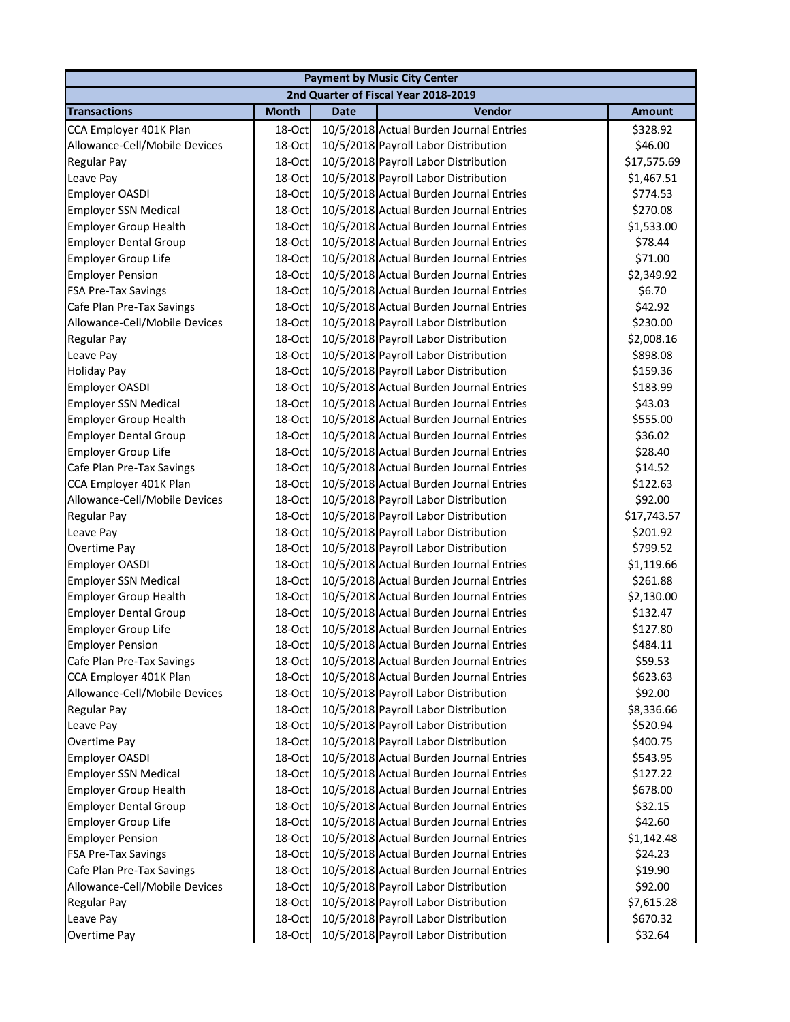|                               | <b>Payment by Music City Center</b> |             |                                         |               |  |  |  |
|-------------------------------|-------------------------------------|-------------|-----------------------------------------|---------------|--|--|--|
|                               |                                     |             | 2nd Quarter of Fiscal Year 2018-2019    |               |  |  |  |
| <b>Transactions</b>           | <b>Month</b>                        | <b>Date</b> | Vendor                                  | <b>Amount</b> |  |  |  |
| CCA Employer 401K Plan        | 18-Oct                              |             | 10/5/2018 Actual Burden Journal Entries | \$328.92      |  |  |  |
| Allowance-Cell/Mobile Devices | 18-Oct                              |             | 10/5/2018 Payroll Labor Distribution    | \$46.00       |  |  |  |
| Regular Pay                   | 18-Oct                              |             | 10/5/2018 Payroll Labor Distribution    | \$17,575.69   |  |  |  |
| Leave Pay                     | 18-Oct                              |             | 10/5/2018 Payroll Labor Distribution    | \$1,467.51    |  |  |  |
| Employer OASDI                | 18-Oct                              |             | 10/5/2018 Actual Burden Journal Entries | \$774.53      |  |  |  |
| <b>Employer SSN Medical</b>   | 18-Oct                              |             | 10/5/2018 Actual Burden Journal Entries | \$270.08      |  |  |  |
| <b>Employer Group Health</b>  | 18-Oct                              |             | 10/5/2018 Actual Burden Journal Entries | \$1,533.00    |  |  |  |
| <b>Employer Dental Group</b>  | 18-Oct                              |             | 10/5/2018 Actual Burden Journal Entries | \$78.44       |  |  |  |
| <b>Employer Group Life</b>    | 18-Oct                              |             | 10/5/2018 Actual Burden Journal Entries | \$71.00       |  |  |  |
| <b>Employer Pension</b>       | 18-Oct                              |             | 10/5/2018 Actual Burden Journal Entries | \$2,349.92    |  |  |  |
| FSA Pre-Tax Savings           | 18-Oct                              |             | 10/5/2018 Actual Burden Journal Entries | \$6.70        |  |  |  |
| Cafe Plan Pre-Tax Savings     | 18-Oct                              |             | 10/5/2018 Actual Burden Journal Entries | \$42.92       |  |  |  |
| Allowance-Cell/Mobile Devices | 18-Oct                              |             | 10/5/2018 Payroll Labor Distribution    | \$230.00      |  |  |  |
| <b>Regular Pay</b>            | 18-Oct                              |             | 10/5/2018 Payroll Labor Distribution    | \$2,008.16    |  |  |  |
| Leave Pay                     | 18-Oct                              |             | 10/5/2018 Payroll Labor Distribution    | \$898.08      |  |  |  |
| <b>Holiday Pay</b>            | 18-Oct                              |             | 10/5/2018 Payroll Labor Distribution    | \$159.36      |  |  |  |
| Employer OASDI                | 18-Oct                              |             | 10/5/2018 Actual Burden Journal Entries | \$183.99      |  |  |  |
| <b>Employer SSN Medical</b>   | 18-Oct                              |             | 10/5/2018 Actual Burden Journal Entries | \$43.03       |  |  |  |
| <b>Employer Group Health</b>  | 18-Oct                              |             | 10/5/2018 Actual Burden Journal Entries | \$555.00      |  |  |  |
| <b>Employer Dental Group</b>  | 18-Oct                              |             | 10/5/2018 Actual Burden Journal Entries | \$36.02       |  |  |  |
| <b>Employer Group Life</b>    | 18-Oct                              |             | 10/5/2018 Actual Burden Journal Entries | \$28.40       |  |  |  |
| Cafe Plan Pre-Tax Savings     | 18-Oct                              |             | 10/5/2018 Actual Burden Journal Entries | \$14.52       |  |  |  |
| CCA Employer 401K Plan        | 18-Oct                              |             | 10/5/2018 Actual Burden Journal Entries | \$122.63      |  |  |  |
| Allowance-Cell/Mobile Devices | 18-Oct                              |             | 10/5/2018 Payroll Labor Distribution    | \$92.00       |  |  |  |
| <b>Regular Pay</b>            | 18-Oct                              |             | 10/5/2018 Payroll Labor Distribution    | \$17,743.57   |  |  |  |
| Leave Pay                     | 18-Oct                              |             | 10/5/2018 Payroll Labor Distribution    | \$201.92      |  |  |  |
| Overtime Pay                  | 18-Oct                              |             | 10/5/2018 Payroll Labor Distribution    | \$799.52      |  |  |  |
| Employer OASDI                | 18-Oct                              |             | 10/5/2018 Actual Burden Journal Entries | \$1,119.66    |  |  |  |
| <b>Employer SSN Medical</b>   | 18-Oct                              |             | 10/5/2018 Actual Burden Journal Entries | \$261.88      |  |  |  |
| <b>Employer Group Health</b>  | 18-Oct                              |             | 10/5/2018 Actual Burden Journal Entries | \$2,130.00    |  |  |  |
| <b>Employer Dental Group</b>  | 18-Oct                              |             | 10/5/2018 Actual Burden Journal Entries | \$132.47      |  |  |  |
| <b>Employer Group Life</b>    | 18-Oct                              |             | 10/5/2018 Actual Burden Journal Entries | \$127.80      |  |  |  |
| <b>Employer Pension</b>       | 18-Oct                              |             | 10/5/2018 Actual Burden Journal Entries | \$484.11      |  |  |  |
| Cafe Plan Pre-Tax Savings     | 18-Oct                              |             | 10/5/2018 Actual Burden Journal Entries | \$59.53       |  |  |  |
| CCA Employer 401K Plan        | 18-Oct                              |             | 10/5/2018 Actual Burden Journal Entries | \$623.63      |  |  |  |
| Allowance-Cell/Mobile Devices | 18-Oct                              |             | 10/5/2018 Payroll Labor Distribution    | \$92.00       |  |  |  |
| <b>Regular Pay</b>            | 18-Oct                              |             | 10/5/2018 Payroll Labor Distribution    | \$8,336.66    |  |  |  |
| Leave Pay                     | 18-Oct                              |             | 10/5/2018 Payroll Labor Distribution    | \$520.94      |  |  |  |
| Overtime Pay                  | 18-Oct                              |             | 10/5/2018 Payroll Labor Distribution    | \$400.75      |  |  |  |
| Employer OASDI                | 18-Oct                              |             | 10/5/2018 Actual Burden Journal Entries | \$543.95      |  |  |  |
| <b>Employer SSN Medical</b>   | 18-Oct                              |             | 10/5/2018 Actual Burden Journal Entries | \$127.22      |  |  |  |
| <b>Employer Group Health</b>  | 18-Oct                              |             | 10/5/2018 Actual Burden Journal Entries | \$678.00      |  |  |  |
| <b>Employer Dental Group</b>  | 18-Oct                              |             | 10/5/2018 Actual Burden Journal Entries | \$32.15       |  |  |  |
| <b>Employer Group Life</b>    | 18-Oct                              |             | 10/5/2018 Actual Burden Journal Entries | \$42.60       |  |  |  |
| <b>Employer Pension</b>       | 18-Oct                              |             | 10/5/2018 Actual Burden Journal Entries | \$1,142.48    |  |  |  |
| <b>FSA Pre-Tax Savings</b>    | 18-Oct                              |             | 10/5/2018 Actual Burden Journal Entries | \$24.23       |  |  |  |
| Cafe Plan Pre-Tax Savings     | 18-Oct                              |             | 10/5/2018 Actual Burden Journal Entries | \$19.90       |  |  |  |
| Allowance-Cell/Mobile Devices | 18-Oct                              |             | 10/5/2018 Payroll Labor Distribution    | \$92.00       |  |  |  |
| <b>Regular Pay</b>            | 18-Oct                              |             | 10/5/2018 Payroll Labor Distribution    | \$7,615.28    |  |  |  |
| Leave Pay                     | 18-Oct                              |             | 10/5/2018 Payroll Labor Distribution    | \$670.32      |  |  |  |
| <b>Overtime Pay</b>           | 18-Oct                              |             | 10/5/2018 Payroll Labor Distribution    | \$32.64       |  |  |  |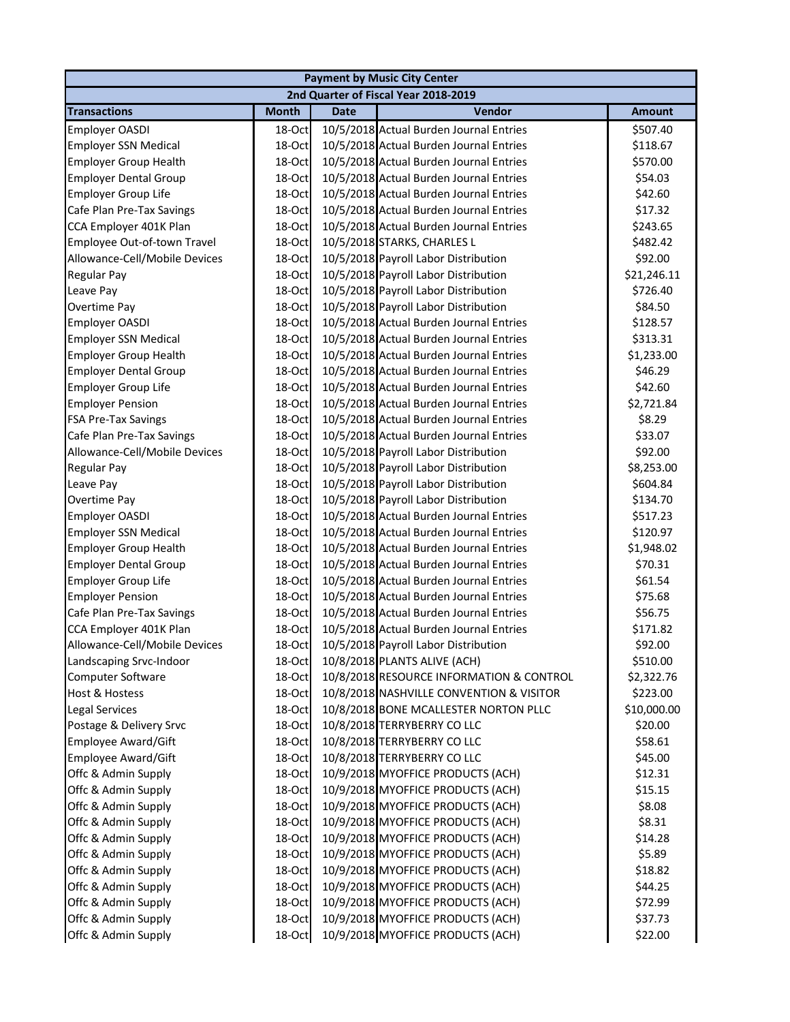|                               | <b>Payment by Music City Center</b> |             |                                          |               |  |  |
|-------------------------------|-------------------------------------|-------------|------------------------------------------|---------------|--|--|
|                               |                                     |             | 2nd Quarter of Fiscal Year 2018-2019     |               |  |  |
| <b>Transactions</b>           | <b>Month</b>                        | <b>Date</b> | Vendor                                   | <b>Amount</b> |  |  |
| <b>Employer OASDI</b>         | 18-Oct                              |             | 10/5/2018 Actual Burden Journal Entries  | \$507.40      |  |  |
| <b>Employer SSN Medical</b>   | 18-Oct                              |             | 10/5/2018 Actual Burden Journal Entries  | \$118.67      |  |  |
| <b>Employer Group Health</b>  | 18-Oct                              |             | 10/5/2018 Actual Burden Journal Entries  | \$570.00      |  |  |
| <b>Employer Dental Group</b>  | 18-Oct                              |             | 10/5/2018 Actual Burden Journal Entries  | \$54.03       |  |  |
| <b>Employer Group Life</b>    | 18-Oct                              |             | 10/5/2018 Actual Burden Journal Entries  | \$42.60       |  |  |
| Cafe Plan Pre-Tax Savings     | 18-Oct                              |             | 10/5/2018 Actual Burden Journal Entries  | \$17.32       |  |  |
| CCA Employer 401K Plan        | 18-Oct                              |             | 10/5/2018 Actual Burden Journal Entries  | \$243.65      |  |  |
| Employee Out-of-town Travel   | 18-Oct                              |             | 10/5/2018 STARKS, CHARLES L              | \$482.42      |  |  |
| Allowance-Cell/Mobile Devices | 18-Oct                              |             | 10/5/2018 Payroll Labor Distribution     | \$92.00       |  |  |
| <b>Regular Pay</b>            | 18-Oct                              |             | 10/5/2018 Payroll Labor Distribution     | \$21,246.11   |  |  |
| Leave Pay                     | 18-Oct                              |             | 10/5/2018 Payroll Labor Distribution     | \$726.40      |  |  |
| Overtime Pay                  | 18-Oct                              |             | 10/5/2018 Payroll Labor Distribution     | \$84.50       |  |  |
| <b>Employer OASDI</b>         | 18-Oct                              |             | 10/5/2018 Actual Burden Journal Entries  | \$128.57      |  |  |
| <b>Employer SSN Medical</b>   | 18-Oct                              |             | 10/5/2018 Actual Burden Journal Entries  | \$313.31      |  |  |
| <b>Employer Group Health</b>  | 18-Oct                              |             | 10/5/2018 Actual Burden Journal Entries  | \$1,233.00    |  |  |
| <b>Employer Dental Group</b>  | 18-Oct                              |             | 10/5/2018 Actual Burden Journal Entries  | \$46.29       |  |  |
| <b>Employer Group Life</b>    | 18-Oct                              |             | 10/5/2018 Actual Burden Journal Entries  | \$42.60       |  |  |
| <b>Employer Pension</b>       | 18-Oct                              |             | 10/5/2018 Actual Burden Journal Entries  | \$2,721.84    |  |  |
| <b>FSA Pre-Tax Savings</b>    | 18-Oct                              |             | 10/5/2018 Actual Burden Journal Entries  | \$8.29        |  |  |
| Cafe Plan Pre-Tax Savings     | 18-Oct                              |             | 10/5/2018 Actual Burden Journal Entries  | \$33.07       |  |  |
| Allowance-Cell/Mobile Devices | 18-Oct                              |             | 10/5/2018 Payroll Labor Distribution     | \$92.00       |  |  |
| <b>Regular Pay</b>            | 18-Oct                              |             | 10/5/2018 Payroll Labor Distribution     | \$8,253.00    |  |  |
| Leave Pay                     | 18-Oct                              |             | 10/5/2018 Payroll Labor Distribution     | \$604.84      |  |  |
| Overtime Pay                  | 18-Oct                              |             | 10/5/2018 Payroll Labor Distribution     | \$134.70      |  |  |
| <b>Employer OASDI</b>         | 18-Oct                              |             | 10/5/2018 Actual Burden Journal Entries  | \$517.23      |  |  |
| <b>Employer SSN Medical</b>   | 18-Oct                              |             | 10/5/2018 Actual Burden Journal Entries  | \$120.97      |  |  |
| <b>Employer Group Health</b>  | 18-Oct                              |             | 10/5/2018 Actual Burden Journal Entries  | \$1,948.02    |  |  |
| <b>Employer Dental Group</b>  | 18-Oct                              |             | 10/5/2018 Actual Burden Journal Entries  | \$70.31       |  |  |
| <b>Employer Group Life</b>    | 18-Oct                              |             | 10/5/2018 Actual Burden Journal Entries  | \$61.54       |  |  |
| <b>Employer Pension</b>       | 18-Oct                              |             | 10/5/2018 Actual Burden Journal Entries  | \$75.68       |  |  |
| Cafe Plan Pre-Tax Savings     | 18-Oct                              |             | 10/5/2018 Actual Burden Journal Entries  | \$56.75       |  |  |
| CCA Employer 401K Plan        | 18-Oct                              |             | 10/5/2018 Actual Burden Journal Entries  | \$171.82      |  |  |
| Allowance-Cell/Mobile Devices | 18-Oct                              |             | 10/5/2018 Payroll Labor Distribution     | \$92.00       |  |  |
| Landscaping Srvc-Indoor       | 18-Oct                              |             | 10/8/2018 PLANTS ALIVE (ACH)             | \$510.00      |  |  |
| Computer Software             | 18-Oct                              |             | 10/8/2018 RESOURCE INFORMATION & CONTROL | \$2,322.76    |  |  |
| <b>Host &amp; Hostess</b>     | 18-Oct                              |             | 10/8/2018 NASHVILLE CONVENTION & VISITOR | \$223.00      |  |  |
| <b>Legal Services</b>         | 18-Oct                              |             | 10/8/2018 BONE MCALLESTER NORTON PLLC    | \$10,000.00   |  |  |
| Postage & Delivery Srvc       | 18-Oct                              |             | 10/8/2018 TERRYBERRY CO LLC              | \$20.00       |  |  |
| <b>Employee Award/Gift</b>    | 18-Oct                              |             | 10/8/2018 TERRYBERRY CO LLC              | \$58.61       |  |  |
| <b>Employee Award/Gift</b>    | 18-Oct                              |             | 10/8/2018 TERRYBERRY CO LLC              | \$45.00       |  |  |
| Offc & Admin Supply           | 18-Oct                              |             | 10/9/2018 MYOFFICE PRODUCTS (ACH)        | \$12.31       |  |  |
| Offc & Admin Supply           | 18-Oct                              |             | 10/9/2018 MYOFFICE PRODUCTS (ACH)        | \$15.15       |  |  |
| Offc & Admin Supply           | 18-Oct                              |             | 10/9/2018 MYOFFICE PRODUCTS (ACH)        | \$8.08        |  |  |
| Offc & Admin Supply           | 18-Oct                              |             | 10/9/2018 MYOFFICE PRODUCTS (ACH)        | \$8.31        |  |  |
| Offc & Admin Supply           | 18-Oct                              |             | 10/9/2018 MYOFFICE PRODUCTS (ACH)        | \$14.28       |  |  |
| Offc & Admin Supply           | 18-Oct                              |             | 10/9/2018 MYOFFICE PRODUCTS (ACH)        | \$5.89        |  |  |
| Offc & Admin Supply           | 18-Oct                              |             | 10/9/2018 MYOFFICE PRODUCTS (ACH)        | \$18.82       |  |  |
| Offc & Admin Supply           | 18-Oct                              |             | 10/9/2018 MYOFFICE PRODUCTS (ACH)        | \$44.25       |  |  |
| Offc & Admin Supply           | 18-Oct                              |             | 10/9/2018 MYOFFICE PRODUCTS (ACH)        | \$72.99       |  |  |
| Offc & Admin Supply           | 18-Oct                              |             | 10/9/2018 MYOFFICE PRODUCTS (ACH)        | \$37.73       |  |  |
| Offc & Admin Supply           | 18-Oct                              |             | 10/9/2018 MYOFFICE PRODUCTS (ACH)        | \$22.00       |  |  |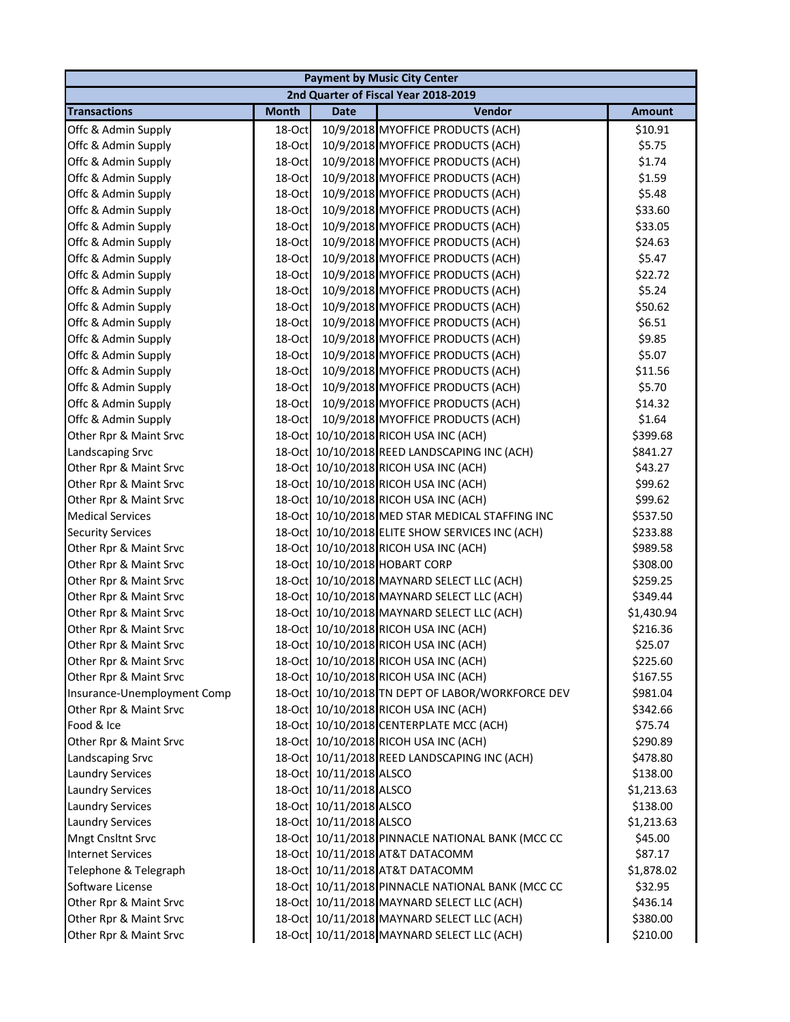|                             |              |                         | <b>Payment by Music City Center</b>              |               |
|-----------------------------|--------------|-------------------------|--------------------------------------------------|---------------|
|                             |              |                         | 2nd Quarter of Fiscal Year 2018-2019             |               |
| <b>Transactions</b>         | <b>Month</b> | <b>Date</b>             | Vendor                                           | <b>Amount</b> |
| Offc & Admin Supply         | 18-Oct       |                         | 10/9/2018 MYOFFICE PRODUCTS (ACH)                | \$10.91       |
| Offc & Admin Supply         | 18-Oct       |                         | 10/9/2018 MYOFFICE PRODUCTS (ACH)                | \$5.75        |
| Offc & Admin Supply         | 18-Oct       |                         | 10/9/2018 MYOFFICE PRODUCTS (ACH)                | \$1.74        |
| Offc & Admin Supply         | 18-Oct       |                         | 10/9/2018 MYOFFICE PRODUCTS (ACH)                | \$1.59        |
| Offc & Admin Supply         | 18-Oct       |                         | 10/9/2018 MYOFFICE PRODUCTS (ACH)                | \$5.48        |
| Offc & Admin Supply         | 18-Oct       |                         | 10/9/2018 MYOFFICE PRODUCTS (ACH)                | \$33.60       |
| Offc & Admin Supply         | 18-Oct       |                         | 10/9/2018 MYOFFICE PRODUCTS (ACH)                | \$33.05       |
| Offc & Admin Supply         | 18-Oct       |                         | 10/9/2018 MYOFFICE PRODUCTS (ACH)                | \$24.63       |
| Offc & Admin Supply         | 18-Oct       |                         | 10/9/2018 MYOFFICE PRODUCTS (ACH)                | \$5.47        |
| Offc & Admin Supply         | 18-Oct       |                         | 10/9/2018 MYOFFICE PRODUCTS (ACH)                | \$22.72       |
| Offc & Admin Supply         | 18-Oct       |                         | 10/9/2018 MYOFFICE PRODUCTS (ACH)                | \$5.24        |
| Offc & Admin Supply         | 18-Oct       |                         | 10/9/2018 MYOFFICE PRODUCTS (ACH)                | \$50.62       |
| Offc & Admin Supply         | 18-Oct       |                         | 10/9/2018 MYOFFICE PRODUCTS (ACH)                | \$6.51        |
| Offc & Admin Supply         | 18-Oct       |                         | 10/9/2018 MYOFFICE PRODUCTS (ACH)                | \$9.85        |
| Offc & Admin Supply         | 18-Oct       |                         | 10/9/2018 MYOFFICE PRODUCTS (ACH)                | \$5.07        |
| Offc & Admin Supply         | 18-Oct       |                         | 10/9/2018 MYOFFICE PRODUCTS (ACH)                | \$11.56       |
| Offc & Admin Supply         | 18-Oct       |                         | 10/9/2018 MYOFFICE PRODUCTS (ACH)                | \$5.70        |
| Offc & Admin Supply         | 18-Oct       |                         | 10/9/2018 MYOFFICE PRODUCTS (ACH)                | \$14.32       |
| Offc & Admin Supply         | 18-Oct       |                         | 10/9/2018 MYOFFICE PRODUCTS (ACH)                | \$1.64        |
| Other Rpr & Maint Srvc      | 18-Oct       |                         | 10/10/2018 RICOH USA INC (ACH)                   | \$399.68      |
| Landscaping Srvc            |              |                         | 18-Oct 10/10/2018 REED LANDSCAPING INC (ACH)     | \$841.27      |
| Other Rpr & Maint Srvc      |              |                         | 18-Oct 10/10/2018 RICOH USA INC (ACH)            | \$43.27       |
| Other Rpr & Maint Srvc      |              |                         | 18-Oct 10/10/2018 RICOH USA INC (ACH)            | \$99.62       |
| Other Rpr & Maint Srvc      |              |                         | 18-Oct 10/10/2018 RICOH USA INC (ACH)            | \$99.62       |
| <b>Medical Services</b>     |              |                         | 18-Oct 10/10/2018 MED STAR MEDICAL STAFFING INC  | \$537.50      |
| <b>Security Services</b>    |              |                         | 18-Oct 10/10/2018 ELITE SHOW SERVICES INC (ACH)  | \$233.88      |
| Other Rpr & Maint Srvc      |              |                         | 18-Oct 10/10/2018 RICOH USA INC (ACH)            | \$989.58      |
| Other Rpr & Maint Srvc      |              |                         | 18-Oct 10/10/2018 HOBART CORP                    | \$308.00      |
| Other Rpr & Maint Srvc      |              |                         | 18-Oct 10/10/2018 MAYNARD SELECT LLC (ACH)       | \$259.25      |
| Other Rpr & Maint Srvc      |              |                         | 18-Oct 10/10/2018 MAYNARD SELECT LLC (ACH)       | \$349.44      |
| Other Rpr & Maint Srvc      |              |                         | 18-Oct 10/10/2018 MAYNARD SELECT LLC (ACH)       | \$1,430.94    |
| Other Rpr & Maint Srvc      |              |                         | 18-Oct 10/10/2018 RICOH USA INC (ACH)            | \$216.36      |
| Other Rpr & Maint Srvc      |              |                         | 18-Oct 10/10/2018 RICOH USA INC (ACH)            | \$25.07       |
| Other Rpr & Maint Srvc      |              |                         | 18-Oct 10/10/2018 RICOH USA INC (ACH)            | \$225.60      |
| Other Rpr & Maint Srvc      |              |                         | 18-Oct 10/10/2018 RICOH USA INC (ACH)            | \$167.55      |
| Insurance-Unemployment Comp |              |                         | 18-Oct 10/10/2018 TN DEPT OF LABOR/WORKFORCE DEV | \$981.04      |
| Other Rpr & Maint Srvc      |              |                         | 18-Oct 10/10/2018 RICOH USA INC (ACH)            | \$342.66      |
| Food & Ice                  |              |                         | 18-Oct 10/10/2018 CENTERPLATE MCC (ACH)          | \$75.74       |
| Other Rpr & Maint Srvc      |              |                         | 18-Oct 10/10/2018 RICOH USA INC (ACH)            | \$290.89      |
| <b>Landscaping Srvc</b>     |              |                         | 18-Oct 10/11/2018 REED LANDSCAPING INC (ACH)     | \$478.80      |
| <b>Laundry Services</b>     |              | 18-Oct 10/11/2018 ALSCO |                                                  | \$138.00      |
| <b>Laundry Services</b>     |              | 18-Oct 10/11/2018 ALSCO |                                                  | \$1,213.63    |
| <b>Laundry Services</b>     |              | 18-Oct 10/11/2018 ALSCO |                                                  | \$138.00      |
| <b>Laundry Services</b>     |              | 18-Oct 10/11/2018 ALSCO |                                                  | \$1,213.63    |
| <b>Mngt Cnsltnt Srvc</b>    |              |                         | 18-Oct 10/11/2018 PINNACLE NATIONAL BANK (MCC CC | \$45.00       |
| <b>Internet Services</b>    |              |                         | 18-Oct 10/11/2018 AT&T DATACOMM                  | \$87.17       |
| Telephone & Telegraph       |              |                         | 18-Oct 10/11/2018 AT&T DATACOMM                  | \$1,878.02    |
| Software License            |              |                         | 18-Oct 10/11/2018 PINNACLE NATIONAL BANK (MCC CC | \$32.95       |
| Other Rpr & Maint Srvc      |              |                         | 18-Oct 10/11/2018 MAYNARD SELECT LLC (ACH)       | \$436.14      |
| Other Rpr & Maint Srvc      |              |                         | 18-Oct 10/11/2018 MAYNARD SELECT LLC (ACH)       | \$380.00      |
| Other Rpr & Maint Srvc      |              |                         | 18-Oct 10/11/2018 MAYNARD SELECT LLC (ACH)       | \$210.00      |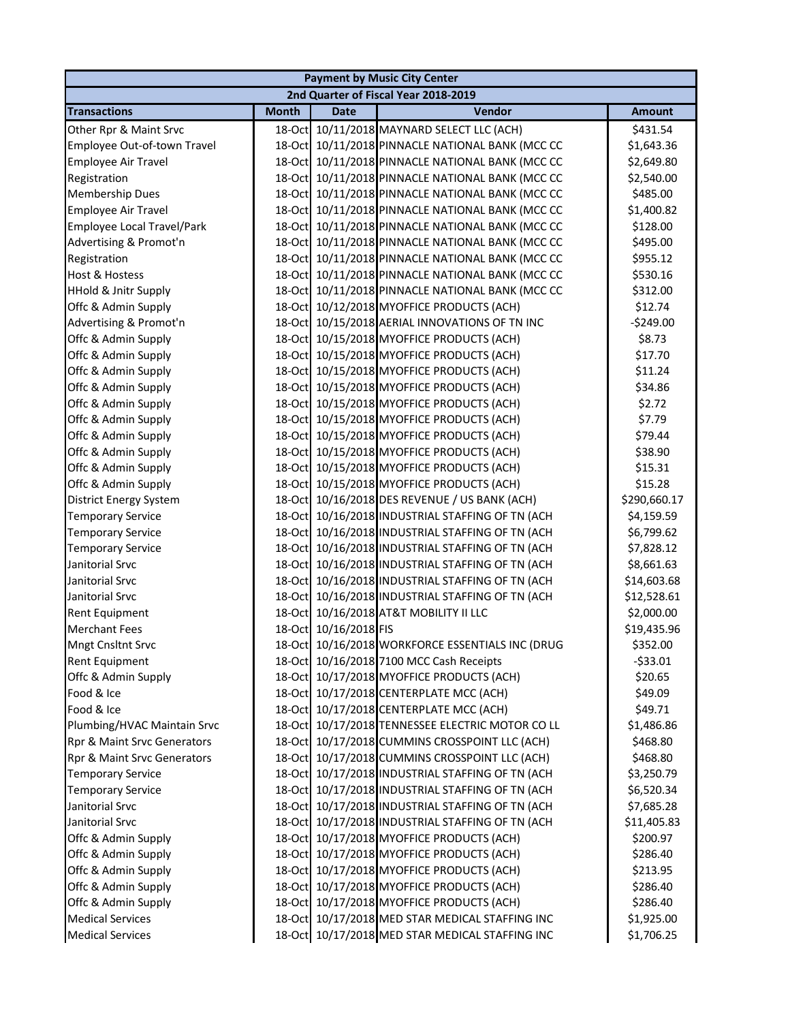| <b>Payment by Music City Center</b> |              |                       |                                                  |               |  |  |
|-------------------------------------|--------------|-----------------------|--------------------------------------------------|---------------|--|--|
|                                     |              |                       | 2nd Quarter of Fiscal Year 2018-2019             |               |  |  |
| <b>Transactions</b>                 | <b>Month</b> | <b>Date</b>           | Vendor                                           | <b>Amount</b> |  |  |
| Other Rpr & Maint Srvc              |              |                       | 18-Oct 10/11/2018 MAYNARD SELECT LLC (ACH)       | \$431.54      |  |  |
| Employee Out-of-town Travel         |              |                       | 18-Oct 10/11/2018 PINNACLE NATIONAL BANK (MCC CC | \$1,643.36    |  |  |
| Employee Air Travel                 |              |                       | 18-Oct 10/11/2018 PINNACLE NATIONAL BANK (MCC CC | \$2,649.80    |  |  |
| Registration                        |              |                       | 18-Oct 10/11/2018 PINNACLE NATIONAL BANK (MCC CC | \$2,540.00    |  |  |
| <b>Membership Dues</b>              |              |                       | 18-Oct 10/11/2018 PINNACLE NATIONAL BANK (MCC CC | \$485.00      |  |  |
| Employee Air Travel                 |              |                       | 18-Oct 10/11/2018 PINNACLE NATIONAL BANK (MCC CC | \$1,400.82    |  |  |
| Employee Local Travel/Park          |              |                       | 18-Oct 10/11/2018 PINNACLE NATIONAL BANK (MCC CC | \$128.00      |  |  |
| Advertising & Promot'n              |              |                       | 18-Oct 10/11/2018 PINNACLE NATIONAL BANK (MCC CC | \$495.00      |  |  |
| Registration                        |              |                       | 18-Oct 10/11/2018 PINNACLE NATIONAL BANK (MCC CC | \$955.12      |  |  |
| Host & Hostess                      |              |                       | 18-Oct 10/11/2018 PINNACLE NATIONAL BANK (MCC CC | \$530.16      |  |  |
| HHold & Jnitr Supply                |              |                       | 18-Oct 10/11/2018 PINNACLE NATIONAL BANK (MCC CC | \$312.00      |  |  |
| Offc & Admin Supply                 |              |                       | 18-Oct 10/12/2018 MYOFFICE PRODUCTS (ACH)        | \$12.74       |  |  |
| Advertising & Promot'n              |              |                       | 18-Oct 10/15/2018 AERIAL INNOVATIONS OF TN INC   | $-5249.00$    |  |  |
| Offc & Admin Supply                 |              |                       | 18-Oct 10/15/2018 MYOFFICE PRODUCTS (ACH)        | \$8.73        |  |  |
| Offc & Admin Supply                 |              |                       | 18-Oct 10/15/2018 MYOFFICE PRODUCTS (ACH)        | \$17.70       |  |  |
| Offc & Admin Supply                 |              |                       | 18-Oct 10/15/2018 MYOFFICE PRODUCTS (ACH)        | \$11.24       |  |  |
| Offc & Admin Supply                 |              |                       | 18-Oct 10/15/2018 MYOFFICE PRODUCTS (ACH)        | \$34.86       |  |  |
| Offc & Admin Supply                 |              |                       | 18-Oct 10/15/2018 MYOFFICE PRODUCTS (ACH)        | \$2.72        |  |  |
| Offc & Admin Supply                 |              |                       | 18-Oct 10/15/2018 MYOFFICE PRODUCTS (ACH)        | \$7.79        |  |  |
| Offc & Admin Supply                 |              |                       | 18-Oct 10/15/2018 MYOFFICE PRODUCTS (ACH)        | \$79.44       |  |  |
| Offc & Admin Supply                 |              |                       | 18-Oct 10/15/2018 MYOFFICE PRODUCTS (ACH)        | \$38.90       |  |  |
| Offc & Admin Supply                 | 18-Oct       |                       | 10/15/2018 MYOFFICE PRODUCTS (ACH)               | \$15.31       |  |  |
| Offc & Admin Supply                 | 18-Oct       |                       | 10/15/2018 MYOFFICE PRODUCTS (ACH)               | \$15.28       |  |  |
| District Energy System              | 18-Oct       |                       | 10/16/2018 DES REVENUE / US BANK (ACH)           | \$290,660.17  |  |  |
| <b>Temporary Service</b>            |              |                       | 18-Oct 10/16/2018 INDUSTRIAL STAFFING OF TN (ACH | \$4,159.59    |  |  |
| <b>Temporary Service</b>            |              |                       | 18-Oct 10/16/2018 INDUSTRIAL STAFFING OF TN (ACH | \$6,799.62    |  |  |
| <b>Temporary Service</b>            |              |                       | 18-Oct 10/16/2018 INDUSTRIAL STAFFING OF TN (ACH | \$7,828.12    |  |  |
| Janitorial Srvc                     |              |                       | 18-Oct 10/16/2018 INDUSTRIAL STAFFING OF TN (ACH | \$8,661.63    |  |  |
| Janitorial Srvc                     |              |                       | 18-Oct 10/16/2018 INDUSTRIAL STAFFING OF TN (ACH | \$14,603.68   |  |  |
| Janitorial Srvc                     |              |                       | 18-Oct 10/16/2018 INDUSTRIAL STAFFING OF TN (ACH | \$12,528.61   |  |  |
| <b>Rent Equipment</b>               |              |                       | 18-Oct 10/16/2018 AT&T MOBILITY II LLC           | \$2,000.00    |  |  |
| <b>Merchant Fees</b>                |              | 18-Oct 10/16/2018 FIS |                                                  | \$19,435.96   |  |  |
| <b>Mngt Cnsltnt Srvc</b>            |              |                       | 18-Oct 10/16/2018 WORKFORCE ESSENTIALS INC (DRUG | \$352.00      |  |  |
| <b>Rent Equipment</b>               |              |                       | 18-Oct 10/16/2018 7100 MCC Cash Receipts         | $-533.01$     |  |  |
| Offc & Admin Supply                 | 18-Oct       |                       | 10/17/2018 MYOFFICE PRODUCTS (ACH)               | \$20.65       |  |  |
| Food & Ice                          | $18$ -Oct    |                       | 10/17/2018 CENTERPLATE MCC (ACH)                 | \$49.09       |  |  |
| Food & Ice                          |              |                       | 18-Oct 10/17/2018 CENTERPLATE MCC (ACH)          | \$49.71       |  |  |
| Plumbing/HVAC Maintain Srvc         |              |                       | 18-Oct 10/17/2018 TENNESSEE ELECTRIC MOTOR CO LL | \$1,486.86    |  |  |
| Rpr & Maint Srvc Generators         |              |                       | 18-Oct 10/17/2018 CUMMINS CROSSPOINT LLC (ACH)   | \$468.80      |  |  |
| Rpr & Maint Srvc Generators         |              |                       | 18-Oct 10/17/2018 CUMMINS CROSSPOINT LLC (ACH)   | \$468.80      |  |  |
| <b>Temporary Service</b>            |              |                       | 18-Oct 10/17/2018 INDUSTRIAL STAFFING OF TN (ACH | \$3,250.79    |  |  |
| <b>Temporary Service</b>            |              |                       | 18-Oct 10/17/2018 INDUSTRIAL STAFFING OF TN (ACH | \$6,520.34    |  |  |
| Janitorial Srvc                     |              |                       | 18-Oct 10/17/2018 INDUSTRIAL STAFFING OF TN (ACH | \$7,685.28    |  |  |
| Janitorial Srvc                     |              |                       | 18-Oct 10/17/2018 INDUSTRIAL STAFFING OF TN (ACH | \$11,405.83   |  |  |
| Offc & Admin Supply                 |              |                       | 18-Oct 10/17/2018 MYOFFICE PRODUCTS (ACH)        | \$200.97      |  |  |
| Offc & Admin Supply                 |              |                       | 18-Oct 10/17/2018 MYOFFICE PRODUCTS (ACH)        | \$286.40      |  |  |
| Offc & Admin Supply                 |              |                       | 18-Oct 10/17/2018 MYOFFICE PRODUCTS (ACH)        | \$213.95      |  |  |
| Offc & Admin Supply                 |              |                       | 18-Oct 10/17/2018 MYOFFICE PRODUCTS (ACH)        | \$286.40      |  |  |
| Offc & Admin Supply                 |              |                       | 18-Oct 10/17/2018 MYOFFICE PRODUCTS (ACH)        | \$286.40      |  |  |
| <b>Medical Services</b>             |              |                       | 18-Oct 10/17/2018 MED STAR MEDICAL STAFFING INC  | \$1,925.00    |  |  |
| <b>Medical Services</b>             |              |                       | 18-Oct 10/17/2018 MED STAR MEDICAL STAFFING INC  | \$1,706.25    |  |  |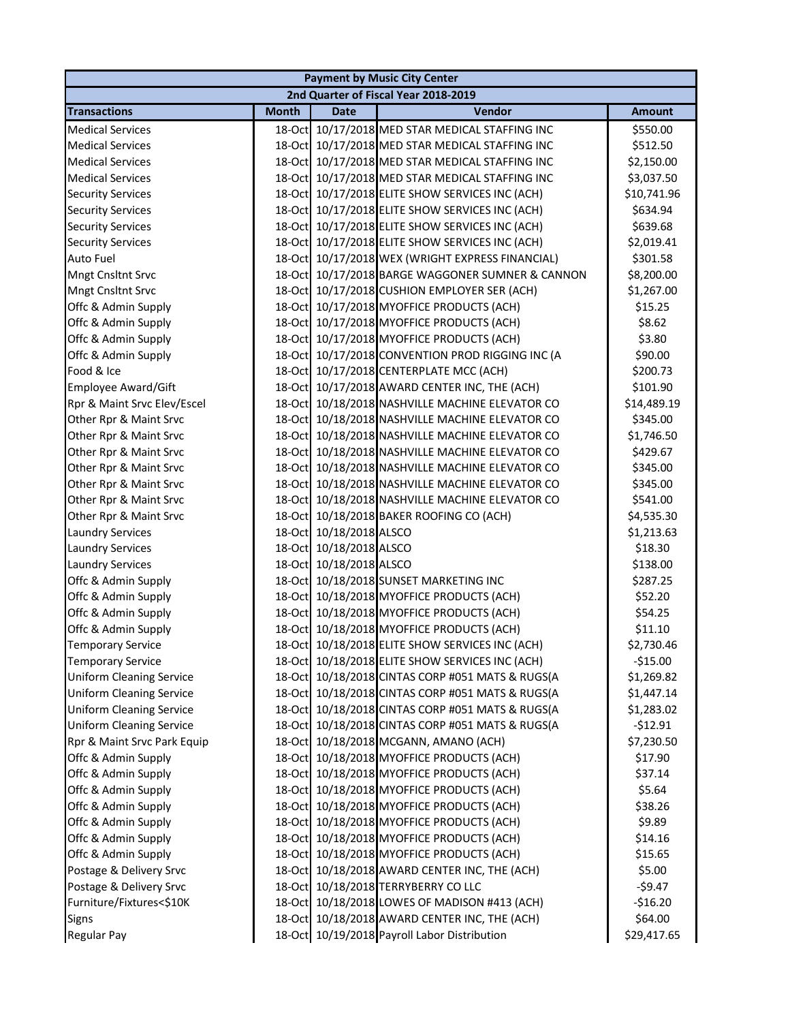|                                 |              |                         | <b>Payment by Music City Center</b>              |               |
|---------------------------------|--------------|-------------------------|--------------------------------------------------|---------------|
|                                 |              |                         | 2nd Quarter of Fiscal Year 2018-2019             |               |
| <b>Transactions</b>             | <b>Month</b> | <b>Date</b>             | Vendor                                           | <b>Amount</b> |
| <b>Medical Services</b>         |              |                         | 18-Oct 10/17/2018 MED STAR MEDICAL STAFFING INC  | \$550.00      |
| <b>Medical Services</b>         |              |                         | 18-Oct 10/17/2018 MED STAR MEDICAL STAFFING INC  | \$512.50      |
| <b>Medical Services</b>         |              |                         | 18-Oct 10/17/2018 MED STAR MEDICAL STAFFING INC  | \$2,150.00    |
| <b>Medical Services</b>         |              |                         | 18-Oct 10/17/2018 MED STAR MEDICAL STAFFING INC  | \$3,037.50    |
| <b>Security Services</b>        |              |                         | 18-Oct 10/17/2018 ELITE SHOW SERVICES INC (ACH)  | \$10,741.96   |
| <b>Security Services</b>        |              |                         | 18-Oct 10/17/2018 ELITE SHOW SERVICES INC (ACH)  | \$634.94      |
| <b>Security Services</b>        |              |                         | 18-Oct 10/17/2018 ELITE SHOW SERVICES INC (ACH)  | \$639.68      |
| <b>Security Services</b>        |              |                         | 18-Oct 10/17/2018 ELITE SHOW SERVICES INC (ACH)  | \$2,019.41    |
| <b>Auto Fuel</b>                |              |                         | 18-Oct 10/17/2018 WEX (WRIGHT EXPRESS FINANCIAL) | \$301.58      |
| <b>Mngt Cnsltnt Srvc</b>        |              |                         | 18-Oct 10/17/2018 BARGE WAGGONER SUMNER & CANNON | \$8,200.00    |
| <b>Mngt Cnsltnt Srvc</b>        |              |                         | 18-Oct 10/17/2018 CUSHION EMPLOYER SER (ACH)     | \$1,267.00    |
| Offc & Admin Supply             |              |                         | 18-Oct 10/17/2018 MYOFFICE PRODUCTS (ACH)        | \$15.25       |
| Offc & Admin Supply             |              |                         | 18-Oct 10/17/2018 MYOFFICE PRODUCTS (ACH)        | \$8.62        |
| Offc & Admin Supply             |              |                         | 18-Oct 10/17/2018 MYOFFICE PRODUCTS (ACH)        | \$3.80        |
| Offc & Admin Supply             |              |                         | 18-Oct 10/17/2018 CONVENTION PROD RIGGING INC (A | \$90.00       |
| Food & Ice                      |              |                         | 18-Oct 10/17/2018 CENTERPLATE MCC (ACH)          | \$200.73      |
| <b>Employee Award/Gift</b>      |              |                         | 18-Oct 10/17/2018 AWARD CENTER INC, THE (ACH)    | \$101.90      |
| Rpr & Maint Srvc Elev/Escel     |              |                         | 18-Oct 10/18/2018 NASHVILLE MACHINE ELEVATOR CO  | \$14,489.19   |
| Other Rpr & Maint Srvc          |              |                         | 18-Oct 10/18/2018 NASHVILLE MACHINE ELEVATOR CO  | \$345.00      |
| Other Rpr & Maint Srvc          |              |                         | 18-Oct 10/18/2018 NASHVILLE MACHINE ELEVATOR CO  | \$1,746.50    |
| Other Rpr & Maint Srvc          |              |                         | 18-Oct 10/18/2018 NASHVILLE MACHINE ELEVATOR CO  | \$429.67      |
| Other Rpr & Maint Srvc          |              |                         | 18-Oct 10/18/2018 NASHVILLE MACHINE ELEVATOR CO  | \$345.00      |
| Other Rpr & Maint Srvc          |              |                         | 18-Oct 10/18/2018 NASHVILLE MACHINE ELEVATOR CO  | \$345.00      |
| Other Rpr & Maint Srvc          |              |                         | 18-Oct 10/18/2018 NASHVILLE MACHINE ELEVATOR CO  | \$541.00      |
| Other Rpr & Maint Srvc          |              |                         | 18-Oct 10/18/2018 BAKER ROOFING CO (ACH)         | \$4,535.30    |
| <b>Laundry Services</b>         |              | 18-Oct 10/18/2018 ALSCO |                                                  | \$1,213.63    |
| <b>Laundry Services</b>         |              | 18-Oct 10/18/2018 ALSCO |                                                  | \$18.30       |
| <b>Laundry Services</b>         |              | 18-Oct 10/18/2018 ALSCO |                                                  | \$138.00      |
| Offc & Admin Supply             |              |                         | 18-Oct 10/18/2018 SUNSET MARKETING INC           | \$287.25      |
| Offc & Admin Supply             |              |                         | 18-Oct 10/18/2018 MYOFFICE PRODUCTS (ACH)        | \$52.20       |
| Offc & Admin Supply             |              |                         | 18-Oct 10/18/2018 MYOFFICE PRODUCTS (ACH)        | \$54.25       |
| Offc & Admin Supply             |              |                         | 18-Oct 10/18/2018 MYOFFICE PRODUCTS (ACH)        | \$11.10       |
| <b>Temporary Service</b>        |              |                         | 18-Oct 10/18/2018 ELITE SHOW SERVICES INC (ACH)  | \$2,730.46    |
| <b>Temporary Service</b>        |              |                         | 18-Oct 10/18/2018 ELITE SHOW SERVICES INC (ACH)  | $-$15.00$     |
| <b>Uniform Cleaning Service</b> |              |                         | 18-Oct 10/18/2018 CINTAS CORP #051 MATS & RUGS(A | \$1,269.82    |
| <b>Uniform Cleaning Service</b> |              |                         | 18-Oct 10/18/2018 CINTAS CORP #051 MATS & RUGS(A | \$1,447.14    |
| <b>Uniform Cleaning Service</b> |              |                         | 18-Oct 10/18/2018 CINTAS CORP #051 MATS & RUGS(A | \$1,283.02    |
| <b>Uniform Cleaning Service</b> |              |                         | 18-Oct 10/18/2018 CINTAS CORP #051 MATS & RUGS(A | $-$12.91$     |
| Rpr & Maint Srvc Park Equip     |              |                         | 18-Oct 10/18/2018 MCGANN, AMANO (ACH)            | \$7,230.50    |
| Offc & Admin Supply             |              |                         | 18-Oct 10/18/2018 MYOFFICE PRODUCTS (ACH)        | \$17.90       |
| Offc & Admin Supply             |              |                         | 18-Oct 10/18/2018 MYOFFICE PRODUCTS (ACH)        | \$37.14       |
| Offc & Admin Supply             |              |                         | 18-Oct 10/18/2018 MYOFFICE PRODUCTS (ACH)        | \$5.64        |
| Offc & Admin Supply             |              |                         | 18-Oct 10/18/2018 MYOFFICE PRODUCTS (ACH)        | \$38.26       |
| Offc & Admin Supply             |              |                         | 18-Oct 10/18/2018 MYOFFICE PRODUCTS (ACH)        | \$9.89        |
| Offc & Admin Supply             |              |                         | 18-Oct 10/18/2018 MYOFFICE PRODUCTS (ACH)        | \$14.16       |
| Offc & Admin Supply             |              |                         | 18-Oct 10/18/2018 MYOFFICE PRODUCTS (ACH)        | \$15.65       |
| Postage & Delivery Srvc         |              |                         | 18-Oct 10/18/2018 AWARD CENTER INC, THE (ACH)    | \$5.00        |
| Postage & Delivery Srvc         |              |                         | 18-Oct 10/18/2018 TERRYBERRY CO LLC              | $-59.47$      |
| Furniture/Fixtures<\$10K        |              |                         | 18-Oct 10/18/2018 LOWES OF MADISON #413 (ACH)    | $-$16.20$     |
| <b>Signs</b>                    |              |                         | 18-Oct 10/18/2018 AWARD CENTER INC, THE (ACH)    | \$64.00       |
| <b>Regular Pay</b>              |              |                         | 18-Oct 10/19/2018 Payroll Labor Distribution     | \$29,417.65   |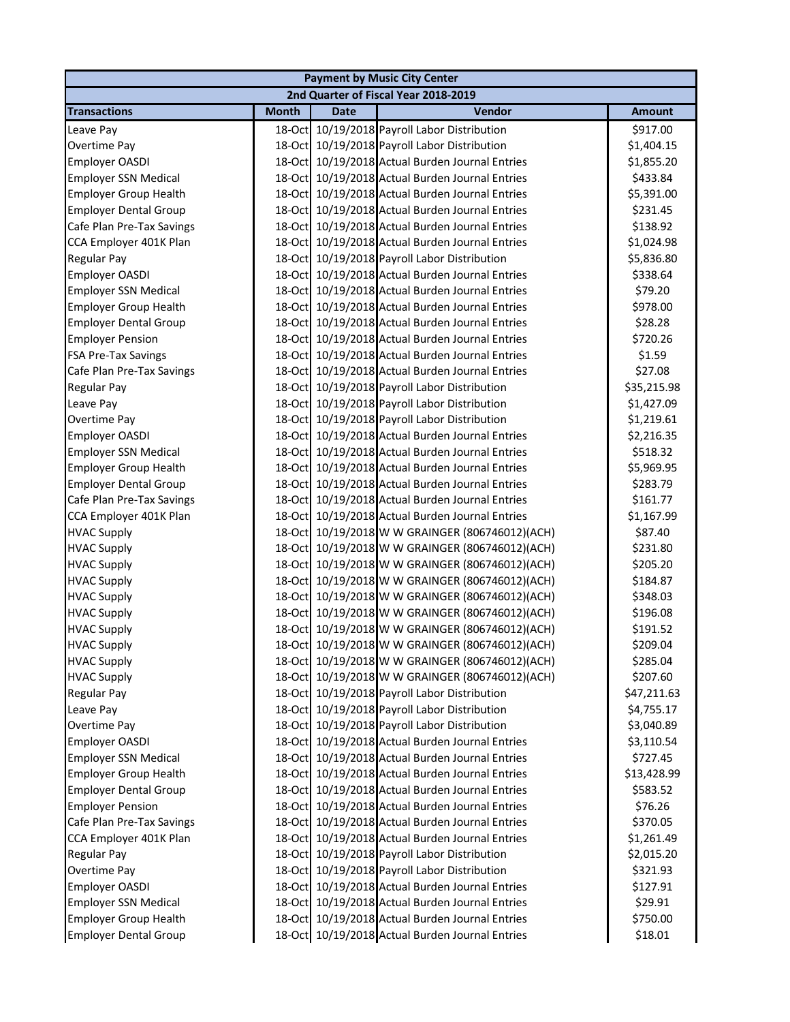| <b>Payment by Music City Center</b> |              |             |                                                 |               |  |  |
|-------------------------------------|--------------|-------------|-------------------------------------------------|---------------|--|--|
|                                     |              |             | 2nd Quarter of Fiscal Year 2018-2019            |               |  |  |
| <b>Transactions</b>                 | <b>Month</b> | <b>Date</b> | Vendor                                          | <b>Amount</b> |  |  |
| Leave Pay                           |              |             | 18-Oct 10/19/2018 Payroll Labor Distribution    | \$917.00      |  |  |
| Overtime Pay                        |              |             | 18-Oct 10/19/2018 Payroll Labor Distribution    | \$1,404.15    |  |  |
| Employer OASDI                      |              |             | 18-Oct 10/19/2018 Actual Burden Journal Entries | \$1,855.20    |  |  |
| <b>Employer SSN Medical</b>         |              |             | 18-Oct 10/19/2018 Actual Burden Journal Entries | \$433.84      |  |  |
| <b>Employer Group Health</b>        |              |             | 18-Oct 10/19/2018 Actual Burden Journal Entries | \$5,391.00    |  |  |
| <b>Employer Dental Group</b>        |              |             | 18-Oct 10/19/2018 Actual Burden Journal Entries | \$231.45      |  |  |
| Cafe Plan Pre-Tax Savings           |              |             | 18-Oct 10/19/2018 Actual Burden Journal Entries | \$138.92      |  |  |
| CCA Employer 401K Plan              |              |             | 18-Oct 10/19/2018 Actual Burden Journal Entries | \$1,024.98    |  |  |
| Regular Pay                         |              |             | 18-Oct 10/19/2018 Payroll Labor Distribution    | \$5,836.80    |  |  |
| Employer OASDI                      |              |             | 18-Oct 10/19/2018 Actual Burden Journal Entries | \$338.64      |  |  |
| <b>Employer SSN Medical</b>         |              |             | 18-Oct 10/19/2018 Actual Burden Journal Entries | \$79.20       |  |  |
| <b>Employer Group Health</b>        |              |             | 18-Oct 10/19/2018 Actual Burden Journal Entries | \$978.00      |  |  |
| <b>Employer Dental Group</b>        |              |             | 18-Oct 10/19/2018 Actual Burden Journal Entries | \$28.28       |  |  |
| <b>Employer Pension</b>             |              |             | 18-Oct 10/19/2018 Actual Burden Journal Entries | \$720.26      |  |  |
| <b>FSA Pre-Tax Savings</b>          |              |             | 18-Oct 10/19/2018 Actual Burden Journal Entries | \$1.59        |  |  |
| Cafe Plan Pre-Tax Savings           |              |             | 18-Oct 10/19/2018 Actual Burden Journal Entries | \$27.08       |  |  |
| <b>Regular Pay</b>                  |              |             | 18-Oct 10/19/2018 Payroll Labor Distribution    | \$35,215.98   |  |  |
| Leave Pay                           |              |             | 18-Oct 10/19/2018 Payroll Labor Distribution    | \$1,427.09    |  |  |
| Overtime Pay                        |              |             | 18-Oct 10/19/2018 Payroll Labor Distribution    | \$1,219.61    |  |  |
| Employer OASDI                      |              |             | 18-Oct 10/19/2018 Actual Burden Journal Entries | \$2,216.35    |  |  |
| <b>Employer SSN Medical</b>         |              |             | 18-Oct 10/19/2018 Actual Burden Journal Entries | \$518.32      |  |  |
| <b>Employer Group Health</b>        |              |             | 18-Oct 10/19/2018 Actual Burden Journal Entries | \$5,969.95    |  |  |
| <b>Employer Dental Group</b>        |              |             | 18-Oct 10/19/2018 Actual Burden Journal Entries | \$283.79      |  |  |
| Cafe Plan Pre-Tax Savings           |              |             | 18-Oct 10/19/2018 Actual Burden Journal Entries | \$161.77      |  |  |
| CCA Employer 401K Plan              |              |             | 18-Oct 10/19/2018 Actual Burden Journal Entries | \$1,167.99    |  |  |
| <b>HVAC Supply</b>                  |              |             | 18-Oct 10/19/2018 W W GRAINGER (806746012)(ACH) | \$87.40       |  |  |
| <b>HVAC Supply</b>                  |              |             | 18-Oct 10/19/2018 W W GRAINGER (806746012)(ACH) | \$231.80      |  |  |
| <b>HVAC Supply</b>                  |              |             | 18-Oct 10/19/2018 W W GRAINGER (806746012)(ACH) | \$205.20      |  |  |
| <b>HVAC Supply</b>                  |              |             | 18-Oct 10/19/2018 W W GRAINGER (806746012)(ACH) | \$184.87      |  |  |
| <b>HVAC Supply</b>                  |              |             | 18-Oct 10/19/2018 W W GRAINGER (806746012)(ACH) | \$348.03      |  |  |
| <b>HVAC Supply</b>                  |              |             | 18-Oct 10/19/2018 W W GRAINGER (806746012)(ACH) | \$196.08      |  |  |
| <b>HVAC Supply</b>                  |              |             | 18-Oct 10/19/2018 W W GRAINGER (806746012)(ACH) | \$191.52      |  |  |
| <b>HVAC Supply</b>                  |              |             | 18-Oct 10/19/2018 W W GRAINGER (806746012)(ACH) | \$209.04      |  |  |
| <b>HVAC Supply</b>                  |              |             | 18-Oct 10/19/2018 W W GRAINGER (806746012)(ACH) | \$285.04      |  |  |
| <b>HVAC Supply</b>                  | $18$ -Oct    |             | 10/19/2018 W W GRAINGER (806746012)(ACH)        | \$207.60      |  |  |
| Regular Pay                         |              |             | 18-Oct 10/19/2018 Payroll Labor Distribution    | \$47,211.63   |  |  |
| Leave Pay                           |              |             | 18-Oct 10/19/2018 Payroll Labor Distribution    | \$4,755.17    |  |  |
| Overtime Pay                        |              |             | 18-Oct 10/19/2018 Payroll Labor Distribution    | \$3,040.89    |  |  |
| Employer OASDI                      |              |             | 18-Oct 10/19/2018 Actual Burden Journal Entries | \$3,110.54    |  |  |
| <b>Employer SSN Medical</b>         |              |             | 18-Oct 10/19/2018 Actual Burden Journal Entries | \$727.45      |  |  |
| <b>Employer Group Health</b>        |              |             | 18-Oct 10/19/2018 Actual Burden Journal Entries | \$13,428.99   |  |  |
| <b>Employer Dental Group</b>        |              |             | 18-Oct 10/19/2018 Actual Burden Journal Entries | \$583.52      |  |  |
| <b>Employer Pension</b>             |              |             | 18-Oct 10/19/2018 Actual Burden Journal Entries | \$76.26       |  |  |
| Cafe Plan Pre-Tax Savings           |              |             | 18-Oct 10/19/2018 Actual Burden Journal Entries | \$370.05      |  |  |
| CCA Employer 401K Plan              |              |             | 18-Oct 10/19/2018 Actual Burden Journal Entries | \$1,261.49    |  |  |
| Regular Pay                         |              |             | 18-Oct 10/19/2018 Payroll Labor Distribution    | \$2,015.20    |  |  |
| Overtime Pay                        |              |             | 18-Oct 10/19/2018 Payroll Labor Distribution    | \$321.93      |  |  |
| Employer OASDI                      |              |             | 18-Oct 10/19/2018 Actual Burden Journal Entries | \$127.91      |  |  |
| <b>Employer SSN Medical</b>         |              |             | 18-Oct 10/19/2018 Actual Burden Journal Entries | \$29.91       |  |  |
| <b>Employer Group Health</b>        |              |             | 18-Oct 10/19/2018 Actual Burden Journal Entries | \$750.00      |  |  |
| <b>Employer Dental Group</b>        |              |             | 18-Oct 10/19/2018 Actual Burden Journal Entries | \$18.01       |  |  |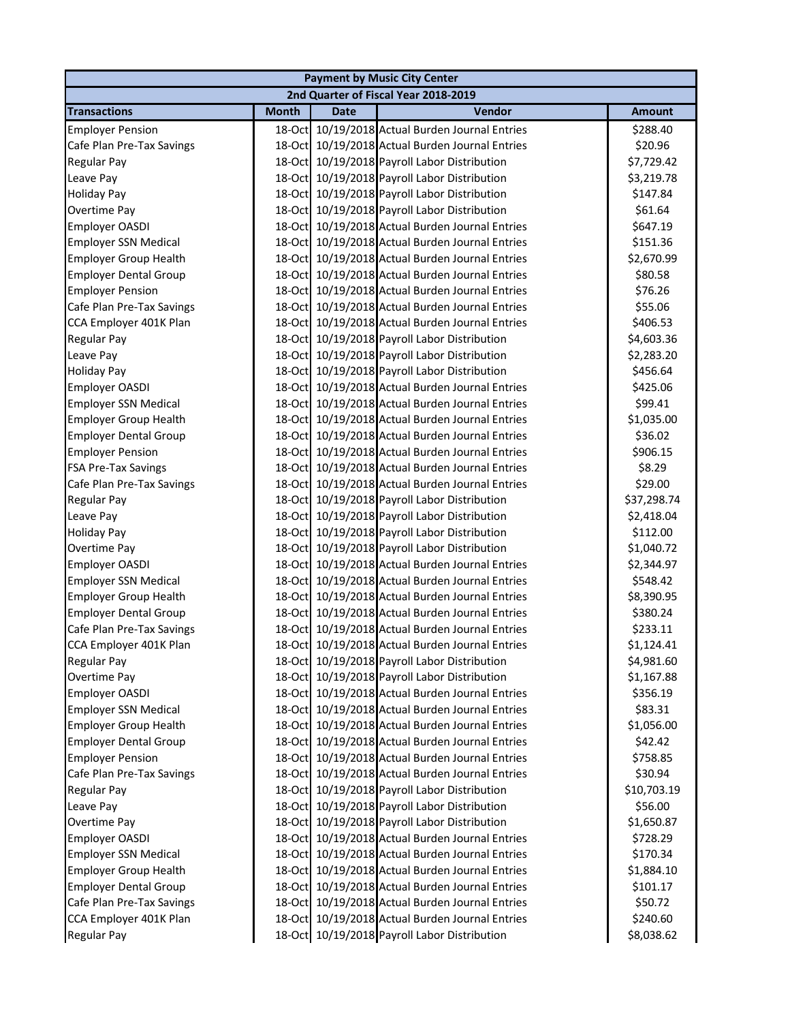|                              | <b>Payment by Music City Center</b> |             |                                                 |               |  |  |
|------------------------------|-------------------------------------|-------------|-------------------------------------------------|---------------|--|--|
|                              |                                     |             | 2nd Quarter of Fiscal Year 2018-2019            |               |  |  |
| <b>Transactions</b>          | <b>Month</b>                        | <b>Date</b> | Vendor                                          | <b>Amount</b> |  |  |
| <b>Employer Pension</b>      |                                     |             | 18-Oct 10/19/2018 Actual Burden Journal Entries | \$288.40      |  |  |
| Cafe Plan Pre-Tax Savings    |                                     |             | 18-Oct 10/19/2018 Actual Burden Journal Entries | \$20.96       |  |  |
| Regular Pay                  |                                     |             | 18-Oct 10/19/2018 Payroll Labor Distribution    | \$7,729.42    |  |  |
| Leave Pay                    |                                     |             | 18-Oct 10/19/2018 Payroll Labor Distribution    | \$3,219.78    |  |  |
| <b>Holiday Pay</b>           |                                     |             | 18-Oct 10/19/2018 Payroll Labor Distribution    | \$147.84      |  |  |
| Overtime Pay                 |                                     |             | 18-Oct 10/19/2018 Payroll Labor Distribution    | \$61.64       |  |  |
| Employer OASDI               |                                     |             | 18-Oct 10/19/2018 Actual Burden Journal Entries | \$647.19      |  |  |
| <b>Employer SSN Medical</b>  |                                     |             | 18-Oct 10/19/2018 Actual Burden Journal Entries | \$151.36      |  |  |
| <b>Employer Group Health</b> |                                     |             | 18-Oct 10/19/2018 Actual Burden Journal Entries | \$2,670.99    |  |  |
| <b>Employer Dental Group</b> |                                     |             | 18-Oct 10/19/2018 Actual Burden Journal Entries | \$80.58       |  |  |
| <b>Employer Pension</b>      |                                     |             | 18-Oct 10/19/2018 Actual Burden Journal Entries | \$76.26       |  |  |
| Cafe Plan Pre-Tax Savings    |                                     |             | 18-Oct 10/19/2018 Actual Burden Journal Entries | \$55.06       |  |  |
| CCA Employer 401K Plan       |                                     |             | 18-Oct 10/19/2018 Actual Burden Journal Entries | \$406.53      |  |  |
| <b>Regular Pay</b>           |                                     |             | 18-Oct 10/19/2018 Payroll Labor Distribution    | \$4,603.36    |  |  |
| Leave Pay                    |                                     |             | 18-Oct 10/19/2018 Payroll Labor Distribution    | \$2,283.20    |  |  |
| <b>Holiday Pay</b>           |                                     |             | 18-Oct 10/19/2018 Payroll Labor Distribution    | \$456.64      |  |  |
| Employer OASDI               |                                     |             | 18-Oct 10/19/2018 Actual Burden Journal Entries | \$425.06      |  |  |
| <b>Employer SSN Medical</b>  |                                     |             | 18-Oct 10/19/2018 Actual Burden Journal Entries | \$99.41       |  |  |
| <b>Employer Group Health</b> |                                     |             | 18-Oct 10/19/2018 Actual Burden Journal Entries | \$1,035.00    |  |  |
| <b>Employer Dental Group</b> |                                     |             | 18-Oct 10/19/2018 Actual Burden Journal Entries | \$36.02       |  |  |
| <b>Employer Pension</b>      |                                     |             | 18-Oct 10/19/2018 Actual Burden Journal Entries | \$906.15      |  |  |
| FSA Pre-Tax Savings          |                                     |             | 18-Oct 10/19/2018 Actual Burden Journal Entries | \$8.29        |  |  |
| Cafe Plan Pre-Tax Savings    |                                     |             | 18-Oct 10/19/2018 Actual Burden Journal Entries | \$29.00       |  |  |
| Regular Pay                  |                                     |             | 18-Oct 10/19/2018 Payroll Labor Distribution    | \$37,298.74   |  |  |
| Leave Pay                    |                                     |             | 18-Oct 10/19/2018 Payroll Labor Distribution    | \$2,418.04    |  |  |
| <b>Holiday Pay</b>           |                                     |             | 18-Oct 10/19/2018 Payroll Labor Distribution    | \$112.00      |  |  |
| Overtime Pay                 |                                     |             | 18-Oct 10/19/2018 Payroll Labor Distribution    | \$1,040.72    |  |  |
| Employer OASDI               |                                     |             | 18-Oct 10/19/2018 Actual Burden Journal Entries | \$2,344.97    |  |  |
| <b>Employer SSN Medical</b>  |                                     |             | 18-Oct 10/19/2018 Actual Burden Journal Entries | \$548.42      |  |  |
| <b>Employer Group Health</b> |                                     |             | 18-Oct 10/19/2018 Actual Burden Journal Entries | \$8,390.95    |  |  |
| <b>Employer Dental Group</b> |                                     |             | 18-Oct 10/19/2018 Actual Burden Journal Entries | \$380.24      |  |  |
| Cafe Plan Pre-Tax Savings    |                                     |             | 18-Oct 10/19/2018 Actual Burden Journal Entries | \$233.11      |  |  |
| CCA Employer 401K Plan       |                                     |             | 18-Oct 10/19/2018 Actual Burden Journal Entries | \$1,124.41    |  |  |
| Regular Pay                  |                                     |             | 18-Oct 10/19/2018 Payroll Labor Distribution    | \$4,981.60    |  |  |
| Overtime Pay                 |                                     |             | 18-Oct 10/19/2018 Payroll Labor Distribution    | \$1,167.88    |  |  |
| Employer OASDI               |                                     |             | 18-Oct 10/19/2018 Actual Burden Journal Entries | \$356.19      |  |  |
| <b>Employer SSN Medical</b>  |                                     |             | 18-Oct 10/19/2018 Actual Burden Journal Entries | \$83.31       |  |  |
| <b>Employer Group Health</b> |                                     |             | 18-Oct 10/19/2018 Actual Burden Journal Entries | \$1,056.00    |  |  |
| <b>Employer Dental Group</b> |                                     |             | 18-Oct 10/19/2018 Actual Burden Journal Entries | \$42.42       |  |  |
| <b>Employer Pension</b>      |                                     |             | 18-Oct 10/19/2018 Actual Burden Journal Entries | \$758.85      |  |  |
| Cafe Plan Pre-Tax Savings    |                                     |             | 18-Oct 10/19/2018 Actual Burden Journal Entries | \$30.94       |  |  |
| Regular Pay                  |                                     |             | 18-Oct 10/19/2018 Payroll Labor Distribution    | \$10,703.19   |  |  |
| Leave Pay                    |                                     |             | 18-Oct 10/19/2018 Payroll Labor Distribution    | \$56.00       |  |  |
| Overtime Pay                 |                                     |             | 18-Oct 10/19/2018 Payroll Labor Distribution    | \$1,650.87    |  |  |
| Employer OASDI               |                                     |             | 18-Oct 10/19/2018 Actual Burden Journal Entries | \$728.29      |  |  |
| <b>Employer SSN Medical</b>  |                                     |             | 18-Oct 10/19/2018 Actual Burden Journal Entries | \$170.34      |  |  |
| <b>Employer Group Health</b> |                                     |             | 18-Oct 10/19/2018 Actual Burden Journal Entries | \$1,884.10    |  |  |
| <b>Employer Dental Group</b> |                                     |             | 18-Oct 10/19/2018 Actual Burden Journal Entries | \$101.17      |  |  |
| Cafe Plan Pre-Tax Savings    |                                     |             | 18-Oct 10/19/2018 Actual Burden Journal Entries | \$50.72       |  |  |
| CCA Employer 401K Plan       |                                     |             | 18-Oct 10/19/2018 Actual Burden Journal Entries | \$240.60      |  |  |
| <b>Regular Pay</b>           |                                     |             | 18-Oct 10/19/2018 Payroll Labor Distribution    | \$8,038.62    |  |  |
|                              |                                     |             |                                                 |               |  |  |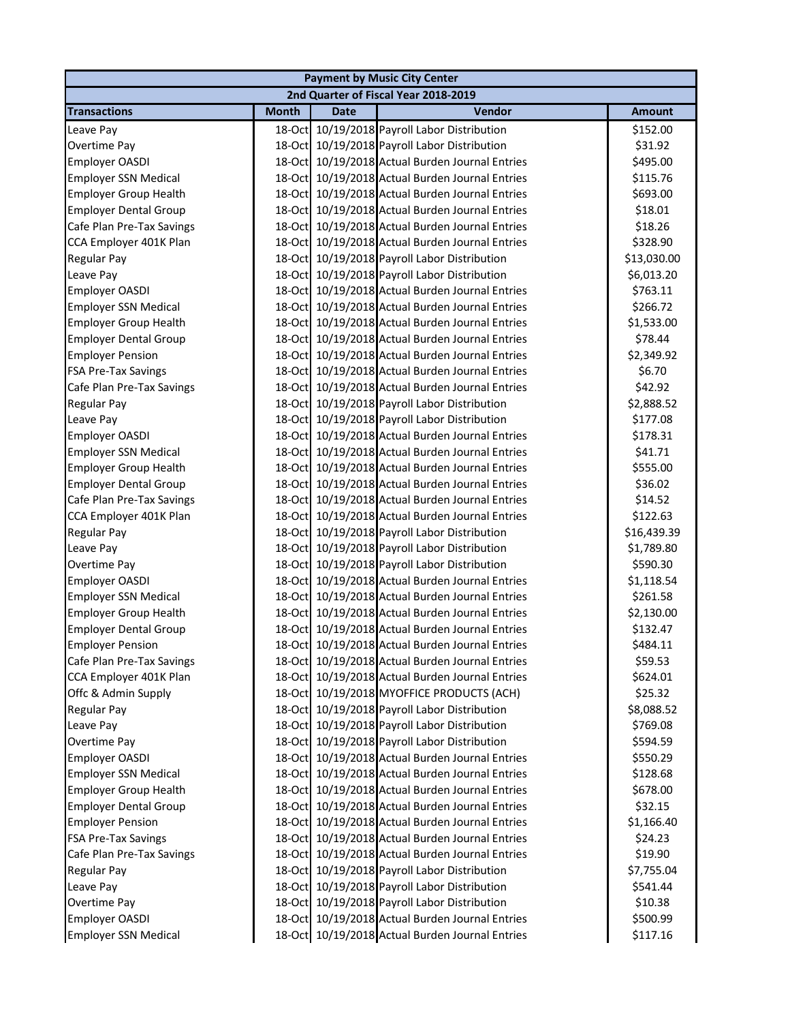|                              | <b>Payment by Music City Center</b> |             |                                                 |               |  |  |  |
|------------------------------|-------------------------------------|-------------|-------------------------------------------------|---------------|--|--|--|
|                              |                                     |             | 2nd Quarter of Fiscal Year 2018-2019            |               |  |  |  |
| <b>Transactions</b>          | <b>Month</b>                        | <b>Date</b> | Vendor                                          | <b>Amount</b> |  |  |  |
| Leave Pay                    |                                     |             | 18-Oct 10/19/2018 Payroll Labor Distribution    | \$152.00      |  |  |  |
| Overtime Pay                 |                                     |             | 18-Oct 10/19/2018 Payroll Labor Distribution    | \$31.92       |  |  |  |
| <b>Employer OASDI</b>        |                                     |             | 18-Oct 10/19/2018 Actual Burden Journal Entries | \$495.00      |  |  |  |
| <b>Employer SSN Medical</b>  |                                     |             | 18-Oct 10/19/2018 Actual Burden Journal Entries | \$115.76      |  |  |  |
| <b>Employer Group Health</b> |                                     |             | 18-Oct 10/19/2018 Actual Burden Journal Entries | \$693.00      |  |  |  |
| <b>Employer Dental Group</b> |                                     |             | 18-Oct 10/19/2018 Actual Burden Journal Entries | \$18.01       |  |  |  |
| Cafe Plan Pre-Tax Savings    |                                     |             | 18-Oct 10/19/2018 Actual Burden Journal Entries | \$18.26       |  |  |  |
| CCA Employer 401K Plan       | 18-Oct                              |             | 10/19/2018 Actual Burden Journal Entries        | \$328.90      |  |  |  |
| Regular Pay                  | 18-Oct                              |             | 10/19/2018 Payroll Labor Distribution           | \$13,030.00   |  |  |  |
| Leave Pay                    |                                     |             | 18-Oct 10/19/2018 Payroll Labor Distribution    | \$6,013.20    |  |  |  |
| Employer OASDI               | 18-Oct                              |             | 10/19/2018 Actual Burden Journal Entries        | \$763.11      |  |  |  |
| <b>Employer SSN Medical</b>  | 18-Oct                              |             | 10/19/2018 Actual Burden Journal Entries        | \$266.72      |  |  |  |
| <b>Employer Group Health</b> |                                     |             | 18-Oct 10/19/2018 Actual Burden Journal Entries | \$1,533.00    |  |  |  |
| <b>Employer Dental Group</b> |                                     |             | 18-Oct 10/19/2018 Actual Burden Journal Entries | \$78.44       |  |  |  |
| <b>Employer Pension</b>      |                                     |             | 18-Oct 10/19/2018 Actual Burden Journal Entries | \$2,349.92    |  |  |  |
| <b>FSA Pre-Tax Savings</b>   |                                     |             | 18-Oct 10/19/2018 Actual Burden Journal Entries | \$6.70        |  |  |  |
| Cafe Plan Pre-Tax Savings    |                                     |             | 18-Oct 10/19/2018 Actual Burden Journal Entries | \$42.92       |  |  |  |
| Regular Pay                  |                                     |             | 18-Oct 10/19/2018 Payroll Labor Distribution    | \$2,888.52    |  |  |  |
| Leave Pay                    |                                     |             | 18-Oct 10/19/2018 Payroll Labor Distribution    | \$177.08      |  |  |  |
| Employer OASDI               | 18-Oct                              |             | 10/19/2018 Actual Burden Journal Entries        | \$178.31      |  |  |  |
| <b>Employer SSN Medical</b>  | 18-Oct                              |             | 10/19/2018 Actual Burden Journal Entries        | \$41.71       |  |  |  |
| <b>Employer Group Health</b> | 18-Oct                              |             | 10/19/2018 Actual Burden Journal Entries        | \$555.00      |  |  |  |
| <b>Employer Dental Group</b> | 18-Oct                              |             | 10/19/2018 Actual Burden Journal Entries        | \$36.02       |  |  |  |
| Cafe Plan Pre-Tax Savings    | 18-Oct                              |             | 10/19/2018 Actual Burden Journal Entries        | \$14.52       |  |  |  |
| CCA Employer 401K Plan       | 18-Oct                              |             | 10/19/2018 Actual Burden Journal Entries        | \$122.63      |  |  |  |
| Regular Pay                  |                                     |             | 18-Oct 10/19/2018 Payroll Labor Distribution    | \$16,439.39   |  |  |  |
| Leave Pay                    |                                     |             | 18-Oct 10/19/2018 Payroll Labor Distribution    | \$1,789.80    |  |  |  |
| Overtime Pay                 |                                     |             | 18-Oct 10/19/2018 Payroll Labor Distribution    | \$590.30      |  |  |  |
| <b>Employer OASDI</b>        |                                     |             | 18-Oct 10/19/2018 Actual Burden Journal Entries | \$1,118.54    |  |  |  |
| <b>Employer SSN Medical</b>  |                                     |             | 18-Oct 10/19/2018 Actual Burden Journal Entries | \$261.58      |  |  |  |
| <b>Employer Group Health</b> |                                     |             | 18-Oct 10/19/2018 Actual Burden Journal Entries | \$2,130.00    |  |  |  |
| <b>Employer Dental Group</b> |                                     |             | 18-Oct 10/19/2018 Actual Burden Journal Entries | \$132.47      |  |  |  |
| <b>Employer Pension</b>      |                                     |             | 18-Oct 10/19/2018 Actual Burden Journal Entries | \$484.11      |  |  |  |
| Cafe Plan Pre-Tax Savings    |                                     |             | 18-Oct 10/19/2018 Actual Burden Journal Entries | \$59.53       |  |  |  |
| CCA Employer 401K Plan       | 18-Oct                              |             | 10/19/2018 Actual Burden Journal Entries        | \$624.01      |  |  |  |
| Offc & Admin Supply          | 18-Oct                              |             | 10/19/2018 MYOFFICE PRODUCTS (ACH)              | \$25.32       |  |  |  |
| <b>Regular Pay</b>           | 18-Oct                              |             | 10/19/2018 Payroll Labor Distribution           | \$8,088.52    |  |  |  |
| Leave Pay                    |                                     |             | 18-Oct 10/19/2018 Payroll Labor Distribution    | \$769.08      |  |  |  |
| Overtime Pay                 |                                     |             | 18-Oct 10/19/2018 Payroll Labor Distribution    | \$594.59      |  |  |  |
| Employer OASDI               |                                     |             | 18-Oct 10/19/2018 Actual Burden Journal Entries | \$550.29      |  |  |  |
| <b>Employer SSN Medical</b>  |                                     |             | 18-Oct 10/19/2018 Actual Burden Journal Entries | \$128.68      |  |  |  |
| <b>Employer Group Health</b> |                                     |             | 18-Oct 10/19/2018 Actual Burden Journal Entries | \$678.00      |  |  |  |
| <b>Employer Dental Group</b> |                                     |             | 18-Oct 10/19/2018 Actual Burden Journal Entries | \$32.15       |  |  |  |
| <b>Employer Pension</b>      |                                     |             | 18-Oct 10/19/2018 Actual Burden Journal Entries | \$1,166.40    |  |  |  |
| <b>FSA Pre-Tax Savings</b>   | 18-Oct                              |             | 10/19/2018 Actual Burden Journal Entries        | \$24.23       |  |  |  |
| Cafe Plan Pre-Tax Savings    | 18-Oct                              |             | 10/19/2018 Actual Burden Journal Entries        | \$19.90       |  |  |  |
| Regular Pay                  | 18-Oct                              |             | 10/19/2018 Payroll Labor Distribution           | \$7,755.04    |  |  |  |
| Leave Pay                    | 18-Oct                              |             | 10/19/2018 Payroll Labor Distribution           | \$541.44      |  |  |  |
| Overtime Pay                 |                                     |             | 18-Oct 10/19/2018 Payroll Labor Distribution    | \$10.38       |  |  |  |
| Employer OASDI               |                                     |             | 18-Oct 10/19/2018 Actual Burden Journal Entries | \$500.99      |  |  |  |
| <b>Employer SSN Medical</b>  |                                     |             | 18-Oct 10/19/2018 Actual Burden Journal Entries | \$117.16      |  |  |  |
|                              |                                     |             |                                                 |               |  |  |  |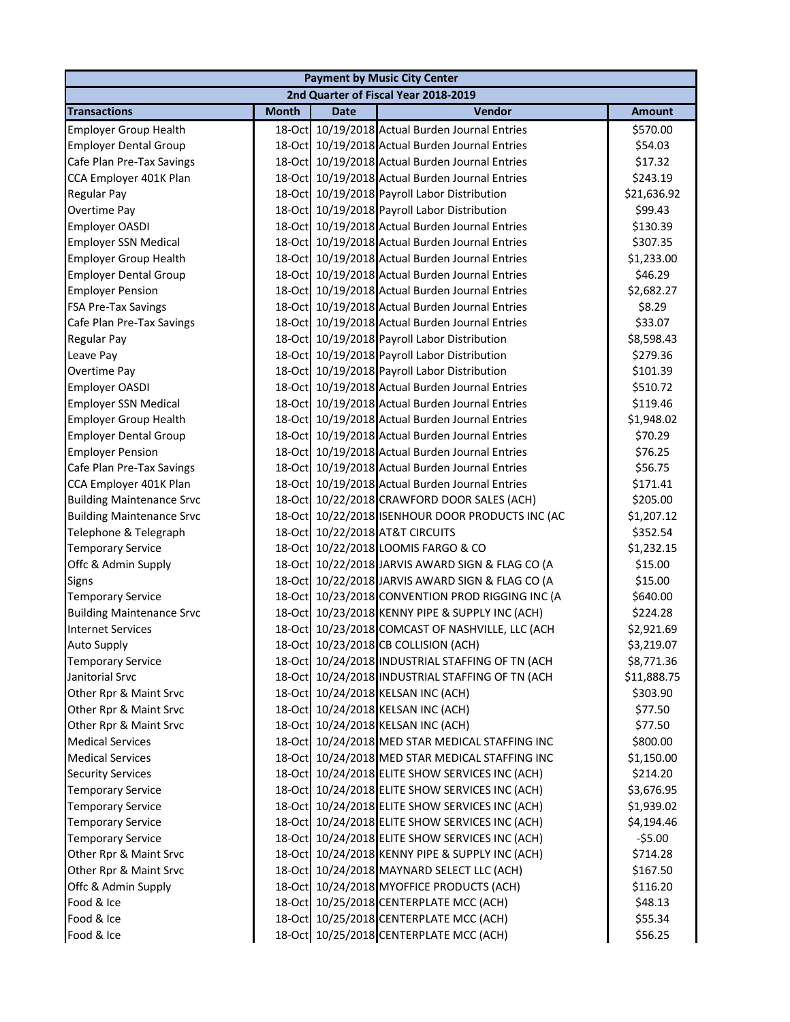|                                  | <b>Payment by Music City Center</b> |             |                                                  |               |  |  |  |
|----------------------------------|-------------------------------------|-------------|--------------------------------------------------|---------------|--|--|--|
|                                  |                                     |             | 2nd Quarter of Fiscal Year 2018-2019             |               |  |  |  |
| <b>Transactions</b>              | <b>Month</b>                        | <b>Date</b> | Vendor                                           | <b>Amount</b> |  |  |  |
| <b>Employer Group Health</b>     |                                     |             | 18-Oct 10/19/2018 Actual Burden Journal Entries  | \$570.00      |  |  |  |
| <b>Employer Dental Group</b>     |                                     |             | 18-Oct 10/19/2018 Actual Burden Journal Entries  | \$54.03       |  |  |  |
| Cafe Plan Pre-Tax Savings        |                                     |             | 18-Oct 10/19/2018 Actual Burden Journal Entries  | \$17.32       |  |  |  |
| CCA Employer 401K Plan           |                                     |             | 18-Oct 10/19/2018 Actual Burden Journal Entries  | \$243.19      |  |  |  |
| Regular Pay                      |                                     |             | 18-Oct 10/19/2018 Payroll Labor Distribution     | \$21,636.92   |  |  |  |
| Overtime Pay                     |                                     |             | 18-Oct 10/19/2018 Payroll Labor Distribution     | \$99.43       |  |  |  |
| Employer OASDI                   |                                     |             | 18-Oct 10/19/2018 Actual Burden Journal Entries  | \$130.39      |  |  |  |
| <b>Employer SSN Medical</b>      |                                     |             | 18-Oct 10/19/2018 Actual Burden Journal Entries  | \$307.35      |  |  |  |
| <b>Employer Group Health</b>     |                                     |             | 18-Oct 10/19/2018 Actual Burden Journal Entries  | \$1,233.00    |  |  |  |
| <b>Employer Dental Group</b>     |                                     |             | 18-Oct 10/19/2018 Actual Burden Journal Entries  | \$46.29       |  |  |  |
| <b>Employer Pension</b>          |                                     |             | 18-Oct 10/19/2018 Actual Burden Journal Entries  | \$2,682.27    |  |  |  |
| <b>FSA Pre-Tax Savings</b>       |                                     |             | 18-Oct 10/19/2018 Actual Burden Journal Entries  | \$8.29        |  |  |  |
| Cafe Plan Pre-Tax Savings        |                                     |             | 18-Oct 10/19/2018 Actual Burden Journal Entries  | \$33.07       |  |  |  |
| Regular Pay                      |                                     |             | 18-Oct 10/19/2018 Payroll Labor Distribution     | \$8,598.43    |  |  |  |
| Leave Pay                        |                                     |             | 18-Oct 10/19/2018 Payroll Labor Distribution     | \$279.36      |  |  |  |
| Overtime Pay                     |                                     |             | 18-Oct 10/19/2018 Payroll Labor Distribution     | \$101.39      |  |  |  |
| Employer OASDI                   |                                     |             | 18-Oct 10/19/2018 Actual Burden Journal Entries  | \$510.72      |  |  |  |
| <b>Employer SSN Medical</b>      |                                     |             | 18-Oct 10/19/2018 Actual Burden Journal Entries  | \$119.46      |  |  |  |
| <b>Employer Group Health</b>     |                                     |             | 18-Oct 10/19/2018 Actual Burden Journal Entries  | \$1,948.02    |  |  |  |
| <b>Employer Dental Group</b>     |                                     |             | 18-Oct 10/19/2018 Actual Burden Journal Entries  | \$70.29       |  |  |  |
| <b>Employer Pension</b>          |                                     |             | 18-Oct 10/19/2018 Actual Burden Journal Entries  | \$76.25       |  |  |  |
| Cafe Plan Pre-Tax Savings        |                                     |             | 18-Oct 10/19/2018 Actual Burden Journal Entries  | \$56.75       |  |  |  |
| CCA Employer 401K Plan           |                                     |             | 18-Oct 10/19/2018 Actual Burden Journal Entries  | \$171.41      |  |  |  |
| <b>Building Maintenance Srvc</b> |                                     |             | 18-Oct 10/22/2018 CRAWFORD DOOR SALES (ACH)      | \$205.00      |  |  |  |
| <b>Building Maintenance Srvc</b> |                                     |             | 18-Oct 10/22/2018 ISENHOUR DOOR PRODUCTS INC (AC | \$1,207.12    |  |  |  |
| Telephone & Telegraph            |                                     |             | 18-Oct 10/22/2018 AT&T CIRCUITS                  | \$352.54      |  |  |  |
| <b>Temporary Service</b>         |                                     |             | 18-Oct 10/22/2018 LOOMIS FARGO & CO              | \$1,232.15    |  |  |  |
| Offc & Admin Supply              |                                     |             | 18-Oct 10/22/2018 JARVIS AWARD SIGN & FLAG CO (A | \$15.00       |  |  |  |
| Signs                            |                                     |             | 18-Oct 10/22/2018 JARVIS AWARD SIGN & FLAG CO (A | \$15.00       |  |  |  |
| <b>Temporary Service</b>         |                                     |             | 18-Oct 10/23/2018 CONVENTION PROD RIGGING INC (A | \$640.00      |  |  |  |
| <b>Building Maintenance Srvc</b> |                                     |             | 18-Oct 10/23/2018 KENNY PIPE & SUPPLY INC (ACH)  | \$224.28      |  |  |  |
| <b>Internet Services</b>         |                                     |             | 18-Oct 10/23/2018 COMCAST OF NASHVILLE, LLC (ACH | \$2,921.69    |  |  |  |
| <b>Auto Supply</b>               |                                     |             | 18-Oct 10/23/2018 CB COLLISION (ACH)             | \$3,219.07    |  |  |  |
| <b>Temporary Service</b>         |                                     |             | 18-Oct 10/24/2018 INDUSTRIAL STAFFING OF TN (ACH | \$8,771.36    |  |  |  |
| Janitorial Srvc                  |                                     |             | 18-Oct 10/24/2018 INDUSTRIAL STAFFING OF TN (ACH | \$11,888.75   |  |  |  |
| Other Rpr & Maint Srvc           |                                     |             | 18-Oct 10/24/2018 KELSAN INC (ACH)               | \$303.90      |  |  |  |
| Other Rpr & Maint Srvc           |                                     |             | 18-Oct 10/24/2018 KELSAN INC (ACH)               | \$77.50       |  |  |  |
| Other Rpr & Maint Srvc           |                                     |             | 18-Oct 10/24/2018 KELSAN INC (ACH)               | \$77.50       |  |  |  |
| <b>Medical Services</b>          |                                     |             | 18-Oct 10/24/2018 MED STAR MEDICAL STAFFING INC  | \$800.00      |  |  |  |
| <b>Medical Services</b>          |                                     |             | 18-Oct 10/24/2018 MED STAR MEDICAL STAFFING INC  | \$1,150.00    |  |  |  |
| <b>Security Services</b>         |                                     |             | 18-Oct 10/24/2018 ELITE SHOW SERVICES INC (ACH)  | \$214.20      |  |  |  |
| <b>Temporary Service</b>         |                                     |             | 18-Oct 10/24/2018 ELITE SHOW SERVICES INC (ACH)  | \$3,676.95    |  |  |  |
| <b>Temporary Service</b>         |                                     |             | 18-Oct 10/24/2018 ELITE SHOW SERVICES INC (ACH)  | \$1,939.02    |  |  |  |
| <b>Temporary Service</b>         |                                     |             | 18-Oct 10/24/2018 ELITE SHOW SERVICES INC (ACH)  | \$4,194.46    |  |  |  |
| <b>Temporary Service</b>         |                                     |             | 18-Oct 10/24/2018 ELITE SHOW SERVICES INC (ACH)  | $-55.00$      |  |  |  |
| Other Rpr & Maint Srvc           |                                     |             | 18-Oct 10/24/2018 KENNY PIPE & SUPPLY INC (ACH)  | \$714.28      |  |  |  |
| Other Rpr & Maint Srvc           |                                     |             | 18-Oct 10/24/2018 MAYNARD SELECT LLC (ACH)       | \$167.50      |  |  |  |
| Offc & Admin Supply              |                                     |             | 18-Oct 10/24/2018 MYOFFICE PRODUCTS (ACH)        | \$116.20      |  |  |  |
| Food & Ice                       |                                     |             | 18-Oct 10/25/2018 CENTERPLATE MCC (ACH)          | \$48.13       |  |  |  |
| Food & Ice                       |                                     |             | 18-Oct 10/25/2018 CENTERPLATE MCC (ACH)          | \$55.34       |  |  |  |
| Food & Ice                       |                                     |             | 18-Oct 10/25/2018 CENTERPLATE MCC (ACH)          | \$56.25       |  |  |  |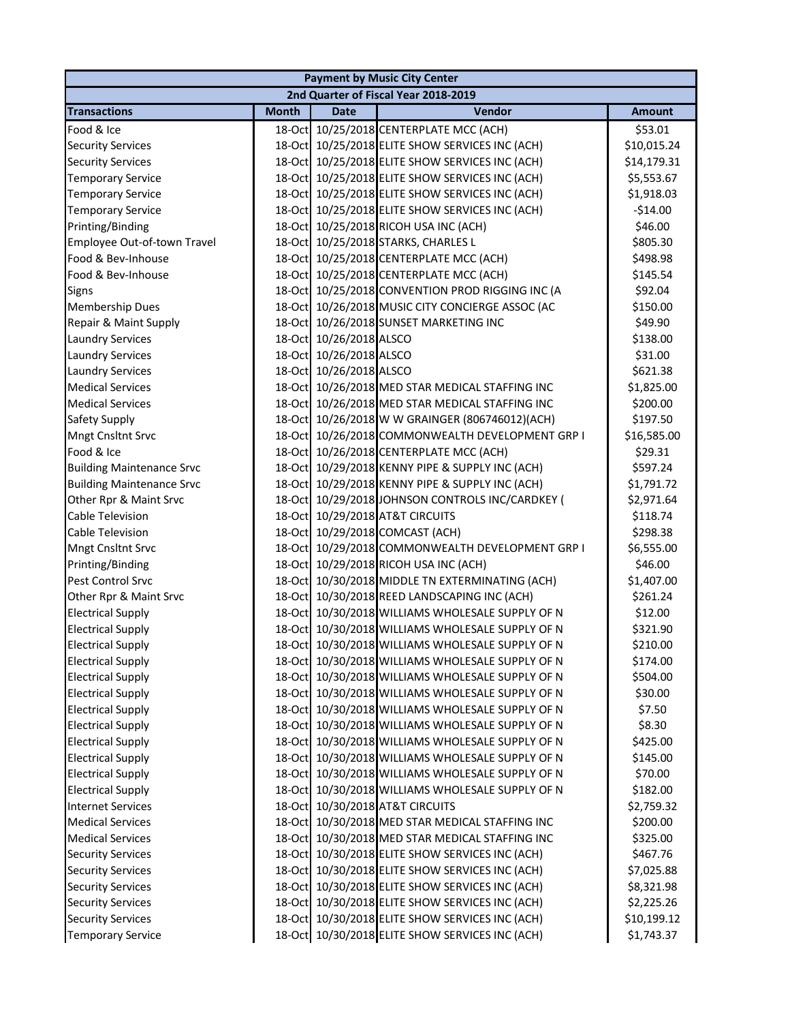|                                  |              |                         | <b>Payment by Music City Center</b>              |               |
|----------------------------------|--------------|-------------------------|--------------------------------------------------|---------------|
|                                  |              |                         | 2nd Quarter of Fiscal Year 2018-2019             |               |
| <b>Transactions</b>              | <b>Month</b> | <b>Date</b>             | <b>Vendor</b>                                    | <b>Amount</b> |
| Food & Ice                       |              |                         | 18-Oct 10/25/2018 CENTERPLATE MCC (ACH)          | \$53.01       |
| <b>Security Services</b>         |              |                         | 18-Oct 10/25/2018 ELITE SHOW SERVICES INC (ACH)  | \$10,015.24   |
| <b>Security Services</b>         |              |                         | 18-Oct 10/25/2018 ELITE SHOW SERVICES INC (ACH)  | \$14,179.31   |
| <b>Temporary Service</b>         |              |                         | 18-Oct 10/25/2018 ELITE SHOW SERVICES INC (ACH)  | \$5,553.67    |
| <b>Temporary Service</b>         |              |                         | 18-Oct 10/25/2018 ELITE SHOW SERVICES INC (ACH)  | \$1,918.03    |
| <b>Temporary Service</b>         |              |                         | 18-Oct 10/25/2018 ELITE SHOW SERVICES INC (ACH)  | $-$14.00$     |
| Printing/Binding                 |              |                         | 18-Oct 10/25/2018 RICOH USA INC (ACH)            | \$46.00       |
| Employee Out-of-town Travel      |              |                         | 18-Oct 10/25/2018 STARKS, CHARLES L              | \$805.30      |
| Food & Bev-Inhouse               |              |                         | 18-Oct 10/25/2018 CENTERPLATE MCC (ACH)          | \$498.98      |
| Food & Bev-Inhouse               |              |                         | 18-Oct 10/25/2018 CENTERPLATE MCC (ACH)          | \$145.54      |
| <b>Signs</b>                     |              |                         | 18-Oct 10/25/2018 CONVENTION PROD RIGGING INC (A | \$92.04       |
| <b>Membership Dues</b>           |              |                         | 18-Oct 10/26/2018 MUSIC CITY CONCIERGE ASSOC (AC | \$150.00      |
| Repair & Maint Supply            |              |                         | 18-Oct 10/26/2018 SUNSET MARKETING INC           | \$49.90       |
| <b>Laundry Services</b>          |              | 18-Oct 10/26/2018 ALSCO |                                                  | \$138.00      |
| <b>Laundry Services</b>          |              | 18-Oct 10/26/2018 ALSCO |                                                  | \$31.00       |
| <b>Laundry Services</b>          |              | 18-Oct 10/26/2018 ALSCO |                                                  | \$621.38      |
| <b>Medical Services</b>          |              |                         | 18-Oct 10/26/2018 MED STAR MEDICAL STAFFING INC  | \$1,825.00    |
| <b>Medical Services</b>          |              |                         | 18-Oct 10/26/2018 MED STAR MEDICAL STAFFING INC  | \$200.00      |
| <b>Safety Supply</b>             |              |                         | 18-Oct 10/26/2018 W W GRAINGER (806746012)(ACH)  | \$197.50      |
| <b>Mngt Cnsltnt Srvc</b>         |              |                         | 18-Oct 10/26/2018 COMMONWEALTH DEVELOPMENT GRP I | \$16,585.00   |
| Food & Ice                       |              |                         | 18-Oct 10/26/2018 CENTERPLATE MCC (ACH)          | \$29.31       |
| <b>Building Maintenance Srvc</b> |              |                         | 18-Oct 10/29/2018 KENNY PIPE & SUPPLY INC (ACH)  | \$597.24      |
| <b>Building Maintenance Srvc</b> |              |                         | 18-Oct 10/29/2018 KENNY PIPE & SUPPLY INC (ACH)  | \$1,791.72    |
| Other Rpr & Maint Srvc           |              |                         | 18-Oct 10/29/2018 JOHNSON CONTROLS INC/CARDKEY ( | \$2,971.64    |
| Cable Television                 |              |                         | 18-Oct 10/29/2018 AT&T CIRCUITS                  | \$118.74      |
| <b>Cable Television</b>          |              |                         | 18-Oct 10/29/2018 COMCAST (ACH)                  | \$298.38      |
| <b>Mngt Cnsltnt Srvc</b>         |              |                         | 18-Oct 10/29/2018 COMMONWEALTH DEVELOPMENT GRP I | \$6,555.00    |
| Printing/Binding                 |              |                         | 18-Oct 10/29/2018 RICOH USA INC (ACH)            | \$46.00       |
| Pest Control Srvc                |              |                         | 18-Oct 10/30/2018 MIDDLE TN EXTERMINATING (ACH)  | \$1,407.00    |
| Other Rpr & Maint Srvc           |              |                         | 18-Oct 10/30/2018 REED LANDSCAPING INC (ACH)     | \$261.24      |
| <b>Electrical Supply</b>         |              |                         | 18-Oct 10/30/2018 WILLIAMS WHOLESALE SUPPLY OF N | \$12.00       |
| <b>Electrical Supply</b>         |              |                         | 18-Oct 10/30/2018 WILLIAMS WHOLESALE SUPPLY OF N | \$321.90      |
| <b>Electrical Supply</b>         |              |                         | 18-Oct 10/30/2018 WILLIAMS WHOLESALE SUPPLY OF N | \$210.00      |
| <b>Electrical Supply</b>         |              |                         | 18-Oct 10/30/2018 WILLIAMS WHOLESALE SUPPLY OF N | \$174.00      |
| <b>Electrical Supply</b>         |              |                         | 18-Oct 10/30/2018 WILLIAMS WHOLESALE SUPPLY OF N | \$504.00      |
| <b>Electrical Supply</b>         |              |                         | 18-Oct 10/30/2018 WILLIAMS WHOLESALE SUPPLY OF N | \$30.00       |
| <b>Electrical Supply</b>         |              |                         | 18-Oct 10/30/2018 WILLIAMS WHOLESALE SUPPLY OF N | \$7.50        |
| <b>Electrical Supply</b>         |              |                         | 18-Oct 10/30/2018 WILLIAMS WHOLESALE SUPPLY OF N | \$8.30        |
| <b>Electrical Supply</b>         |              |                         | 18-Oct 10/30/2018 WILLIAMS WHOLESALE SUPPLY OF N | \$425.00      |
| <b>Electrical Supply</b>         |              |                         | 18-Oct 10/30/2018 WILLIAMS WHOLESALE SUPPLY OF N | \$145.00      |
| <b>Electrical Supply</b>         |              |                         | 18-Oct 10/30/2018 WILLIAMS WHOLESALE SUPPLY OF N | \$70.00       |
| <b>Electrical Supply</b>         |              |                         | 18-Oct 10/30/2018 WILLIAMS WHOLESALE SUPPLY OF N | \$182.00      |
| <b>Internet Services</b>         |              |                         | 18-Oct 10/30/2018 AT&T CIRCUITS                  | \$2,759.32    |
| <b>Medical Services</b>          |              |                         | 18-Oct 10/30/2018 MED STAR MEDICAL STAFFING INC  | \$200.00      |
| <b>Medical Services</b>          |              |                         | 18-Oct 10/30/2018 MED STAR MEDICAL STAFFING INC  | \$325.00      |
| <b>Security Services</b>         |              |                         | 18-Oct 10/30/2018 ELITE SHOW SERVICES INC (ACH)  | \$467.76      |
| <b>Security Services</b>         |              |                         | 18-Oct 10/30/2018 ELITE SHOW SERVICES INC (ACH)  | \$7,025.88    |
| <b>Security Services</b>         |              |                         | 18-Oct 10/30/2018 ELITE SHOW SERVICES INC (ACH)  | \$8,321.98    |
| <b>Security Services</b>         |              |                         | 18-Oct 10/30/2018 ELITE SHOW SERVICES INC (ACH)  | \$2,225.26    |
| <b>Security Services</b>         |              |                         | 18-Oct 10/30/2018 ELITE SHOW SERVICES INC (ACH)  | \$10,199.12   |
| <b>Temporary Service</b>         |              |                         | 18-Oct 10/30/2018 ELITE SHOW SERVICES INC (ACH)  | \$1,743.37    |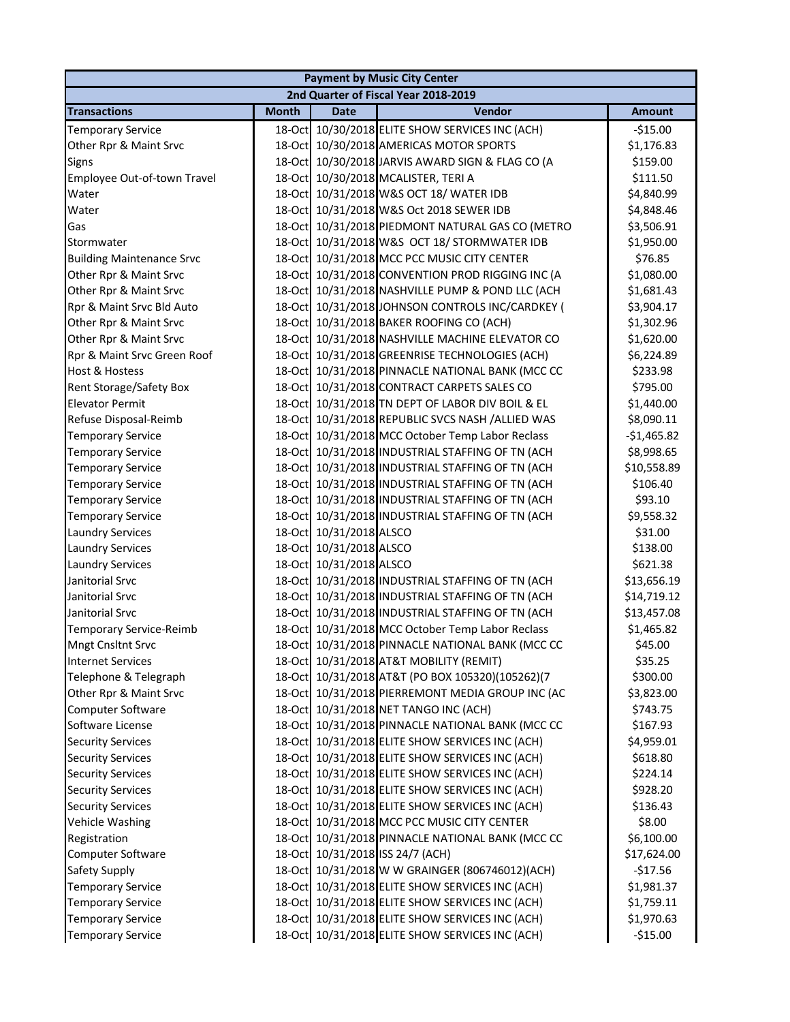| <b>Payment by Music City Center</b> |              |                         |                                                  |               |  |  |
|-------------------------------------|--------------|-------------------------|--------------------------------------------------|---------------|--|--|
|                                     |              |                         | 2nd Quarter of Fiscal Year 2018-2019             |               |  |  |
| <b>Transactions</b>                 | <b>Month</b> | Date                    | Vendor                                           | <b>Amount</b> |  |  |
| <b>Temporary Service</b>            | 18-Oct       |                         | 10/30/2018 ELITE SHOW SERVICES INC (ACH)         | $-$15.00$     |  |  |
| Other Rpr & Maint Srvc              |              |                         | 18-Oct 10/30/2018 AMERICAS MOTOR SPORTS          | \$1,176.83    |  |  |
| Signs                               |              |                         | 18-Oct 10/30/2018 JARVIS AWARD SIGN & FLAG CO (A | \$159.00      |  |  |
| Employee Out-of-town Travel         |              |                         | 18-Oct 10/30/2018 MCALISTER, TERI A              | \$111.50      |  |  |
| Water                               |              |                         | 18-Oct 10/31/2018 W&S OCT 18/ WATER IDB          | \$4,840.99    |  |  |
| Water                               |              |                         | 18-Oct 10/31/2018 W&S Oct 2018 SEWER IDB         | \$4,848.46    |  |  |
| Gas                                 |              |                         | 18-Oct 10/31/2018 PIEDMONT NATURAL GAS CO (METRO | \$3,506.91    |  |  |
| Stormwater                          |              |                         | 18-Oct 10/31/2018 W&S OCT 18/ STORMWATER IDB     | \$1,950.00    |  |  |
| <b>Building Maintenance Srvc</b>    | 18-Oct       |                         | 10/31/2018 MCC PCC MUSIC CITY CENTER             | \$76.85       |  |  |
| Other Rpr & Maint Srvc              | 18-Oct       |                         | 10/31/2018 CONVENTION PROD RIGGING INC (A        | \$1,080.00    |  |  |
| Other Rpr & Maint Srvc              | 18-Oct       |                         | 10/31/2018 NASHVILLE PUMP & POND LLC (ACH        | \$1,681.43    |  |  |
| Rpr & Maint Srvc Bld Auto           | 18-Oct       |                         | 10/31/2018 JOHNSON CONTROLS INC/CARDKEY (        | \$3,904.17    |  |  |
| Other Rpr & Maint Srvc              | 18-Oct       |                         | 10/31/2018 BAKER ROOFING CO (ACH)                | \$1,302.96    |  |  |
| Other Rpr & Maint Srvc              | 18-Oct       |                         | 10/31/2018 NASHVILLE MACHINE ELEVATOR CO         | \$1,620.00    |  |  |
| Rpr & Maint Srvc Green Roof         |              |                         | 18-Oct 10/31/2018 GREENRISE TECHNOLOGIES (ACH)   | \$6,224.89    |  |  |
| Host & Hostess                      |              |                         | 18-Oct 10/31/2018 PINNACLE NATIONAL BANK (MCC CC | \$233.98      |  |  |
| <b>Rent Storage/Safety Box</b>      |              |                         | 18-Oct 10/31/2018 CONTRACT CARPETS SALES CO      | \$795.00      |  |  |
| <b>Elevator Permit</b>              |              |                         | 18-Oct 10/31/2018 TN DEPT OF LABOR DIV BOIL & EL | \$1,440.00    |  |  |
| Refuse Disposal-Reimb               | 18-Oct       |                         | 10/31/2018 REPUBLIC SVCS NASH /ALLIED WAS        | \$8,090.11    |  |  |
| <b>Temporary Service</b>            | 18-Oct       |                         | 10/31/2018 MCC October Temp Labor Reclass        | $-$1,465.82$  |  |  |
| <b>Temporary Service</b>            | 18-Oct       |                         | 10/31/2018 INDUSTRIAL STAFFING OF TN (ACH        | \$8,998.65    |  |  |
| <b>Temporary Service</b>            | 18-Oct       |                         | 10/31/2018 INDUSTRIAL STAFFING OF TN (ACH        | \$10,558.89   |  |  |
| <b>Temporary Service</b>            | 18-Oct       |                         | 10/31/2018 INDUSTRIAL STAFFING OF TN (ACH        | \$106.40      |  |  |
| <b>Temporary Service</b>            | 18-Oct       |                         | 10/31/2018 INDUSTRIAL STAFFING OF TN (ACH        | \$93.10       |  |  |
| <b>Temporary Service</b>            | 18-Oct       |                         | 10/31/2018 INDUSTRIAL STAFFING OF TN (ACH        | \$9,558.32    |  |  |
| <b>Laundry Services</b>             | 18-Oct       | 10/31/2018 ALSCO        |                                                  | \$31.00       |  |  |
| <b>Laundry Services</b>             | 18-Oct       | 10/31/2018 ALSCO        |                                                  | \$138.00      |  |  |
| <b>Laundry Services</b>             |              | 18-Oct 10/31/2018 ALSCO |                                                  | \$621.38      |  |  |
| Janitorial Srvc                     |              |                         | 18-Oct 10/31/2018 INDUSTRIAL STAFFING OF TN (ACH | \$13,656.19   |  |  |
| Janitorial Srvc                     |              |                         | 18-Oct 10/31/2018 INDUSTRIAL STAFFING OF TN (ACH | \$14,719.12   |  |  |
| Janitorial Srvc                     |              |                         | 18-Oct 10/31/2018 INDUSTRIAL STAFFING OF TN (ACH | \$13,457.08   |  |  |
| Temporary Service-Reimb             |              |                         | 18-Oct 10/31/2018 MCC October Temp Labor Reclass | \$1,465.82    |  |  |
| <b>Mngt Cnsltnt Srvc</b>            |              |                         | 18-Oct 10/31/2018 PINNACLE NATIONAL BANK (MCC CC | \$45.00       |  |  |
| <b>Internet Services</b>            |              |                         | 18-Oct 10/31/2018 AT&T MOBILITY (REMIT)          | \$35.25       |  |  |
| Telephone & Telegraph               | 18-Oct       |                         | 10/31/2018 AT&T (PO BOX 105320)(105262)(7        | \$300.00      |  |  |
| Other Rpr & Maint Srvc              | 18-Oct       |                         | 10/31/2018 PIERREMONT MEDIA GROUP INC (AC        | \$3,823.00    |  |  |
| <b>Computer Software</b>            | 18-Oct       |                         | 10/31/2018 NET TANGO INC (ACH)                   | \$743.75      |  |  |
| Software License                    | 18-Oct       |                         | 10/31/2018 PINNACLE NATIONAL BANK (MCC CC        | \$167.93      |  |  |
| <b>Security Services</b>            |              |                         | 18-Oct 10/31/2018 ELITE SHOW SERVICES INC (ACH)  | \$4,959.01    |  |  |
| <b>Security Services</b>            |              |                         | 18-Oct 10/31/2018 ELITE SHOW SERVICES INC (ACH)  | \$618.80      |  |  |
| <b>Security Services</b>            |              |                         | 18-Oct 10/31/2018 ELITE SHOW SERVICES INC (ACH)  | \$224.14      |  |  |
| <b>Security Services</b>            |              |                         | 18-Oct 10/31/2018 ELITE SHOW SERVICES INC (ACH)  | \$928.20      |  |  |
| <b>Security Services</b>            |              |                         | 18-Oct 10/31/2018 ELITE SHOW SERVICES INC (ACH)  | \$136.43      |  |  |
| Vehicle Washing                     |              |                         | 18-Oct 10/31/2018 MCC PCC MUSIC CITY CENTER      | \$8.00        |  |  |
| Registration                        |              |                         | 18-Oct 10/31/2018 PINNACLE NATIONAL BANK (MCC CC | \$6,100.00    |  |  |
| Computer Software                   | 18-Oct       |                         | 10/31/2018 ISS 24/7 (ACH)                        | \$17,624.00   |  |  |
| Safety Supply                       | 18-Oct       |                         | 10/31/2018 W W GRAINGER (806746012)(ACH)         | $-$17.56$     |  |  |
| <b>Temporary Service</b>            | 18-Oct       |                         | 10/31/2018 ELITE SHOW SERVICES INC (ACH)         | \$1,981.37    |  |  |
| <b>Temporary Service</b>            | 18-Oct       |                         | 10/31/2018 ELITE SHOW SERVICES INC (ACH)         | \$1,759.11    |  |  |
| <b>Temporary Service</b>            |              |                         | 18-Oct 10/31/2018 ELITE SHOW SERVICES INC (ACH)  | \$1,970.63    |  |  |
| <b>Temporary Service</b>            |              |                         | 18-Oct 10/31/2018 ELITE SHOW SERVICES INC (ACH)  | $-$15.00$     |  |  |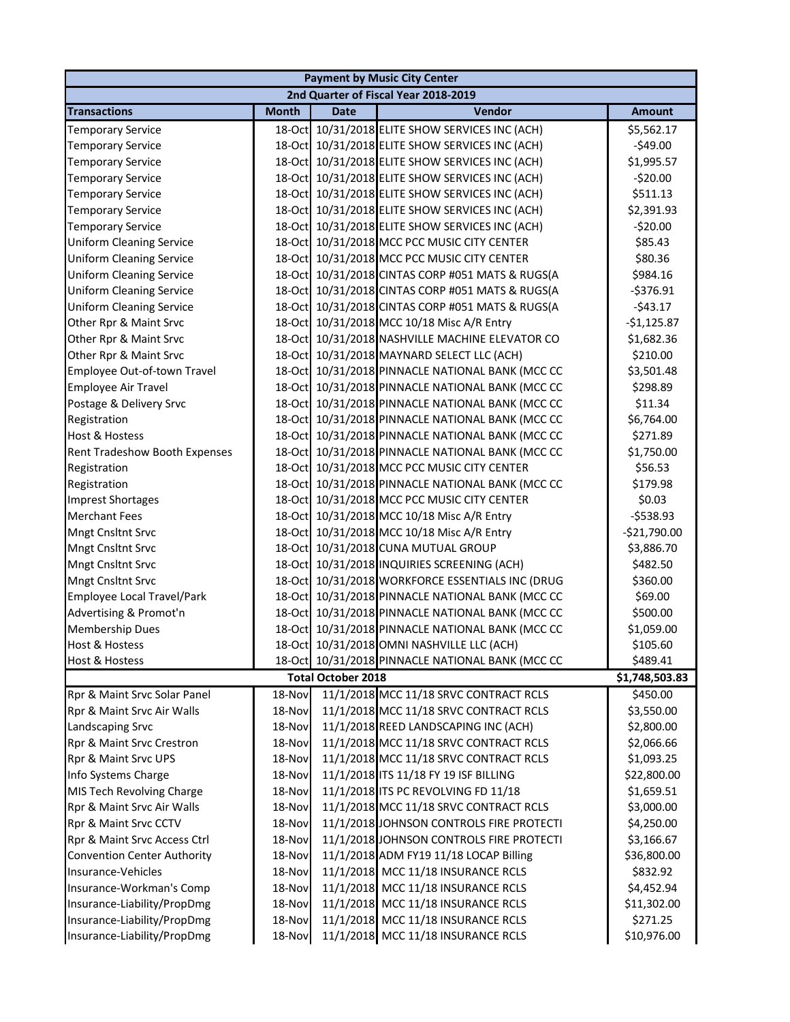| <b>Payment by Music City Center</b> |              |                           |                                                  |                |  |
|-------------------------------------|--------------|---------------------------|--------------------------------------------------|----------------|--|
|                                     |              |                           | 2nd Quarter of Fiscal Year 2018-2019             |                |  |
| <b>Transactions</b>                 | <b>Month</b> | <b>Date</b>               | Vendor                                           | <b>Amount</b>  |  |
| <b>Temporary Service</b>            |              |                           | 18-Oct 10/31/2018 ELITE SHOW SERVICES INC (ACH)  | \$5,562.17     |  |
| <b>Temporary Service</b>            |              |                           | 18-Oct 10/31/2018 ELITE SHOW SERVICES INC (ACH)  | $-$49.00$      |  |
| <b>Temporary Service</b>            |              |                           | 18-Oct 10/31/2018 ELITE SHOW SERVICES INC (ACH)  | \$1,995.57     |  |
| <b>Temporary Service</b>            |              |                           | 18-Oct 10/31/2018 ELITE SHOW SERVICES INC (ACH)  | $-520.00$      |  |
| <b>Temporary Service</b>            | $18$ -Oct    |                           | 10/31/2018 ELITE SHOW SERVICES INC (ACH)         | \$511.13       |  |
| <b>Temporary Service</b>            |              |                           | 18-Oct 10/31/2018 ELITE SHOW SERVICES INC (ACH)  | \$2,391.93     |  |
| <b>Temporary Service</b>            |              |                           | 18-Oct 10/31/2018 ELITE SHOW SERVICES INC (ACH)  | $-$20.00$      |  |
| <b>Uniform Cleaning Service</b>     |              |                           | 18-Oct 10/31/2018 MCC PCC MUSIC CITY CENTER      | \$85.43        |  |
| <b>Uniform Cleaning Service</b>     |              |                           | 18-Oct 10/31/2018 MCC PCC MUSIC CITY CENTER      | \$80.36        |  |
| <b>Uniform Cleaning Service</b>     |              |                           | 18-Oct 10/31/2018 CINTAS CORP #051 MATS & RUGS(A | \$984.16       |  |
| <b>Uniform Cleaning Service</b>     |              |                           | 18-Oct 10/31/2018 CINTAS CORP #051 MATS & RUGS(A | $-5376.91$     |  |
| <b>Uniform Cleaning Service</b>     |              |                           | 18-Oct 10/31/2018 CINTAS CORP #051 MATS & RUGS(A | $-543.17$      |  |
| Other Rpr & Maint Srvc              |              |                           | 18-Oct 10/31/2018 MCC 10/18 Misc A/R Entry       | $-$1,125.87$   |  |
| Other Rpr & Maint Srvc              |              |                           | 18-Oct 10/31/2018 NASHVILLE MACHINE ELEVATOR CO  | \$1,682.36     |  |
| Other Rpr & Maint Srvc              |              |                           | 18-Oct 10/31/2018 MAYNARD SELECT LLC (ACH)       | \$210.00       |  |
| Employee Out-of-town Travel         |              |                           | 18-Oct 10/31/2018 PINNACLE NATIONAL BANK (MCC CC | \$3,501.48     |  |
| <b>Employee Air Travel</b>          | $18$ -Oct    |                           | 10/31/2018 PINNACLE NATIONAL BANK (MCC CC        | \$298.89       |  |
| Postage & Delivery Srvc             | $18$ -Oct    |                           | 10/31/2018 PINNACLE NATIONAL BANK (MCC CC        | \$11.34        |  |
| Registration                        | 18-Oct       |                           | 10/31/2018 PINNACLE NATIONAL BANK (MCC CC        | \$6,764.00     |  |
| <b>Host &amp; Hostess</b>           |              |                           | 18-Oct 10/31/2018 PINNACLE NATIONAL BANK (MCC CC | \$271.89       |  |
| Rent Tradeshow Booth Expenses       |              |                           | 18-Oct 10/31/2018 PINNACLE NATIONAL BANK (MCC CC | \$1,750.00     |  |
| Registration                        |              |                           | 18-Oct 10/31/2018 MCC PCC MUSIC CITY CENTER      | \$56.53        |  |
| Registration                        |              |                           | 18-Oct 10/31/2018 PINNACLE NATIONAL BANK (MCC CC | \$179.98       |  |
| <b>Imprest Shortages</b>            |              |                           | 18-Oct 10/31/2018 MCC PCC MUSIC CITY CENTER      | \$0.03         |  |
| <b>Merchant Fees</b>                |              |                           | 18-Oct 10/31/2018 MCC 10/18 Misc A/R Entry       | $-5538.93$     |  |
| Mngt Cnsltnt Srvc                   |              |                           | 18-Oct 10/31/2018 MCC 10/18 Misc A/R Entry       | $-$21,790.00$  |  |
| Mngt Cnsltnt Srvc                   |              |                           | 18-Oct 10/31/2018 CUNA MUTUAL GROUP              | \$3,886.70     |  |
| Mngt Cnsltnt Srvc                   |              |                           | 18-Oct 10/31/2018 INQUIRIES SCREENING (ACH)      | \$482.50       |  |
| Mngt Cnsltnt Srvc                   |              |                           | 18-Oct 10/31/2018 WORKFORCE ESSENTIALS INC (DRUG | \$360.00       |  |
| <b>Employee Local Travel/Park</b>   | 18-Oct       |                           | 10/31/2018 PINNACLE NATIONAL BANK (MCC CC        | \$69.00        |  |
| Advertising & Promot'n              |              |                           | 18-Oct 10/31/2018 PINNACLE NATIONAL BANK (MCC CC | \$500.00       |  |
| <b>Membership Dues</b>              |              |                           | 18-Oct 10/31/2018 PINNACLE NATIONAL BANK (MCC CC | \$1,059.00     |  |
| Host & Hostess                      |              |                           | 18-Oct 10/31/2018 OMNI NASHVILLE LLC (ACH)       | \$105.60       |  |
| Host & Hostess                      |              |                           | 18-Oct 10/31/2018 PINNACLE NATIONAL BANK (MCC CC | \$489.41       |  |
|                                     |              | <b>Total October 2018</b> |                                                  | \$1,748,503.83 |  |
| Rpr & Maint Srvc Solar Panel        | 18-Nov       |                           | 11/1/2018 MCC 11/18 SRVC CONTRACT RCLS           | \$450.00       |  |
| Rpr & Maint Srvc Air Walls          | 18-Nov       |                           | 11/1/2018 MCC 11/18 SRVC CONTRACT RCLS           | \$3,550.00     |  |
| Landscaping Srvc                    | 18-Nov       |                           | 11/1/2018 REED LANDSCAPING INC (ACH)             | \$2,800.00     |  |
| Rpr & Maint Srvc Crestron           | 18-Nov       |                           | 11/1/2018 MCC 11/18 SRVC CONTRACT RCLS           | \$2,066.66     |  |
| Rpr & Maint Srvc UPS                | 18-Nov       |                           | 11/1/2018 MCC 11/18 SRVC CONTRACT RCLS           | \$1,093.25     |  |
| Info Systems Charge                 | 18-Nov       |                           | 11/1/2018 ITS 11/18 FY 19 ISF BILLING            | \$22,800.00    |  |
| MIS Tech Revolving Charge           | 18-Nov       |                           | 11/1/2018 ITS PC REVOLVING FD 11/18              | \$1,659.51     |  |
| Rpr & Maint Srvc Air Walls          | 18-Nov       |                           | 11/1/2018 MCC 11/18 SRVC CONTRACT RCLS           | \$3,000.00     |  |
| Rpr & Maint Srvc CCTV               | 18-Nov       |                           | 11/1/2018 JOHNSON CONTROLS FIRE PROTECTI         | \$4,250.00     |  |
| Rpr & Maint Srvc Access Ctrl        | 18-Nov       |                           | 11/1/2018 JOHNSON CONTROLS FIRE PROTECTI         | \$3,166.67     |  |
| <b>Convention Center Authority</b>  | 18-Nov       |                           | 11/1/2018 ADM FY19 11/18 LOCAP Billing           | \$36,800.00    |  |
| Insurance-Vehicles                  | 18-Nov       |                           | 11/1/2018 MCC 11/18 INSURANCE RCLS               | \$832.92       |  |
| Insurance-Workman's Comp            | 18-Nov       |                           | 11/1/2018 MCC 11/18 INSURANCE RCLS               | \$4,452.94     |  |
| Insurance-Liability/PropDmg         | 18-Nov       |                           | 11/1/2018 MCC 11/18 INSURANCE RCLS               | \$11,302.00    |  |
| Insurance-Liability/PropDmg         | 18-Nov       |                           | 11/1/2018 MCC 11/18 INSURANCE RCLS               | \$271.25       |  |
| Insurance-Liability/PropDmg         | 18-Nov       |                           | 11/1/2018 MCC 11/18 INSURANCE RCLS               | \$10,976.00    |  |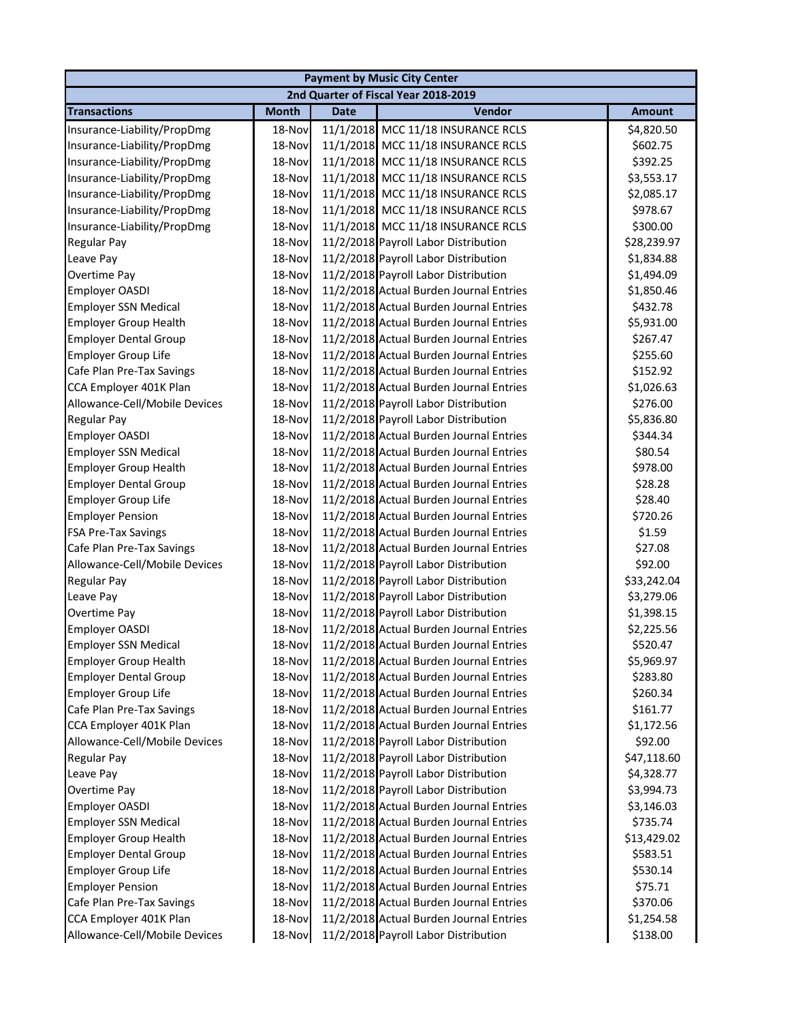|                               | <b>Payment by Music City Center</b> |             |                                         |               |  |  |
|-------------------------------|-------------------------------------|-------------|-----------------------------------------|---------------|--|--|
|                               |                                     |             | 2nd Quarter of Fiscal Year 2018-2019    |               |  |  |
| <b>Transactions</b>           | <b>Month</b>                        | <b>Date</b> | Vendor                                  | <b>Amount</b> |  |  |
| Insurance-Liability/PropDmg   | 18-Nov                              |             | 11/1/2018 MCC 11/18 INSURANCE RCLS      | \$4,820.50    |  |  |
| Insurance-Liability/PropDmg   | 18-Nov                              |             | 11/1/2018 MCC 11/18 INSURANCE RCLS      | \$602.75      |  |  |
| Insurance-Liability/PropDmg   | 18-Nov                              |             | 11/1/2018 MCC 11/18 INSURANCE RCLS      | \$392.25      |  |  |
| Insurance-Liability/PropDmg   | 18-Nov                              |             | 11/1/2018 MCC 11/18 INSURANCE RCLS      | \$3,553.17    |  |  |
| Insurance-Liability/PropDmg   | 18-Nov                              |             | 11/1/2018 MCC 11/18 INSURANCE RCLS      | \$2,085.17    |  |  |
| Insurance-Liability/PropDmg   | 18-Nov                              |             | 11/1/2018 MCC 11/18 INSURANCE RCLS      | \$978.67      |  |  |
| Insurance-Liability/PropDmg   | 18-Nov                              |             | 11/1/2018 MCC 11/18 INSURANCE RCLS      | \$300.00      |  |  |
| Regular Pay                   | 18-Nov                              |             | 11/2/2018 Payroll Labor Distribution    | \$28,239.97   |  |  |
| Leave Pay                     | 18-Nov                              |             | 11/2/2018 Payroll Labor Distribution    | \$1,834.88    |  |  |
| Overtime Pay                  | 18-Nov                              |             | 11/2/2018 Payroll Labor Distribution    | \$1,494.09    |  |  |
| Employer OASDI                | 18-Nov                              |             | 11/2/2018 Actual Burden Journal Entries | \$1,850.46    |  |  |
| <b>Employer SSN Medical</b>   | 18-Nov                              |             | 11/2/2018 Actual Burden Journal Entries | \$432.78      |  |  |
| <b>Employer Group Health</b>  | 18-Nov                              |             | 11/2/2018 Actual Burden Journal Entries | \$5,931.00    |  |  |
| <b>Employer Dental Group</b>  | 18-Nov                              |             | 11/2/2018 Actual Burden Journal Entries | \$267.47      |  |  |
| <b>Employer Group Life</b>    | 18-Nov                              |             | 11/2/2018 Actual Burden Journal Entries | \$255.60      |  |  |
| Cafe Plan Pre-Tax Savings     | 18-Nov                              |             | 11/2/2018 Actual Burden Journal Entries | \$152.92      |  |  |
| CCA Employer 401K Plan        | 18-Nov                              |             | 11/2/2018 Actual Burden Journal Entries | \$1,026.63    |  |  |
| Allowance-Cell/Mobile Devices | 18-Nov                              |             | 11/2/2018 Payroll Labor Distribution    | \$276.00      |  |  |
| Regular Pay                   | 18-Nov                              |             | 11/2/2018 Payroll Labor Distribution    | \$5,836.80    |  |  |
| Employer OASDI                | 18-Nov                              |             | 11/2/2018 Actual Burden Journal Entries | \$344.34      |  |  |
| <b>Employer SSN Medical</b>   | 18-Nov                              |             | 11/2/2018 Actual Burden Journal Entries | \$80.54       |  |  |
| <b>Employer Group Health</b>  | 18-Nov                              |             | 11/2/2018 Actual Burden Journal Entries | \$978.00      |  |  |
| <b>Employer Dental Group</b>  | 18-Nov                              |             | 11/2/2018 Actual Burden Journal Entries | \$28.28       |  |  |
| <b>Employer Group Life</b>    | 18-Nov                              |             | 11/2/2018 Actual Burden Journal Entries | \$28.40       |  |  |
| <b>Employer Pension</b>       | 18-Nov                              |             | 11/2/2018 Actual Burden Journal Entries | \$720.26      |  |  |
| FSA Pre-Tax Savings           | 18-Nov                              |             | 11/2/2018 Actual Burden Journal Entries | \$1.59        |  |  |
| Cafe Plan Pre-Tax Savings     | 18-Nov                              |             | 11/2/2018 Actual Burden Journal Entries | \$27.08       |  |  |
| Allowance-Cell/Mobile Devices | 18-Nov                              |             | 11/2/2018 Payroll Labor Distribution    | \$92.00       |  |  |
| <b>Regular Pay</b>            | 18-Nov                              |             | 11/2/2018 Payroll Labor Distribution    | \$33,242.04   |  |  |
| Leave Pay                     | 18-Nov                              |             | 11/2/2018 Payroll Labor Distribution    | \$3,279.06    |  |  |
| Overtime Pay                  | 18-Nov                              |             | 11/2/2018 Payroll Labor Distribution    | \$1,398.15    |  |  |
| <b>Employer OASDI</b>         | 18-Nov                              |             | 11/2/2018 Actual Burden Journal Entries | \$2,225.56    |  |  |
| <b>Employer SSN Medical</b>   | 18-Nov                              |             | 11/2/2018 Actual Burden Journal Entries | \$520.47      |  |  |
| <b>Employer Group Health</b>  | 18-Nov                              |             | 11/2/2018 Actual Burden Journal Entries | \$5,969.97    |  |  |
| <b>Employer Dental Group</b>  | 18-Nov                              |             | 11/2/2018 Actual Burden Journal Entries | \$283.80      |  |  |
| <b>Employer Group Life</b>    | 18-Nov                              |             | 11/2/2018 Actual Burden Journal Entries | \$260.34      |  |  |
| Cafe Plan Pre-Tax Savings     | 18-Nov                              |             | 11/2/2018 Actual Burden Journal Entries | \$161.77      |  |  |
| CCA Employer 401K Plan        | 18-Nov                              |             | 11/2/2018 Actual Burden Journal Entries | \$1,172.56    |  |  |
| Allowance-Cell/Mobile Devices | 18-Nov                              |             | 11/2/2018 Payroll Labor Distribution    | \$92.00       |  |  |
| Regular Pay                   | 18-Nov                              |             | 11/2/2018 Payroll Labor Distribution    | \$47,118.60   |  |  |
| Leave Pay                     | 18-Nov                              |             | 11/2/2018 Payroll Labor Distribution    | \$4,328.77    |  |  |
| Overtime Pay                  | 18-Nov                              |             | 11/2/2018 Payroll Labor Distribution    | \$3,994.73    |  |  |
| Employer OASDI                | 18-Nov                              |             | 11/2/2018 Actual Burden Journal Entries | \$3,146.03    |  |  |
| <b>Employer SSN Medical</b>   | 18-Nov                              |             | 11/2/2018 Actual Burden Journal Entries | \$735.74      |  |  |
| <b>Employer Group Health</b>  | 18-Nov                              |             | 11/2/2018 Actual Burden Journal Entries | \$13,429.02   |  |  |
| <b>Employer Dental Group</b>  | 18-Nov                              |             | 11/2/2018 Actual Burden Journal Entries | \$583.51      |  |  |
| <b>Employer Group Life</b>    | 18-Nov                              |             | 11/2/2018 Actual Burden Journal Entries | \$530.14      |  |  |
| <b>Employer Pension</b>       | 18-Nov                              |             | 11/2/2018 Actual Burden Journal Entries | \$75.71       |  |  |
| Cafe Plan Pre-Tax Savings     | 18-Nov                              |             | 11/2/2018 Actual Burden Journal Entries | \$370.06      |  |  |
| CCA Employer 401K Plan        | 18-Nov                              |             | 11/2/2018 Actual Burden Journal Entries | \$1,254.58    |  |  |
| Allowance-Cell/Mobile Devices | 18-Nov                              |             | 11/2/2018 Payroll Labor Distribution    | \$138.00      |  |  |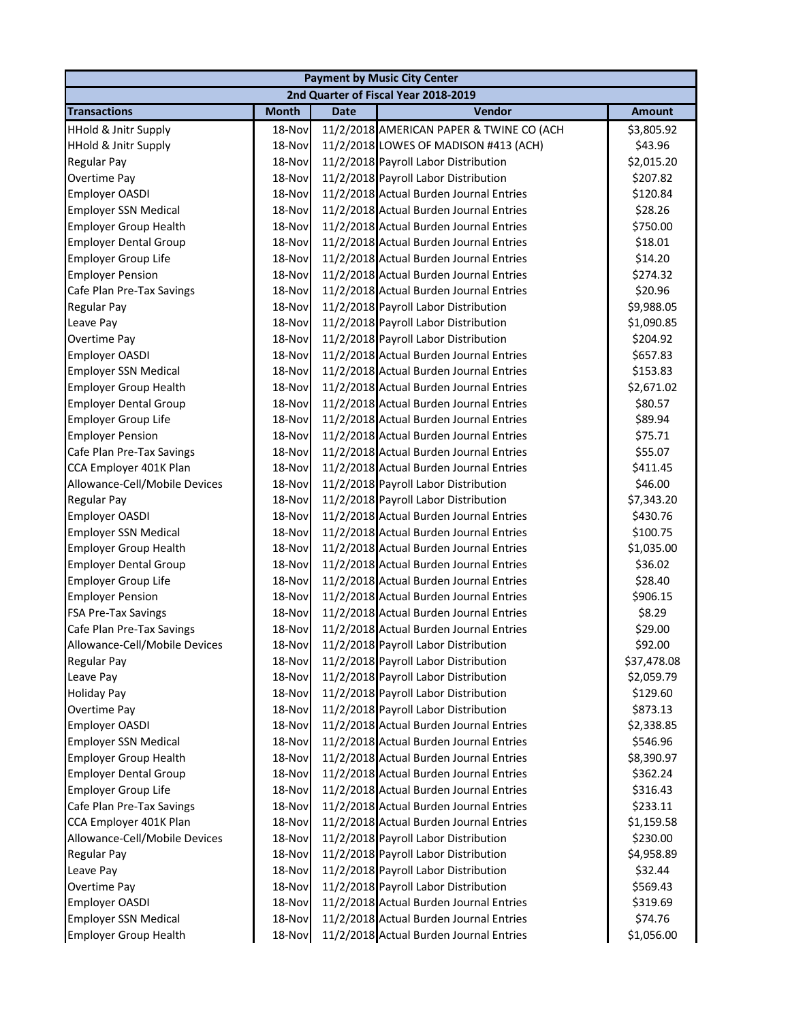|                                 | <b>Payment by Music City Center</b> |             |                                          |               |  |  |
|---------------------------------|-------------------------------------|-------------|------------------------------------------|---------------|--|--|
|                                 |                                     |             | 2nd Quarter of Fiscal Year 2018-2019     |               |  |  |
| <b>Transactions</b>             | <b>Month</b>                        | <b>Date</b> | Vendor                                   | <b>Amount</b> |  |  |
| <b>HHold &amp; Jnitr Supply</b> | 18-Nov                              |             | 11/2/2018 AMERICAN PAPER & TWINE CO (ACH | \$3,805.92    |  |  |
| <b>HHold &amp; Jnitr Supply</b> | 18-Nov                              |             | 11/2/2018 LOWES OF MADISON #413 (ACH)    | \$43.96       |  |  |
| Regular Pay                     | 18-Nov                              |             | 11/2/2018 Payroll Labor Distribution     | \$2,015.20    |  |  |
| Overtime Pay                    | 18-Nov                              |             | 11/2/2018 Payroll Labor Distribution     | \$207.82      |  |  |
| Employer OASDI                  | 18-Nov                              |             | 11/2/2018 Actual Burden Journal Entries  | \$120.84      |  |  |
| <b>Employer SSN Medical</b>     | 18-Nov                              |             | 11/2/2018 Actual Burden Journal Entries  | \$28.26       |  |  |
| <b>Employer Group Health</b>    | 18-Nov                              |             | 11/2/2018 Actual Burden Journal Entries  | \$750.00      |  |  |
| <b>Employer Dental Group</b>    | 18-Nov                              |             | 11/2/2018 Actual Burden Journal Entries  | \$18.01       |  |  |
| <b>Employer Group Life</b>      | 18-Nov                              |             | 11/2/2018 Actual Burden Journal Entries  | \$14.20       |  |  |
| <b>Employer Pension</b>         | 18-Nov                              |             | 11/2/2018 Actual Burden Journal Entries  | \$274.32      |  |  |
| Cafe Plan Pre-Tax Savings       | 18-Nov                              |             | 11/2/2018 Actual Burden Journal Entries  | \$20.96       |  |  |
| <b>Regular Pay</b>              | 18-Nov                              |             | 11/2/2018 Payroll Labor Distribution     | \$9,988.05    |  |  |
| Leave Pay                       | 18-Nov                              |             | 11/2/2018 Payroll Labor Distribution     | \$1,090.85    |  |  |
| Overtime Pay                    | 18-Nov                              |             | 11/2/2018 Payroll Labor Distribution     | \$204.92      |  |  |
| Employer OASDI                  | 18-Nov                              |             | 11/2/2018 Actual Burden Journal Entries  | \$657.83      |  |  |
| <b>Employer SSN Medical</b>     | 18-Nov                              |             | 11/2/2018 Actual Burden Journal Entries  | \$153.83      |  |  |
| <b>Employer Group Health</b>    | 18-Nov                              |             | 11/2/2018 Actual Burden Journal Entries  | \$2,671.02    |  |  |
| <b>Employer Dental Group</b>    | 18-Nov                              |             | 11/2/2018 Actual Burden Journal Entries  | \$80.57       |  |  |
| <b>Employer Group Life</b>      | 18-Nov                              |             | 11/2/2018 Actual Burden Journal Entries  | \$89.94       |  |  |
| <b>Employer Pension</b>         | 18-Nov                              |             | 11/2/2018 Actual Burden Journal Entries  | \$75.71       |  |  |
| Cafe Plan Pre-Tax Savings       | 18-Nov                              |             | 11/2/2018 Actual Burden Journal Entries  | \$55.07       |  |  |
| CCA Employer 401K Plan          | 18-Nov                              |             | 11/2/2018 Actual Burden Journal Entries  | \$411.45      |  |  |
| Allowance-Cell/Mobile Devices   | 18-Nov                              |             | 11/2/2018 Payroll Labor Distribution     | \$46.00       |  |  |
| Regular Pay                     | 18-Nov                              |             | 11/2/2018 Payroll Labor Distribution     | \$7,343.20    |  |  |
| Employer OASDI                  | 18-Nov                              |             | 11/2/2018 Actual Burden Journal Entries  | \$430.76      |  |  |
| <b>Employer SSN Medical</b>     | 18-Nov                              |             | 11/2/2018 Actual Burden Journal Entries  | \$100.75      |  |  |
| <b>Employer Group Health</b>    | 18-Nov                              |             | 11/2/2018 Actual Burden Journal Entries  | \$1,035.00    |  |  |
| <b>Employer Dental Group</b>    | 18-Nov                              |             | 11/2/2018 Actual Burden Journal Entries  | \$36.02       |  |  |
| Employer Group Life             | 18-Nov                              |             | 11/2/2018 Actual Burden Journal Entries  | \$28.40       |  |  |
| <b>Employer Pension</b>         | 18-Nov                              |             | 11/2/2018 Actual Burden Journal Entries  | \$906.15      |  |  |
| FSA Pre-Tax Savings             | 18-Nov                              |             | 11/2/2018 Actual Burden Journal Entries  | \$8.29        |  |  |
| Cafe Plan Pre-Tax Savings       | 18-Nov                              |             | 11/2/2018 Actual Burden Journal Entries  | \$29.00       |  |  |
| Allowance-Cell/Mobile Devices   | 18-Nov                              |             | 11/2/2018 Payroll Labor Distribution     | \$92.00       |  |  |
| Regular Pay                     | 18-Nov                              |             | 11/2/2018 Payroll Labor Distribution     | \$37,478.08   |  |  |
| Leave Pay                       | 18-Nov                              |             | 11/2/2018 Payroll Labor Distribution     | \$2,059.79    |  |  |
| <b>Holiday Pay</b>              | 18-Nov                              |             | 11/2/2018 Payroll Labor Distribution     | \$129.60      |  |  |
| Overtime Pay                    | 18-Nov                              |             | 11/2/2018 Payroll Labor Distribution     | \$873.13      |  |  |
| Employer OASDI                  | 18-Nov                              |             | 11/2/2018 Actual Burden Journal Entries  | \$2,338.85    |  |  |
| <b>Employer SSN Medical</b>     | 18-Nov                              |             | 11/2/2018 Actual Burden Journal Entries  | \$546.96      |  |  |
| <b>Employer Group Health</b>    | 18-Nov                              |             | 11/2/2018 Actual Burden Journal Entries  | \$8,390.97    |  |  |
| <b>Employer Dental Group</b>    | 18-Nov                              |             | 11/2/2018 Actual Burden Journal Entries  | \$362.24      |  |  |
| <b>Employer Group Life</b>      | 18-Nov                              |             | 11/2/2018 Actual Burden Journal Entries  | \$316.43      |  |  |
| Cafe Plan Pre-Tax Savings       | 18-Nov                              |             | 11/2/2018 Actual Burden Journal Entries  | \$233.11      |  |  |
| CCA Employer 401K Plan          | 18-Nov                              |             | 11/2/2018 Actual Burden Journal Entries  | \$1,159.58    |  |  |
| Allowance-Cell/Mobile Devices   | 18-Nov                              |             | 11/2/2018 Payroll Labor Distribution     | \$230.00      |  |  |
| Regular Pay                     | 18-Nov                              |             | 11/2/2018 Payroll Labor Distribution     | \$4,958.89    |  |  |
| Leave Pay                       | 18-Nov                              |             | 11/2/2018 Payroll Labor Distribution     | \$32.44       |  |  |
| Overtime Pay                    | 18-Nov                              |             | 11/2/2018 Payroll Labor Distribution     | \$569.43      |  |  |
| Employer OASDI                  | 18-Nov                              |             | 11/2/2018 Actual Burden Journal Entries  | \$319.69      |  |  |
| <b>Employer SSN Medical</b>     | 18-Nov                              |             | 11/2/2018 Actual Burden Journal Entries  | \$74.76       |  |  |
| <b>Employer Group Health</b>    | 18-Nov                              |             | 11/2/2018 Actual Burden Journal Entries  | \$1,056.00    |  |  |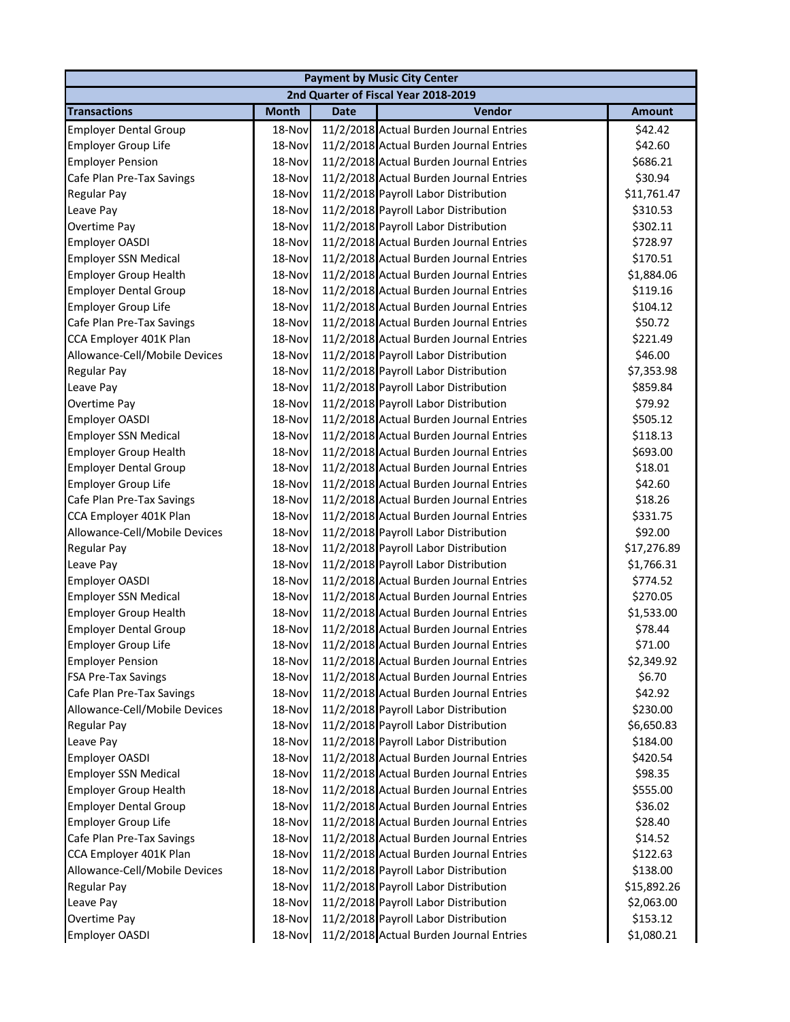| <b>Payment by Music City Center</b> |              |             |                                         |               |  |
|-------------------------------------|--------------|-------------|-----------------------------------------|---------------|--|
|                                     |              |             | 2nd Quarter of Fiscal Year 2018-2019    |               |  |
| <b>Transactions</b>                 | <b>Month</b> | <b>Date</b> | <b>Vendor</b>                           | <b>Amount</b> |  |
| <b>Employer Dental Group</b>        | 18-Nov       |             | 11/2/2018 Actual Burden Journal Entries | \$42.42       |  |
| <b>Employer Group Life</b>          | 18-Nov       |             | 11/2/2018 Actual Burden Journal Entries | \$42.60       |  |
| <b>Employer Pension</b>             | 18-Nov       |             | 11/2/2018 Actual Burden Journal Entries | \$686.21      |  |
| Cafe Plan Pre-Tax Savings           | 18-Nov       |             | 11/2/2018 Actual Burden Journal Entries | \$30.94       |  |
| Regular Pay                         | 18-Nov       |             | 11/2/2018 Payroll Labor Distribution    | \$11,761.47   |  |
| Leave Pay                           | 18-Nov       |             | 11/2/2018 Payroll Labor Distribution    | \$310.53      |  |
| Overtime Pay                        | 18-Nov       |             | 11/2/2018 Payroll Labor Distribution    | \$302.11      |  |
| Employer OASDI                      | 18-Nov       |             | 11/2/2018 Actual Burden Journal Entries | \$728.97      |  |
| <b>Employer SSN Medical</b>         | 18-Nov       |             | 11/2/2018 Actual Burden Journal Entries | \$170.51      |  |
| <b>Employer Group Health</b>        | 18-Nov       |             | 11/2/2018 Actual Burden Journal Entries | \$1,884.06    |  |
| <b>Employer Dental Group</b>        | 18-Nov       |             | 11/2/2018 Actual Burden Journal Entries | \$119.16      |  |
| <b>Employer Group Life</b>          | 18-Nov       |             | 11/2/2018 Actual Burden Journal Entries | \$104.12      |  |
| Cafe Plan Pre-Tax Savings           | 18-Nov       |             | 11/2/2018 Actual Burden Journal Entries | \$50.72       |  |
| CCA Employer 401K Plan              | 18-Nov       |             | 11/2/2018 Actual Burden Journal Entries | \$221.49      |  |
| Allowance-Cell/Mobile Devices       | 18-Nov       |             | 11/2/2018 Payroll Labor Distribution    | \$46.00       |  |
| <b>Regular Pay</b>                  | 18-Nov       |             | 11/2/2018 Payroll Labor Distribution    | \$7,353.98    |  |
| Leave Pay                           | 18-Nov       |             | 11/2/2018 Payroll Labor Distribution    | \$859.84      |  |
| Overtime Pay                        | 18-Nov       |             | 11/2/2018 Payroll Labor Distribution    | \$79.92       |  |
| <b>Employer OASDI</b>               | 18-Nov       |             | 11/2/2018 Actual Burden Journal Entries | \$505.12      |  |
| <b>Employer SSN Medical</b>         | 18-Nov       |             | 11/2/2018 Actual Burden Journal Entries | \$118.13      |  |
| <b>Employer Group Health</b>        | 18-Nov       |             | 11/2/2018 Actual Burden Journal Entries | \$693.00      |  |
| <b>Employer Dental Group</b>        | 18-Nov       |             | 11/2/2018 Actual Burden Journal Entries | \$18.01       |  |
| <b>Employer Group Life</b>          | 18-Nov       |             | 11/2/2018 Actual Burden Journal Entries | \$42.60       |  |
| Cafe Plan Pre-Tax Savings           | 18-Nov       |             | 11/2/2018 Actual Burden Journal Entries | \$18.26       |  |
| CCA Employer 401K Plan              | 18-Nov       |             | 11/2/2018 Actual Burden Journal Entries | \$331.75      |  |
| Allowance-Cell/Mobile Devices       | 18-Nov       |             | 11/2/2018 Payroll Labor Distribution    | \$92.00       |  |
| <b>Regular Pay</b>                  | 18-Nov       |             | 11/2/2018 Payroll Labor Distribution    | \$17,276.89   |  |
| Leave Pay                           | 18-Nov       |             | 11/2/2018 Payroll Labor Distribution    | \$1,766.31    |  |
| Employer OASDI                      | 18-Nov       |             | 11/2/2018 Actual Burden Journal Entries | \$774.52      |  |
| <b>Employer SSN Medical</b>         | 18-Nov       |             | 11/2/2018 Actual Burden Journal Entries | \$270.05      |  |
| <b>Employer Group Health</b>        | 18-Nov       |             | 11/2/2018 Actual Burden Journal Entries | \$1,533.00    |  |
| <b>Employer Dental Group</b>        | 18-Nov       |             | 11/2/2018 Actual Burden Journal Entries | \$78.44       |  |
| <b>Employer Group Life</b>          | 18-Nov       |             | 11/2/2018 Actual Burden Journal Entries | \$71.00       |  |
| <b>Employer Pension</b>             | 18-Nov       |             | 11/2/2018 Actual Burden Journal Entries | \$2,349.92    |  |
| <b>FSA Pre-Tax Savings</b>          | 18-Nov       |             | 11/2/2018 Actual Burden Journal Entries | \$6.70        |  |
| Cafe Plan Pre-Tax Savings           | 18-Nov       |             | 11/2/2018 Actual Burden Journal Entries | \$42.92       |  |
| Allowance-Cell/Mobile Devices       | 18-Nov       |             | 11/2/2018 Payroll Labor Distribution    | \$230.00      |  |
| Regular Pay                         | 18-Nov       |             | 11/2/2018 Payroll Labor Distribution    | \$6,650.83    |  |
| Leave Pay                           | 18-Nov       |             | 11/2/2018 Payroll Labor Distribution    | \$184.00      |  |
| <b>Employer OASDI</b>               | 18-Nov       |             | 11/2/2018 Actual Burden Journal Entries | \$420.54      |  |
| <b>Employer SSN Medical</b>         | 18-Nov       |             | 11/2/2018 Actual Burden Journal Entries | \$98.35       |  |
| <b>Employer Group Health</b>        | 18-Nov       |             | 11/2/2018 Actual Burden Journal Entries | \$555.00      |  |
| <b>Employer Dental Group</b>        | 18-Nov       |             | 11/2/2018 Actual Burden Journal Entries | \$36.02       |  |
| <b>Employer Group Life</b>          | 18-Nov       |             | 11/2/2018 Actual Burden Journal Entries | \$28.40       |  |
| Cafe Plan Pre-Tax Savings           | 18-Nov       |             | 11/2/2018 Actual Burden Journal Entries | \$14.52       |  |
| CCA Employer 401K Plan              | 18-Nov       |             | 11/2/2018 Actual Burden Journal Entries | \$122.63      |  |
| Allowance-Cell/Mobile Devices       | 18-Nov       |             | 11/2/2018 Payroll Labor Distribution    | \$138.00      |  |
| <b>Regular Pay</b>                  | 18-Nov       |             | 11/2/2018 Payroll Labor Distribution    | \$15,892.26   |  |
| Leave Pay                           | 18-Nov       |             | 11/2/2018 Payroll Labor Distribution    | \$2,063.00    |  |
| Overtime Pay                        | 18-Nov       |             | 11/2/2018 Payroll Labor Distribution    | \$153.12      |  |
| <b>Employer OASDI</b>               | 18-Nov       |             | 11/2/2018 Actual Burden Journal Entries | \$1,080.21    |  |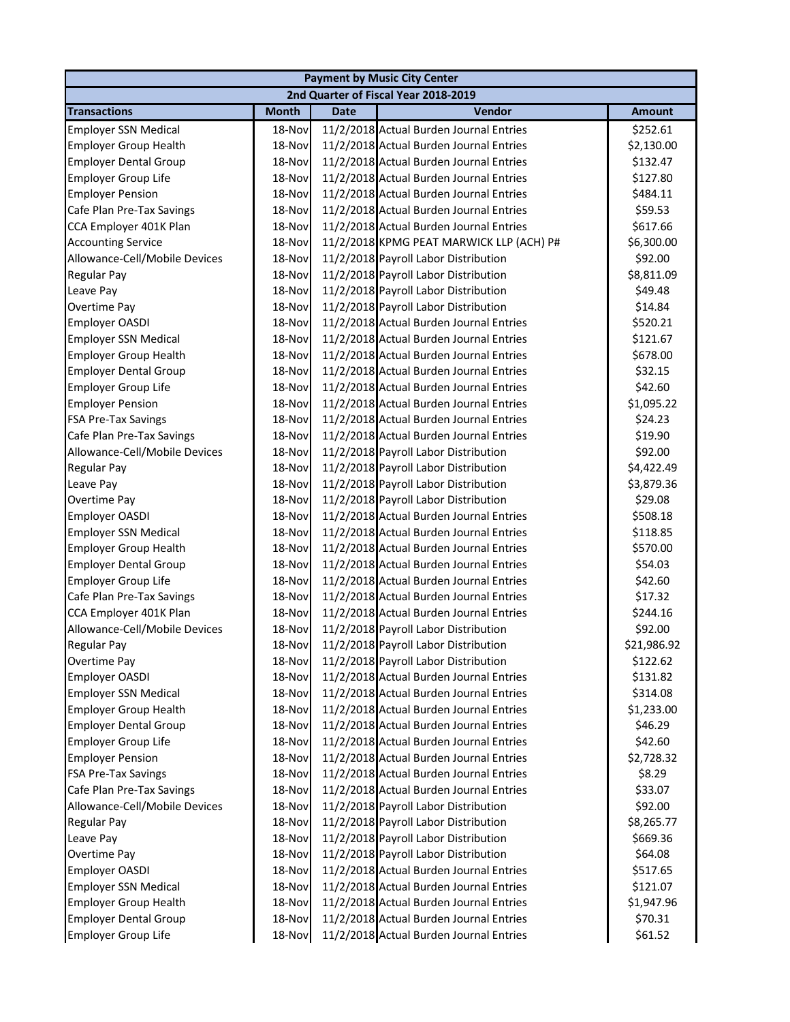|                               |              |             | <b>Payment by Music City Center</b>      |               |
|-------------------------------|--------------|-------------|------------------------------------------|---------------|
|                               |              |             | 2nd Quarter of Fiscal Year 2018-2019     |               |
| <b>Transactions</b>           | <b>Month</b> | <b>Date</b> | Vendor                                   | <b>Amount</b> |
| <b>Employer SSN Medical</b>   | 18-Nov       |             | 11/2/2018 Actual Burden Journal Entries  | \$252.61      |
| <b>Employer Group Health</b>  | 18-Nov       |             | 11/2/2018 Actual Burden Journal Entries  | \$2,130.00    |
| <b>Employer Dental Group</b>  | 18-Nov       |             | 11/2/2018 Actual Burden Journal Entries  | \$132.47      |
| <b>Employer Group Life</b>    | 18-Nov       |             | 11/2/2018 Actual Burden Journal Entries  | \$127.80      |
| <b>Employer Pension</b>       | 18-Nov       |             | 11/2/2018 Actual Burden Journal Entries  | \$484.11      |
| Cafe Plan Pre-Tax Savings     | 18-Nov       |             | 11/2/2018 Actual Burden Journal Entries  | \$59.53       |
| CCA Employer 401K Plan        | 18-Nov       |             | 11/2/2018 Actual Burden Journal Entries  | \$617.66      |
| <b>Accounting Service</b>     | 18-Nov       |             | 11/2/2018 KPMG PEAT MARWICK LLP (ACH) P# | \$6,300.00    |
| Allowance-Cell/Mobile Devices | 18-Nov       |             | 11/2/2018 Payroll Labor Distribution     | \$92.00       |
| Regular Pay                   | 18-Nov       |             | 11/2/2018 Payroll Labor Distribution     | \$8,811.09    |
| Leave Pay                     | 18-Nov       |             | 11/2/2018 Payroll Labor Distribution     | \$49.48       |
| Overtime Pay                  | 18-Nov       |             | 11/2/2018 Payroll Labor Distribution     | \$14.84       |
| <b>Employer OASDI</b>         | 18-Nov       |             | 11/2/2018 Actual Burden Journal Entries  | \$520.21      |
| <b>Employer SSN Medical</b>   | 18-Nov       |             | 11/2/2018 Actual Burden Journal Entries  | \$121.67      |
| <b>Employer Group Health</b>  | 18-Nov       |             | 11/2/2018 Actual Burden Journal Entries  | \$678.00      |
| <b>Employer Dental Group</b>  | 18-Nov       |             | 11/2/2018 Actual Burden Journal Entries  | \$32.15       |
| <b>Employer Group Life</b>    | 18-Nov       |             | 11/2/2018 Actual Burden Journal Entries  | \$42.60       |
| <b>Employer Pension</b>       | 18-Nov       |             | 11/2/2018 Actual Burden Journal Entries  | \$1,095.22    |
| <b>FSA Pre-Tax Savings</b>    | 18-Nov       |             | 11/2/2018 Actual Burden Journal Entries  | \$24.23       |
| Cafe Plan Pre-Tax Savings     | 18-Nov       |             | 11/2/2018 Actual Burden Journal Entries  | \$19.90       |
| Allowance-Cell/Mobile Devices | 18-Nov       |             | 11/2/2018 Payroll Labor Distribution     | \$92.00       |
| Regular Pay                   | 18-Nov       |             | 11/2/2018 Payroll Labor Distribution     | \$4,422.49    |
| Leave Pay                     | 18-Nov       |             | 11/2/2018 Payroll Labor Distribution     | \$3,879.36    |
| Overtime Pay                  | 18-Nov       |             | 11/2/2018 Payroll Labor Distribution     | \$29.08       |
| Employer OASDI                | 18-Nov       |             | 11/2/2018 Actual Burden Journal Entries  | \$508.18      |
| <b>Employer SSN Medical</b>   | 18-Nov       |             | 11/2/2018 Actual Burden Journal Entries  | \$118.85      |
| <b>Employer Group Health</b>  | 18-Nov       |             | 11/2/2018 Actual Burden Journal Entries  | \$570.00      |
| <b>Employer Dental Group</b>  | 18-Nov       |             | 11/2/2018 Actual Burden Journal Entries  | \$54.03       |
| <b>Employer Group Life</b>    | 18-Nov       |             | 11/2/2018 Actual Burden Journal Entries  | \$42.60       |
| Cafe Plan Pre-Tax Savings     | 18-Nov       |             | 11/2/2018 Actual Burden Journal Entries  | \$17.32       |
| CCA Employer 401K Plan        | 18-Nov       |             | 11/2/2018 Actual Burden Journal Entries  | \$244.16      |
| Allowance-Cell/Mobile Devices | 18-Nov       |             | 11/2/2018 Payroll Labor Distribution     | \$92.00       |
| <b>Regular Pay</b>            | 18-Nov       |             | 11/2/2018 Payroll Labor Distribution     | \$21,986.92   |
| Overtime Pay                  | 18-Nov       |             | 11/2/2018 Payroll Labor Distribution     | \$122.62      |
| Employer OASDI                | 18-Nov       |             | 11/2/2018 Actual Burden Journal Entries  | \$131.82      |
| <b>Employer SSN Medical</b>   | 18-Nov       |             | 11/2/2018 Actual Burden Journal Entries  | \$314.08      |
| <b>Employer Group Health</b>  | 18-Nov       |             | 11/2/2018 Actual Burden Journal Entries  | \$1,233.00    |
| <b>Employer Dental Group</b>  | 18-Nov       |             | 11/2/2018 Actual Burden Journal Entries  | \$46.29       |
| <b>Employer Group Life</b>    | 18-Nov       |             | 11/2/2018 Actual Burden Journal Entries  | \$42.60       |
| <b>Employer Pension</b>       | 18-Nov       |             | 11/2/2018 Actual Burden Journal Entries  | \$2,728.32    |
| <b>FSA Pre-Tax Savings</b>    | 18-Nov       |             | 11/2/2018 Actual Burden Journal Entries  | \$8.29        |
| Cafe Plan Pre-Tax Savings     | 18-Nov       |             | 11/2/2018 Actual Burden Journal Entries  | \$33.07       |
| Allowance-Cell/Mobile Devices | 18-Nov       |             | 11/2/2018 Payroll Labor Distribution     | \$92.00       |
| <b>Regular Pay</b>            | 18-Nov       |             | 11/2/2018 Payroll Labor Distribution     | \$8,265.77    |
| Leave Pay                     | 18-Nov       |             | 11/2/2018 Payroll Labor Distribution     | \$669.36      |
| Overtime Pay                  | 18-Nov       |             | 11/2/2018 Payroll Labor Distribution     | \$64.08       |
| Employer OASDI                | 18-Nov       |             | 11/2/2018 Actual Burden Journal Entries  | \$517.65      |
| <b>Employer SSN Medical</b>   | 18-Nov       |             | 11/2/2018 Actual Burden Journal Entries  | \$121.07      |
| <b>Employer Group Health</b>  | 18-Nov       |             | 11/2/2018 Actual Burden Journal Entries  | \$1,947.96    |
| <b>Employer Dental Group</b>  | 18-Nov       |             | 11/2/2018 Actual Burden Journal Entries  | \$70.31       |
| <b>Employer Group Life</b>    | 18-Nov       |             | 11/2/2018 Actual Burden Journal Entries  | \$61.52       |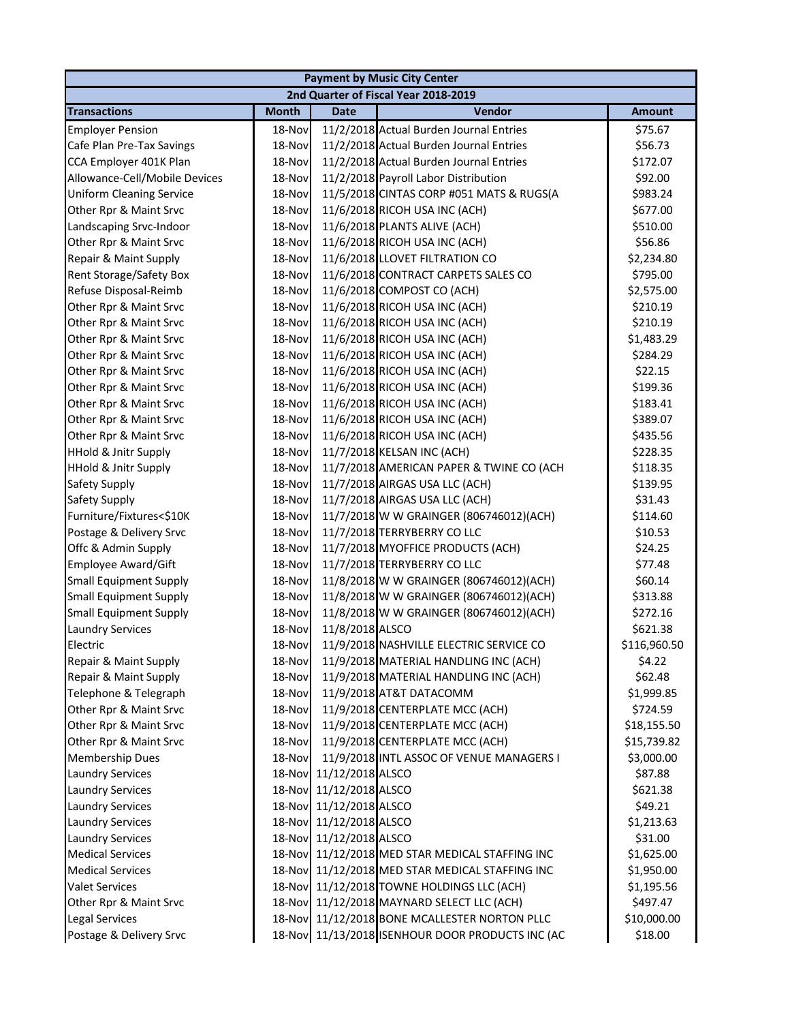|                                 |              |                  | <b>Payment by Music City Center</b>              |               |
|---------------------------------|--------------|------------------|--------------------------------------------------|---------------|
|                                 |              |                  | 2nd Quarter of Fiscal Year 2018-2019             |               |
| <b>Transactions</b>             | <b>Month</b> | <b>Date</b>      | Vendor                                           | <b>Amount</b> |
| <b>Employer Pension</b>         | 18-Nov       |                  | 11/2/2018 Actual Burden Journal Entries          | \$75.67       |
| Cafe Plan Pre-Tax Savings       | 18-Nov       |                  | 11/2/2018 Actual Burden Journal Entries          | \$56.73       |
| CCA Employer 401K Plan          | 18-Nov       |                  | 11/2/2018 Actual Burden Journal Entries          | \$172.07      |
| Allowance-Cell/Mobile Devices   | 18-Nov       |                  | 11/2/2018 Payroll Labor Distribution             | \$92.00       |
| <b>Uniform Cleaning Service</b> | 18-Nov       |                  | 11/5/2018 CINTAS CORP #051 MATS & RUGS(A         | \$983.24      |
| Other Rpr & Maint Srvc          | 18-Nov       |                  | 11/6/2018 RICOH USA INC (ACH)                    | \$677.00      |
| Landscaping Srvc-Indoor         | 18-Nov       |                  | 11/6/2018 PLANTS ALIVE (ACH)                     | \$510.00      |
| Other Rpr & Maint Srvc          | 18-Nov       |                  | 11/6/2018 RICOH USA INC (ACH)                    | \$56.86       |
| Repair & Maint Supply           | 18-Nov       |                  | 11/6/2018 LLOVET FILTRATION CO                   | \$2,234.80    |
| Rent Storage/Safety Box         | 18-Nov       |                  | 11/6/2018 CONTRACT CARPETS SALES CO              | \$795.00      |
| Refuse Disposal-Reimb           | 18-Nov       |                  | 11/6/2018 COMPOST CO (ACH)                       | \$2,575.00    |
| Other Rpr & Maint Srvc          | 18-Nov       |                  | 11/6/2018 RICOH USA INC (ACH)                    | \$210.19      |
| Other Rpr & Maint Srvc          | 18-Nov       |                  | 11/6/2018 RICOH USA INC (ACH)                    | \$210.19      |
| Other Rpr & Maint Srvc          | 18-Nov       |                  | 11/6/2018 RICOH USA INC (ACH)                    | \$1,483.29    |
| Other Rpr & Maint Srvc          | 18-Nov       |                  | 11/6/2018 RICOH USA INC (ACH)                    | \$284.29      |
| Other Rpr & Maint Srvc          | 18-Nov       |                  | 11/6/2018 RICOH USA INC (ACH)                    | \$22.15       |
| Other Rpr & Maint Srvc          | 18-Nov       |                  | 11/6/2018 RICOH USA INC (ACH)                    | \$199.36      |
| Other Rpr & Maint Srvc          | 18-Nov       |                  | 11/6/2018 RICOH USA INC (ACH)                    | \$183.41      |
| Other Rpr & Maint Srvc          | 18-Nov       |                  | 11/6/2018 RICOH USA INC (ACH)                    | \$389.07      |
| Other Rpr & Maint Srvc          | 18-Nov       |                  | 11/6/2018 RICOH USA INC (ACH)                    | \$435.56      |
| <b>HHold &amp; Jnitr Supply</b> | 18-Nov       |                  | 11/7/2018 KELSAN INC (ACH)                       | \$228.35      |
| <b>HHold &amp; Jnitr Supply</b> | 18-Nov       |                  | 11/7/2018 AMERICAN PAPER & TWINE CO (ACH         | \$118.35      |
| Safety Supply                   | 18-Nov       |                  | 11/7/2018 AIRGAS USA LLC (ACH)                   | \$139.95      |
| Safety Supply                   | 18-Nov       |                  | 11/7/2018 AIRGAS USA LLC (ACH)                   | \$31.43       |
| Furniture/Fixtures<\$10K        | 18-Nov       |                  | 11/7/2018 W W GRAINGER (806746012)(ACH)          | \$114.60      |
| Postage & Delivery Srvc         | 18-Nov       |                  | 11/7/2018 TERRYBERRY CO LLC                      | \$10.53       |
| Offc & Admin Supply             | 18-Nov       |                  | 11/7/2018 MYOFFICE PRODUCTS (ACH)                | \$24.25       |
| Employee Award/Gift             | 18-Nov       |                  | 11/7/2018 TERRYBERRY CO LLC                      | \$77.48       |
| <b>Small Equipment Supply</b>   | 18-Nov       |                  | 11/8/2018 W W GRAINGER (806746012)(ACH)          | \$60.14       |
| <b>Small Equipment Supply</b>   | 18-Nov       |                  | 11/8/2018 W W GRAINGER (806746012)(ACH)          | \$313.88      |
| <b>Small Equipment Supply</b>   | 18-Nov       |                  | 11/8/2018 W W GRAINGER (806746012)(ACH)          | \$272.16      |
| <b>Laundry Services</b>         | 18-Nov       | 11/8/2018 ALSCO  |                                                  | \$621.38      |
| Electric                        | 18-Nov       |                  | 11/9/2018 NASHVILLE ELECTRIC SERVICE CO          | \$116,960.50  |
| Repair & Maint Supply           | 18-Nov       |                  | 11/9/2018 MATERIAL HANDLING INC (ACH)            | \$4.22        |
| Repair & Maint Supply           | 18-Nov       |                  | 11/9/2018 MATERIAL HANDLING INC (ACH)            | \$62.48       |
| Telephone & Telegraph           | 18-Nov       |                  | 11/9/2018 AT&T DATACOMM                          | \$1,999.85    |
| Other Rpr & Maint Srvc          | 18-Nov       |                  | 11/9/2018 CENTERPLATE MCC (ACH)                  | \$724.59      |
| Other Rpr & Maint Srvc          | 18-Nov       |                  | 11/9/2018 CENTERPLATE MCC (ACH)                  | \$18,155.50   |
| Other Rpr & Maint Srvc          | 18-Nov       |                  | 11/9/2018 CENTERPLATE MCC (ACH)                  | \$15,739.82   |
| <b>Membership Dues</b>          | 18-Nov       |                  | 11/9/2018 INTL ASSOC OF VENUE MANAGERS I         | \$3,000.00    |
| <b>Laundry Services</b>         | 18-Nov       | 11/12/2018 ALSCO |                                                  | \$87.88       |
| <b>Laundry Services</b>         | 18-Nov       | 11/12/2018 ALSCO |                                                  | \$621.38      |
| <b>Laundry Services</b>         | 18-Nov       | 11/12/2018 ALSCO |                                                  | \$49.21       |
| <b>Laundry Services</b>         | 18-Nov       | 11/12/2018 ALSCO |                                                  | \$1,213.63    |
| <b>Laundry Services</b>         | 18-Nov       | 11/12/2018 ALSCO |                                                  | \$31.00       |
| <b>Medical Services</b>         | 18-Nov       |                  | 11/12/2018 MED STAR MEDICAL STAFFING INC         | \$1,625.00    |
| <b>Medical Services</b>         | 18-Nov       |                  | 11/12/2018 MED STAR MEDICAL STAFFING INC         | \$1,950.00    |
| <b>Valet Services</b>           | 18-Nov       |                  | 11/12/2018 TOWNE HOLDINGS LLC (ACH)              | \$1,195.56    |
| Other Rpr & Maint Srvc          | 18-Nov       |                  | 11/12/2018 MAYNARD SELECT LLC (ACH)              | \$497.47      |
| <b>Legal Services</b>           | 18-Nov       |                  | 11/12/2018 BONE MCALLESTER NORTON PLLC           | \$10,000.00   |
| Postage & Delivery Srvc         |              |                  | 18-Nov 11/13/2018 ISENHOUR DOOR PRODUCTS INC (AC | \$18.00       |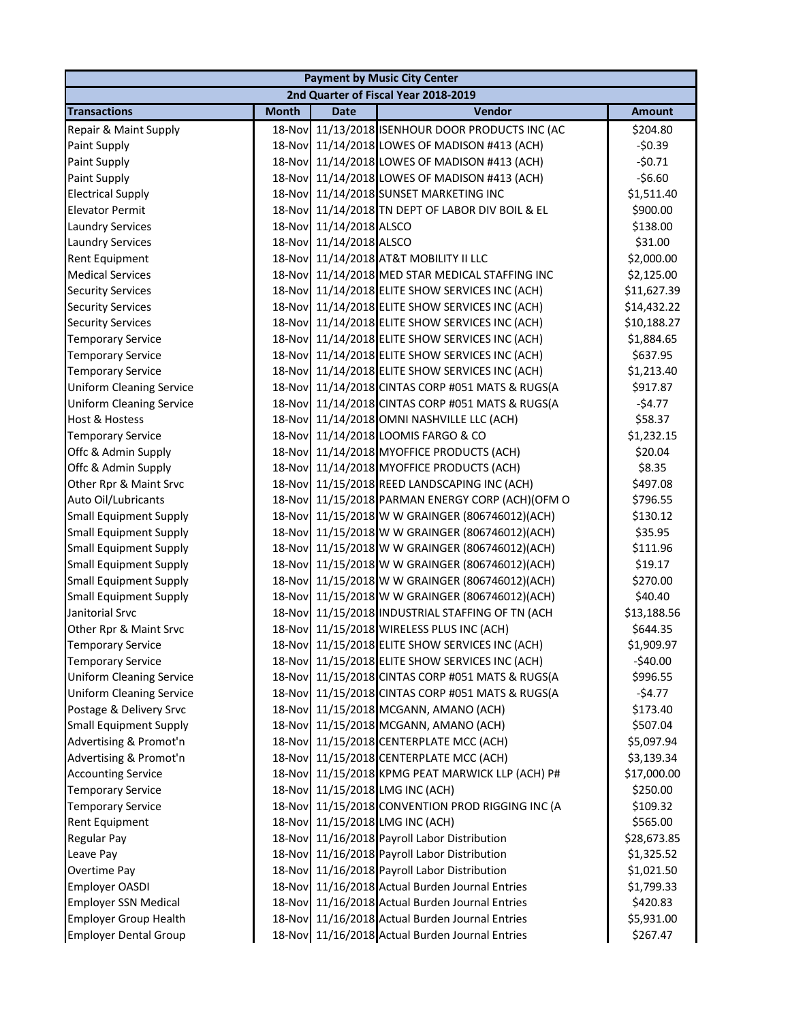|                                 |              |                  | <b>Payment by Music City Center</b>              |               |
|---------------------------------|--------------|------------------|--------------------------------------------------|---------------|
|                                 |              |                  | 2nd Quarter of Fiscal Year 2018-2019             |               |
| <b>Transactions</b>             | <b>Month</b> | <b>Date</b>      | Vendor                                           | <b>Amount</b> |
| Repair & Maint Supply           | 18-Nov       |                  | 11/13/2018 ISENHOUR DOOR PRODUCTS INC (AC        | \$204.80      |
| Paint Supply                    |              |                  | 18-Nov 11/14/2018 LOWES OF MADISON #413 (ACH)    | $-50.39$      |
| Paint Supply                    |              |                  | 18-Nov 11/14/2018 LOWES OF MADISON #413 (ACH)    | $-50.71$      |
| Paint Supply                    | 18-Nov       |                  | 11/14/2018 LOWES OF MADISON #413 (ACH)           | $-56.60$      |
| <b>Electrical Supply</b>        |              |                  | 18-Nov 11/14/2018 SUNSET MARKETING INC           | \$1,511.40    |
| <b>Elevator Permit</b>          |              |                  | 18-Nov 11/14/2018 TN DEPT OF LABOR DIV BOIL & EL | \$900.00      |
| <b>Laundry Services</b>         | 18-Nov       | 11/14/2018 ALSCO |                                                  | \$138.00      |
| <b>Laundry Services</b>         | 18-Nov       | 11/14/2018 ALSCO |                                                  | \$31.00       |
| Rent Equipment                  | 18-Nov       |                  | 11/14/2018 AT&T MOBILITY II LLC                  | \$2,000.00    |
| <b>Medical Services</b>         | 18-Nov       |                  | 11/14/2018 MED STAR MEDICAL STAFFING INC         | \$2,125.00    |
| <b>Security Services</b>        | 18-Nov       |                  | 11/14/2018 ELITE SHOW SERVICES INC (ACH)         | \$11,627.39   |
| <b>Security Services</b>        | 18-Nov       |                  | 11/14/2018 ELITE SHOW SERVICES INC (ACH)         | \$14,432.22   |
| <b>Security Services</b>        | 18-Nov       |                  | 11/14/2018 ELITE SHOW SERVICES INC (ACH)         | \$10,188.27   |
| <b>Temporary Service</b>        |              |                  | 18-Nov 11/14/2018 ELITE SHOW SERVICES INC (ACH)  | \$1,884.65    |
| <b>Temporary Service</b>        |              |                  | 18-Nov 11/14/2018 ELITE SHOW SERVICES INC (ACH)  | \$637.95      |
| <b>Temporary Service</b>        |              |                  | 18-Nov 11/14/2018 ELITE SHOW SERVICES INC (ACH)  | \$1,213.40    |
| <b>Uniform Cleaning Service</b> |              |                  | 18-Nov 11/14/2018 CINTAS CORP #051 MATS & RUGS(A | \$917.87      |
| <b>Uniform Cleaning Service</b> |              |                  | 18-Nov 11/14/2018 CINTAS CORP #051 MATS & RUGS(A | $-54.77$      |
| <b>Host &amp; Hostess</b>       |              |                  | 18-Nov 11/14/2018 OMNI NASHVILLE LLC (ACH)       | \$58.37       |
| <b>Temporary Service</b>        | 18-Nov       |                  | 11/14/2018 LOOMIS FARGO & CO                     | \$1,232.15    |
| Offc & Admin Supply             | 18-Nov       |                  | 11/14/2018 MYOFFICE PRODUCTS (ACH)               | \$20.04       |
| Offc & Admin Supply             | 18-Nov       |                  | 11/14/2018 MYOFFICE PRODUCTS (ACH)               | \$8.35        |
| Other Rpr & Maint Srvc          | 18-Nov       |                  | 11/15/2018 REED LANDSCAPING INC (ACH)            | \$497.08      |
| Auto Oil/Lubricants             | 18-Nov       |                  | 11/15/2018 PARMAN ENERGY CORP (ACH)(OFM O        | \$796.55      |
| <b>Small Equipment Supply</b>   |              |                  | 18-Nov 11/15/2018 W W GRAINGER (806746012)(ACH)  | \$130.12      |
| <b>Small Equipment Supply</b>   |              |                  | 18-Nov 11/15/2018 W W GRAINGER (806746012)(ACH)  | \$35.95       |
| <b>Small Equipment Supply</b>   |              |                  | 18-Nov 11/15/2018 W W GRAINGER (806746012)(ACH)  | \$111.96      |
| <b>Small Equipment Supply</b>   |              |                  | 18-Nov 11/15/2018 W W GRAINGER (806746012)(ACH)  | \$19.17       |
| <b>Small Equipment Supply</b>   |              |                  | 18-Nov 11/15/2018 W W GRAINGER (806746012)(ACH)  | \$270.00      |
| <b>Small Equipment Supply</b>   |              |                  | 18-Nov 11/15/2018 W W GRAINGER (806746012)(ACH)  | \$40.40       |
| Janitorial Srvc                 |              |                  | 18-Nov 11/15/2018 INDUSTRIAL STAFFING OF TN (ACH | \$13,188.56   |
| Other Rpr & Maint Srvc          |              |                  | 18-Nov 11/15/2018 WIRELESS PLUS INC (ACH)        | \$644.35      |
| <b>Temporary Service</b>        |              |                  | 18-Nov 11/15/2018 ELITE SHOW SERVICES INC (ACH)  | \$1,909.97    |
| <b>Temporary Service</b>        | 18-Nov       |                  | 11/15/2018 ELITE SHOW SERVICES INC (ACH)         | $-$ \$40.00   |
| <b>Uniform Cleaning Service</b> | 18-Nov       |                  | 11/15/2018 CINTAS CORP #051 MATS & RUGS(A        | \$996.55      |
| <b>Uniform Cleaning Service</b> | 18-Nov       |                  | 11/15/2018 CINTAS CORP #051 MATS & RUGS(A        | $-54.77$      |
| Postage & Delivery Srvc         | 18-Nov       |                  | 11/15/2018 MCGANN, AMANO (ACH)                   | \$173.40      |
| <b>Small Equipment Supply</b>   | 18-Nov       |                  | 11/15/2018 MCGANN, AMANO (ACH)                   | \$507.04      |
| Advertising & Promot'n          |              |                  | 18-Nov 11/15/2018 CENTERPLATE MCC (ACH)          | \$5,097.94    |
| Advertising & Promot'n          |              |                  | 18-Nov 11/15/2018 CENTERPLATE MCC (ACH)          | \$3,139.34    |
| <b>Accounting Service</b>       | 18-Nov       |                  | 11/15/2018 KPMG PEAT MARWICK LLP (ACH) P#        | \$17,000.00   |
| <b>Temporary Service</b>        |              |                  | 18-Nov 11/15/2018 LMG INC (ACH)                  | \$250.00      |
| <b>Temporary Service</b>        |              |                  | 18-Nov 11/15/2018 CONVENTION PROD RIGGING INC (A | \$109.32      |
| <b>Rent Equipment</b>           | 18-Nov       |                  | 11/15/2018 LMG INC (ACH)                         | \$565.00      |
| <b>Regular Pay</b>              | 18-Nov       |                  | 11/16/2018 Payroll Labor Distribution            | \$28,673.85   |
| Leave Pay                       | 18-Nov       |                  | 11/16/2018 Payroll Labor Distribution            | \$1,325.52    |
| Overtime Pay                    | 18-Nov       |                  | 11/16/2018 Payroll Labor Distribution            | \$1,021.50    |
| Employer OASDI                  | 18-Nov       |                  | 11/16/2018 Actual Burden Journal Entries         | \$1,799.33    |
| <b>Employer SSN Medical</b>     | 18-Nov       |                  | 11/16/2018 Actual Burden Journal Entries         | \$420.83      |
| <b>Employer Group Health</b>    |              |                  | 18-Nov 11/16/2018 Actual Burden Journal Entries  | \$5,931.00    |
| <b>Employer Dental Group</b>    |              |                  | 18-Nov 11/16/2018 Actual Burden Journal Entries  | \$267.47      |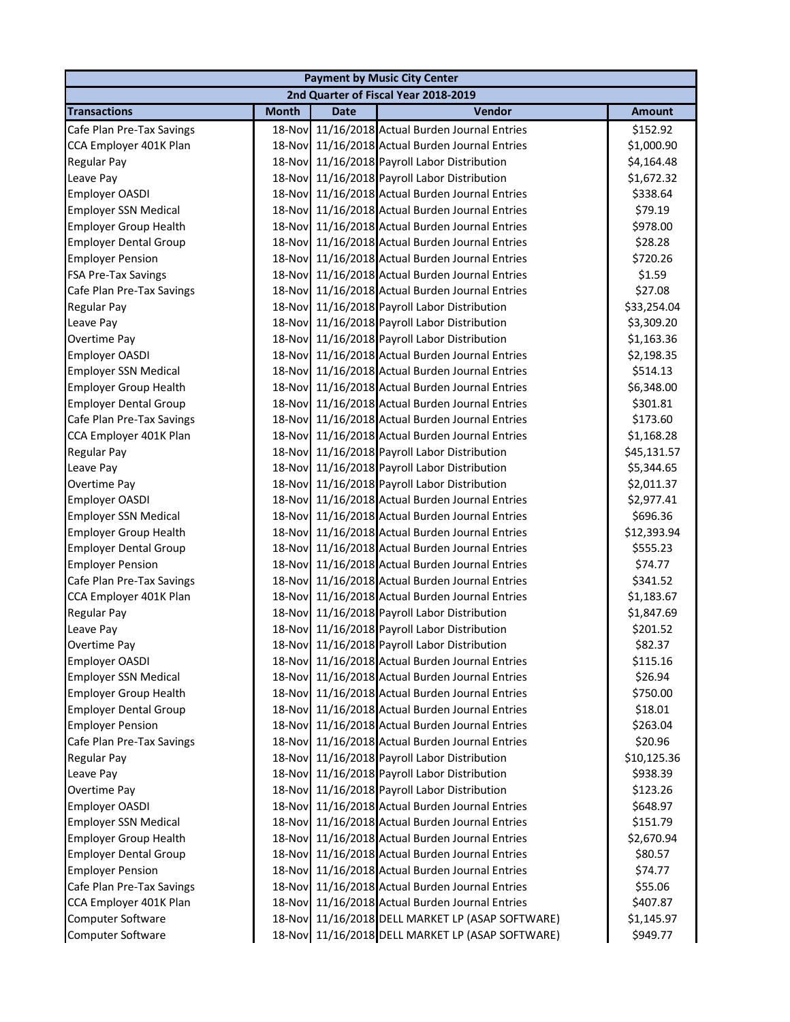|                              |              |             | <b>Payment by Music City Center</b>              |               |
|------------------------------|--------------|-------------|--------------------------------------------------|---------------|
|                              |              |             | 2nd Quarter of Fiscal Year 2018-2019             |               |
| <b>Transactions</b>          | <b>Month</b> | <b>Date</b> | Vendor                                           | <b>Amount</b> |
| Cafe Plan Pre-Tax Savings    |              |             | 18-Nov 11/16/2018 Actual Burden Journal Entries  | \$152.92      |
| CCA Employer 401K Plan       |              |             | 18-Nov 11/16/2018 Actual Burden Journal Entries  | \$1,000.90    |
| Regular Pay                  |              |             | 18-Nov 11/16/2018 Payroll Labor Distribution     | \$4,164.48    |
| Leave Pay                    |              |             | 18-Nov 11/16/2018 Payroll Labor Distribution     | \$1,672.32    |
| Employer OASDI               |              |             | 18-Nov 11/16/2018 Actual Burden Journal Entries  | \$338.64      |
| <b>Employer SSN Medical</b>  |              |             | 18-Nov 11/16/2018 Actual Burden Journal Entries  | \$79.19       |
| <b>Employer Group Health</b> |              |             | 18-Nov 11/16/2018 Actual Burden Journal Entries  | \$978.00      |
| <b>Employer Dental Group</b> |              |             | 18-Nov 11/16/2018 Actual Burden Journal Entries  | \$28.28       |
| <b>Employer Pension</b>      | 18-Nov       |             | 11/16/2018 Actual Burden Journal Entries         | \$720.26      |
| FSA Pre-Tax Savings          | 18-Nov       |             | 11/16/2018 Actual Burden Journal Entries         | \$1.59        |
| Cafe Plan Pre-Tax Savings    | 18-Nov       |             | 11/16/2018 Actual Burden Journal Entries         | \$27.08       |
| Regular Pay                  |              |             | 18-Nov 11/16/2018 Payroll Labor Distribution     | \$33,254.04   |
| Leave Pay                    |              |             | 18-Nov 11/16/2018 Payroll Labor Distribution     | \$3,309.20    |
| Overtime Pay                 |              |             | 18-Nov 11/16/2018 Payroll Labor Distribution     | \$1,163.36    |
| Employer OASDI               |              |             | 18-Nov 11/16/2018 Actual Burden Journal Entries  | \$2,198.35    |
| <b>Employer SSN Medical</b>  |              |             | 18-Nov 11/16/2018 Actual Burden Journal Entries  | \$514.13      |
| <b>Employer Group Health</b> |              |             | 18-Nov 11/16/2018 Actual Burden Journal Entries  | \$6,348.00    |
| <b>Employer Dental Group</b> |              |             | 18-Nov 11/16/2018 Actual Burden Journal Entries  | \$301.81      |
| Cafe Plan Pre-Tax Savings    |              |             | 18-Nov 11/16/2018 Actual Burden Journal Entries  | \$173.60      |
| CCA Employer 401K Plan       |              |             | 18-Nov 11/16/2018 Actual Burden Journal Entries  | \$1,168.28    |
| Regular Pay                  |              |             | 18-Nov 11/16/2018 Payroll Labor Distribution     | \$45,131.57   |
| Leave Pay                    | 18-Nov       |             | 11/16/2018 Payroll Labor Distribution            | \$5,344.65    |
| Overtime Pay                 | 18-Nov       |             | 11/16/2018 Payroll Labor Distribution            | \$2,011.37    |
| Employer OASDI               |              |             | 18-Nov 11/16/2018 Actual Burden Journal Entries  | \$2,977.41    |
| <b>Employer SSN Medical</b>  |              |             | 18-Nov 11/16/2018 Actual Burden Journal Entries  | \$696.36      |
| <b>Employer Group Health</b> |              |             | 18-Nov 11/16/2018 Actual Burden Journal Entries  | \$12,393.94   |
| <b>Employer Dental Group</b> |              |             | 18-Nov 11/16/2018 Actual Burden Journal Entries  | \$555.23      |
| <b>Employer Pension</b>      |              |             | 18-Nov 11/16/2018 Actual Burden Journal Entries  | \$74.77       |
| Cafe Plan Pre-Tax Savings    |              |             | 18-Nov 11/16/2018 Actual Burden Journal Entries  | \$341.52      |
| CCA Employer 401K Plan       |              |             | 18-Nov 11/16/2018 Actual Burden Journal Entries  | \$1,183.67    |
| <b>Regular Pay</b>           |              |             | 18-Nov 11/16/2018 Payroll Labor Distribution     | \$1,847.69    |
| Leave Pay                    |              |             | 18-Nov 11/16/2018 Payroll Labor Distribution     | \$201.52      |
| Overtime Pay                 |              |             | 18-Nov 11/16/2018 Payroll Labor Distribution     | \$82.37       |
| Employer OASDI               |              |             | 18-Nov 11/16/2018 Actual Burden Journal Entries  | \$115.16      |
| <b>Employer SSN Medical</b>  | 18-Nov       |             | 11/16/2018 Actual Burden Journal Entries         | \$26.94       |
| <b>Employer Group Health</b> | 18-Nov       |             | 11/16/2018 Actual Burden Journal Entries         | \$750.00      |
| <b>Employer Dental Group</b> |              |             | 18-Nov 11/16/2018 Actual Burden Journal Entries  | \$18.01       |
| <b>Employer Pension</b>      |              |             | 18-Nov 11/16/2018 Actual Burden Journal Entries  | \$263.04      |
| Cafe Plan Pre-Tax Savings    |              |             | 18-Nov 11/16/2018 Actual Burden Journal Entries  | \$20.96       |
| <b>Regular Pay</b>           |              |             | 18-Nov 11/16/2018 Payroll Labor Distribution     | \$10,125.36   |
| Leave Pay                    |              |             | 18-Nov 11/16/2018 Payroll Labor Distribution     | \$938.39      |
| Overtime Pay                 |              |             | 18-Nov 11/16/2018 Payroll Labor Distribution     | \$123.26      |
| Employer OASDI               |              |             | 18-Nov 11/16/2018 Actual Burden Journal Entries  | \$648.97      |
| <b>Employer SSN Medical</b>  |              |             | 18-Nov 11/16/2018 Actual Burden Journal Entries  | \$151.79      |
| <b>Employer Group Health</b> |              |             | 18-Nov 11/16/2018 Actual Burden Journal Entries  | \$2,670.94    |
| <b>Employer Dental Group</b> | 18-Nov       |             | 11/16/2018 Actual Burden Journal Entries         | \$80.57       |
| <b>Employer Pension</b>      | 18-Nov       |             | 11/16/2018 Actual Burden Journal Entries         | \$74.77       |
| Cafe Plan Pre-Tax Savings    | 18-Nov       |             | 11/16/2018 Actual Burden Journal Entries         | \$55.06       |
| CCA Employer 401K Plan       | 18-Nov       |             | 11/16/2018 Actual Burden Journal Entries         | \$407.87      |
| Computer Software            |              |             | 18-Nov 11/16/2018 DELL MARKET LP (ASAP SOFTWARE) | \$1,145.97    |
| Computer Software            |              |             | 18-Nov 11/16/2018 DELL MARKET LP (ASAP SOFTWARE) | \$949.77      |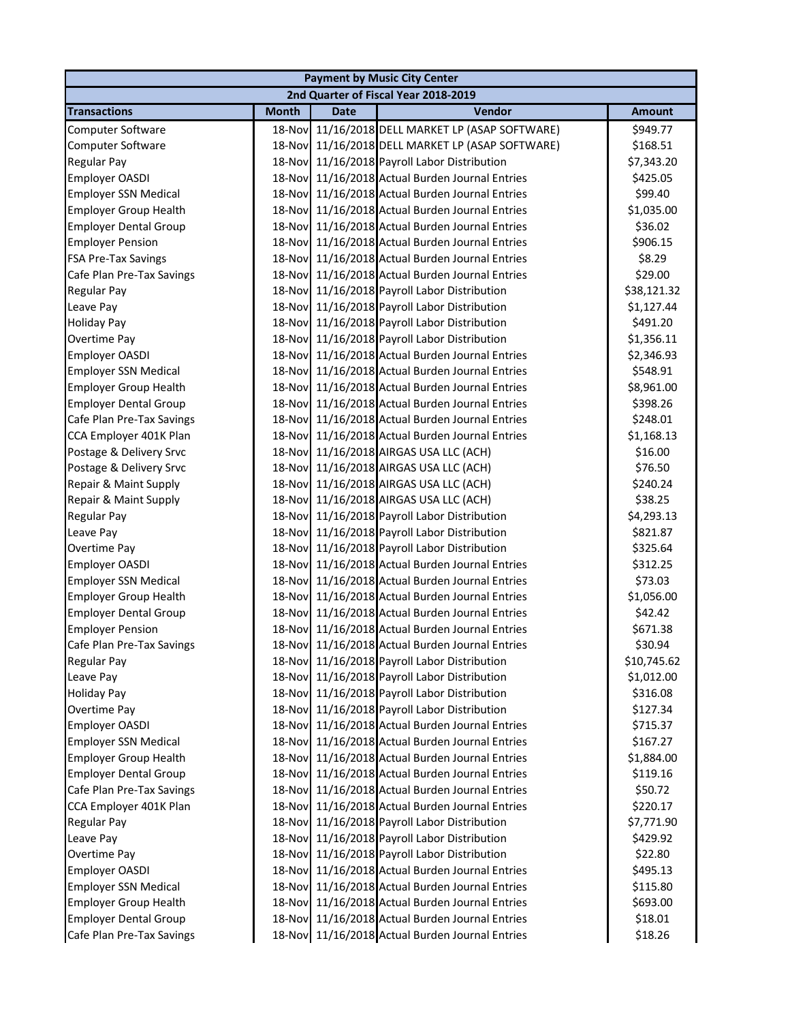| <b>Payment by Music City Center</b> |              |             |                                                  |               |  |  |
|-------------------------------------|--------------|-------------|--------------------------------------------------|---------------|--|--|
|                                     |              |             | 2nd Quarter of Fiscal Year 2018-2019             |               |  |  |
| <b>Transactions</b>                 | <b>Month</b> | <b>Date</b> | Vendor                                           | <b>Amount</b> |  |  |
| Computer Software                   | 18-Nov       |             | 11/16/2018 DELL MARKET LP (ASAP SOFTWARE)        | \$949.77      |  |  |
| Computer Software                   |              |             | 18-Nov 11/16/2018 DELL MARKET LP (ASAP SOFTWARE) | \$168.51      |  |  |
| Regular Pay                         |              |             | 18-Nov 11/16/2018 Payroll Labor Distribution     | \$7,343.20    |  |  |
| Employer OASDI                      |              |             | 18-Nov 11/16/2018 Actual Burden Journal Entries  | \$425.05      |  |  |
| <b>Employer SSN Medical</b>         |              |             | 18-Nov 11/16/2018 Actual Burden Journal Entries  | \$99.40       |  |  |
| <b>Employer Group Health</b>        |              |             | 18-Nov 11/16/2018 Actual Burden Journal Entries  | \$1,035.00    |  |  |
| <b>Employer Dental Group</b>        |              |             | 18-Nov 11/16/2018 Actual Burden Journal Entries  | \$36.02       |  |  |
| <b>Employer Pension</b>             |              |             | 18-Nov 11/16/2018 Actual Burden Journal Entries  | \$906.15      |  |  |
| <b>FSA Pre-Tax Savings</b>          | 18-Nov       |             | 11/16/2018 Actual Burden Journal Entries         | \$8.29        |  |  |
| Cafe Plan Pre-Tax Savings           | 18-Nov       |             | 11/16/2018 Actual Burden Journal Entries         | \$29.00       |  |  |
| Regular Pay                         | 18-Nov       |             | 11/16/2018 Payroll Labor Distribution            | \$38,121.32   |  |  |
| Leave Pay                           |              |             | 18-Nov 11/16/2018 Payroll Labor Distribution     | \$1,127.44    |  |  |
| <b>Holiday Pay</b>                  |              |             | 18-Nov 11/16/2018 Payroll Labor Distribution     | \$491.20      |  |  |
| Overtime Pay                        |              |             | 18-Nov 11/16/2018 Payroll Labor Distribution     | \$1,356.11    |  |  |
| Employer OASDI                      |              |             | 18-Nov 11/16/2018 Actual Burden Journal Entries  | \$2,346.93    |  |  |
| <b>Employer SSN Medical</b>         |              |             | 18-Nov 11/16/2018 Actual Burden Journal Entries  | \$548.91      |  |  |
| <b>Employer Group Health</b>        |              |             | 18-Nov 11/16/2018 Actual Burden Journal Entries  | \$8,961.00    |  |  |
| <b>Employer Dental Group</b>        |              |             | 18-Nov 11/16/2018 Actual Burden Journal Entries  | \$398.26      |  |  |
| Cafe Plan Pre-Tax Savings           |              |             | 18-Nov 11/16/2018 Actual Burden Journal Entries  | \$248.01      |  |  |
| CCA Employer 401K Plan              | 18-Nov       |             | 11/16/2018 Actual Burden Journal Entries         | \$1,168.13    |  |  |
| Postage & Delivery Srvc             | 18-Nov       |             | 11/16/2018 AIRGAS USA LLC (ACH)                  | \$16.00       |  |  |
| Postage & Delivery Srvc             | 18-Nov       |             | 11/16/2018 AIRGAS USA LLC (ACH)                  | \$76.50       |  |  |
| Repair & Maint Supply               | 18-Nov       |             | 11/16/2018 AIRGAS USA LLC (ACH)                  | \$240.24      |  |  |
| Repair & Maint Supply               | 18-Nov       |             | 11/16/2018 AIRGAS USA LLC (ACH)                  | \$38.25       |  |  |
| Regular Pay                         | 18-Nov       |             | 11/16/2018 Payroll Labor Distribution            | \$4,293.13    |  |  |
| Leave Pay                           |              |             | 18-Nov 11/16/2018 Payroll Labor Distribution     | \$821.87      |  |  |
| Overtime Pay                        |              |             | 18-Nov 11/16/2018 Payroll Labor Distribution     | \$325.64      |  |  |
| Employer OASDI                      |              |             | 18-Nov 11/16/2018 Actual Burden Journal Entries  | \$312.25      |  |  |
| <b>Employer SSN Medical</b>         |              |             | 18-Nov 11/16/2018 Actual Burden Journal Entries  | \$73.03       |  |  |
| <b>Employer Group Health</b>        |              |             | 18-Nov 11/16/2018 Actual Burden Journal Entries  | \$1,056.00    |  |  |
| <b>Employer Dental Group</b>        |              |             | 18-Nov 11/16/2018 Actual Burden Journal Entries  | \$42.42       |  |  |
| <b>Employer Pension</b>             |              |             | 18-Nov 11/16/2018 Actual Burden Journal Entries  | \$671.38      |  |  |
| Cafe Plan Pre-Tax Savings           |              |             | 18-Nov 11/16/2018 Actual Burden Journal Entries  | \$30.94       |  |  |
| Regular Pay                         | 18-Nov       |             | 11/16/2018 Payroll Labor Distribution            | \$10,745.62   |  |  |
| Leave Pay                           | 18-Nov       |             | 11/16/2018 Payroll Labor Distribution            | \$1,012.00    |  |  |
| <b>Holiday Pay</b>                  | 18-Nov       |             | 11/16/2018 Payroll Labor Distribution            | \$316.08      |  |  |
| Overtime Pay                        | 18-Nov       |             | 11/16/2018 Payroll Labor Distribution            | \$127.34      |  |  |
| Employer OASDI                      | 18-Nov       |             | 11/16/2018 Actual Burden Journal Entries         | \$715.37      |  |  |
| <b>Employer SSN Medical</b>         | 18-Nov       |             | 11/16/2018 Actual Burden Journal Entries         | \$167.27      |  |  |
| <b>Employer Group Health</b>        |              |             | 18-Nov 11/16/2018 Actual Burden Journal Entries  | \$1,884.00    |  |  |
| <b>Employer Dental Group</b>        |              |             | 18-Nov 11/16/2018 Actual Burden Journal Entries  | \$119.16      |  |  |
| Cafe Plan Pre-Tax Savings           |              |             | 18-Nov 11/16/2018 Actual Burden Journal Entries  | \$50.72       |  |  |
| CCA Employer 401K Plan              |              |             | 18-Nov 11/16/2018 Actual Burden Journal Entries  | \$220.17      |  |  |
| <b>Regular Pay</b>                  |              |             | 18-Nov 11/16/2018 Payroll Labor Distribution     | \$7,771.90    |  |  |
| Leave Pay                           | 18-Nov       |             | 11/16/2018 Payroll Labor Distribution            | \$429.92      |  |  |
| Overtime Pay                        | 18-Nov       |             | 11/16/2018 Payroll Labor Distribution            | \$22.80       |  |  |
| Employer OASDI                      | 18-Nov       |             | 11/16/2018 Actual Burden Journal Entries         | \$495.13      |  |  |
| <b>Employer SSN Medical</b>         | 18-Nov       |             | 11/16/2018 Actual Burden Journal Entries         | \$115.80      |  |  |
| <b>Employer Group Health</b>        | 18-Nov       |             | 11/16/2018 Actual Burden Journal Entries         | \$693.00      |  |  |
| <b>Employer Dental Group</b>        |              |             | 18-Nov 11/16/2018 Actual Burden Journal Entries  | \$18.01       |  |  |
| Cafe Plan Pre-Tax Savings           |              |             | 18-Nov 11/16/2018 Actual Burden Journal Entries  | \$18.26       |  |  |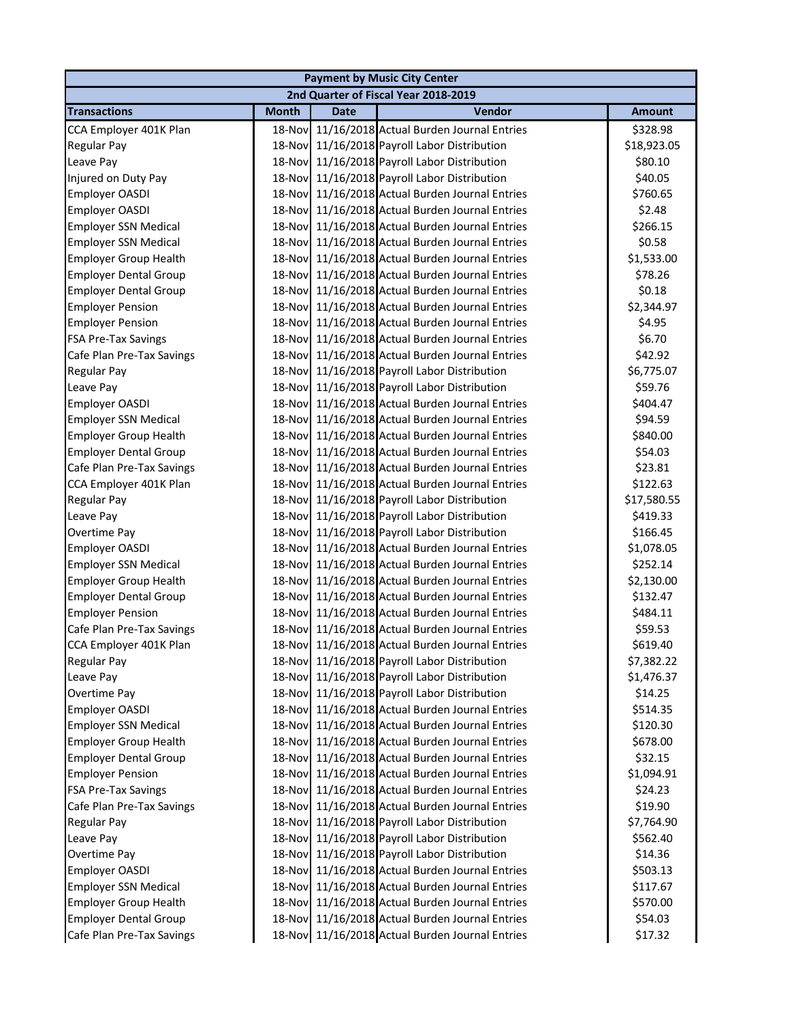|                                                             |              |             | <b>Payment by Music City Center</b>             |                     |
|-------------------------------------------------------------|--------------|-------------|-------------------------------------------------|---------------------|
|                                                             |              |             | 2nd Quarter of Fiscal Year 2018-2019            |                     |
| <b>Transactions</b>                                         | <b>Month</b> | <b>Date</b> | Vendor                                          | <b>Amount</b>       |
| CCA Employer 401K Plan                                      |              |             | 18-Nov 11/16/2018 Actual Burden Journal Entries | \$328.98            |
| <b>Regular Pay</b>                                          |              |             | 18-Nov 11/16/2018 Payroll Labor Distribution    | \$18,923.05         |
| Leave Pay                                                   |              |             | 18-Nov 11/16/2018 Payroll Labor Distribution    | \$80.10             |
| Injured on Duty Pay                                         |              |             | 18-Nov 11/16/2018 Payroll Labor Distribution    | \$40.05             |
| Employer OASDI                                              |              |             | 18-Nov 11/16/2018 Actual Burden Journal Entries | \$760.65            |
| <b>Employer OASDI</b>                                       |              |             | 18-Nov 11/16/2018 Actual Burden Journal Entries | \$2.48              |
| <b>Employer SSN Medical</b>                                 | 18-Nov       |             | 11/16/2018 Actual Burden Journal Entries        | \$266.15            |
| <b>Employer SSN Medical</b>                                 | 18-Nov       |             | 11/16/2018 Actual Burden Journal Entries        | \$0.58              |
| <b>Employer Group Health</b>                                | 18-Nov       |             | 11/16/2018 Actual Burden Journal Entries        | \$1,533.00          |
| <b>Employer Dental Group</b>                                | 18-Nov       |             | 11/16/2018 Actual Burden Journal Entries        | \$78.26             |
| <b>Employer Dental Group</b>                                | 18-Nov       |             | 11/16/2018 Actual Burden Journal Entries        | \$0.18              |
| <b>Employer Pension</b>                                     | 18-Nov       |             | 11/16/2018 Actual Burden Journal Entries        | \$2,344.97          |
| <b>Employer Pension</b>                                     |              |             | 18-Nov 11/16/2018 Actual Burden Journal Entries | \$4.95              |
| <b>FSA Pre-Tax Savings</b>                                  |              |             | 18-Nov 11/16/2018 Actual Burden Journal Entries | \$6.70              |
| Cafe Plan Pre-Tax Savings                                   |              |             | 18-Nov 11/16/2018 Actual Burden Journal Entries | \$42.92             |
| <b>Regular Pay</b>                                          |              |             | 18-Nov 11/16/2018 Payroll Labor Distribution    | \$6,775.07          |
| Leave Pay                                                   |              |             | 18-Nov 11/16/2018 Payroll Labor Distribution    | \$59.76             |
| Employer OASDI                                              |              |             | 18-Nov 11/16/2018 Actual Burden Journal Entries | \$404.47            |
| <b>Employer SSN Medical</b>                                 | 18-Nov       |             | 11/16/2018 Actual Burden Journal Entries        | \$94.59             |
| <b>Employer Group Health</b>                                | 18-Nov       |             | 11/16/2018 Actual Burden Journal Entries        | \$840.00            |
| <b>Employer Dental Group</b>                                | 18-Nov       |             | 11/16/2018 Actual Burden Journal Entries        | \$54.03             |
| Cafe Plan Pre-Tax Savings                                   | 18-Nov       |             | 11/16/2018 Actual Burden Journal Entries        | \$23.81             |
| CCA Employer 401K Plan                                      | 18-Nov       |             | 11/16/2018 Actual Burden Journal Entries        | \$122.63            |
| <b>Regular Pay</b>                                          |              |             | 18-Nov 11/16/2018 Payroll Labor Distribution    | \$17,580.55         |
| Leave Pay                                                   |              |             | 18-Nov 11/16/2018 Payroll Labor Distribution    | \$419.33            |
| Overtime Pay                                                |              |             | 18-Nov 11/16/2018 Payroll Labor Distribution    | \$166.45            |
| <b>Employer OASDI</b>                                       |              |             | 18-Nov 11/16/2018 Actual Burden Journal Entries | \$1,078.05          |
| <b>Employer SSN Medical</b>                                 |              |             | 18-Nov 11/16/2018 Actual Burden Journal Entries | \$252.14            |
| <b>Employer Group Health</b>                                |              |             | 18-Nov 11/16/2018 Actual Burden Journal Entries | \$2,130.00          |
| <b>Employer Dental Group</b>                                |              |             | 18-Nov 11/16/2018 Actual Burden Journal Entries | \$132.47            |
| <b>Employer Pension</b>                                     |              |             | 18-Nov 11/16/2018 Actual Burden Journal Entries | \$484.11            |
| Cafe Plan Pre-Tax Savings                                   |              |             | 18-Nov 11/16/2018 Actual Burden Journal Entries | \$59.53             |
| CCA Employer 401K Plan                                      |              |             | 18-Nov 11/16/2018 Actual Burden Journal Entries | \$619.40            |
| <b>Regular Pay</b>                                          | 18-Nov       |             | 11/16/2018 Payroll Labor Distribution           | \$7,382.22          |
| Leave Pay                                                   | 18-Nov       |             | 11/16/2018 Payroll Labor Distribution           | \$1,476.37          |
| Overtime Pay                                                | 18-Nov       |             | 11/16/2018 Payroll Labor Distribution           | \$14.25             |
| <b>Employer OASDI</b>                                       | 18-Nov       |             | 11/16/2018 Actual Burden Journal Entries        | \$514.35            |
| <b>Employer SSN Medical</b>                                 | 18-Nov       |             | 11/16/2018 Actual Burden Journal Entries        | \$120.30            |
| <b>Employer Group Health</b>                                | 18-Nov       |             | 11/16/2018 Actual Burden Journal Entries        | \$678.00            |
| <b>Employer Dental Group</b>                                |              |             | 18-Nov 11/16/2018 Actual Burden Journal Entries | \$32.15             |
| <b>Employer Pension</b>                                     | 18-Nov       |             | 11/16/2018 Actual Burden Journal Entries        | \$1,094.91          |
| <b>FSA Pre-Tax Savings</b>                                  |              |             | 18-Nov 11/16/2018 Actual Burden Journal Entries | \$24.23             |
| Cafe Plan Pre-Tax Savings                                   |              |             | 18-Nov 11/16/2018 Actual Burden Journal Entries | \$19.90             |
| <b>Regular Pay</b>                                          | 18-Nov       |             | 11/16/2018 Payroll Labor Distribution           | \$7,764.90          |
|                                                             | 18-Nov       |             | 11/16/2018 Payroll Labor Distribution           |                     |
| Leave Pay<br>Overtime Pay                                   | 18-Nov       |             | 11/16/2018 Payroll Labor Distribution           | \$562.40<br>\$14.36 |
| Employer OASDI                                              | 18-Nov       |             | 11/16/2018 Actual Burden Journal Entries        | \$503.13            |
|                                                             | 18-Nov       |             | 11/16/2018 Actual Burden Journal Entries        | \$117.67            |
| <b>Employer SSN Medical</b><br><b>Employer Group Health</b> | 18-Nov       |             | 11/16/2018 Actual Burden Journal Entries        | \$570.00            |
| <b>Employer Dental Group</b>                                |              |             | 18-Nov 11/16/2018 Actual Burden Journal Entries | \$54.03             |
| Cafe Plan Pre-Tax Savings                                   |              |             |                                                 | \$17.32             |
|                                                             |              |             | 18-Nov 11/16/2018 Actual Burden Journal Entries |                     |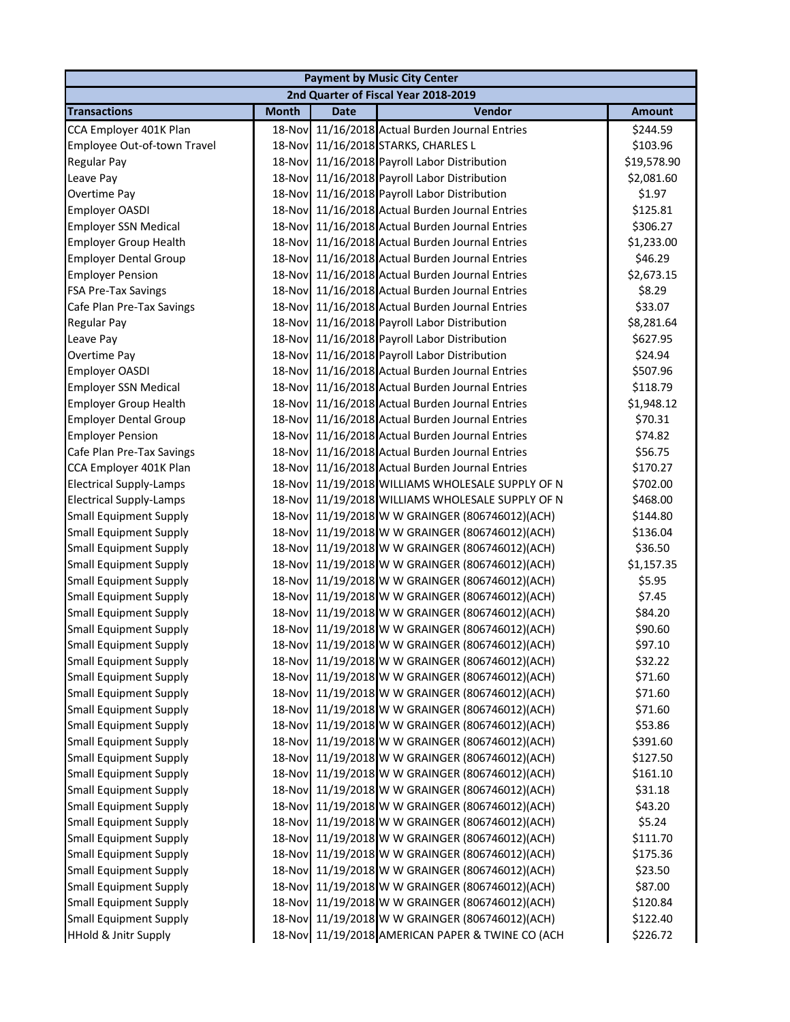|                                 |              |             | <b>Payment by Music City Center</b>              |               |
|---------------------------------|--------------|-------------|--------------------------------------------------|---------------|
|                                 |              |             | 2nd Quarter of Fiscal Year 2018-2019             |               |
| <b>Transactions</b>             | <b>Month</b> | <b>Date</b> | Vendor                                           | <b>Amount</b> |
| CCA Employer 401K Plan          | 18-Nov       |             | 11/16/2018 Actual Burden Journal Entries         | \$244.59      |
| Employee Out-of-town Travel     |              |             | 18-Nov 11/16/2018 STARKS, CHARLES L              | \$103.96      |
| Regular Pay                     |              |             | 18-Nov 11/16/2018 Payroll Labor Distribution     | \$19,578.90   |
| Leave Pay                       |              |             | 18-Nov 11/16/2018 Payroll Labor Distribution     | \$2,081.60    |
| Overtime Pay                    |              |             | 18-Nov 11/16/2018 Payroll Labor Distribution     | \$1.97        |
| Employer OASDI                  |              |             | 18-Nov 11/16/2018 Actual Burden Journal Entries  | \$125.81      |
| <b>Employer SSN Medical</b>     |              |             | 18-Nov 11/16/2018 Actual Burden Journal Entries  | \$306.27      |
| <b>Employer Group Health</b>    |              |             | 18-Nov 11/16/2018 Actual Burden Journal Entries  | \$1,233.00    |
| <b>Employer Dental Group</b>    | 18-Nov       |             | 11/16/2018 Actual Burden Journal Entries         | \$46.29       |
| <b>Employer Pension</b>         | 18-Nov       |             | 11/16/2018 Actual Burden Journal Entries         | \$2,673.15    |
| <b>FSA Pre-Tax Savings</b>      | 18-Nov       |             | 11/16/2018 Actual Burden Journal Entries         | \$8.29        |
| Cafe Plan Pre-Tax Savings       |              |             | 18-Nov 11/16/2018 Actual Burden Journal Entries  | \$33.07       |
| <b>Regular Pay</b>              |              |             | 18-Nov 11/16/2018 Payroll Labor Distribution     | \$8,281.64    |
| Leave Pay                       |              |             | 18-Nov 11/16/2018 Payroll Labor Distribution     | \$627.95      |
| Overtime Pay                    |              |             | 18-Nov 11/16/2018 Payroll Labor Distribution     | \$24.94       |
| Employer OASDI                  |              |             | 18-Nov 11/16/2018 Actual Burden Journal Entries  | \$507.96      |
| <b>Employer SSN Medical</b>     |              |             | 18-Nov 11/16/2018 Actual Burden Journal Entries  | \$118.79      |
| <b>Employer Group Health</b>    |              |             | 18-Nov 11/16/2018 Actual Burden Journal Entries  | \$1,948.12    |
| <b>Employer Dental Group</b>    |              |             | 18-Nov 11/16/2018 Actual Burden Journal Entries  | \$70.31       |
| <b>Employer Pension</b>         |              |             | 18-Nov 11/16/2018 Actual Burden Journal Entries  | \$74.82       |
| Cafe Plan Pre-Tax Savings       | 18-Nov       |             | 11/16/2018 Actual Burden Journal Entries         | \$56.75       |
| CCA Employer 401K Plan          | 18-Nov       |             | 11/16/2018 Actual Burden Journal Entries         | \$170.27      |
| <b>Electrical Supply-Lamps</b>  | 18-Nov       |             | 11/19/2018 WILLIAMS WHOLESALE SUPPLY OF N        | \$702.00      |
| <b>Electrical Supply-Lamps</b>  | 18-Nov       |             | 11/19/2018 WILLIAMS WHOLESALE SUPPLY OF N        | \$468.00      |
| <b>Small Equipment Supply</b>   |              |             | 18-Nov 11/19/2018 W W GRAINGER (806746012)(ACH)  | \$144.80      |
| <b>Small Equipment Supply</b>   |              |             | 18-Nov 11/19/2018 W W GRAINGER (806746012)(ACH)  | \$136.04      |
| <b>Small Equipment Supply</b>   |              |             | 18-Nov 11/19/2018 W W GRAINGER (806746012)(ACH)  | \$36.50       |
| <b>Small Equipment Supply</b>   |              |             | 18-Nov 11/19/2018 W W GRAINGER (806746012)(ACH)  | \$1,157.35    |
| <b>Small Equipment Supply</b>   |              |             | 18-Nov 11/19/2018 W W GRAINGER (806746012)(ACH)  | \$5.95        |
| <b>Small Equipment Supply</b>   |              |             | 18-Nov 11/19/2018 W W GRAINGER (806746012)(ACH)  | \$7.45        |
| <b>Small Equipment Supply</b>   |              |             | 18-Nov 11/19/2018 W W GRAINGER (806746012)(ACH)  | \$84.20       |
| <b>Small Equipment Supply</b>   |              |             | 18-Nov 11/19/2018 W W GRAINGER (806746012)(ACH)  | \$90.60       |
| <b>Small Equipment Supply</b>   |              |             | 18-Nov 11/19/2018 W W GRAINGER (806746012)(ACH)  | \$97.10       |
| <b>Small Equipment Supply</b>   | 18-Nov       |             | 11/19/2018 W W GRAINGER (806746012)(ACH)         | \$32.22       |
| <b>Small Equipment Supply</b>   | 18-Nov       |             | 11/19/2018 W W GRAINGER (806746012)(ACH)         | \$71.60       |
| <b>Small Equipment Supply</b>   | 18-Nov       |             | 11/19/2018 W W GRAINGER (806746012)(ACH)         | \$71.60       |
| <b>Small Equipment Supply</b>   | 18-Nov       |             | 11/19/2018 W W GRAINGER (806746012)(ACH)         | \$71.60       |
| <b>Small Equipment Supply</b>   | 18-Nov       |             | 11/19/2018 W W GRAINGER (806746012)(ACH)         | \$53.86       |
| <b>Small Equipment Supply</b>   |              |             | 18-Nov 11/19/2018 W W GRAINGER (806746012)(ACH)  | \$391.60      |
| <b>Small Equipment Supply</b>   |              |             | 18-Nov 11/19/2018 W W GRAINGER (806746012)(ACH)  | \$127.50      |
| <b>Small Equipment Supply</b>   |              |             | 18-Nov 11/19/2018 W W GRAINGER (806746012)(ACH)  | \$161.10      |
| <b>Small Equipment Supply</b>   |              |             | 18-Nov 11/19/2018 W W GRAINGER (806746012)(ACH)  | \$31.18       |
| <b>Small Equipment Supply</b>   |              |             | 18-Nov 11/19/2018 W W GRAINGER (806746012)(ACH)  | \$43.20       |
| <b>Small Equipment Supply</b>   |              |             | 18-Nov 11/19/2018 W W GRAINGER (806746012)(ACH)  | \$5.24        |
| <b>Small Equipment Supply</b>   | 18-Nov       |             | 11/19/2018 W W GRAINGER (806746012)(ACH)         | \$111.70      |
| <b>Small Equipment Supply</b>   | 18-Nov       |             | 11/19/2018 W W GRAINGER (806746012)(ACH)         | \$175.36      |
| <b>Small Equipment Supply</b>   | 18-Nov       |             | 11/19/2018 W W GRAINGER (806746012)(ACH)         | \$23.50       |
| <b>Small Equipment Supply</b>   | 18-Nov       |             | 11/19/2018 W W GRAINGER (806746012)(ACH)         | \$87.00       |
| <b>Small Equipment Supply</b>   | 18-Nov       |             | 11/19/2018 W W GRAINGER (806746012)(ACH)         | \$120.84      |
| <b>Small Equipment Supply</b>   |              |             | 18-Nov 11/19/2018 W W GRAINGER (806746012)(ACH)  | \$122.40      |
| <b>HHold &amp; Jnitr Supply</b> |              |             | 18-Nov 11/19/2018 AMERICAN PAPER & TWINE CO (ACH | \$226.72      |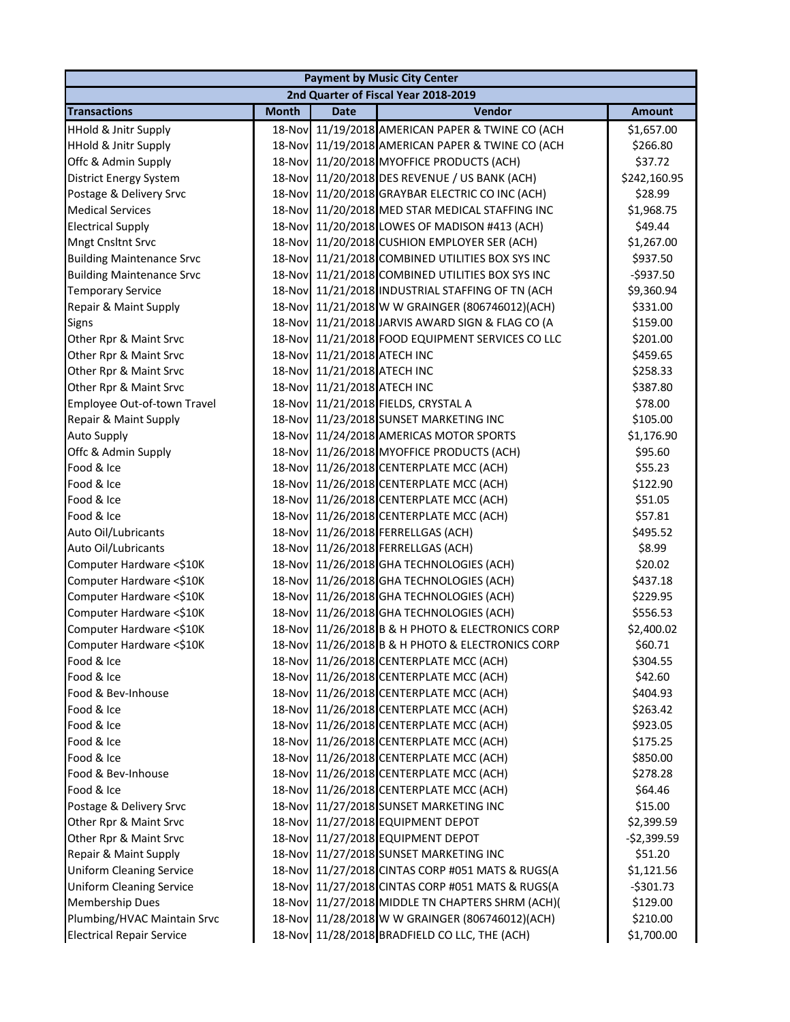|                                  |              |                             | <b>Payment by Music City Center</b>              |               |
|----------------------------------|--------------|-----------------------------|--------------------------------------------------|---------------|
|                                  |              |                             | 2nd Quarter of Fiscal Year 2018-2019             |               |
| <b>Transactions</b>              | <b>Month</b> | <b>Date</b>                 | Vendor                                           | <b>Amount</b> |
| <b>HHold &amp; Jnitr Supply</b>  |              |                             | 18-Nov 11/19/2018 AMERICAN PAPER & TWINE CO (ACH | \$1,657.00    |
| <b>HHold &amp; Jnitr Supply</b>  |              |                             | 18-Nov 11/19/2018 AMERICAN PAPER & TWINE CO (ACH | \$266.80      |
| Offc & Admin Supply              |              |                             | 18-Nov 11/20/2018 MYOFFICE PRODUCTS (ACH)        | \$37.72       |
| <b>District Energy System</b>    |              |                             | 18-Nov 11/20/2018 DES REVENUE / US BANK (ACH)    | \$242,160.95  |
| Postage & Delivery Srvc          |              |                             | 18-Nov 11/20/2018 GRAYBAR ELECTRIC CO INC (ACH)  | \$28.99       |
| <b>Medical Services</b>          |              |                             | 18-Nov 11/20/2018 MED STAR MEDICAL STAFFING INC  | \$1,968.75    |
| <b>Electrical Supply</b>         |              |                             | 18-Nov 11/20/2018 LOWES OF MADISON #413 (ACH)    | \$49.44       |
| <b>Mngt Cnsltnt Srvc</b>         |              |                             | 18-Nov 11/20/2018 CUSHION EMPLOYER SER (ACH)     | \$1,267.00    |
| <b>Building Maintenance Srvc</b> | 18-Nov       |                             | 11/21/2018 COMBINED UTILITIES BOX SYS INC        | \$937.50      |
| <b>Building Maintenance Srvc</b> | 18-Nov       |                             | 11/21/2018 COMBINED UTILITIES BOX SYS INC        | $-5937.50$    |
| <b>Temporary Service</b>         | 18-Nov       |                             | 11/21/2018 INDUSTRIAL STAFFING OF TN (ACH        | \$9,360.94    |
| Repair & Maint Supply            |              |                             | 18-Nov 11/21/2018 W W GRAINGER (806746012)(ACH)  | \$331.00      |
| <b>Signs</b>                     |              |                             | 18-Nov 11/21/2018 JARVIS AWARD SIGN & FLAG CO (A | \$159.00      |
| Other Rpr & Maint Srvc           |              |                             | 18-Nov 11/21/2018 FOOD EQUIPMENT SERVICES CO LLC | \$201.00      |
| Other Rpr & Maint Srvc           |              | 18-Nov 11/21/2018 ATECH INC |                                                  | \$459.65      |
| Other Rpr & Maint Srvc           |              | 18-Nov 11/21/2018 ATECH INC |                                                  | \$258.33      |
| Other Rpr & Maint Srvc           |              | 18-Nov 11/21/2018 ATECH INC |                                                  | \$387.80      |
| Employee Out-of-town Travel      |              |                             | 18-Nov 11/21/2018 FIELDS, CRYSTAL A              | \$78.00       |
| Repair & Maint Supply            |              |                             | 18-Nov 11/23/2018 SUNSET MARKETING INC           | \$105.00      |
| <b>Auto Supply</b>               | 18-Nov       |                             | 11/24/2018 AMERICAS MOTOR SPORTS                 | \$1,176.90    |
| Offc & Admin Supply              | 18-Nov       |                             | 11/26/2018 MYOFFICE PRODUCTS (ACH)               | \$95.60       |
| Food & Ice                       | 18-Nov       |                             | 11/26/2018 CENTERPLATE MCC (ACH)                 | \$55.23       |
| Food & Ice                       | 18-Nov       |                             | 11/26/2018 CENTERPLATE MCC (ACH)                 | \$122.90      |
| Food & Ice                       |              |                             | 18-Nov 11/26/2018 CENTERPLATE MCC (ACH)          | \$51.05       |
| Food & Ice                       |              |                             | 18-Nov 11/26/2018 CENTERPLATE MCC (ACH)          | \$57.81       |
| Auto Oil/Lubricants              |              |                             | 18-Nov 11/26/2018 FERRELLGAS (ACH)               | \$495.52      |
| Auto Oil/Lubricants              |              |                             | 18-Nov 11/26/2018 FERRELLGAS (ACH)               | \$8.99        |
| Computer Hardware <\$10K         |              |                             | 18-Nov 11/26/2018 GHA TECHNOLOGIES (ACH)         | \$20.02       |
| Computer Hardware <\$10K         |              |                             | 18-Nov 11/26/2018 GHA TECHNOLOGIES (ACH)         | \$437.18      |
| Computer Hardware <\$10K         |              |                             | 18-Nov 11/26/2018 GHA TECHNOLOGIES (ACH)         | \$229.95      |
| Computer Hardware <\$10K         |              |                             | 18-Nov 11/26/2018 GHA TECHNOLOGIES (ACH)         | \$556.53      |
| Computer Hardware <\$10K         |              |                             | 18-Nov 11/26/2018 B & H PHOTO & ELECTRONICS CORP | \$2,400.02    |
| Computer Hardware <\$10K         |              |                             | 18-Nov 11/26/2018 B & H PHOTO & ELECTRONICS CORP | \$60.71       |
| Food & Ice                       |              |                             | 18-Nov 11/26/2018 CENTERPLATE MCC (ACH)          | \$304.55      |
| Food & Ice                       | 18-Nov       |                             | 11/26/2018 CENTERPLATE MCC (ACH)                 | \$42.60       |
| Food & Bev-Inhouse               | 18-Nov       |                             | 11/26/2018 CENTERPLATE MCC (ACH)                 | \$404.93      |
| Food & Ice                       |              |                             | 18-Nov 11/26/2018 CENTERPLATE MCC (ACH)          | \$263.42      |
| Food & Ice                       |              |                             | 18-Nov 11/26/2018 CENTERPLATE MCC (ACH)          | \$923.05      |
| Food & Ice                       |              |                             | 18-Nov 11/26/2018 CENTERPLATE MCC (ACH)          | \$175.25      |
| Food & Ice                       |              |                             | 18-Nov 11/26/2018 CENTERPLATE MCC (ACH)          | \$850.00      |
| Food & Bev-Inhouse               |              |                             | 18-Nov 11/26/2018 CENTERPLATE MCC (ACH)          | \$278.28      |
| Food & Ice                       |              |                             | 18-Nov 11/26/2018 CENTERPLATE MCC (ACH)          | \$64.46       |
| Postage & Delivery Srvc          |              |                             | 18-Nov 11/27/2018 SUNSET MARKETING INC           | \$15.00       |
| Other Rpr & Maint Srvc           |              |                             | 18-Nov 11/27/2018 EQUIPMENT DEPOT                | \$2,399.59    |
| Other Rpr & Maint Srvc           |              |                             | 18-Nov 11/27/2018 EQUIPMENT DEPOT                | $-$2,399.59$  |
| Repair & Maint Supply            |              |                             | 18-Nov 11/27/2018 SUNSET MARKETING INC           | \$51.20       |
| <b>Uniform Cleaning Service</b>  | 18-Nov       |                             | 11/27/2018 CINTAS CORP #051 MATS & RUGS(A        | \$1,121.56    |
| <b>Uniform Cleaning Service</b>  | 18-Nov       |                             | 11/27/2018 CINTAS CORP #051 MATS & RUGS(A        | $-5301.73$    |
| <b>Membership Dues</b>           |              |                             | 18-Nov 11/27/2018 MIDDLE TN CHAPTERS SHRM (ACH)( | \$129.00      |
| Plumbing/HVAC Maintain Srvc      |              |                             | 18-Nov 11/28/2018 W W GRAINGER (806746012)(ACH)  | \$210.00      |
| <b>Electrical Repair Service</b> |              |                             | 18-Nov 11/28/2018 BRADFIELD CO LLC, THE (ACH)    | \$1,700.00    |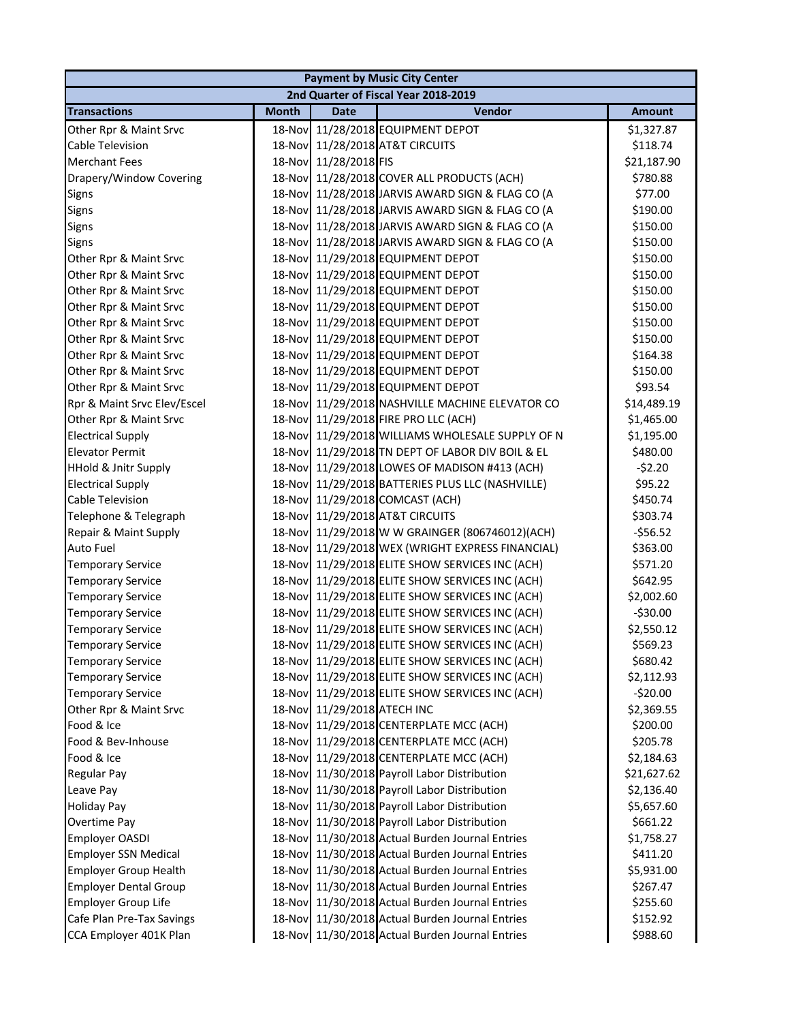|                              |              |                       | <b>Payment by Music City Center</b>              |               |
|------------------------------|--------------|-----------------------|--------------------------------------------------|---------------|
|                              |              |                       | 2nd Quarter of Fiscal Year 2018-2019             |               |
| <b>Transactions</b>          | <b>Month</b> | Date                  | Vendor                                           | <b>Amount</b> |
| Other Rpr & Maint Srvc       | 18-Nov       |                       | 11/28/2018 EQUIPMENT DEPOT                       | \$1,327.87    |
| Cable Television             |              |                       | 18-Nov 11/28/2018 AT&T CIRCUITS                  | \$118.74      |
| <b>Merchant Fees</b>         |              | 18-Nov 11/28/2018 FIS |                                                  | \$21,187.90   |
| Drapery/Window Covering      |              |                       | 18-Nov 11/28/2018 COVER ALL PRODUCTS (ACH)       | \$780.88      |
| Signs                        |              |                       | 18-Nov 11/28/2018 JARVIS AWARD SIGN & FLAG CO (A | \$77.00       |
| Signs                        |              |                       | 18-Nov 11/28/2018 JARVIS AWARD SIGN & FLAG CO (A | \$190.00      |
| Signs                        |              |                       | 18-Nov 11/28/2018 JARVIS AWARD SIGN & FLAG CO (A | \$150.00      |
| Signs                        | 18-Nov       |                       | 11/28/2018 JARVIS AWARD SIGN & FLAG CO (A        | \$150.00      |
| Other Rpr & Maint Srvc       | 18-Nov       |                       | 11/29/2018 EQUIPMENT DEPOT                       | \$150.00      |
| Other Rpr & Maint Srvc       | 18-Nov       |                       | 11/29/2018 EQUIPMENT DEPOT                       | \$150.00      |
| Other Rpr & Maint Srvc       | 18-Nov       |                       | 11/29/2018 EQUIPMENT DEPOT                       | \$150.00      |
| Other Rpr & Maint Srvc       | 18-Nov       |                       | 11/29/2018 EQUIPMENT DEPOT                       | \$150.00      |
| Other Rpr & Maint Srvc       | 18-Nov       |                       | 11/29/2018 EQUIPMENT DEPOT                       | \$150.00      |
| Other Rpr & Maint Srvc       |              |                       | 18-Nov 11/29/2018 EQUIPMENT DEPOT                | \$150.00      |
| Other Rpr & Maint Srvc       | 18-Nov       |                       | 11/29/2018 EQUIPMENT DEPOT                       | \$164.38      |
| Other Rpr & Maint Srvc       |              |                       | 18-Nov 11/29/2018 EQUIPMENT DEPOT                | \$150.00      |
| Other Rpr & Maint Srvc       |              |                       | 18-Nov 11/29/2018 EQUIPMENT DEPOT                | \$93.54       |
| Rpr & Maint Srvc Elev/Escel  |              |                       | 18-Nov 11/29/2018 NASHVILLE MACHINE ELEVATOR CO  | \$14,489.19   |
| Other Rpr & Maint Srvc       |              |                       | 18-Nov 11/29/2018 FIRE PRO LLC (ACH)             | \$1,465.00    |
| <b>Electrical Supply</b>     | 18-Nov       |                       | 11/29/2018 WILLIAMS WHOLESALE SUPPLY OF N        | \$1,195.00    |
| <b>Elevator Permit</b>       | 18-Nov       |                       | 11/29/2018 TN DEPT OF LABOR DIV BOIL & EL        | \$480.00      |
| HHold & Jnitr Supply         | 18-Nov       |                       | 11/29/2018 LOWES OF MADISON #413 (ACH)           | $-52.20$      |
| <b>Electrical Supply</b>     | 18-Nov       |                       | 11/29/2018 BATTERIES PLUS LLC (NASHVILLE)        | \$95.22       |
| Cable Television             | 18-Nov       |                       | 11/29/2018 COMCAST (ACH)                         | \$450.74      |
| Telephone & Telegraph        | 18-Nov       |                       | 11/29/2018 AT&T CIRCUITS                         | \$303.74      |
| Repair & Maint Supply        | 18-Nov       |                       | 11/29/2018 W W GRAINGER (806746012)(ACH)         | $-556.52$     |
| <b>Auto Fuel</b>             |              |                       | 18-Nov 11/29/2018 WEX (WRIGHT EXPRESS FINANCIAL) | \$363.00      |
| <b>Temporary Service</b>     |              |                       | 18-Nov 11/29/2018 ELITE SHOW SERVICES INC (ACH)  | \$571.20      |
| <b>Temporary Service</b>     |              |                       | 18-Nov 11/29/2018 ELITE SHOW SERVICES INC (ACH)  | \$642.95      |
| <b>Temporary Service</b>     |              |                       | 18-Nov 11/29/2018 ELITE SHOW SERVICES INC (ACH)  | \$2,002.60    |
| <b>Temporary Service</b>     |              |                       | 18-Nov 11/29/2018 ELITE SHOW SERVICES INC (ACH)  | $-530.00$     |
| <b>Temporary Service</b>     |              |                       | 18-Nov 11/29/2018 ELITE SHOW SERVICES INC (ACH)  | \$2,550.12    |
| <b>Temporary Service</b>     |              |                       | 18-Nov 11/29/2018 ELITE SHOW SERVICES INC (ACH)  | \$569.23      |
| <b>Temporary Service</b>     |              |                       | 18-Nov 11/29/2018 ELITE SHOW SERVICES INC (ACH)  | \$680.42      |
| <b>Temporary Service</b>     | 18-Nov       |                       | 11/29/2018 ELITE SHOW SERVICES INC (ACH)         | \$2,112.93    |
| <b>Temporary Service</b>     | 18-Nov       |                       | 11/29/2018 ELITE SHOW SERVICES INC (ACH)         | $-520.00$     |
| Other Rpr & Maint Srvc       | 18-Nov       | 11/29/2018 ATECH INC  |                                                  | \$2,369.55    |
| Food & Ice                   | 18-Nov       |                       | 11/29/2018 CENTERPLATE MCC (ACH)                 | \$200.00      |
| Food & Bev-Inhouse           | 18-Nov       |                       | 11/29/2018 CENTERPLATE MCC (ACH)                 | \$205.78      |
| Food & Ice                   |              |                       | 18-Nov 11/29/2018 CENTERPLATE MCC (ACH)          | \$2,184.63    |
| <b>Regular Pay</b>           |              |                       | 18-Nov 11/30/2018 Payroll Labor Distribution     | \$21,627.62   |
| Leave Pay                    |              |                       | 18-Nov 11/30/2018 Payroll Labor Distribution     | \$2,136.40    |
| <b>Holiday Pay</b>           |              |                       | 18-Nov 11/30/2018 Payroll Labor Distribution     | \$5,657.60    |
| Overtime Pay                 |              |                       | 18-Nov 11/30/2018 Payroll Labor Distribution     | \$661.22      |
| Employer OASDI               | 18-Nov       |                       | 11/30/2018 Actual Burden Journal Entries         | \$1,758.27    |
| <b>Employer SSN Medical</b>  | 18-Nov       |                       | 11/30/2018 Actual Burden Journal Entries         | \$411.20      |
| <b>Employer Group Health</b> | 18-Nov       |                       | 11/30/2018 Actual Burden Journal Entries         | \$5,931.00    |
| <b>Employer Dental Group</b> | 18-Nov       |                       | 11/30/2018 Actual Burden Journal Entries         | \$267.47      |
| <b>Employer Group Life</b>   | 18-Nov       |                       | 11/30/2018 Actual Burden Journal Entries         | \$255.60      |
| Cafe Plan Pre-Tax Savings    | 18-Nov       |                       | 11/30/2018 Actual Burden Journal Entries         | \$152.92      |
| CCA Employer 401K Plan       |              |                       | 18-Nov 11/30/2018 Actual Burden Journal Entries  | \$988.60      |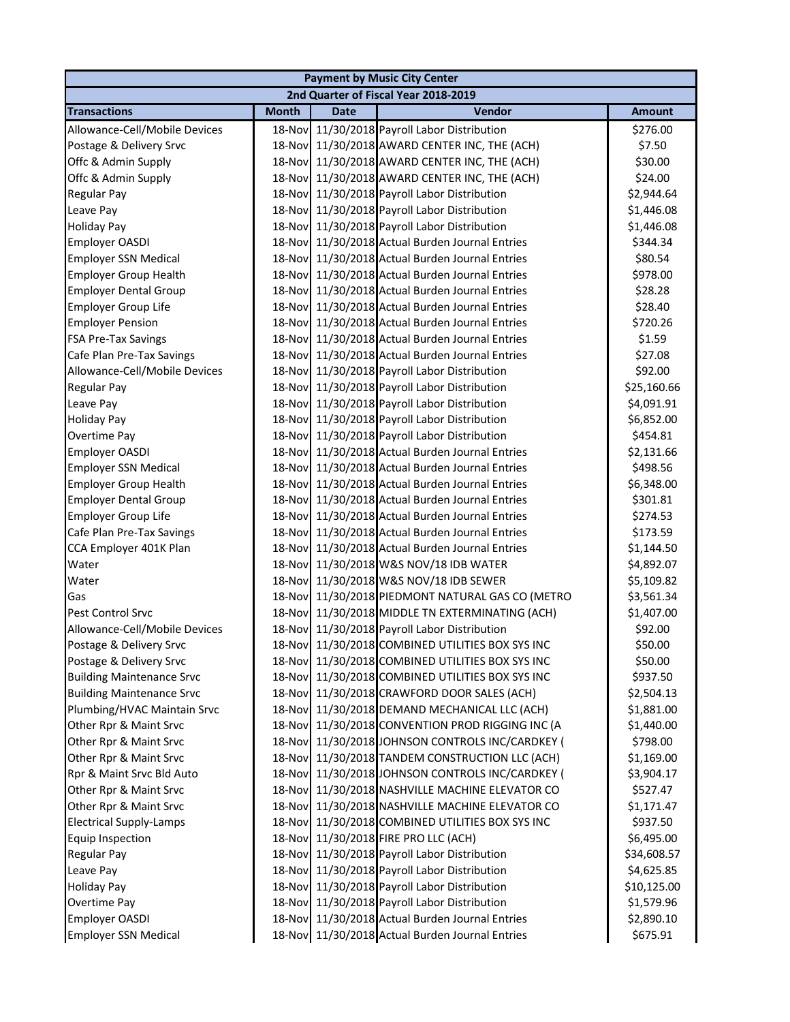|                                  |              |             | <b>Payment by Music City Center</b>              |               |
|----------------------------------|--------------|-------------|--------------------------------------------------|---------------|
|                                  |              |             | 2nd Quarter of Fiscal Year 2018-2019             |               |
| <b>Transactions</b>              | <b>Month</b> | <b>Date</b> | Vendor                                           | <b>Amount</b> |
| Allowance-Cell/Mobile Devices    |              |             | 18-Nov 11/30/2018 Payroll Labor Distribution     | \$276.00      |
| Postage & Delivery Srvc          |              |             | 18-Nov 11/30/2018 AWARD CENTER INC, THE (ACH)    | \$7.50        |
| Offc & Admin Supply              |              |             | 18-Nov 11/30/2018 AWARD CENTER INC, THE (ACH)    | \$30.00       |
| Offc & Admin Supply              |              |             | 18-Nov 11/30/2018 AWARD CENTER INC, THE (ACH)    | \$24.00       |
| Regular Pay                      |              |             | 18-Nov 11/30/2018 Payroll Labor Distribution     | \$2,944.64    |
| Leave Pay                        |              |             | 18-Nov 11/30/2018 Payroll Labor Distribution     | \$1,446.08    |
| <b>Holiday Pay</b>               | 18-Nov       |             | 11/30/2018 Payroll Labor Distribution            | \$1,446.08    |
| Employer OASDI                   | 18-Nov       |             | 11/30/2018 Actual Burden Journal Entries         | \$344.34      |
| <b>Employer SSN Medical</b>      | 18-Nov       |             | 11/30/2018 Actual Burden Journal Entries         | \$80.54       |
| <b>Employer Group Health</b>     | 18-Nov       |             | 11/30/2018 Actual Burden Journal Entries         | \$978.00      |
| <b>Employer Dental Group</b>     | 18-Nov       |             | 11/30/2018 Actual Burden Journal Entries         | \$28.28       |
| Employer Group Life              |              |             | 18-Nov 11/30/2018 Actual Burden Journal Entries  | \$28.40       |
| <b>Employer Pension</b>          |              |             | 18-Nov 11/30/2018 Actual Burden Journal Entries  | \$720.26      |
| <b>FSA Pre-Tax Savings</b>       |              |             | 18-Nov 11/30/2018 Actual Burden Journal Entries  | \$1.59        |
| Cafe Plan Pre-Tax Savings        |              |             | 18-Nov 11/30/2018 Actual Burden Journal Entries  | \$27.08       |
| Allowance-Cell/Mobile Devices    |              |             | 18-Nov 11/30/2018 Payroll Labor Distribution     | \$92.00       |
| <b>Regular Pay</b>               |              |             | 18-Nov 11/30/2018 Payroll Labor Distribution     | \$25,160.66   |
| Leave Pay                        |              |             | 18-Nov 11/30/2018 Payroll Labor Distribution     | \$4,091.91    |
| <b>Holiday Pay</b>               | 18-Nov       |             | 11/30/2018 Payroll Labor Distribution            | \$6,852.00    |
| Overtime Pay                     | 18-Nov       |             | 11/30/2018 Payroll Labor Distribution            | \$454.81      |
| Employer OASDI                   | 18-Nov       |             | 11/30/2018 Actual Burden Journal Entries         | \$2,131.66    |
| <b>Employer SSN Medical</b>      | 18-Nov       |             | 11/30/2018 Actual Burden Journal Entries         | \$498.56      |
| <b>Employer Group Health</b>     | 18-Nov       |             | 11/30/2018 Actual Burden Journal Entries         | \$6,348.00    |
| <b>Employer Dental Group</b>     | 18-Nov       |             | 11/30/2018 Actual Burden Journal Entries         | \$301.81      |
| <b>Employer Group Life</b>       |              |             | 18-Nov 11/30/2018 Actual Burden Journal Entries  | \$274.53      |
| Cafe Plan Pre-Tax Savings        |              |             | 18-Nov 11/30/2018 Actual Burden Journal Entries  | \$173.59      |
| CCA Employer 401K Plan           |              |             | 18-Nov 11/30/2018 Actual Burden Journal Entries  | \$1,144.50    |
| Water                            |              |             | 18-Nov 11/30/2018 W&S NOV/18 IDB WATER           | \$4,892.07    |
| Water                            |              |             | 18-Nov 11/30/2018 W&S NOV/18 IDB SEWER           | \$5,109.82    |
| Gas                              |              |             | 18-Nov 11/30/2018 PIEDMONT NATURAL GAS CO (METRO | \$3,561.34    |
| Pest Control Srvc                | 18-Nov       |             | 11/30/2018 MIDDLE TN EXTERMINATING (ACH)         | \$1,407.00    |
| Allowance-Cell/Mobile Devices    |              |             | 18-Nov 11/30/2018 Payroll Labor Distribution     | \$92.00       |
| Postage & Delivery Srvc          |              |             | 18-Nov 11/30/2018 COMBINED UTILITIES BOX SYS INC | \$50.00       |
| Postage & Delivery Srvc          |              |             | 18-Nov 11/30/2018 COMBINED UTILITIES BOX SYS INC | \$50.00       |
| <b>Building Maintenance Srvc</b> | 18-Nov       |             | 11/30/2018 COMBINED UTILITIES BOX SYS INC        | \$937.50      |
| <b>Building Maintenance Srvc</b> | 18-Nov       |             | 11/30/2018 CRAWFORD DOOR SALES (ACH)             | \$2,504.13    |
| Plumbing/HVAC Maintain Srvc      | 18-Nov       |             | 11/30/2018 DEMAND MECHANICAL LLC (ACH)           | \$1,881.00    |
| Other Rpr & Maint Srvc           | 18-Nov       |             | 11/30/2018 CONVENTION PROD RIGGING INC (A        | \$1,440.00    |
| Other Rpr & Maint Srvc           |              |             | 18-Nov 11/30/2018 JOHNSON CONTROLS INC/CARDKEY ( | \$798.00      |
| Other Rpr & Maint Srvc           |              |             | 18-Nov 11/30/2018 TANDEM CONSTRUCTION LLC (ACH)  | \$1,169.00    |
| Rpr & Maint Srvc Bld Auto        |              |             | 18-Nov 11/30/2018 JOHNSON CONTROLS INC/CARDKEY ( | \$3,904.17    |
| Other Rpr & Maint Srvc           |              |             | 18-Nov 11/30/2018 NASHVILLE MACHINE ELEVATOR CO  | \$527.47      |
| Other Rpr & Maint Srvc           | 18-Nov       |             | 11/30/2018 NASHVILLE MACHINE ELEVATOR CO         | \$1,171.47    |
| <b>Electrical Supply-Lamps</b>   | 18-Nov       |             | 11/30/2018 COMBINED UTILITIES BOX SYS INC        | \$937.50      |
| Equip Inspection                 | 18-Nov       |             | 11/30/2018 FIRE PRO LLC (ACH)                    | \$6,495.00    |
| <b>Regular Pay</b>               | 18-Nov       |             | 11/30/2018 Payroll Labor Distribution            | \$34,608.57   |
| Leave Pay                        | 18-Nov       |             | 11/30/2018 Payroll Labor Distribution            | \$4,625.85    |
| <b>Holiday Pay</b>               | 18-Nov       |             | 11/30/2018 Payroll Labor Distribution            | \$10,125.00   |
| Overtime Pay                     | 18-Nov       |             | 11/30/2018 Payroll Labor Distribution            | \$1,579.96    |
| Employer OASDI                   |              |             | 18-Nov 11/30/2018 Actual Burden Journal Entries  | \$2,890.10    |
| <b>Employer SSN Medical</b>      |              |             | 18-Nov 11/30/2018 Actual Burden Journal Entries  | \$675.91      |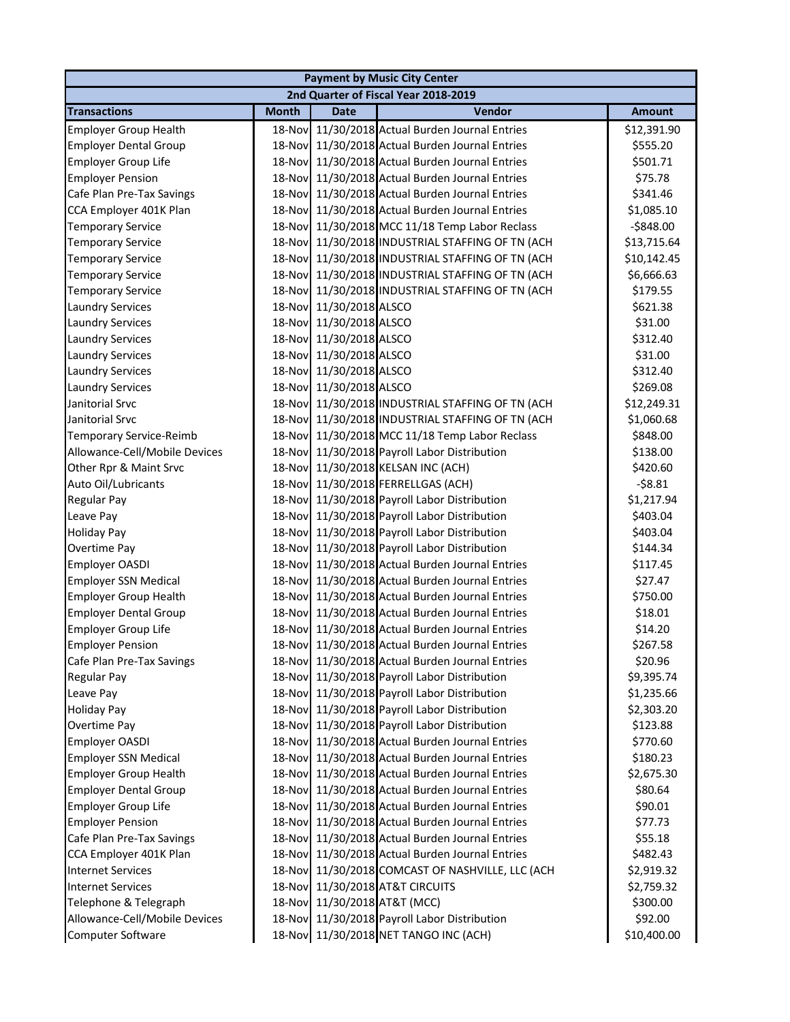|                                |              |                         | <b>Payment by Music City Center</b>              |               |
|--------------------------------|--------------|-------------------------|--------------------------------------------------|---------------|
|                                |              |                         | 2nd Quarter of Fiscal Year 2018-2019             |               |
| <b>Transactions</b>            | <b>Month</b> | <b>Date</b>             | Vendor                                           | <b>Amount</b> |
| <b>Employer Group Health</b>   |              |                         | 18-Nov 11/30/2018 Actual Burden Journal Entries  | \$12,391.90   |
| <b>Employer Dental Group</b>   |              |                         | 18-Nov 11/30/2018 Actual Burden Journal Entries  | \$555.20      |
| <b>Employer Group Life</b>     |              |                         | 18-Nov 11/30/2018 Actual Burden Journal Entries  | \$501.71      |
| <b>Employer Pension</b>        |              |                         | 18-Nov 11/30/2018 Actual Burden Journal Entries  | \$75.78       |
| Cafe Plan Pre-Tax Savings      |              |                         | 18-Nov 11/30/2018 Actual Burden Journal Entries  | \$341.46      |
| CCA Employer 401K Plan         |              |                         | 18-Nov 11/30/2018 Actual Burden Journal Entries  | \$1,085.10    |
| <b>Temporary Service</b>       | 18-Nov       |                         | 11/30/2018 MCC 11/18 Temp Labor Reclass          | $-$848.00$    |
| <b>Temporary Service</b>       | 18-Nov       |                         | 11/30/2018 INDUSTRIAL STAFFING OF TN (ACH        | \$13,715.64   |
| <b>Temporary Service</b>       | 18-Nov       |                         | 11/30/2018 INDUSTRIAL STAFFING OF TN (ACH        | \$10,142.45   |
| <b>Temporary Service</b>       | 18-Nov       |                         | 11/30/2018 INDUSTRIAL STAFFING OF TN (ACH        | \$6,666.63    |
| <b>Temporary Service</b>       | 18-Nov       |                         | 11/30/2018 INDUSTRIAL STAFFING OF TN (ACH        | \$179.55      |
| <b>Laundry Services</b>        | 18-Nov       | 11/30/2018 ALSCO        |                                                  | \$621.38      |
| <b>Laundry Services</b>        |              | 18-Nov 11/30/2018 ALSCO |                                                  | \$31.00       |
| <b>Laundry Services</b>        |              | 18-Nov 11/30/2018 ALSCO |                                                  | \$312.40      |
| <b>Laundry Services</b>        |              | 18-Nov 11/30/2018 ALSCO |                                                  | \$31.00       |
| <b>Laundry Services</b>        |              | 18-Nov 11/30/2018 ALSCO |                                                  | \$312.40      |
| <b>Laundry Services</b>        |              | 18-Nov 11/30/2018 ALSCO |                                                  | \$269.08      |
| Janitorial Srvc                |              |                         | 18-Nov 11/30/2018 INDUSTRIAL STAFFING OF TN (ACH | \$12,249.31   |
| Janitorial Srvc                |              |                         | 18-Nov 11/30/2018 INDUSTRIAL STAFFING OF TN (ACH | \$1,060.68    |
| <b>Temporary Service-Reimb</b> | 18-Nov       |                         | 11/30/2018 MCC 11/18 Temp Labor Reclass          | \$848.00      |
| Allowance-Cell/Mobile Devices  | 18-Nov       |                         | 11/30/2018 Payroll Labor Distribution            | \$138.00      |
| Other Rpr & Maint Srvc         | 18-Nov       |                         | 11/30/2018 KELSAN INC (ACH)                      | \$420.60      |
| Auto Oil/Lubricants            | 18-Nov       |                         | 11/30/2018 FERRELLGAS (ACH)                      | $-58.81$      |
| <b>Regular Pay</b>             |              |                         | 18-Nov 11/30/2018 Payroll Labor Distribution     | \$1,217.94    |
| Leave Pay                      |              |                         | 18-Nov 11/30/2018 Payroll Labor Distribution     | \$403.04      |
| <b>Holiday Pay</b>             |              |                         | 18-Nov 11/30/2018 Payroll Labor Distribution     | \$403.04      |
| Overtime Pay                   |              |                         | 18-Nov 11/30/2018 Payroll Labor Distribution     | \$144.34      |
| <b>Employer OASDI</b>          |              |                         | 18-Nov 11/30/2018 Actual Burden Journal Entries  | \$117.45      |
| <b>Employer SSN Medical</b>    |              |                         | 18-Nov 11/30/2018 Actual Burden Journal Entries  | \$27.47       |
| <b>Employer Group Health</b>   |              |                         | 18-Nov 11/30/2018 Actual Burden Journal Entries  | \$750.00      |
| <b>Employer Dental Group</b>   |              |                         | 18-Nov 11/30/2018 Actual Burden Journal Entries  | \$18.01       |
| <b>Employer Group Life</b>     |              |                         | 18-Nov 11/30/2018 Actual Burden Journal Entries  | \$14.20       |
| <b>Employer Pension</b>        |              |                         | 18-Nov 11/30/2018 Actual Burden Journal Entries  | \$267.58      |
| Cafe Plan Pre-Tax Savings      |              |                         | 18-Nov 11/30/2018 Actual Burden Journal Entries  | \$20.96       |
| <b>Regular Pay</b>             | 18-Nov       |                         | 11/30/2018 Payroll Labor Distribution            | \$9,395.74    |
| Leave Pay                      | 18-Nov       |                         | 11/30/2018 Payroll Labor Distribution            | \$1,235.66    |
| <b>Holiday Pay</b>             |              |                         | 18-Nov 11/30/2018 Payroll Labor Distribution     | \$2,303.20    |
| Overtime Pay                   |              |                         | 18-Nov 11/30/2018 Payroll Labor Distribution     | \$123.88      |
| Employer OASDI                 |              |                         | 18-Nov 11/30/2018 Actual Burden Journal Entries  | \$770.60      |
| <b>Employer SSN Medical</b>    |              |                         | 18-Nov 11/30/2018 Actual Burden Journal Entries  | \$180.23      |
| <b>Employer Group Health</b>   |              |                         | 18-Nov 11/30/2018 Actual Burden Journal Entries  | \$2,675.30    |
| <b>Employer Dental Group</b>   |              |                         | 18-Nov 11/30/2018 Actual Burden Journal Entries  | \$80.64       |
| <b>Employer Group Life</b>     |              |                         | 18-Nov 11/30/2018 Actual Burden Journal Entries  | \$90.01       |
| <b>Employer Pension</b>        | 18-Nov       |                         | 11/30/2018 Actual Burden Journal Entries         | \$77.73       |
| Cafe Plan Pre-Tax Savings      | 18-Nov       |                         | 11/30/2018 Actual Burden Journal Entries         | \$55.18       |
| CCA Employer 401K Plan         | 18-Nov       |                         | 11/30/2018 Actual Burden Journal Entries         | \$482.43      |
| <b>Internet Services</b>       | 18-Nov       |                         | 11/30/2018 COMCAST OF NASHVILLE, LLC (ACH        | \$2,919.32    |
| <b>Internet Services</b>       | 18-Nov       |                         | 11/30/2018 AT&T CIRCUITS                         | \$2,759.32    |
| Telephone & Telegraph          |              |                         | 18-Nov 11/30/2018 AT&T (MCC)                     | \$300.00      |
| Allowance-Cell/Mobile Devices  |              |                         | 18-Nov 11/30/2018 Payroll Labor Distribution     | \$92.00       |
| Computer Software              |              |                         | 18-Nov 11/30/2018 NET TANGO INC (ACH)            | \$10,400.00   |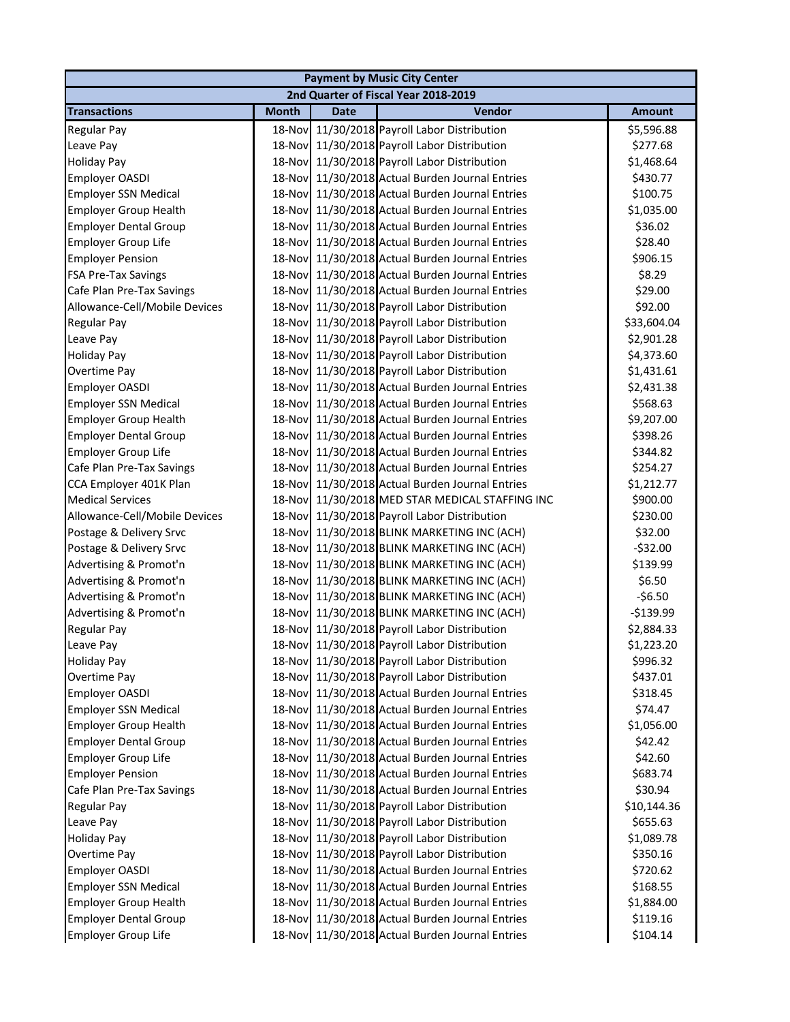| <b>Payment by Music City Center</b> |              |             |                                                 |               |  |
|-------------------------------------|--------------|-------------|-------------------------------------------------|---------------|--|
|                                     |              |             | 2nd Quarter of Fiscal Year 2018-2019            |               |  |
| <b>Transactions</b>                 | <b>Month</b> | <b>Date</b> | Vendor                                          | <b>Amount</b> |  |
| <b>Regular Pay</b>                  |              |             | 18-Nov 11/30/2018 Payroll Labor Distribution    | \$5,596.88    |  |
| Leave Pay                           |              |             | 18-Nov 11/30/2018 Payroll Labor Distribution    | \$277.68      |  |
| <b>Holiday Pay</b>                  |              |             | 18-Nov 11/30/2018 Payroll Labor Distribution    | \$1,468.64    |  |
| Employer OASDI                      |              |             | 18-Nov 11/30/2018 Actual Burden Journal Entries | \$430.77      |  |
| <b>Employer SSN Medical</b>         |              |             | 18-Nov 11/30/2018 Actual Burden Journal Entries | \$100.75      |  |
| <b>Employer Group Health</b>        |              |             | 18-Nov 11/30/2018 Actual Burden Journal Entries | \$1,035.00    |  |
| <b>Employer Dental Group</b>        |              |             | 18-Nov 11/30/2018 Actual Burden Journal Entries | \$36.02       |  |
| <b>Employer Group Life</b>          |              |             | 18-Nov 11/30/2018 Actual Burden Journal Entries | \$28.40       |  |
| <b>Employer Pension</b>             | 18-Nov       |             | 11/30/2018 Actual Burden Journal Entries        | \$906.15      |  |
| <b>FSA Pre-Tax Savings</b>          |              |             | 18-Nov 11/30/2018 Actual Burden Journal Entries | \$8.29        |  |
| Cafe Plan Pre-Tax Savings           |              |             | 18-Nov 11/30/2018 Actual Burden Journal Entries | \$29.00       |  |
| Allowance-Cell/Mobile Devices       |              |             | 18-Nov 11/30/2018 Payroll Labor Distribution    | \$92.00       |  |
| <b>Regular Pay</b>                  |              |             | 18-Nov 11/30/2018 Payroll Labor Distribution    | \$33,604.04   |  |
| Leave Pay                           |              |             | 18-Nov 11/30/2018 Payroll Labor Distribution    | \$2,901.28    |  |
| <b>Holiday Pay</b>                  |              |             | 18-Nov 11/30/2018 Payroll Labor Distribution    | \$4,373.60    |  |
| Overtime Pay                        |              |             | 18-Nov 11/30/2018 Payroll Labor Distribution    | \$1,431.61    |  |
| Employer OASDI                      |              |             | 18-Nov 11/30/2018 Actual Burden Journal Entries | \$2,431.38    |  |
| <b>Employer SSN Medical</b>         |              |             | 18-Nov 11/30/2018 Actual Burden Journal Entries | \$568.63      |  |
| <b>Employer Group Health</b>        |              |             | 18-Nov 11/30/2018 Actual Burden Journal Entries | \$9,207.00    |  |
| <b>Employer Dental Group</b>        | 18-Nov       |             | 11/30/2018 Actual Burden Journal Entries        | \$398.26      |  |
| <b>Employer Group Life</b>          | 18-Nov       |             | 11/30/2018 Actual Burden Journal Entries        | \$344.82      |  |
| Cafe Plan Pre-Tax Savings           |              |             | 18-Nov 11/30/2018 Actual Burden Journal Entries | \$254.27      |  |
| CCA Employer 401K Plan              |              |             | 18-Nov 11/30/2018 Actual Burden Journal Entries | \$1,212.77    |  |
| <b>Medical Services</b>             |              |             | 18-Nov 11/30/2018 MED STAR MEDICAL STAFFING INC | \$900.00      |  |
| Allowance-Cell/Mobile Devices       |              |             | 18-Nov 11/30/2018 Payroll Labor Distribution    | \$230.00      |  |
| Postage & Delivery Srvc             |              |             | 18-Nov 11/30/2018 BLINK MARKETING INC (ACH)     | \$32.00       |  |
| Postage & Delivery Srvc             |              |             | 18-Nov 11/30/2018 BLINK MARKETING INC (ACH)     | $-532.00$     |  |
| Advertising & Promot'n              |              |             | 18-Nov 11/30/2018 BLINK MARKETING INC (ACH)     | \$139.99      |  |
| Advertising & Promot'n              |              |             | 18-Nov 11/30/2018 BLINK MARKETING INC (ACH)     | \$6.50        |  |
| Advertising & Promot'n              |              |             | 18-Nov 11/30/2018 BLINK MARKETING INC (ACH)     | $-56.50$      |  |
| Advertising & Promot'n              |              |             | 18-Nov 11/30/2018 BLINK MARKETING INC (ACH)     | $-$139.99$    |  |
| <b>Regular Pay</b>                  |              |             | 18-Nov 11/30/2018 Payroll Labor Distribution    | \$2,884.33    |  |
| Leave Pay                           |              |             | 18-Nov 11/30/2018 Payroll Labor Distribution    | \$1,223.20    |  |
| <b>Holiday Pay</b>                  |              |             | 18-Nov 11/30/2018 Payroll Labor Distribution    | \$996.32      |  |
| Overtime Pay                        |              |             | 18-Nov 11/30/2018 Payroll Labor Distribution    | \$437.01      |  |
| Employer OASDI                      |              |             | 18-Nov 11/30/2018 Actual Burden Journal Entries | \$318.45      |  |
| <b>Employer SSN Medical</b>         |              |             | 18-Nov 11/30/2018 Actual Burden Journal Entries | \$74.47       |  |
| <b>Employer Group Health</b>        |              |             | 18-Nov 11/30/2018 Actual Burden Journal Entries | \$1,056.00    |  |
| <b>Employer Dental Group</b>        |              |             | 18-Nov 11/30/2018 Actual Burden Journal Entries | \$42.42       |  |
| <b>Employer Group Life</b>          |              |             | 18-Nov 11/30/2018 Actual Burden Journal Entries | \$42.60       |  |
| <b>Employer Pension</b>             |              |             | 18-Nov 11/30/2018 Actual Burden Journal Entries | \$683.74      |  |
| Cafe Plan Pre-Tax Savings           |              |             | 18-Nov 11/30/2018 Actual Burden Journal Entries | \$30.94       |  |
| Regular Pay                         |              |             | 18-Nov 11/30/2018 Payroll Labor Distribution    | \$10,144.36   |  |
| Leave Pay                           |              |             | 18-Nov 11/30/2018 Payroll Labor Distribution    | \$655.63      |  |
| <b>Holiday Pay</b>                  |              |             | 18-Nov 11/30/2018 Payroll Labor Distribution    | \$1,089.78    |  |
| Overtime Pay                        | 18-Nov       |             | 11/30/2018 Payroll Labor Distribution           | \$350.16      |  |
| Employer OASDI                      |              |             | 18-Nov 11/30/2018 Actual Burden Journal Entries | \$720.62      |  |
| <b>Employer SSN Medical</b>         |              |             | 18-Nov 11/30/2018 Actual Burden Journal Entries | \$168.55      |  |
| <b>Employer Group Health</b>        |              |             | 18-Nov 11/30/2018 Actual Burden Journal Entries | \$1,884.00    |  |
| <b>Employer Dental Group</b>        |              |             | 18-Nov 11/30/2018 Actual Burden Journal Entries | \$119.16      |  |
| <b>Employer Group Life</b>          |              |             | 18-Nov 11/30/2018 Actual Burden Journal Entries | \$104.14      |  |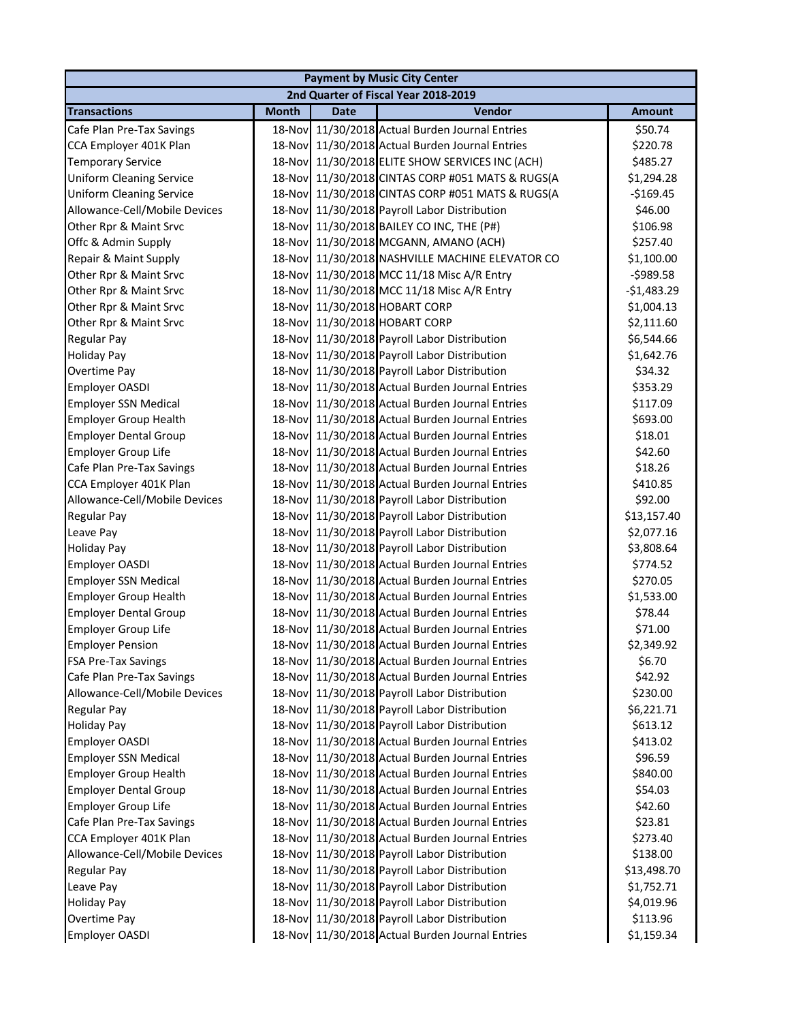|                                 |              |             | <b>Payment by Music City Center</b>              |               |
|---------------------------------|--------------|-------------|--------------------------------------------------|---------------|
|                                 |              |             | 2nd Quarter of Fiscal Year 2018-2019             |               |
| <b>Transactions</b>             | <b>Month</b> | <b>Date</b> | Vendor                                           | <b>Amount</b> |
| Cafe Plan Pre-Tax Savings       |              |             | 18-Nov 11/30/2018 Actual Burden Journal Entries  | \$50.74       |
| CCA Employer 401K Plan          |              |             | 18-Nov 11/30/2018 Actual Burden Journal Entries  | \$220.78      |
| <b>Temporary Service</b>        |              |             | 18-Nov 11/30/2018 ELITE SHOW SERVICES INC (ACH)  | \$485.27      |
| <b>Uniform Cleaning Service</b> |              |             | 18-Nov 11/30/2018 CINTAS CORP #051 MATS & RUGS(A | \$1,294.28    |
| <b>Uniform Cleaning Service</b> |              |             | 18-Nov 11/30/2018 CINTAS CORP #051 MATS & RUGS(A | $-$169.45$    |
| Allowance-Cell/Mobile Devices   |              |             | 18-Nov 11/30/2018 Payroll Labor Distribution     | \$46.00       |
| Other Rpr & Maint Srvc          |              |             | 18-Nov 11/30/2018 BAILEY CO INC, THE (P#)        | \$106.98      |
| Offc & Admin Supply             |              |             | 18-Nov 11/30/2018 MCGANN, AMANO (ACH)            | \$257.40      |
| Repair & Maint Supply           |              |             | 18-Nov 11/30/2018 NASHVILLE MACHINE ELEVATOR CO  | \$1,100.00    |
| Other Rpr & Maint Srvc          |              |             | 18-Nov 11/30/2018 MCC 11/18 Misc A/R Entry       | $-5989.58$    |
| Other Rpr & Maint Srvc          |              |             | 18-Nov 11/30/2018 MCC 11/18 Misc A/R Entry       | $-$1,483.29$  |
| Other Rpr & Maint Srvc          |              |             | 18-Nov 11/30/2018 HOBART CORP                    | \$1,004.13    |
| Other Rpr & Maint Srvc          |              |             | 18-Nov 11/30/2018 HOBART CORP                    | \$2,111.60    |
| Regular Pay                     |              |             | 18-Nov 11/30/2018 Payroll Labor Distribution     | \$6,544.66    |
| <b>Holiday Pay</b>              |              |             | 18-Nov 11/30/2018 Payroll Labor Distribution     | \$1,642.76    |
| Overtime Pay                    |              |             | 18-Nov 11/30/2018 Payroll Labor Distribution     | \$34.32       |
| Employer OASDI                  |              |             | 18-Nov 11/30/2018 Actual Burden Journal Entries  | \$353.29      |
| <b>Employer SSN Medical</b>     |              |             | 18-Nov 11/30/2018 Actual Burden Journal Entries  | \$117.09      |
| <b>Employer Group Health</b>    |              |             | 18-Nov 11/30/2018 Actual Burden Journal Entries  | \$693.00      |
| <b>Employer Dental Group</b>    |              |             | 18-Nov 11/30/2018 Actual Burden Journal Entries  | \$18.01       |
| <b>Employer Group Life</b>      |              |             | 18-Nov 11/30/2018 Actual Burden Journal Entries  | \$42.60       |
| Cafe Plan Pre-Tax Savings       |              |             | 18-Nov 11/30/2018 Actual Burden Journal Entries  | \$18.26       |
| CCA Employer 401K Plan          |              |             | 18-Nov 11/30/2018 Actual Burden Journal Entries  | \$410.85      |
| Allowance-Cell/Mobile Devices   |              |             | 18-Nov 11/30/2018 Payroll Labor Distribution     | \$92.00       |
| Regular Pay                     |              |             | 18-Nov 11/30/2018 Payroll Labor Distribution     | \$13,157.40   |
| Leave Pay                       |              |             | 18-Nov 11/30/2018 Payroll Labor Distribution     | \$2,077.16    |
| <b>Holiday Pay</b>              |              |             | 18-Nov 11/30/2018 Payroll Labor Distribution     | \$3,808.64    |
| Employer OASDI                  |              |             | 18-Nov 11/30/2018 Actual Burden Journal Entries  | \$774.52      |
| <b>Employer SSN Medical</b>     |              |             | 18-Nov 11/30/2018 Actual Burden Journal Entries  | \$270.05      |
| <b>Employer Group Health</b>    |              |             | 18-Nov 11/30/2018 Actual Burden Journal Entries  | \$1,533.00    |
| <b>Employer Dental Group</b>    |              |             | 18-Nov 11/30/2018 Actual Burden Journal Entries  | \$78.44       |
| <b>Employer Group Life</b>      |              |             | 18-Nov 11/30/2018 Actual Burden Journal Entries  | \$71.00       |
| <b>Employer Pension</b>         |              |             | 18-Nov 11/30/2018 Actual Burden Journal Entries  | \$2,349.92    |
| <b>FSA Pre-Tax Savings</b>      |              |             | 18-Nov 11/30/2018 Actual Burden Journal Entries  | \$6.70        |
| Cafe Plan Pre-Tax Savings       | 18-Nov       |             | 11/30/2018 Actual Burden Journal Entries         | \$42.92       |
| Allowance-Cell/Mobile Devices   |              |             | 18-Nov 11/30/2018 Payroll Labor Distribution     | \$230.00      |
| <b>Regular Pay</b>              |              |             | 18-Nov 11/30/2018 Payroll Labor Distribution     | \$6,221.71    |
| <b>Holiday Pay</b>              |              |             | 18-Nov 11/30/2018 Payroll Labor Distribution     | \$613.12      |
| Employer OASDI                  |              |             | 18-Nov 11/30/2018 Actual Burden Journal Entries  | \$413.02      |
| <b>Employer SSN Medical</b>     |              |             | 18-Nov 11/30/2018 Actual Burden Journal Entries  | \$96.59       |
| <b>Employer Group Health</b>    |              |             | 18-Nov 11/30/2018 Actual Burden Journal Entries  | \$840.00      |
| <b>Employer Dental Group</b>    |              |             | 18-Nov 11/30/2018 Actual Burden Journal Entries  | \$54.03       |
| <b>Employer Group Life</b>      |              |             | 18-Nov 11/30/2018 Actual Burden Journal Entries  | \$42.60       |
| Cafe Plan Pre-Tax Savings       |              |             | 18-Nov 11/30/2018 Actual Burden Journal Entries  | \$23.81       |
| CCA Employer 401K Plan          |              |             | 18-Nov 11/30/2018 Actual Burden Journal Entries  | \$273.40      |
| Allowance-Cell/Mobile Devices   |              |             | 18-Nov 11/30/2018 Payroll Labor Distribution     | \$138.00      |
| <b>Regular Pay</b>              |              |             | 18-Nov 11/30/2018 Payroll Labor Distribution     | \$13,498.70   |
| Leave Pay                       |              |             | 18-Nov 11/30/2018 Payroll Labor Distribution     | \$1,752.71    |
| <b>Holiday Pay</b>              |              |             | 18-Nov 11/30/2018 Payroll Labor Distribution     | \$4,019.96    |
| Overtime Pay                    |              |             | 18-Nov 11/30/2018 Payroll Labor Distribution     | \$113.96      |
| <b>Employer OASDI</b>           |              |             | 18-Nov 11/30/2018 Actual Burden Journal Entries  | \$1,159.34    |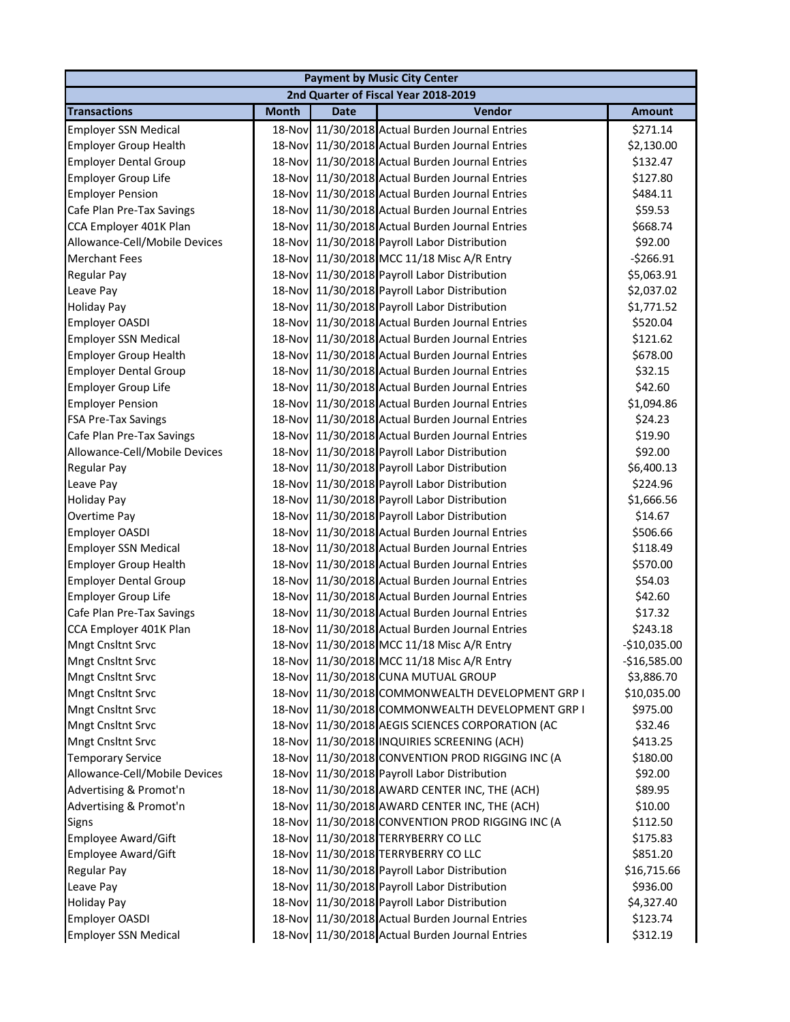| 2nd Quarter of Fiscal Year 2018-2019<br>Vendor<br><b>Transactions</b><br><b>Month</b><br><b>Date</b><br><b>Amount</b><br><b>Employer SSN Medical</b><br>18-Nov 11/30/2018 Actual Burden Journal Entries<br>\$271.14<br>18-Nov 11/30/2018 Actual Burden Journal Entries<br><b>Employer Group Health</b><br>\$2,130.00<br>18-Nov 11/30/2018 Actual Burden Journal Entries<br><b>Employer Dental Group</b><br>\$132.47<br>18-Nov 11/30/2018 Actual Burden Journal Entries<br>\$127.80<br><b>Employer Group Life</b><br>18-Nov 11/30/2018 Actual Burden Journal Entries<br>\$484.11<br><b>Employer Pension</b><br>Cafe Plan Pre-Tax Savings<br>18-Nov 11/30/2018 Actual Burden Journal Entries<br>\$59.53<br>CCA Employer 401K Plan<br>18-Nov 11/30/2018 Actual Burden Journal Entries<br>\$668.74<br>Allowance-Cell/Mobile Devices<br>18-Nov 11/30/2018 Payroll Labor Distribution<br>\$92.00<br><b>Merchant Fees</b><br>11/30/2018 MCC 11/18 Misc A/R Entry<br>$-5266.91$<br>18-Nov<br><b>Regular Pay</b><br>18-Nov 11/30/2018 Payroll Labor Distribution<br>\$5,063.91<br>Leave Pay<br>18-Nov 11/30/2018 Payroll Labor Distribution<br>\$2,037.02<br>18-Nov 11/30/2018 Payroll Labor Distribution<br>\$1,771.52<br>18-Nov 11/30/2018 Actual Burden Journal Entries<br>Employer OASDI<br>\$520.04<br>18-Nov 11/30/2018 Actual Burden Journal Entries<br><b>Employer SSN Medical</b><br>\$121.62<br>18-Nov 11/30/2018 Actual Burden Journal Entries<br><b>Employer Group Health</b><br>\$678.00<br>18-Nov 11/30/2018 Actual Burden Journal Entries<br>\$32.15<br><b>Employer Dental Group</b><br>18-Nov 11/30/2018 Actual Burden Journal Entries<br>\$42.60<br><b>Employer Group Life</b><br>18-Nov 11/30/2018 Actual Burden Journal Entries<br>\$1,094.86<br><b>Employer Pension</b><br>18-Nov 11/30/2018 Actual Burden Journal Entries<br><b>FSA Pre-Tax Savings</b><br>\$24.23<br>18-Nov 11/30/2018 Actual Burden Journal Entries<br>Cafe Plan Pre-Tax Savings<br>\$19.90<br>11/30/2018 Payroll Labor Distribution<br>\$92.00<br>Allowance-Cell/Mobile Devices<br>18-Novl<br>11/30/2018 Payroll Labor Distribution<br>\$6,400.13<br>Regular Pay<br>18-Nov<br>18-Nov 11/30/2018 Payroll Labor Distribution<br>Leave Pay<br>\$224.96<br>18-Nov 11/30/2018 Payroll Labor Distribution<br><b>Holiday Pay</b><br>\$1,666.56<br>18-Nov 11/30/2018 Payroll Labor Distribution<br>Overtime Pay<br>\$14.67<br>18-Nov 11/30/2018 Actual Burden Journal Entries<br>Employer OASDI<br>\$506.66<br>18-Nov 11/30/2018 Actual Burden Journal Entries<br><b>Employer SSN Medical</b><br>\$118.49<br>18-Nov 11/30/2018 Actual Burden Journal Entries<br><b>Employer Group Health</b><br>\$570.00<br>18-Nov 11/30/2018 Actual Burden Journal Entries<br>\$54.03<br><b>Employer Dental Group</b><br>18-Nov 11/30/2018 Actual Burden Journal Entries<br><b>Employer Group Life</b><br>\$42.60<br>18-Nov 11/30/2018 Actual Burden Journal Entries<br>Cafe Plan Pre-Tax Savings<br>\$17.32<br>18-Nov 11/30/2018 Actual Burden Journal Entries<br>CCA Employer 401K Plan<br>\$243.18<br>18-Nov 11/30/2018 MCC 11/18 Misc A/R Entry<br>$-$10,035.00$<br>Mngt Cnsltnt Srvc<br>18-Nov 11/30/2018 MCC 11/18 Misc A/R Entry<br>Mngt Cnsltnt Srvc<br>$-$16,585.00$<br>11/30/2018 CUNA MUTUAL GROUP<br>\$3,886.70<br>Mngt Cnsltnt Srvc<br>18-Nov<br>18-Nov 11/30/2018 COMMONWEALTH DEVELOPMENT GRP I<br><b>Mngt Cnsltnt Srvc</b><br>\$10,035.00<br>18-Nov 11/30/2018 COMMONWEALTH DEVELOPMENT GRP I<br><b>Mngt Cnsltnt Srvc</b><br>\$975.00<br>18-Nov 11/30/2018 AEGIS SCIENCES CORPORATION (AC<br><b>Mngt Cnsltnt Srvc</b><br>\$32.46<br>18-Nov 11/30/2018 INQUIRIES SCREENING (ACH)<br><b>Mngt Cnsltnt Srvc</b><br>\$413.25<br>18-Nov 11/30/2018 CONVENTION PROD RIGGING INC (A<br><b>Temporary Service</b><br>\$180.00<br>Allowance-Cell/Mobile Devices<br>18-Nov 11/30/2018 Payroll Labor Distribution<br>\$92.00<br>18-Nov 11/30/2018 AWARD CENTER INC, THE (ACH)<br>Advertising & Promot'n<br>\$89.95<br>Advertising & Promot'n<br>18-Nov 11/30/2018 AWARD CENTER INC, THE (ACH)<br>\$10.00<br>18-Nov 11/30/2018 CONVENTION PROD RIGGING INC (A<br>\$112.50<br><b>Signs</b><br><b>Employee Award/Gift</b><br>18-Nov 11/30/2018 TERRYBERRY CO LLC<br>\$175.83<br>11/30/2018 TERRYBERRY CO LLC<br><b>Employee Award/Gift</b><br>\$851.20<br>18-Novl<br>Regular Pay<br>11/30/2018 Payroll Labor Distribution<br>\$16,715.66<br>18-Nov<br>18-Nov 11/30/2018 Payroll Labor Distribution<br>\$936.00<br>Leave Pay<br>18-Nov 11/30/2018 Payroll Labor Distribution<br>\$4,327.40<br><b>Holiday Pay</b><br>18-Nov 11/30/2018 Actual Burden Journal Entries |                             |  | <b>Payment by Music City Center</b> |          |
|----------------------------------------------------------------------------------------------------------------------------------------------------------------------------------------------------------------------------------------------------------------------------------------------------------------------------------------------------------------------------------------------------------------------------------------------------------------------------------------------------------------------------------------------------------------------------------------------------------------------------------------------------------------------------------------------------------------------------------------------------------------------------------------------------------------------------------------------------------------------------------------------------------------------------------------------------------------------------------------------------------------------------------------------------------------------------------------------------------------------------------------------------------------------------------------------------------------------------------------------------------------------------------------------------------------------------------------------------------------------------------------------------------------------------------------------------------------------------------------------------------------------------------------------------------------------------------------------------------------------------------------------------------------------------------------------------------------------------------------------------------------------------------------------------------------------------------------------------------------------------------------------------------------------------------------------------------------------------------------------------------------------------------------------------------------------------------------------------------------------------------------------------------------------------------------------------------------------------------------------------------------------------------------------------------------------------------------------------------------------------------------------------------------------------------------------------------------------------------------------------------------------------------------------------------------------------------------------------------------------------------------------------------------------------------------------------------------------------------------------------------------------------------------------------------------------------------------------------------------------------------------------------------------------------------------------------------------------------------------------------------------------------------------------------------------------------------------------------------------------------------------------------------------------------------------------------------------------------------------------------------------------------------------------------------------------------------------------------------------------------------------------------------------------------------------------------------------------------------------------------------------------------------------------------------------------------------------------------------------------------------------------------------------------------------------------------------------------------------------------------------------------------------------------------------------------------------------------------------------------------------------------------------------------------------------------------------------------------------------------------------------------------------------------------------------------------------------------------------------------------------------------------------------------------------------------------------------------------------------------------------------------------------------------------------------------------------------------------------------------------------------------------------------------------------------------------------------------------------------------------------------------------------------------------------------------------------------------------------------------------|-----------------------------|--|-------------------------------------|----------|
|                                                                                                                                                                                                                                                                                                                                                                                                                                                                                                                                                                                                                                                                                                                                                                                                                                                                                                                                                                                                                                                                                                                                                                                                                                                                                                                                                                                                                                                                                                                                                                                                                                                                                                                                                                                                                                                                                                                                                                                                                                                                                                                                                                                                                                                                                                                                                                                                                                                                                                                                                                                                                                                                                                                                                                                                                                                                                                                                                                                                                                                                                                                                                                                                                                                                                                                                                                                                                                                                                                                                                                                                                                                                                                                                                                                                                                                                                                                                                                                                                                                                                                                                                                                                                                                                                                                                                                                                                                                                                                                                                                                                                            |                             |  |                                     |          |
|                                                                                                                                                                                                                                                                                                                                                                                                                                                                                                                                                                                                                                                                                                                                                                                                                                                                                                                                                                                                                                                                                                                                                                                                                                                                                                                                                                                                                                                                                                                                                                                                                                                                                                                                                                                                                                                                                                                                                                                                                                                                                                                                                                                                                                                                                                                                                                                                                                                                                                                                                                                                                                                                                                                                                                                                                                                                                                                                                                                                                                                                                                                                                                                                                                                                                                                                                                                                                                                                                                                                                                                                                                                                                                                                                                                                                                                                                                                                                                                                                                                                                                                                                                                                                                                                                                                                                                                                                                                                                                                                                                                                                            |                             |  |                                     |          |
|                                                                                                                                                                                                                                                                                                                                                                                                                                                                                                                                                                                                                                                                                                                                                                                                                                                                                                                                                                                                                                                                                                                                                                                                                                                                                                                                                                                                                                                                                                                                                                                                                                                                                                                                                                                                                                                                                                                                                                                                                                                                                                                                                                                                                                                                                                                                                                                                                                                                                                                                                                                                                                                                                                                                                                                                                                                                                                                                                                                                                                                                                                                                                                                                                                                                                                                                                                                                                                                                                                                                                                                                                                                                                                                                                                                                                                                                                                                                                                                                                                                                                                                                                                                                                                                                                                                                                                                                                                                                                                                                                                                                                            |                             |  |                                     |          |
|                                                                                                                                                                                                                                                                                                                                                                                                                                                                                                                                                                                                                                                                                                                                                                                                                                                                                                                                                                                                                                                                                                                                                                                                                                                                                                                                                                                                                                                                                                                                                                                                                                                                                                                                                                                                                                                                                                                                                                                                                                                                                                                                                                                                                                                                                                                                                                                                                                                                                                                                                                                                                                                                                                                                                                                                                                                                                                                                                                                                                                                                                                                                                                                                                                                                                                                                                                                                                                                                                                                                                                                                                                                                                                                                                                                                                                                                                                                                                                                                                                                                                                                                                                                                                                                                                                                                                                                                                                                                                                                                                                                                                            |                             |  |                                     |          |
|                                                                                                                                                                                                                                                                                                                                                                                                                                                                                                                                                                                                                                                                                                                                                                                                                                                                                                                                                                                                                                                                                                                                                                                                                                                                                                                                                                                                                                                                                                                                                                                                                                                                                                                                                                                                                                                                                                                                                                                                                                                                                                                                                                                                                                                                                                                                                                                                                                                                                                                                                                                                                                                                                                                                                                                                                                                                                                                                                                                                                                                                                                                                                                                                                                                                                                                                                                                                                                                                                                                                                                                                                                                                                                                                                                                                                                                                                                                                                                                                                                                                                                                                                                                                                                                                                                                                                                                                                                                                                                                                                                                                                            |                             |  |                                     |          |
|                                                                                                                                                                                                                                                                                                                                                                                                                                                                                                                                                                                                                                                                                                                                                                                                                                                                                                                                                                                                                                                                                                                                                                                                                                                                                                                                                                                                                                                                                                                                                                                                                                                                                                                                                                                                                                                                                                                                                                                                                                                                                                                                                                                                                                                                                                                                                                                                                                                                                                                                                                                                                                                                                                                                                                                                                                                                                                                                                                                                                                                                                                                                                                                                                                                                                                                                                                                                                                                                                                                                                                                                                                                                                                                                                                                                                                                                                                                                                                                                                                                                                                                                                                                                                                                                                                                                                                                                                                                                                                                                                                                                                            |                             |  |                                     |          |
|                                                                                                                                                                                                                                                                                                                                                                                                                                                                                                                                                                                                                                                                                                                                                                                                                                                                                                                                                                                                                                                                                                                                                                                                                                                                                                                                                                                                                                                                                                                                                                                                                                                                                                                                                                                                                                                                                                                                                                                                                                                                                                                                                                                                                                                                                                                                                                                                                                                                                                                                                                                                                                                                                                                                                                                                                                                                                                                                                                                                                                                                                                                                                                                                                                                                                                                                                                                                                                                                                                                                                                                                                                                                                                                                                                                                                                                                                                                                                                                                                                                                                                                                                                                                                                                                                                                                                                                                                                                                                                                                                                                                                            |                             |  |                                     |          |
|                                                                                                                                                                                                                                                                                                                                                                                                                                                                                                                                                                                                                                                                                                                                                                                                                                                                                                                                                                                                                                                                                                                                                                                                                                                                                                                                                                                                                                                                                                                                                                                                                                                                                                                                                                                                                                                                                                                                                                                                                                                                                                                                                                                                                                                                                                                                                                                                                                                                                                                                                                                                                                                                                                                                                                                                                                                                                                                                                                                                                                                                                                                                                                                                                                                                                                                                                                                                                                                                                                                                                                                                                                                                                                                                                                                                                                                                                                                                                                                                                                                                                                                                                                                                                                                                                                                                                                                                                                                                                                                                                                                                                            |                             |  |                                     |          |
|                                                                                                                                                                                                                                                                                                                                                                                                                                                                                                                                                                                                                                                                                                                                                                                                                                                                                                                                                                                                                                                                                                                                                                                                                                                                                                                                                                                                                                                                                                                                                                                                                                                                                                                                                                                                                                                                                                                                                                                                                                                                                                                                                                                                                                                                                                                                                                                                                                                                                                                                                                                                                                                                                                                                                                                                                                                                                                                                                                                                                                                                                                                                                                                                                                                                                                                                                                                                                                                                                                                                                                                                                                                                                                                                                                                                                                                                                                                                                                                                                                                                                                                                                                                                                                                                                                                                                                                                                                                                                                                                                                                                                            |                             |  |                                     |          |
|                                                                                                                                                                                                                                                                                                                                                                                                                                                                                                                                                                                                                                                                                                                                                                                                                                                                                                                                                                                                                                                                                                                                                                                                                                                                                                                                                                                                                                                                                                                                                                                                                                                                                                                                                                                                                                                                                                                                                                                                                                                                                                                                                                                                                                                                                                                                                                                                                                                                                                                                                                                                                                                                                                                                                                                                                                                                                                                                                                                                                                                                                                                                                                                                                                                                                                                                                                                                                                                                                                                                                                                                                                                                                                                                                                                                                                                                                                                                                                                                                                                                                                                                                                                                                                                                                                                                                                                                                                                                                                                                                                                                                            |                             |  |                                     |          |
|                                                                                                                                                                                                                                                                                                                                                                                                                                                                                                                                                                                                                                                                                                                                                                                                                                                                                                                                                                                                                                                                                                                                                                                                                                                                                                                                                                                                                                                                                                                                                                                                                                                                                                                                                                                                                                                                                                                                                                                                                                                                                                                                                                                                                                                                                                                                                                                                                                                                                                                                                                                                                                                                                                                                                                                                                                                                                                                                                                                                                                                                                                                                                                                                                                                                                                                                                                                                                                                                                                                                                                                                                                                                                                                                                                                                                                                                                                                                                                                                                                                                                                                                                                                                                                                                                                                                                                                                                                                                                                                                                                                                                            |                             |  |                                     |          |
|                                                                                                                                                                                                                                                                                                                                                                                                                                                                                                                                                                                                                                                                                                                                                                                                                                                                                                                                                                                                                                                                                                                                                                                                                                                                                                                                                                                                                                                                                                                                                                                                                                                                                                                                                                                                                                                                                                                                                                                                                                                                                                                                                                                                                                                                                                                                                                                                                                                                                                                                                                                                                                                                                                                                                                                                                                                                                                                                                                                                                                                                                                                                                                                                                                                                                                                                                                                                                                                                                                                                                                                                                                                                                                                                                                                                                                                                                                                                                                                                                                                                                                                                                                                                                                                                                                                                                                                                                                                                                                                                                                                                                            |                             |  |                                     |          |
|                                                                                                                                                                                                                                                                                                                                                                                                                                                                                                                                                                                                                                                                                                                                                                                                                                                                                                                                                                                                                                                                                                                                                                                                                                                                                                                                                                                                                                                                                                                                                                                                                                                                                                                                                                                                                                                                                                                                                                                                                                                                                                                                                                                                                                                                                                                                                                                                                                                                                                                                                                                                                                                                                                                                                                                                                                                                                                                                                                                                                                                                                                                                                                                                                                                                                                                                                                                                                                                                                                                                                                                                                                                                                                                                                                                                                                                                                                                                                                                                                                                                                                                                                                                                                                                                                                                                                                                                                                                                                                                                                                                                                            |                             |  |                                     |          |
|                                                                                                                                                                                                                                                                                                                                                                                                                                                                                                                                                                                                                                                                                                                                                                                                                                                                                                                                                                                                                                                                                                                                                                                                                                                                                                                                                                                                                                                                                                                                                                                                                                                                                                                                                                                                                                                                                                                                                                                                                                                                                                                                                                                                                                                                                                                                                                                                                                                                                                                                                                                                                                                                                                                                                                                                                                                                                                                                                                                                                                                                                                                                                                                                                                                                                                                                                                                                                                                                                                                                                                                                                                                                                                                                                                                                                                                                                                                                                                                                                                                                                                                                                                                                                                                                                                                                                                                                                                                                                                                                                                                                                            | <b>Holiday Pay</b>          |  |                                     |          |
|                                                                                                                                                                                                                                                                                                                                                                                                                                                                                                                                                                                                                                                                                                                                                                                                                                                                                                                                                                                                                                                                                                                                                                                                                                                                                                                                                                                                                                                                                                                                                                                                                                                                                                                                                                                                                                                                                                                                                                                                                                                                                                                                                                                                                                                                                                                                                                                                                                                                                                                                                                                                                                                                                                                                                                                                                                                                                                                                                                                                                                                                                                                                                                                                                                                                                                                                                                                                                                                                                                                                                                                                                                                                                                                                                                                                                                                                                                                                                                                                                                                                                                                                                                                                                                                                                                                                                                                                                                                                                                                                                                                                                            |                             |  |                                     |          |
|                                                                                                                                                                                                                                                                                                                                                                                                                                                                                                                                                                                                                                                                                                                                                                                                                                                                                                                                                                                                                                                                                                                                                                                                                                                                                                                                                                                                                                                                                                                                                                                                                                                                                                                                                                                                                                                                                                                                                                                                                                                                                                                                                                                                                                                                                                                                                                                                                                                                                                                                                                                                                                                                                                                                                                                                                                                                                                                                                                                                                                                                                                                                                                                                                                                                                                                                                                                                                                                                                                                                                                                                                                                                                                                                                                                                                                                                                                                                                                                                                                                                                                                                                                                                                                                                                                                                                                                                                                                                                                                                                                                                                            |                             |  |                                     |          |
|                                                                                                                                                                                                                                                                                                                                                                                                                                                                                                                                                                                                                                                                                                                                                                                                                                                                                                                                                                                                                                                                                                                                                                                                                                                                                                                                                                                                                                                                                                                                                                                                                                                                                                                                                                                                                                                                                                                                                                                                                                                                                                                                                                                                                                                                                                                                                                                                                                                                                                                                                                                                                                                                                                                                                                                                                                                                                                                                                                                                                                                                                                                                                                                                                                                                                                                                                                                                                                                                                                                                                                                                                                                                                                                                                                                                                                                                                                                                                                                                                                                                                                                                                                                                                                                                                                                                                                                                                                                                                                                                                                                                                            |                             |  |                                     |          |
|                                                                                                                                                                                                                                                                                                                                                                                                                                                                                                                                                                                                                                                                                                                                                                                                                                                                                                                                                                                                                                                                                                                                                                                                                                                                                                                                                                                                                                                                                                                                                                                                                                                                                                                                                                                                                                                                                                                                                                                                                                                                                                                                                                                                                                                                                                                                                                                                                                                                                                                                                                                                                                                                                                                                                                                                                                                                                                                                                                                                                                                                                                                                                                                                                                                                                                                                                                                                                                                                                                                                                                                                                                                                                                                                                                                                                                                                                                                                                                                                                                                                                                                                                                                                                                                                                                                                                                                                                                                                                                                                                                                                                            |                             |  |                                     |          |
|                                                                                                                                                                                                                                                                                                                                                                                                                                                                                                                                                                                                                                                                                                                                                                                                                                                                                                                                                                                                                                                                                                                                                                                                                                                                                                                                                                                                                                                                                                                                                                                                                                                                                                                                                                                                                                                                                                                                                                                                                                                                                                                                                                                                                                                                                                                                                                                                                                                                                                                                                                                                                                                                                                                                                                                                                                                                                                                                                                                                                                                                                                                                                                                                                                                                                                                                                                                                                                                                                                                                                                                                                                                                                                                                                                                                                                                                                                                                                                                                                                                                                                                                                                                                                                                                                                                                                                                                                                                                                                                                                                                                                            |                             |  |                                     |          |
|                                                                                                                                                                                                                                                                                                                                                                                                                                                                                                                                                                                                                                                                                                                                                                                                                                                                                                                                                                                                                                                                                                                                                                                                                                                                                                                                                                                                                                                                                                                                                                                                                                                                                                                                                                                                                                                                                                                                                                                                                                                                                                                                                                                                                                                                                                                                                                                                                                                                                                                                                                                                                                                                                                                                                                                                                                                                                                                                                                                                                                                                                                                                                                                                                                                                                                                                                                                                                                                                                                                                                                                                                                                                                                                                                                                                                                                                                                                                                                                                                                                                                                                                                                                                                                                                                                                                                                                                                                                                                                                                                                                                                            |                             |  |                                     |          |
|                                                                                                                                                                                                                                                                                                                                                                                                                                                                                                                                                                                                                                                                                                                                                                                                                                                                                                                                                                                                                                                                                                                                                                                                                                                                                                                                                                                                                                                                                                                                                                                                                                                                                                                                                                                                                                                                                                                                                                                                                                                                                                                                                                                                                                                                                                                                                                                                                                                                                                                                                                                                                                                                                                                                                                                                                                                                                                                                                                                                                                                                                                                                                                                                                                                                                                                                                                                                                                                                                                                                                                                                                                                                                                                                                                                                                                                                                                                                                                                                                                                                                                                                                                                                                                                                                                                                                                                                                                                                                                                                                                                                                            |                             |  |                                     |          |
|                                                                                                                                                                                                                                                                                                                                                                                                                                                                                                                                                                                                                                                                                                                                                                                                                                                                                                                                                                                                                                                                                                                                                                                                                                                                                                                                                                                                                                                                                                                                                                                                                                                                                                                                                                                                                                                                                                                                                                                                                                                                                                                                                                                                                                                                                                                                                                                                                                                                                                                                                                                                                                                                                                                                                                                                                                                                                                                                                                                                                                                                                                                                                                                                                                                                                                                                                                                                                                                                                                                                                                                                                                                                                                                                                                                                                                                                                                                                                                                                                                                                                                                                                                                                                                                                                                                                                                                                                                                                                                                                                                                                                            |                             |  |                                     |          |
|                                                                                                                                                                                                                                                                                                                                                                                                                                                                                                                                                                                                                                                                                                                                                                                                                                                                                                                                                                                                                                                                                                                                                                                                                                                                                                                                                                                                                                                                                                                                                                                                                                                                                                                                                                                                                                                                                                                                                                                                                                                                                                                                                                                                                                                                                                                                                                                                                                                                                                                                                                                                                                                                                                                                                                                                                                                                                                                                                                                                                                                                                                                                                                                                                                                                                                                                                                                                                                                                                                                                                                                                                                                                                                                                                                                                                                                                                                                                                                                                                                                                                                                                                                                                                                                                                                                                                                                                                                                                                                                                                                                                                            |                             |  |                                     |          |
|                                                                                                                                                                                                                                                                                                                                                                                                                                                                                                                                                                                                                                                                                                                                                                                                                                                                                                                                                                                                                                                                                                                                                                                                                                                                                                                                                                                                                                                                                                                                                                                                                                                                                                                                                                                                                                                                                                                                                                                                                                                                                                                                                                                                                                                                                                                                                                                                                                                                                                                                                                                                                                                                                                                                                                                                                                                                                                                                                                                                                                                                                                                                                                                                                                                                                                                                                                                                                                                                                                                                                                                                                                                                                                                                                                                                                                                                                                                                                                                                                                                                                                                                                                                                                                                                                                                                                                                                                                                                                                                                                                                                                            |                             |  |                                     |          |
|                                                                                                                                                                                                                                                                                                                                                                                                                                                                                                                                                                                                                                                                                                                                                                                                                                                                                                                                                                                                                                                                                                                                                                                                                                                                                                                                                                                                                                                                                                                                                                                                                                                                                                                                                                                                                                                                                                                                                                                                                                                                                                                                                                                                                                                                                                                                                                                                                                                                                                                                                                                                                                                                                                                                                                                                                                                                                                                                                                                                                                                                                                                                                                                                                                                                                                                                                                                                                                                                                                                                                                                                                                                                                                                                                                                                                                                                                                                                                                                                                                                                                                                                                                                                                                                                                                                                                                                                                                                                                                                                                                                                                            |                             |  |                                     |          |
|                                                                                                                                                                                                                                                                                                                                                                                                                                                                                                                                                                                                                                                                                                                                                                                                                                                                                                                                                                                                                                                                                                                                                                                                                                                                                                                                                                                                                                                                                                                                                                                                                                                                                                                                                                                                                                                                                                                                                                                                                                                                                                                                                                                                                                                                                                                                                                                                                                                                                                                                                                                                                                                                                                                                                                                                                                                                                                                                                                                                                                                                                                                                                                                                                                                                                                                                                                                                                                                                                                                                                                                                                                                                                                                                                                                                                                                                                                                                                                                                                                                                                                                                                                                                                                                                                                                                                                                                                                                                                                                                                                                                                            |                             |  |                                     |          |
|                                                                                                                                                                                                                                                                                                                                                                                                                                                                                                                                                                                                                                                                                                                                                                                                                                                                                                                                                                                                                                                                                                                                                                                                                                                                                                                                                                                                                                                                                                                                                                                                                                                                                                                                                                                                                                                                                                                                                                                                                                                                                                                                                                                                                                                                                                                                                                                                                                                                                                                                                                                                                                                                                                                                                                                                                                                                                                                                                                                                                                                                                                                                                                                                                                                                                                                                                                                                                                                                                                                                                                                                                                                                                                                                                                                                                                                                                                                                                                                                                                                                                                                                                                                                                                                                                                                                                                                                                                                                                                                                                                                                                            |                             |  |                                     |          |
|                                                                                                                                                                                                                                                                                                                                                                                                                                                                                                                                                                                                                                                                                                                                                                                                                                                                                                                                                                                                                                                                                                                                                                                                                                                                                                                                                                                                                                                                                                                                                                                                                                                                                                                                                                                                                                                                                                                                                                                                                                                                                                                                                                                                                                                                                                                                                                                                                                                                                                                                                                                                                                                                                                                                                                                                                                                                                                                                                                                                                                                                                                                                                                                                                                                                                                                                                                                                                                                                                                                                                                                                                                                                                                                                                                                                                                                                                                                                                                                                                                                                                                                                                                                                                                                                                                                                                                                                                                                                                                                                                                                                                            |                             |  |                                     |          |
|                                                                                                                                                                                                                                                                                                                                                                                                                                                                                                                                                                                                                                                                                                                                                                                                                                                                                                                                                                                                                                                                                                                                                                                                                                                                                                                                                                                                                                                                                                                                                                                                                                                                                                                                                                                                                                                                                                                                                                                                                                                                                                                                                                                                                                                                                                                                                                                                                                                                                                                                                                                                                                                                                                                                                                                                                                                                                                                                                                                                                                                                                                                                                                                                                                                                                                                                                                                                                                                                                                                                                                                                                                                                                                                                                                                                                                                                                                                                                                                                                                                                                                                                                                                                                                                                                                                                                                                                                                                                                                                                                                                                                            |                             |  |                                     |          |
|                                                                                                                                                                                                                                                                                                                                                                                                                                                                                                                                                                                                                                                                                                                                                                                                                                                                                                                                                                                                                                                                                                                                                                                                                                                                                                                                                                                                                                                                                                                                                                                                                                                                                                                                                                                                                                                                                                                                                                                                                                                                                                                                                                                                                                                                                                                                                                                                                                                                                                                                                                                                                                                                                                                                                                                                                                                                                                                                                                                                                                                                                                                                                                                                                                                                                                                                                                                                                                                                                                                                                                                                                                                                                                                                                                                                                                                                                                                                                                                                                                                                                                                                                                                                                                                                                                                                                                                                                                                                                                                                                                                                                            |                             |  |                                     |          |
|                                                                                                                                                                                                                                                                                                                                                                                                                                                                                                                                                                                                                                                                                                                                                                                                                                                                                                                                                                                                                                                                                                                                                                                                                                                                                                                                                                                                                                                                                                                                                                                                                                                                                                                                                                                                                                                                                                                                                                                                                                                                                                                                                                                                                                                                                                                                                                                                                                                                                                                                                                                                                                                                                                                                                                                                                                                                                                                                                                                                                                                                                                                                                                                                                                                                                                                                                                                                                                                                                                                                                                                                                                                                                                                                                                                                                                                                                                                                                                                                                                                                                                                                                                                                                                                                                                                                                                                                                                                                                                                                                                                                                            |                             |  |                                     |          |
|                                                                                                                                                                                                                                                                                                                                                                                                                                                                                                                                                                                                                                                                                                                                                                                                                                                                                                                                                                                                                                                                                                                                                                                                                                                                                                                                                                                                                                                                                                                                                                                                                                                                                                                                                                                                                                                                                                                                                                                                                                                                                                                                                                                                                                                                                                                                                                                                                                                                                                                                                                                                                                                                                                                                                                                                                                                                                                                                                                                                                                                                                                                                                                                                                                                                                                                                                                                                                                                                                                                                                                                                                                                                                                                                                                                                                                                                                                                                                                                                                                                                                                                                                                                                                                                                                                                                                                                                                                                                                                                                                                                                                            |                             |  |                                     |          |
|                                                                                                                                                                                                                                                                                                                                                                                                                                                                                                                                                                                                                                                                                                                                                                                                                                                                                                                                                                                                                                                                                                                                                                                                                                                                                                                                                                                                                                                                                                                                                                                                                                                                                                                                                                                                                                                                                                                                                                                                                                                                                                                                                                                                                                                                                                                                                                                                                                                                                                                                                                                                                                                                                                                                                                                                                                                                                                                                                                                                                                                                                                                                                                                                                                                                                                                                                                                                                                                                                                                                                                                                                                                                                                                                                                                                                                                                                                                                                                                                                                                                                                                                                                                                                                                                                                                                                                                                                                                                                                                                                                                                                            |                             |  |                                     |          |
|                                                                                                                                                                                                                                                                                                                                                                                                                                                                                                                                                                                                                                                                                                                                                                                                                                                                                                                                                                                                                                                                                                                                                                                                                                                                                                                                                                                                                                                                                                                                                                                                                                                                                                                                                                                                                                                                                                                                                                                                                                                                                                                                                                                                                                                                                                                                                                                                                                                                                                                                                                                                                                                                                                                                                                                                                                                                                                                                                                                                                                                                                                                                                                                                                                                                                                                                                                                                                                                                                                                                                                                                                                                                                                                                                                                                                                                                                                                                                                                                                                                                                                                                                                                                                                                                                                                                                                                                                                                                                                                                                                                                                            |                             |  |                                     |          |
|                                                                                                                                                                                                                                                                                                                                                                                                                                                                                                                                                                                                                                                                                                                                                                                                                                                                                                                                                                                                                                                                                                                                                                                                                                                                                                                                                                                                                                                                                                                                                                                                                                                                                                                                                                                                                                                                                                                                                                                                                                                                                                                                                                                                                                                                                                                                                                                                                                                                                                                                                                                                                                                                                                                                                                                                                                                                                                                                                                                                                                                                                                                                                                                                                                                                                                                                                                                                                                                                                                                                                                                                                                                                                                                                                                                                                                                                                                                                                                                                                                                                                                                                                                                                                                                                                                                                                                                                                                                                                                                                                                                                                            |                             |  |                                     |          |
|                                                                                                                                                                                                                                                                                                                                                                                                                                                                                                                                                                                                                                                                                                                                                                                                                                                                                                                                                                                                                                                                                                                                                                                                                                                                                                                                                                                                                                                                                                                                                                                                                                                                                                                                                                                                                                                                                                                                                                                                                                                                                                                                                                                                                                                                                                                                                                                                                                                                                                                                                                                                                                                                                                                                                                                                                                                                                                                                                                                                                                                                                                                                                                                                                                                                                                                                                                                                                                                                                                                                                                                                                                                                                                                                                                                                                                                                                                                                                                                                                                                                                                                                                                                                                                                                                                                                                                                                                                                                                                                                                                                                                            |                             |  |                                     |          |
|                                                                                                                                                                                                                                                                                                                                                                                                                                                                                                                                                                                                                                                                                                                                                                                                                                                                                                                                                                                                                                                                                                                                                                                                                                                                                                                                                                                                                                                                                                                                                                                                                                                                                                                                                                                                                                                                                                                                                                                                                                                                                                                                                                                                                                                                                                                                                                                                                                                                                                                                                                                                                                                                                                                                                                                                                                                                                                                                                                                                                                                                                                                                                                                                                                                                                                                                                                                                                                                                                                                                                                                                                                                                                                                                                                                                                                                                                                                                                                                                                                                                                                                                                                                                                                                                                                                                                                                                                                                                                                                                                                                                                            |                             |  |                                     |          |
|                                                                                                                                                                                                                                                                                                                                                                                                                                                                                                                                                                                                                                                                                                                                                                                                                                                                                                                                                                                                                                                                                                                                                                                                                                                                                                                                                                                                                                                                                                                                                                                                                                                                                                                                                                                                                                                                                                                                                                                                                                                                                                                                                                                                                                                                                                                                                                                                                                                                                                                                                                                                                                                                                                                                                                                                                                                                                                                                                                                                                                                                                                                                                                                                                                                                                                                                                                                                                                                                                                                                                                                                                                                                                                                                                                                                                                                                                                                                                                                                                                                                                                                                                                                                                                                                                                                                                                                                                                                                                                                                                                                                                            |                             |  |                                     |          |
|                                                                                                                                                                                                                                                                                                                                                                                                                                                                                                                                                                                                                                                                                                                                                                                                                                                                                                                                                                                                                                                                                                                                                                                                                                                                                                                                                                                                                                                                                                                                                                                                                                                                                                                                                                                                                                                                                                                                                                                                                                                                                                                                                                                                                                                                                                                                                                                                                                                                                                                                                                                                                                                                                                                                                                                                                                                                                                                                                                                                                                                                                                                                                                                                                                                                                                                                                                                                                                                                                                                                                                                                                                                                                                                                                                                                                                                                                                                                                                                                                                                                                                                                                                                                                                                                                                                                                                                                                                                                                                                                                                                                                            |                             |  |                                     |          |
|                                                                                                                                                                                                                                                                                                                                                                                                                                                                                                                                                                                                                                                                                                                                                                                                                                                                                                                                                                                                                                                                                                                                                                                                                                                                                                                                                                                                                                                                                                                                                                                                                                                                                                                                                                                                                                                                                                                                                                                                                                                                                                                                                                                                                                                                                                                                                                                                                                                                                                                                                                                                                                                                                                                                                                                                                                                                                                                                                                                                                                                                                                                                                                                                                                                                                                                                                                                                                                                                                                                                                                                                                                                                                                                                                                                                                                                                                                                                                                                                                                                                                                                                                                                                                                                                                                                                                                                                                                                                                                                                                                                                                            |                             |  |                                     |          |
|                                                                                                                                                                                                                                                                                                                                                                                                                                                                                                                                                                                                                                                                                                                                                                                                                                                                                                                                                                                                                                                                                                                                                                                                                                                                                                                                                                                                                                                                                                                                                                                                                                                                                                                                                                                                                                                                                                                                                                                                                                                                                                                                                                                                                                                                                                                                                                                                                                                                                                                                                                                                                                                                                                                                                                                                                                                                                                                                                                                                                                                                                                                                                                                                                                                                                                                                                                                                                                                                                                                                                                                                                                                                                                                                                                                                                                                                                                                                                                                                                                                                                                                                                                                                                                                                                                                                                                                                                                                                                                                                                                                                                            |                             |  |                                     |          |
|                                                                                                                                                                                                                                                                                                                                                                                                                                                                                                                                                                                                                                                                                                                                                                                                                                                                                                                                                                                                                                                                                                                                                                                                                                                                                                                                                                                                                                                                                                                                                                                                                                                                                                                                                                                                                                                                                                                                                                                                                                                                                                                                                                                                                                                                                                                                                                                                                                                                                                                                                                                                                                                                                                                                                                                                                                                                                                                                                                                                                                                                                                                                                                                                                                                                                                                                                                                                                                                                                                                                                                                                                                                                                                                                                                                                                                                                                                                                                                                                                                                                                                                                                                                                                                                                                                                                                                                                                                                                                                                                                                                                                            |                             |  |                                     |          |
|                                                                                                                                                                                                                                                                                                                                                                                                                                                                                                                                                                                                                                                                                                                                                                                                                                                                                                                                                                                                                                                                                                                                                                                                                                                                                                                                                                                                                                                                                                                                                                                                                                                                                                                                                                                                                                                                                                                                                                                                                                                                                                                                                                                                                                                                                                                                                                                                                                                                                                                                                                                                                                                                                                                                                                                                                                                                                                                                                                                                                                                                                                                                                                                                                                                                                                                                                                                                                                                                                                                                                                                                                                                                                                                                                                                                                                                                                                                                                                                                                                                                                                                                                                                                                                                                                                                                                                                                                                                                                                                                                                                                                            |                             |  |                                     |          |
|                                                                                                                                                                                                                                                                                                                                                                                                                                                                                                                                                                                                                                                                                                                                                                                                                                                                                                                                                                                                                                                                                                                                                                                                                                                                                                                                                                                                                                                                                                                                                                                                                                                                                                                                                                                                                                                                                                                                                                                                                                                                                                                                                                                                                                                                                                                                                                                                                                                                                                                                                                                                                                                                                                                                                                                                                                                                                                                                                                                                                                                                                                                                                                                                                                                                                                                                                                                                                                                                                                                                                                                                                                                                                                                                                                                                                                                                                                                                                                                                                                                                                                                                                                                                                                                                                                                                                                                                                                                                                                                                                                                                                            |                             |  |                                     |          |
|                                                                                                                                                                                                                                                                                                                                                                                                                                                                                                                                                                                                                                                                                                                                                                                                                                                                                                                                                                                                                                                                                                                                                                                                                                                                                                                                                                                                                                                                                                                                                                                                                                                                                                                                                                                                                                                                                                                                                                                                                                                                                                                                                                                                                                                                                                                                                                                                                                                                                                                                                                                                                                                                                                                                                                                                                                                                                                                                                                                                                                                                                                                                                                                                                                                                                                                                                                                                                                                                                                                                                                                                                                                                                                                                                                                                                                                                                                                                                                                                                                                                                                                                                                                                                                                                                                                                                                                                                                                                                                                                                                                                                            |                             |  |                                     |          |
|                                                                                                                                                                                                                                                                                                                                                                                                                                                                                                                                                                                                                                                                                                                                                                                                                                                                                                                                                                                                                                                                                                                                                                                                                                                                                                                                                                                                                                                                                                                                                                                                                                                                                                                                                                                                                                                                                                                                                                                                                                                                                                                                                                                                                                                                                                                                                                                                                                                                                                                                                                                                                                                                                                                                                                                                                                                                                                                                                                                                                                                                                                                                                                                                                                                                                                                                                                                                                                                                                                                                                                                                                                                                                                                                                                                                                                                                                                                                                                                                                                                                                                                                                                                                                                                                                                                                                                                                                                                                                                                                                                                                                            |                             |  |                                     |          |
|                                                                                                                                                                                                                                                                                                                                                                                                                                                                                                                                                                                                                                                                                                                                                                                                                                                                                                                                                                                                                                                                                                                                                                                                                                                                                                                                                                                                                                                                                                                                                                                                                                                                                                                                                                                                                                                                                                                                                                                                                                                                                                                                                                                                                                                                                                                                                                                                                                                                                                                                                                                                                                                                                                                                                                                                                                                                                                                                                                                                                                                                                                                                                                                                                                                                                                                                                                                                                                                                                                                                                                                                                                                                                                                                                                                                                                                                                                                                                                                                                                                                                                                                                                                                                                                                                                                                                                                                                                                                                                                                                                                                                            |                             |  |                                     |          |
|                                                                                                                                                                                                                                                                                                                                                                                                                                                                                                                                                                                                                                                                                                                                                                                                                                                                                                                                                                                                                                                                                                                                                                                                                                                                                                                                                                                                                                                                                                                                                                                                                                                                                                                                                                                                                                                                                                                                                                                                                                                                                                                                                                                                                                                                                                                                                                                                                                                                                                                                                                                                                                                                                                                                                                                                                                                                                                                                                                                                                                                                                                                                                                                                                                                                                                                                                                                                                                                                                                                                                                                                                                                                                                                                                                                                                                                                                                                                                                                                                                                                                                                                                                                                                                                                                                                                                                                                                                                                                                                                                                                                                            |                             |  |                                     |          |
|                                                                                                                                                                                                                                                                                                                                                                                                                                                                                                                                                                                                                                                                                                                                                                                                                                                                                                                                                                                                                                                                                                                                                                                                                                                                                                                                                                                                                                                                                                                                                                                                                                                                                                                                                                                                                                                                                                                                                                                                                                                                                                                                                                                                                                                                                                                                                                                                                                                                                                                                                                                                                                                                                                                                                                                                                                                                                                                                                                                                                                                                                                                                                                                                                                                                                                                                                                                                                                                                                                                                                                                                                                                                                                                                                                                                                                                                                                                                                                                                                                                                                                                                                                                                                                                                                                                                                                                                                                                                                                                                                                                                                            |                             |  |                                     |          |
|                                                                                                                                                                                                                                                                                                                                                                                                                                                                                                                                                                                                                                                                                                                                                                                                                                                                                                                                                                                                                                                                                                                                                                                                                                                                                                                                                                                                                                                                                                                                                                                                                                                                                                                                                                                                                                                                                                                                                                                                                                                                                                                                                                                                                                                                                                                                                                                                                                                                                                                                                                                                                                                                                                                                                                                                                                                                                                                                                                                                                                                                                                                                                                                                                                                                                                                                                                                                                                                                                                                                                                                                                                                                                                                                                                                                                                                                                                                                                                                                                                                                                                                                                                                                                                                                                                                                                                                                                                                                                                                                                                                                                            |                             |  |                                     |          |
|                                                                                                                                                                                                                                                                                                                                                                                                                                                                                                                                                                                                                                                                                                                                                                                                                                                                                                                                                                                                                                                                                                                                                                                                                                                                                                                                                                                                                                                                                                                                                                                                                                                                                                                                                                                                                                                                                                                                                                                                                                                                                                                                                                                                                                                                                                                                                                                                                                                                                                                                                                                                                                                                                                                                                                                                                                                                                                                                                                                                                                                                                                                                                                                                                                                                                                                                                                                                                                                                                                                                                                                                                                                                                                                                                                                                                                                                                                                                                                                                                                                                                                                                                                                                                                                                                                                                                                                                                                                                                                                                                                                                                            |                             |  |                                     |          |
|                                                                                                                                                                                                                                                                                                                                                                                                                                                                                                                                                                                                                                                                                                                                                                                                                                                                                                                                                                                                                                                                                                                                                                                                                                                                                                                                                                                                                                                                                                                                                                                                                                                                                                                                                                                                                                                                                                                                                                                                                                                                                                                                                                                                                                                                                                                                                                                                                                                                                                                                                                                                                                                                                                                                                                                                                                                                                                                                                                                                                                                                                                                                                                                                                                                                                                                                                                                                                                                                                                                                                                                                                                                                                                                                                                                                                                                                                                                                                                                                                                                                                                                                                                                                                                                                                                                                                                                                                                                                                                                                                                                                                            | Employer OASDI              |  |                                     | \$123.74 |
| 18-Nov 11/30/2018 Actual Burden Journal Entries<br>\$312.19                                                                                                                                                                                                                                                                                                                                                                                                                                                                                                                                                                                                                                                                                                                                                                                                                                                                                                                                                                                                                                                                                                                                                                                                                                                                                                                                                                                                                                                                                                                                                                                                                                                                                                                                                                                                                                                                                                                                                                                                                                                                                                                                                                                                                                                                                                                                                                                                                                                                                                                                                                                                                                                                                                                                                                                                                                                                                                                                                                                                                                                                                                                                                                                                                                                                                                                                                                                                                                                                                                                                                                                                                                                                                                                                                                                                                                                                                                                                                                                                                                                                                                                                                                                                                                                                                                                                                                                                                                                                                                                                                                | <b>Employer SSN Medical</b> |  |                                     |          |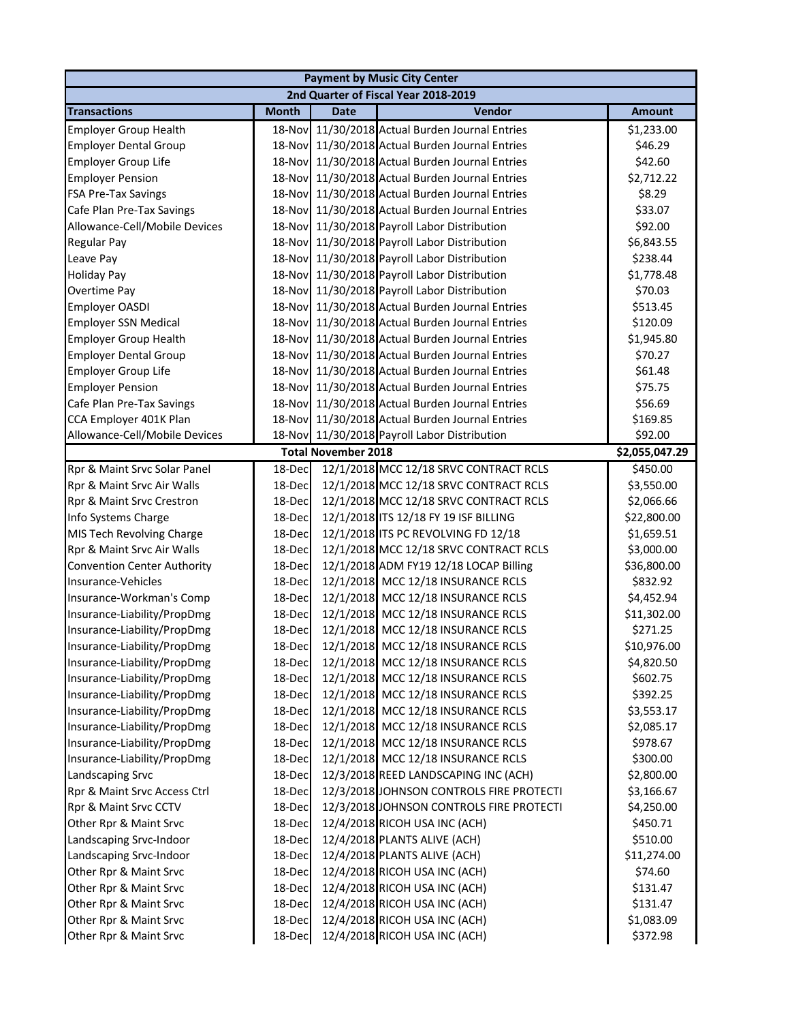|                                    |              |                            | <b>Payment by Music City Center</b>             |                |
|------------------------------------|--------------|----------------------------|-------------------------------------------------|----------------|
|                                    |              |                            | 2nd Quarter of Fiscal Year 2018-2019            |                |
| <b>Transactions</b>                | <b>Month</b> | <b>Date</b>                | Vendor                                          | <b>Amount</b>  |
| <b>Employer Group Health</b>       |              |                            | 18-Nov 11/30/2018 Actual Burden Journal Entries | \$1,233.00     |
| <b>Employer Dental Group</b>       |              |                            | 18-Nov 11/30/2018 Actual Burden Journal Entries | \$46.29        |
| <b>Employer Group Life</b>         |              |                            | 18-Nov 11/30/2018 Actual Burden Journal Entries | \$42.60        |
| <b>Employer Pension</b>            | 18-Nov       |                            | 11/30/2018 Actual Burden Journal Entries        | \$2,712.22     |
| <b>FSA Pre-Tax Savings</b>         | 18-Nov       |                            | 11/30/2018 Actual Burden Journal Entries        | \$8.29         |
| Cafe Plan Pre-Tax Savings          | 18-Nov       |                            | 11/30/2018 Actual Burden Journal Entries        | \$33.07        |
| Allowance-Cell/Mobile Devices      | 18-Nov       |                            | 11/30/2018 Payroll Labor Distribution           | \$92.00        |
| Regular Pay                        | 18-Nov       |                            | 11/30/2018 Payroll Labor Distribution           | \$6,843.55     |
| Leave Pay                          | 18-Nov       |                            | 11/30/2018 Payroll Labor Distribution           | \$238.44       |
| <b>Holiday Pay</b>                 | 18-Nov       |                            | 11/30/2018 Payroll Labor Distribution           | \$1,778.48     |
| Overtime Pay                       | 18-Nov       |                            | 11/30/2018 Payroll Labor Distribution           | \$70.03        |
| Employer OASDI                     |              |                            | 18-Nov 11/30/2018 Actual Burden Journal Entries | \$513.45       |
| <b>Employer SSN Medical</b>        |              |                            | 18-Nov 11/30/2018 Actual Burden Journal Entries | \$120.09       |
| <b>Employer Group Health</b>       |              |                            | 18-Nov 11/30/2018 Actual Burden Journal Entries | \$1,945.80     |
| <b>Employer Dental Group</b>       |              |                            | 18-Nov 11/30/2018 Actual Burden Journal Entries | \$70.27        |
| <b>Employer Group Life</b>         |              |                            | 18-Nov 11/30/2018 Actual Burden Journal Entries | \$61.48        |
| <b>Employer Pension</b>            | 18-Nov       |                            | 11/30/2018 Actual Burden Journal Entries        | \$75.75        |
| Cafe Plan Pre-Tax Savings          | 18-Nov       |                            | 11/30/2018 Actual Burden Journal Entries        | \$56.69        |
| CCA Employer 401K Plan             | 18-Nov       |                            | 11/30/2018 Actual Burden Journal Entries        | \$169.85       |
| Allowance-Cell/Mobile Devices      |              |                            | 18-Nov 11/30/2018 Payroll Labor Distribution    | \$92.00        |
|                                    |              | <b>Total November 2018</b> |                                                 | \$2,055,047.29 |
| Rpr & Maint Srvc Solar Panel       | 18-Dec       |                            | 12/1/2018 MCC 12/18 SRVC CONTRACT RCLS          | \$450.00       |
| Rpr & Maint Srvc Air Walls         | 18-Dec       |                            | 12/1/2018 MCC 12/18 SRVC CONTRACT RCLS          | \$3,550.00     |
| Rpr & Maint Srvc Crestron          | 18-Dec       |                            | 12/1/2018 MCC 12/18 SRVC CONTRACT RCLS          | \$2,066.66     |
| Info Systems Charge                | 18-Dec       |                            | 12/1/2018 ITS 12/18 FY 19 ISF BILLING           | \$22,800.00    |
| MIS Tech Revolving Charge          | 18-Dec       |                            | 12/1/2018 ITS PC REVOLVING FD 12/18             | \$1,659.51     |
| Rpr & Maint Srvc Air Walls         | 18-Dec       |                            | 12/1/2018 MCC 12/18 SRVC CONTRACT RCLS          | \$3,000.00     |
| <b>Convention Center Authority</b> | 18-Dec       |                            | 12/1/2018 ADM FY19 12/18 LOCAP Billing          | \$36,800.00    |
| Insurance-Vehicles                 | 18-Dec       |                            | 12/1/2018 MCC 12/18 INSURANCE RCLS              | \$832.92       |
| Insurance-Workman's Comp           | 18-Dec       |                            | 12/1/2018 MCC 12/18 INSURANCE RCLS              | \$4,452.94     |
| Insurance-Liability/PropDmg        | 18-Dec       |                            | 12/1/2018 MCC 12/18 INSURANCE RCLS              | \$11,302.00    |
| Insurance-Liability/PropDmg        | 18-Dec       |                            | 12/1/2018 MCC 12/18 INSURANCE RCLS              | \$271.25       |
| Insurance-Liability/PropDmg        | 18-Dec       |                            | 12/1/2018 MCC 12/18 INSURANCE RCLS              | \$10,976.00    |
| Insurance-Liability/PropDmg        | 18-Dec       |                            | 12/1/2018 MCC 12/18 INSURANCE RCLS              | \$4,820.50     |
| Insurance-Liability/PropDmg        | 18-Dec       |                            | 12/1/2018 MCC 12/18 INSURANCE RCLS              | \$602.75       |
| Insurance-Liability/PropDmg        | 18-Dec       |                            | 12/1/2018 MCC 12/18 INSURANCE RCLS              | \$392.25       |
| Insurance-Liability/PropDmg        | 18-Dec       |                            | 12/1/2018 MCC 12/18 INSURANCE RCLS              | \$3,553.17     |
| Insurance-Liability/PropDmg        | 18-Dec       |                            | 12/1/2018 MCC 12/18 INSURANCE RCLS              | \$2,085.17     |
| Insurance-Liability/PropDmg        | 18-Dec       |                            | 12/1/2018 MCC 12/18 INSURANCE RCLS              | \$978.67       |
| Insurance-Liability/PropDmg        | 18-Dec       |                            | 12/1/2018 MCC 12/18 INSURANCE RCLS              | \$300.00       |
| Landscaping Srvc                   | 18-Dec       |                            | 12/3/2018 REED LANDSCAPING INC (ACH)            | \$2,800.00     |
| Rpr & Maint Srvc Access Ctrl       | 18-Dec       |                            | 12/3/2018 JOHNSON CONTROLS FIRE PROTECTI        | \$3,166.67     |
| Rpr & Maint Srvc CCTV              | 18-Dec       |                            | 12/3/2018 JOHNSON CONTROLS FIRE PROTECTI        | \$4,250.00     |
| Other Rpr & Maint Srvc             | 18-Dec       |                            | 12/4/2018 RICOH USA INC (ACH)                   | \$450.71       |
| Landscaping Srvc-Indoor            | 18-Dec       |                            | 12/4/2018 PLANTS ALIVE (ACH)                    | \$510.00       |
| Landscaping Srvc-Indoor            | 18-Dec       |                            | 12/4/2018 PLANTS ALIVE (ACH)                    | \$11,274.00    |
| Other Rpr & Maint Srvc             | 18-Dec       |                            | 12/4/2018 RICOH USA INC (ACH)                   | \$74.60        |
| Other Rpr & Maint Srvc             | 18-Dec       |                            | 12/4/2018 RICOH USA INC (ACH)                   | \$131.47       |
| Other Rpr & Maint Srvc             | 18-Dec       |                            | 12/4/2018 RICOH USA INC (ACH)                   | \$131.47       |
| Other Rpr & Maint Srvc             | 18-Dec       |                            | 12/4/2018 RICOH USA INC (ACH)                   | \$1,083.09     |
| Other Rpr & Maint Srvc             | 18-Dec       |                            | 12/4/2018 RICOH USA INC (ACH)                   | \$372.98       |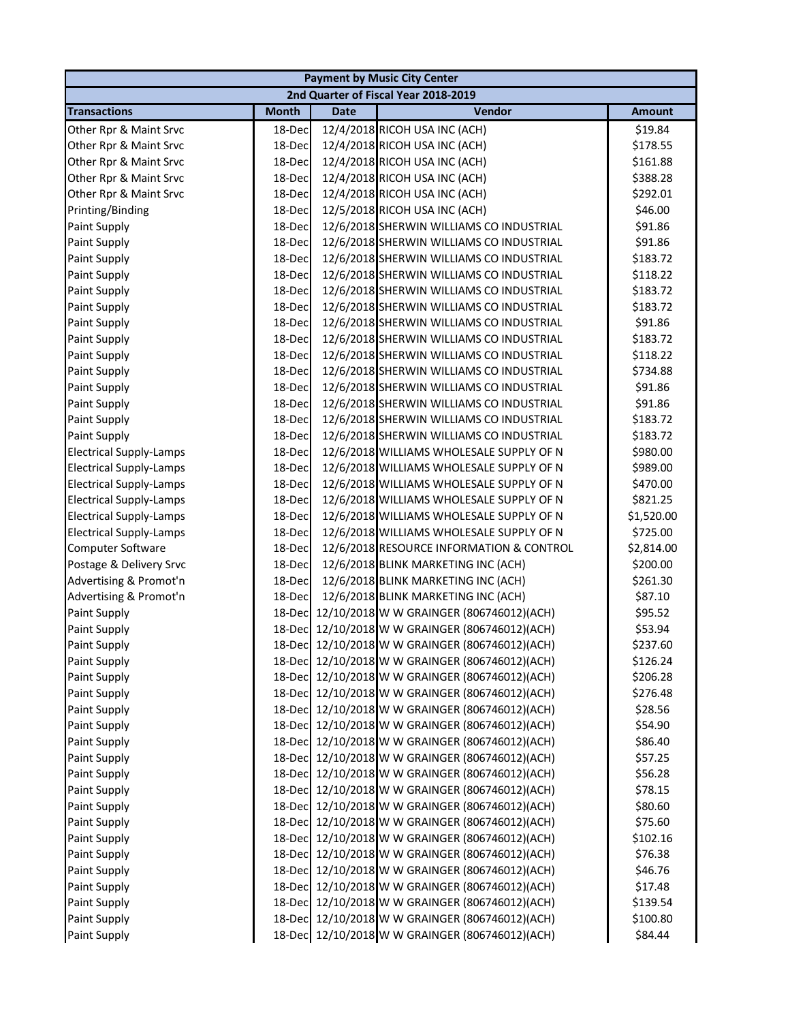|                                |              |             | <b>Payment by Music City Center</b>             |               |
|--------------------------------|--------------|-------------|-------------------------------------------------|---------------|
|                                |              |             | 2nd Quarter of Fiscal Year 2018-2019            |               |
| <b>Transactions</b>            | <b>Month</b> | <b>Date</b> | Vendor                                          | <b>Amount</b> |
| Other Rpr & Maint Srvc         | 18-Dec       |             | 12/4/2018 RICOH USA INC (ACH)                   | \$19.84       |
| Other Rpr & Maint Srvc         | 18-Dec       |             | 12/4/2018 RICOH USA INC (ACH)                   | \$178.55      |
| Other Rpr & Maint Srvc         | 18-Dec       |             | 12/4/2018 RICOH USA INC (ACH)                   | \$161.88      |
| Other Rpr & Maint Srvc         | 18-Dec       |             | 12/4/2018 RICOH USA INC (ACH)                   | \$388.28      |
| Other Rpr & Maint Srvc         | 18-Dec       |             | 12/4/2018 RICOH USA INC (ACH)                   | \$292.01      |
| Printing/Binding               | 18-Dec       |             | 12/5/2018 RICOH USA INC (ACH)                   | \$46.00       |
| Paint Supply                   | 18-Dec       |             | 12/6/2018 SHERWIN WILLIAMS CO INDUSTRIAL        | \$91.86       |
| Paint Supply                   | 18-Dec       |             | 12/6/2018 SHERWIN WILLIAMS CO INDUSTRIAL        | \$91.86       |
| Paint Supply                   | 18-Dec       |             | 12/6/2018 SHERWIN WILLIAMS CO INDUSTRIAL        | \$183.72      |
| Paint Supply                   | 18-Dec       |             | 12/6/2018 SHERWIN WILLIAMS CO INDUSTRIAL        | \$118.22      |
| Paint Supply                   | 18-Dec       |             | 12/6/2018 SHERWIN WILLIAMS CO INDUSTRIAL        | \$183.72      |
| Paint Supply                   | 18-Dec       |             | 12/6/2018 SHERWIN WILLIAMS CO INDUSTRIAL        | \$183.72      |
| Paint Supply                   | 18-Dec       |             | 12/6/2018 SHERWIN WILLIAMS CO INDUSTRIAL        | \$91.86       |
| Paint Supply                   | 18-Dec       |             | 12/6/2018 SHERWIN WILLIAMS CO INDUSTRIAL        | \$183.72      |
| Paint Supply                   | 18-Dec       |             | 12/6/2018 SHERWIN WILLIAMS CO INDUSTRIAL        | \$118.22      |
| Paint Supply                   | 18-Dec       |             | 12/6/2018 SHERWIN WILLIAMS CO INDUSTRIAL        | \$734.88      |
| Paint Supply                   | 18-Dec       |             | 12/6/2018 SHERWIN WILLIAMS CO INDUSTRIAL        | \$91.86       |
| Paint Supply                   | 18-Dec       |             | 12/6/2018 SHERWIN WILLIAMS CO INDUSTRIAL        | \$91.86       |
| Paint Supply                   | 18-Dec       |             | 12/6/2018 SHERWIN WILLIAMS CO INDUSTRIAL        | \$183.72      |
| Paint Supply                   | 18-Dec       |             | 12/6/2018 SHERWIN WILLIAMS CO INDUSTRIAL        | \$183.72      |
| <b>Electrical Supply-Lamps</b> | 18-Dec       |             | 12/6/2018 WILLIAMS WHOLESALE SUPPLY OF N        | \$980.00      |
| <b>Electrical Supply-Lamps</b> | 18-Dec       |             | 12/6/2018 WILLIAMS WHOLESALE SUPPLY OF N        | \$989.00      |
| <b>Electrical Supply-Lamps</b> | 18-Dec       |             | 12/6/2018 WILLIAMS WHOLESALE SUPPLY OF N        | \$470.00      |
| <b>Electrical Supply-Lamps</b> | 18-Dec       |             | 12/6/2018 WILLIAMS WHOLESALE SUPPLY OF N        | \$821.25      |
| <b>Electrical Supply-Lamps</b> | 18-Dec       |             | 12/6/2018 WILLIAMS WHOLESALE SUPPLY OF N        | \$1,520.00    |
| <b>Electrical Supply-Lamps</b> | 18-Dec       |             | 12/6/2018 WILLIAMS WHOLESALE SUPPLY OF N        | \$725.00      |
| Computer Software              | 18-Dec       |             | 12/6/2018 RESOURCE INFORMATION & CONTROL        | \$2,814.00    |
| Postage & Delivery Srvc        | 18-Dec       |             | 12/6/2018 BLINK MARKETING INC (ACH)             | \$200.00      |
| Advertising & Promot'n         | 18-Dec       |             | 12/6/2018 BLINK MARKETING INC (ACH)             | \$261.30      |
| Advertising & Promot'n         | 18-Dec       |             | 12/6/2018 BLINK MARKETING INC (ACH)             | \$87.10       |
| Paint Supply                   | 18-Dec       |             | 12/10/2018 W W GRAINGER (806746012)(ACH)        | \$95.52       |
| Paint Supply                   |              |             | 18-Dec 12/10/2018 W W GRAINGER (806746012)(ACH) | \$53.94       |
| Paint Supply                   |              |             | 18-Dec 12/10/2018 W W GRAINGER (806746012)(ACH) | \$237.60      |
| Paint Supply                   |              |             | 18-Dec 12/10/2018 W W GRAINGER (806746012)(ACH) | \$126.24      |
| Paint Supply                   | 18-Dec       |             | 12/10/2018 W W GRAINGER (806746012)(ACH)        | \$206.28      |
| Paint Supply                   |              |             | 18-Dec 12/10/2018 W W GRAINGER (806746012)(ACH) | \$276.48      |
| Paint Supply                   |              |             | 18-Dec 12/10/2018 W W GRAINGER (806746012)(ACH) | \$28.56       |
| Paint Supply                   |              |             | 18-Dec 12/10/2018 W W GRAINGER (806746012)(ACH) | \$54.90       |
| Paint Supply                   |              |             | 18-Dec 12/10/2018 W W GRAINGER (806746012)(ACH) | \$86.40       |
| Paint Supply                   |              |             | 18-Dec 12/10/2018 W W GRAINGER (806746012)(ACH) | \$57.25       |
| Paint Supply                   |              |             | 18-Dec 12/10/2018 W W GRAINGER (806746012)(ACH) | \$56.28       |
| Paint Supply                   |              |             | 18-Dec 12/10/2018 W W GRAINGER (806746012)(ACH) | \$78.15       |
| Paint Supply                   |              |             | 18-Dec 12/10/2018 W W GRAINGER (806746012)(ACH) | \$80.60       |
| Paint Supply                   |              |             | 18-Dec 12/10/2018 W W GRAINGER (806746012)(ACH) | \$75.60       |
| Paint Supply                   |              |             | 18-Dec 12/10/2018 W W GRAINGER (806746012)(ACH) | \$102.16      |
| Paint Supply                   | 18-Dec       |             | 12/10/2018 W W GRAINGER (806746012)(ACH)        | \$76.38       |
| Paint Supply                   |              |             | 18-Dec 12/10/2018 W W GRAINGER (806746012)(ACH) | \$46.76       |
| Paint Supply                   |              |             | 18-Dec 12/10/2018 W W GRAINGER (806746012)(ACH) | \$17.48       |
| Paint Supply                   |              |             | 18-Dec 12/10/2018 W W GRAINGER (806746012)(ACH) | \$139.54      |
| Paint Supply                   |              |             | 18-Dec 12/10/2018 W W GRAINGER (806746012)(ACH) | \$100.80      |
| Paint Supply                   |              |             | 18-Dec 12/10/2018 W W GRAINGER (806746012)(ACH) | \$84.44       |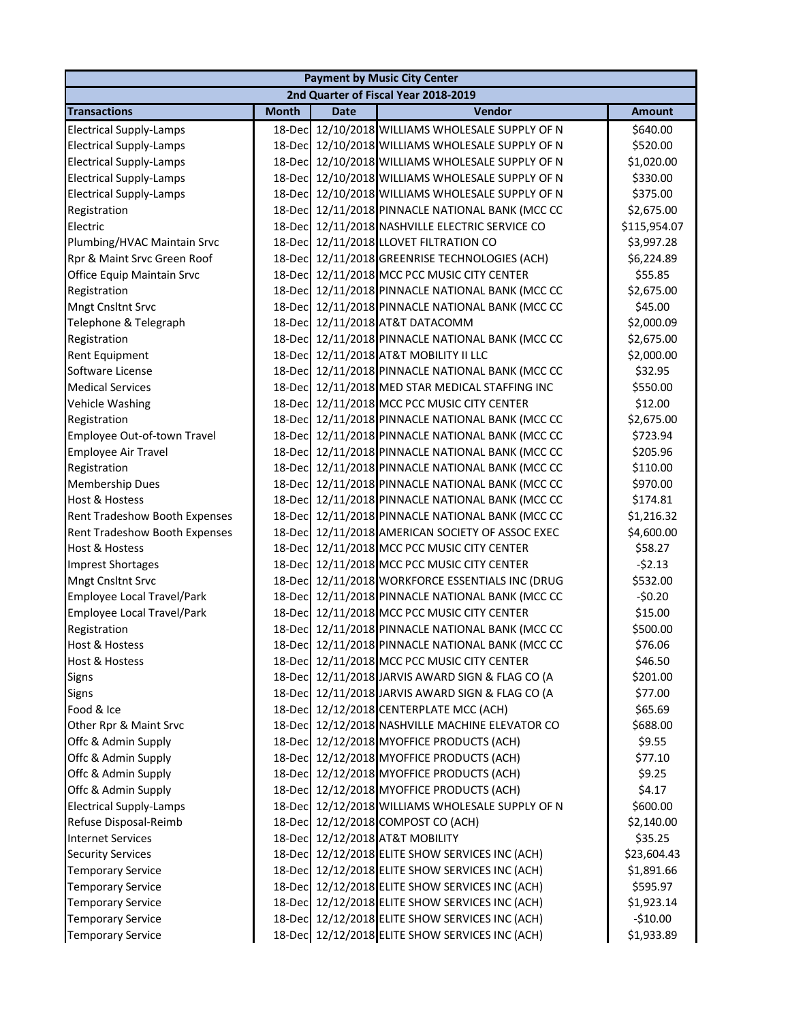|                                |              |             | <b>Payment by Music City Center</b>              |               |
|--------------------------------|--------------|-------------|--------------------------------------------------|---------------|
|                                |              |             | 2nd Quarter of Fiscal Year 2018-2019             |               |
| <b>Transactions</b>            | <b>Month</b> | <b>Date</b> | Vendor                                           | <b>Amount</b> |
| <b>Electrical Supply-Lamps</b> | 18-Dec       |             | 12/10/2018 WILLIAMS WHOLESALE SUPPLY OF N        | \$640.00      |
| <b>Electrical Supply-Lamps</b> |              |             | 18-Dec 12/10/2018 WILLIAMS WHOLESALE SUPPLY OF N | \$520.00      |
| <b>Electrical Supply-Lamps</b> |              |             | 18-Dec 12/10/2018 WILLIAMS WHOLESALE SUPPLY OF N | \$1,020.00    |
| <b>Electrical Supply-Lamps</b> | 18-Dec       |             | 12/10/2018 WILLIAMS WHOLESALE SUPPLY OF N        | \$330.00      |
| <b>Electrical Supply-Lamps</b> | 18-Dec       |             | 12/10/2018 WILLIAMS WHOLESALE SUPPLY OF N        | \$375.00      |
| Registration                   | 18-Dec       |             | 12/11/2018 PINNACLE NATIONAL BANK (MCC CC        | \$2,675.00    |
| Electric                       | 18-Dec       |             | 12/11/2018 NASHVILLE ELECTRIC SERVICE CO         | \$115,954.07  |
| Plumbing/HVAC Maintain Srvc    | 18-Dec       |             | 12/11/2018 LLOVET FILTRATION CO                  | \$3,997.28    |
| Rpr & Maint Srvc Green Roof    | 18-Dec       |             | 12/11/2018 GREENRISE TECHNOLOGIES (ACH)          | \$6,224.89    |
| Office Equip Maintain Srvc     | 18-Dec       |             | 12/11/2018 MCC PCC MUSIC CITY CENTER             | \$55.85       |
| Registration                   | 18-Dec       |             | 12/11/2018 PINNACLE NATIONAL BANK (MCC CC        | \$2,675.00    |
| <b>Mngt Cnsltnt Srvc</b>       | 18-Dec       |             | 12/11/2018 PINNACLE NATIONAL BANK (MCC CC        | \$45.00       |
| Telephone & Telegraph          | 18-Decl      |             | 12/11/2018 AT&T DATACOMM                         | \$2,000.09    |
| Registration                   | 18-Dec       |             | 12/11/2018 PINNACLE NATIONAL BANK (MCC CC        | \$2,675.00    |
| <b>Rent Equipment</b>          | 18-Dec       |             | 12/11/2018 AT&T MOBILITY II LLC                  | \$2,000.00    |
| Software License               |              |             | 18-Dec 12/11/2018 PINNACLE NATIONAL BANK (MCC CC | \$32.95       |
| <b>Medical Services</b>        |              |             | 18-Dec 12/11/2018 MED STAR MEDICAL STAFFING INC  | \$550.00      |
| Vehicle Washing                |              |             | 18-Dec 12/11/2018 MCC PCC MUSIC CITY CENTER      | \$12.00       |
| Registration                   | 18-Decl      |             | 12/11/2018 PINNACLE NATIONAL BANK (MCC CC        | \$2,675.00    |
| Employee Out-of-town Travel    | 18-Dec       |             | 12/11/2018 PINNACLE NATIONAL BANK (MCC CC        | \$723.94      |
| Employee Air Travel            | 18-Dec       |             | 12/11/2018 PINNACLE NATIONAL BANK (MCC CC        | \$205.96      |
| Registration                   | 18-Dec       |             | 12/11/2018 PINNACLE NATIONAL BANK (MCC CC        | \$110.00      |
| <b>Membership Dues</b>         | 18-Dec       |             | 12/11/2018 PINNACLE NATIONAL BANK (MCC CC        | \$970.00      |
| <b>Host &amp; Hostess</b>      | 18-Dec       |             | 12/11/2018 PINNACLE NATIONAL BANK (MCC CC        | \$174.81      |
| Rent Tradeshow Booth Expenses  | 18-Dec       |             | 12/11/2018 PINNACLE NATIONAL BANK (MCC CC        | \$1,216.32    |
| Rent Tradeshow Booth Expenses  | 18-Dec       |             | 12/11/2018 AMERICAN SOCIETY OF ASSOC EXEC        | \$4,600.00    |
| <b>Host &amp; Hostess</b>      |              |             | 18-Dec 12/11/2018 MCC PCC MUSIC CITY CENTER      | \$58.27       |
| <b>Imprest Shortages</b>       |              |             | 18-Dec 12/11/2018 MCC PCC MUSIC CITY CENTER      | $-52.13$      |
| <b>Mngt Cnsltnt Srvc</b>       |              |             | 18-Dec 12/11/2018 WORKFORCE ESSENTIALS INC (DRUG | \$532.00      |
| Employee Local Travel/Park     |              |             | 18-Dec 12/11/2018 PINNACLE NATIONAL BANK (MCC CC | $-50.20$      |
| Employee Local Travel/Park     |              |             | 18-Dec 12/11/2018 MCC PCC MUSIC CITY CENTER      | \$15.00       |
| Registration                   |              |             | 18-Dec 12/11/2018 PINNACLE NATIONAL BANK (MCC CC | \$500.00      |
| Host & Hostess                 |              |             | 18-Dec 12/11/2018 PINNACLE NATIONAL BANK (MCC CC | \$76.06       |
| <b>Host &amp; Hostess</b>      |              |             | 18-Dec 12/11/2018 MCC PCC MUSIC CITY CENTER      | \$46.50       |
| <b>Signs</b>                   | 18-Dec       |             | 12/11/2018 JARVIS AWARD SIGN & FLAG CO (A        | \$201.00      |
| <b>Signs</b>                   | 18-Dec       |             | 12/11/2018 JARVIS AWARD SIGN & FLAG CO (A        | \$77.00       |
| Food & Ice                     | 18-Dec       |             | 12/12/2018 CENTERPLATE MCC (ACH)                 | \$65.69       |
| Other Rpr & Maint Srvc         | 18-Dec       |             | 12/12/2018 NASHVILLE MACHINE ELEVATOR CO         | \$688.00      |
| Offc & Admin Supply            |              |             | 18-Dec 12/12/2018 MYOFFICE PRODUCTS (ACH)        | \$9.55        |
| Offc & Admin Supply            |              |             | 18-Dec 12/12/2018 MYOFFICE PRODUCTS (ACH)        | \$77.10       |
| Offc & Admin Supply            |              |             | 18-Dec 12/12/2018 MYOFFICE PRODUCTS (ACH)        | \$9.25        |
| Offc & Admin Supply            |              |             | 18-Dec 12/12/2018 MYOFFICE PRODUCTS (ACH)        | \$4.17        |
| <b>Electrical Supply-Lamps</b> |              |             | 18-Dec 12/12/2018 WILLIAMS WHOLESALE SUPPLY OF N | \$600.00      |
| Refuse Disposal-Reimb          | 18-Dec       |             | 12/12/2018 COMPOST CO (ACH)                      | \$2,140.00    |
| <b>Internet Services</b>       | 18-Decl      |             | 12/12/2018 AT&T MOBILITY                         | \$35.25       |
| <b>Security Services</b>       | 18-Decl      |             | 12/12/2018 ELITE SHOW SERVICES INC (ACH)         | \$23,604.43   |
| <b>Temporary Service</b>       | 18-Dec       |             | 12/12/2018 ELITE SHOW SERVICES INC (ACH)         | \$1,891.66    |
| <b>Temporary Service</b>       | 18-Dec       |             | 12/12/2018 ELITE SHOW SERVICES INC (ACH)         | \$595.97      |
| <b>Temporary Service</b>       | 18-Dec       |             | 12/12/2018 ELITE SHOW SERVICES INC (ACH)         | \$1,923.14    |
| <b>Temporary Service</b>       |              |             | 18-Dec 12/12/2018 ELITE SHOW SERVICES INC (ACH)  | $-$10.00$     |
| <b>Temporary Service</b>       |              |             | 18-Dec 12/12/2018 ELITE SHOW SERVICES INC (ACH)  | \$1,933.89    |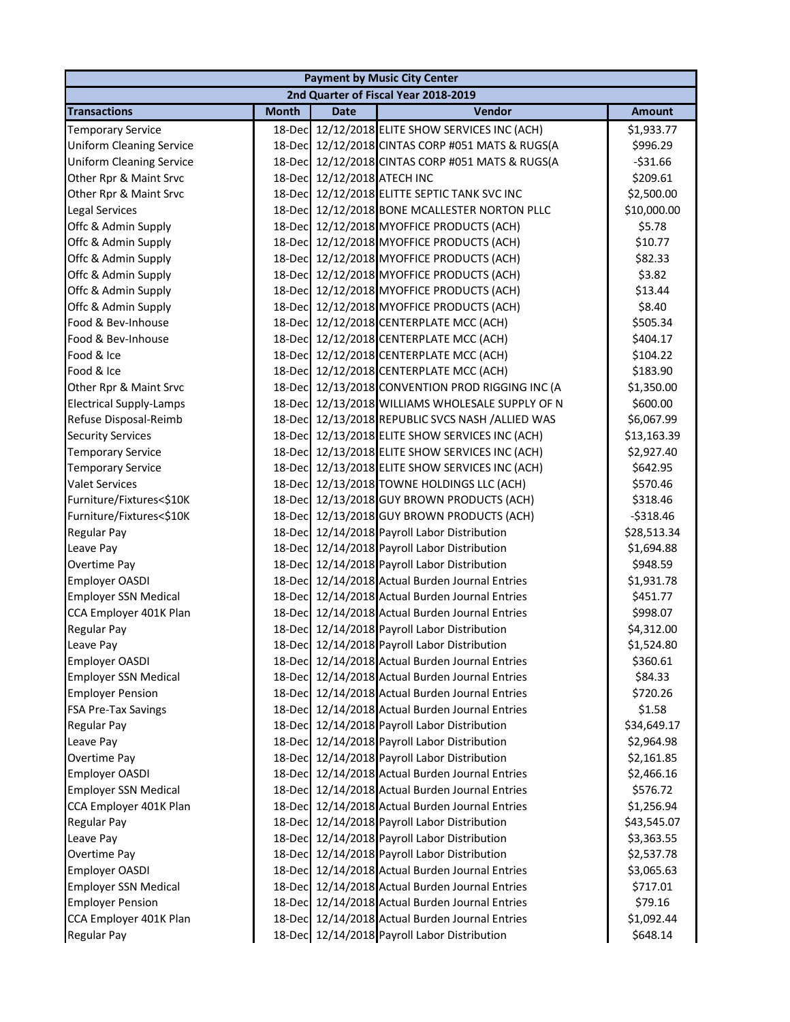|                                 |              |                             | <b>Payment by Music City Center</b>              |               |
|---------------------------------|--------------|-----------------------------|--------------------------------------------------|---------------|
|                                 |              |                             | 2nd Quarter of Fiscal Year 2018-2019             |               |
| <b>Transactions</b>             | <b>Month</b> | <b>Date</b>                 | Vendor                                           | <b>Amount</b> |
| <b>Temporary Service</b>        | 18-Dec       |                             | 12/12/2018 ELITE SHOW SERVICES INC (ACH)         | \$1,933.77    |
| <b>Uniform Cleaning Service</b> |              |                             | 18-Dec 12/12/2018 CINTAS CORP #051 MATS & RUGS(A | \$996.29      |
| <b>Uniform Cleaning Service</b> | 18-Dec       |                             | 12/12/2018 CINTAS CORP #051 MATS & RUGS(A        | $-531.66$     |
| Other Rpr & Maint Srvc          |              | 18-Dec 12/12/2018 ATECH INC |                                                  | \$209.61      |
| Other Rpr & Maint Srvc          |              |                             | 18-Dec 12/12/2018 ELITTE SEPTIC TANK SVC INC     | \$2,500.00    |
| Legal Services                  |              |                             | 18-Dec 12/12/2018 BONE MCALLESTER NORTON PLLC    | \$10,000.00   |
| Offc & Admin Supply             |              |                             | 18-Dec 12/12/2018 MYOFFICE PRODUCTS (ACH)        | \$5.78        |
| Offc & Admin Supply             |              |                             | 18-Dec 12/12/2018 MYOFFICE PRODUCTS (ACH)        | \$10.77       |
| Offc & Admin Supply             | 18-Dec       |                             | 12/12/2018 MYOFFICE PRODUCTS (ACH)               | \$82.33       |
| Offc & Admin Supply             | 18-Dec       |                             | 12/12/2018 MYOFFICE PRODUCTS (ACH)               | \$3.82        |
| Offc & Admin Supply             | 18-Dec       |                             | 12/12/2018 MYOFFICE PRODUCTS (ACH)               | \$13.44       |
| Offc & Admin Supply             | 18-Dec       |                             | 12/12/2018 MYOFFICE PRODUCTS (ACH)               | \$8.40        |
| Food & Bev-Inhouse              | 18-Dec       |                             | 12/12/2018 CENTERPLATE MCC (ACH)                 | \$505.34      |
| Food & Bev-Inhouse              | 18-Dec       |                             | 12/12/2018 CENTERPLATE MCC (ACH)                 | \$404.17      |
| Food & Ice                      |              |                             | 18-Dec 12/12/2018 CENTERPLATE MCC (ACH)          | \$104.22      |
| Food & Ice                      |              |                             | 18-Dec 12/12/2018 CENTERPLATE MCC (ACH)          | \$183.90      |
| Other Rpr & Maint Srvc          |              |                             | 18-Dec 12/13/2018 CONVENTION PROD RIGGING INC (A | \$1,350.00    |
| <b>Electrical Supply-Lamps</b>  |              |                             | 18-Dec 12/13/2018 WILLIAMS WHOLESALE SUPPLY OF N | \$600.00      |
| Refuse Disposal-Reimb           |              |                             | 18-Dec 12/13/2018 REPUBLIC SVCS NASH /ALLIED WAS | \$6,067.99    |
| <b>Security Services</b>        |              |                             | 18-Dec 12/13/2018 ELITE SHOW SERVICES INC (ACH)  | \$13,163.39   |
| <b>Temporary Service</b>        |              |                             | 18-Dec 12/13/2018 ELITE SHOW SERVICES INC (ACH)  | \$2,927.40    |
| <b>Temporary Service</b>        | 18-Dec       |                             | 12/13/2018 ELITE SHOW SERVICES INC (ACH)         | \$642.95      |
| <b>Valet Services</b>           | 18-Dec       |                             | 12/13/2018 TOWNE HOLDINGS LLC (ACH)              | \$570.46      |
| Furniture/Fixtures<\$10K        | 18-Dec       |                             | 12/13/2018 GUY BROWN PRODUCTS (ACH)              | \$318.46      |
| Furniture/Fixtures<\$10K        | 18-Dec       |                             | 12/13/2018 GUY BROWN PRODUCTS (ACH)              | $-5318.46$    |
| Regular Pay                     | 18-Dec       |                             | 12/14/2018 Payroll Labor Distribution            | \$28,513.34   |
| Leave Pay                       |              |                             | 18-Dec 12/14/2018 Payroll Labor Distribution     | \$1,694.88    |
| Overtime Pay                    |              |                             | 18-Dec 12/14/2018 Payroll Labor Distribution     | \$948.59      |
| Employer OASDI                  |              |                             | 18-Dec 12/14/2018 Actual Burden Journal Entries  | \$1,931.78    |
| <b>Employer SSN Medical</b>     |              |                             | 18-Dec 12/14/2018 Actual Burden Journal Entries  | \$451.77      |
| CCA Employer 401K Plan          |              |                             | 18-Dec 12/14/2018 Actual Burden Journal Entries  | \$998.07      |
| <b>Regular Pay</b>              |              |                             | 18-Dec 12/14/2018 Payroll Labor Distribution     | \$4,312.00    |
| Leave Pay                       |              |                             | 18-Dec 12/14/2018 Payroll Labor Distribution     | \$1,524.80    |
| Employer OASDI                  |              |                             | 18-Dec 12/14/2018 Actual Burden Journal Entries  | \$360.61      |
| <b>Employer SSN Medical</b>     | 18-Decl      |                             | 12/14/2018 Actual Burden Journal Entries         | \$84.33       |
| <b>Employer Pension</b>         | 18-Dec       |                             | 12/14/2018 Actual Burden Journal Entries         | \$720.26      |
| <b>FSA Pre-Tax Savings</b>      | 18-Dec       |                             | 12/14/2018 Actual Burden Journal Entries         | \$1.58        |
| Regular Pay                     | 18-Dec       |                             | 12/14/2018 Payroll Labor Distribution            | \$34,649.17   |
| Leave Pay                       | 18-Dec       |                             | 12/14/2018 Payroll Labor Distribution            | \$2,964.98    |
| Overtime Pay                    |              |                             | 18-Dec 12/14/2018 Payroll Labor Distribution     | \$2,161.85    |
| Employer OASDI                  |              |                             | 18-Dec 12/14/2018 Actual Burden Journal Entries  | \$2,466.16    |
| <b>Employer SSN Medical</b>     |              |                             | 18-Dec 12/14/2018 Actual Burden Journal Entries  | \$576.72      |
| CCA Employer 401K Plan          |              |                             | 18-Dec 12/14/2018 Actual Burden Journal Entries  | \$1,256.94    |
| Regular Pay                     |              |                             | 18-Dec 12/14/2018 Payroll Labor Distribution     | \$43,545.07   |
| Leave Pay                       |              |                             | 18-Dec 12/14/2018 Payroll Labor Distribution     | \$3,363.55    |
| Overtime Pay                    |              |                             | 18-Dec 12/14/2018 Payroll Labor Distribution     | \$2,537.78    |
| Employer OASDI                  | 18-Dec       |                             | 12/14/2018 Actual Burden Journal Entries         | \$3,065.63    |
| <b>Employer SSN Medical</b>     | 18-Dec       |                             | 12/14/2018 Actual Burden Journal Entries         | \$717.01      |
| <b>Employer Pension</b>         | 18-Dec       |                             | 12/14/2018 Actual Burden Journal Entries         | \$79.16       |
| CCA Employer 401K Plan          |              |                             | 18-Dec 12/14/2018 Actual Burden Journal Entries  | \$1,092.44    |
| Regular Pay                     |              |                             | 18-Dec 12/14/2018 Payroll Labor Distribution     | \$648.14      |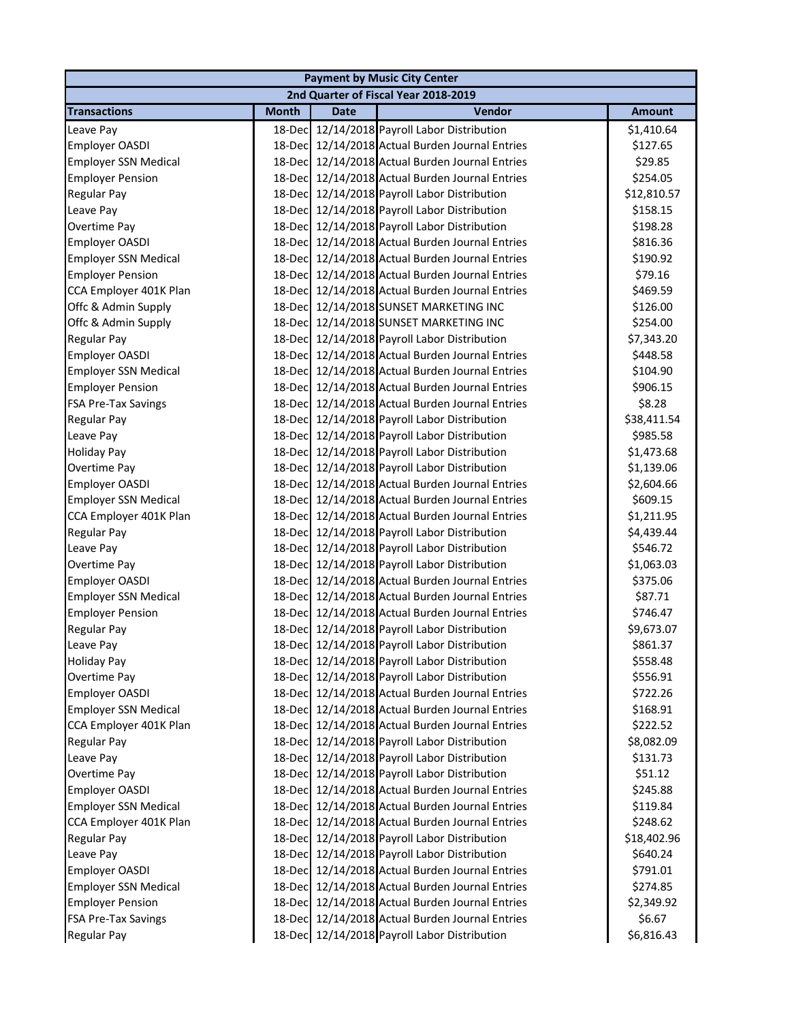| <b>Payment by Music City Center</b>  |              |             |                                                 |               |  |  |
|--------------------------------------|--------------|-------------|-------------------------------------------------|---------------|--|--|
| 2nd Quarter of Fiscal Year 2018-2019 |              |             |                                                 |               |  |  |
| <b>Transactions</b>                  | <b>Month</b> | <b>Date</b> | Vendor                                          | <b>Amount</b> |  |  |
| Leave Pay                            |              |             | 18-Dec 12/14/2018 Payroll Labor Distribution    | \$1,410.64    |  |  |
| Employer OASDI                       |              |             | 18-Dec 12/14/2018 Actual Burden Journal Entries | \$127.65      |  |  |
| <b>Employer SSN Medical</b>          |              |             | 18-Dec 12/14/2018 Actual Burden Journal Entries | \$29.85       |  |  |
| <b>Employer Pension</b>              |              |             | 18-Dec 12/14/2018 Actual Burden Journal Entries | \$254.05      |  |  |
| Regular Pay                          |              |             | 18-Dec 12/14/2018 Payroll Labor Distribution    | \$12,810.57   |  |  |
| Leave Pay                            |              |             | 18-Dec 12/14/2018 Payroll Labor Distribution    | \$158.15      |  |  |
| Overtime Pay                         |              |             | 18-Dec 12/14/2018 Payroll Labor Distribution    | \$198.28      |  |  |
| Employer OASDI                       |              |             | 18-Dec 12/14/2018 Actual Burden Journal Entries | \$816.36      |  |  |
| <b>Employer SSN Medical</b>          |              |             | 18-Dec 12/14/2018 Actual Burden Journal Entries | \$190.92      |  |  |
| <b>Employer Pension</b>              |              |             | 18-Dec 12/14/2018 Actual Burden Journal Entries | \$79.16       |  |  |
| CCA Employer 401K Plan               |              |             | 18-Dec 12/14/2018 Actual Burden Journal Entries | \$469.59      |  |  |
| Offc & Admin Supply                  |              |             | 18-Dec 12/14/2018 SUNSET MARKETING INC          | \$126.00      |  |  |
| Offc & Admin Supply                  |              |             | 18-Dec 12/14/2018 SUNSET MARKETING INC          | \$254.00      |  |  |
| Regular Pay                          |              |             | 18-Dec 12/14/2018 Payroll Labor Distribution    | \$7,343.20    |  |  |
| Employer OASDI                       |              |             | 18-Dec 12/14/2018 Actual Burden Journal Entries | \$448.58      |  |  |
| <b>Employer SSN Medical</b>          |              |             | 18-Dec 12/14/2018 Actual Burden Journal Entries | \$104.90      |  |  |
| <b>Employer Pension</b>              |              |             | 18-Dec 12/14/2018 Actual Burden Journal Entries | \$906.15      |  |  |
| <b>FSA Pre-Tax Savings</b>           |              |             | 18-Dec 12/14/2018 Actual Burden Journal Entries | \$8.28        |  |  |
| <b>Regular Pay</b>                   |              |             | 18-Dec 12/14/2018 Payroll Labor Distribution    | \$38,411.54   |  |  |
| Leave Pay                            |              |             | 18-Dec 12/14/2018 Payroll Labor Distribution    | \$985.58      |  |  |
| <b>Holiday Pay</b>                   |              |             | 18-Dec 12/14/2018 Payroll Labor Distribution    | \$1,473.68    |  |  |
| Overtime Pay                         |              |             | 18-Dec 12/14/2018 Payroll Labor Distribution    | \$1,139.06    |  |  |
| Employer OASDI                       |              |             | 18-Dec 12/14/2018 Actual Burden Journal Entries | \$2,604.66    |  |  |
| <b>Employer SSN Medical</b>          |              |             | 18-Dec 12/14/2018 Actual Burden Journal Entries | \$609.15      |  |  |
| CCA Employer 401K Plan               |              |             | 18-Dec 12/14/2018 Actual Burden Journal Entries | \$1,211.95    |  |  |
| <b>Regular Pay</b>                   |              |             | 18-Dec 12/14/2018 Payroll Labor Distribution    | \$4,439.44    |  |  |
| Leave Pay                            |              |             | 18-Dec 12/14/2018 Payroll Labor Distribution    | \$546.72      |  |  |
| Overtime Pay                         |              |             | 18-Dec 12/14/2018 Payroll Labor Distribution    | \$1,063.03    |  |  |
| Employer OASDI                       |              |             | 18-Dec 12/14/2018 Actual Burden Journal Entries | \$375.06      |  |  |
| <b>Employer SSN Medical</b>          |              |             | 18-Dec 12/14/2018 Actual Burden Journal Entries | \$87.71       |  |  |
| <b>Employer Pension</b>              |              |             | 18-Dec 12/14/2018 Actual Burden Journal Entries | \$746.47      |  |  |
| <b>Regular Pay</b>                   |              |             | 18-Dec 12/14/2018 Payroll Labor Distribution    | \$9,673.07    |  |  |
| Leave Pay                            |              |             | 18-Dec 12/14/2018 Payroll Labor Distribution    | \$861.37      |  |  |
| <b>Holiday Pay</b>                   |              |             | 18-Dec 12/14/2018 Payroll Labor Distribution    | \$558.48      |  |  |
| Overtime Pay                         |              |             | 18-Dec 12/14/2018 Payroll Labor Distribution    | \$556.91      |  |  |
| Employer OASDI                       |              |             | 18-Dec 12/14/2018 Actual Burden Journal Entries | \$722.26      |  |  |
| <b>Employer SSN Medical</b>          |              |             | 18-Dec 12/14/2018 Actual Burden Journal Entries | \$168.91      |  |  |
| CCA Employer 401K Plan               |              |             | 18-Dec 12/14/2018 Actual Burden Journal Entries | \$222.52      |  |  |
| <b>Regular Pay</b>                   |              |             | 18-Dec 12/14/2018 Payroll Labor Distribution    | \$8,082.09    |  |  |
| Leave Pay                            |              |             | 18-Dec 12/14/2018 Payroll Labor Distribution    | \$131.73      |  |  |
| Overtime Pay                         |              |             | 18-Dec 12/14/2018 Payroll Labor Distribution    | \$51.12       |  |  |
| <b>Employer OASDI</b>                |              |             | 18-Dec 12/14/2018 Actual Burden Journal Entries | \$245.88      |  |  |
| <b>Employer SSN Medical</b>          |              |             | 18-Dec 12/14/2018 Actual Burden Journal Entries | \$119.84      |  |  |
| CCA Employer 401K Plan               |              |             | 18-Dec 12/14/2018 Actual Burden Journal Entries | \$248.62      |  |  |
| <b>Regular Pay</b>                   |              |             | 18-Dec 12/14/2018 Payroll Labor Distribution    | \$18,402.96   |  |  |
| Leave Pay                            |              |             | 18-Dec 12/14/2018 Payroll Labor Distribution    | \$640.24      |  |  |
| Employer OASDI                       |              |             | 18-Dec 12/14/2018 Actual Burden Journal Entries | \$791.01      |  |  |
| <b>Employer SSN Medical</b>          |              |             | 18-Dec 12/14/2018 Actual Burden Journal Entries | \$274.85      |  |  |
| <b>Employer Pension</b>              |              |             | 18-Dec 12/14/2018 Actual Burden Journal Entries | \$2,349.92    |  |  |
| <b>FSA Pre-Tax Savings</b>           |              |             | 18-Dec 12/14/2018 Actual Burden Journal Entries | \$6.67        |  |  |
| Regular Pay                          |              |             | 18-Dec 12/14/2018 Payroll Labor Distribution    | \$6,816.43    |  |  |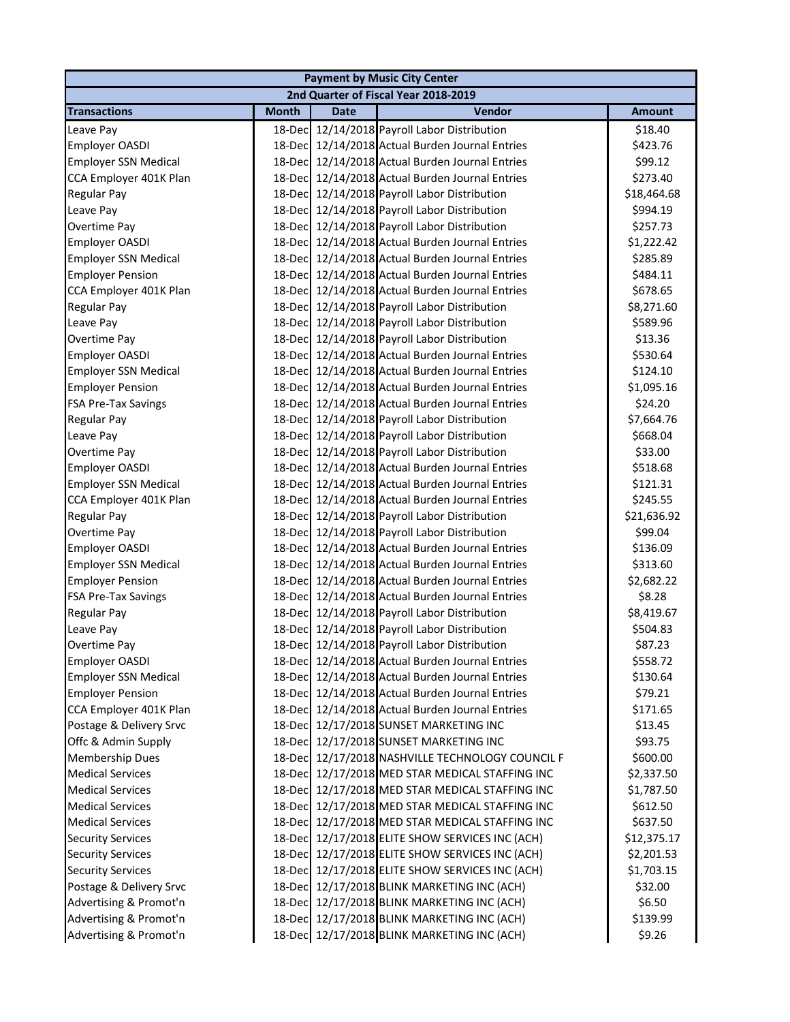| <b>Payment by Music City Center</b>  |              |             |                                                  |               |  |
|--------------------------------------|--------------|-------------|--------------------------------------------------|---------------|--|
| 2nd Quarter of Fiscal Year 2018-2019 |              |             |                                                  |               |  |
| <b>Transactions</b>                  | <b>Month</b> | <b>Date</b> | Vendor                                           | <b>Amount</b> |  |
| Leave Pay                            |              |             | 18-Dec 12/14/2018 Payroll Labor Distribution     | \$18.40       |  |
| <b>Employer OASDI</b>                |              |             | 18-Dec 12/14/2018 Actual Burden Journal Entries  | \$423.76      |  |
| <b>Employer SSN Medical</b>          |              |             | 18-Dec 12/14/2018 Actual Burden Journal Entries  | \$99.12       |  |
| CCA Employer 401K Plan               |              |             | 18-Dec 12/14/2018 Actual Burden Journal Entries  | \$273.40      |  |
| <b>Regular Pay</b>                   |              |             | 18-Dec 12/14/2018 Payroll Labor Distribution     | \$18,464.68   |  |
| Leave Pay                            |              |             | 18-Dec 12/14/2018 Payroll Labor Distribution     | \$994.19      |  |
| Overtime Pay                         |              |             | 18-Dec 12/14/2018 Payroll Labor Distribution     | \$257.73      |  |
| <b>Employer OASDI</b>                |              |             | 18-Dec 12/14/2018 Actual Burden Journal Entries  | \$1,222.42    |  |
| <b>Employer SSN Medical</b>          | 18-Dec       |             | 12/14/2018 Actual Burden Journal Entries         | \$285.89      |  |
| <b>Employer Pension</b>              | 18-Dec       |             | 12/14/2018 Actual Burden Journal Entries         | \$484.11      |  |
| CCA Employer 401K Plan               |              |             | 18-Dec 12/14/2018 Actual Burden Journal Entries  | \$678.65      |  |
| <b>Regular Pay</b>                   |              |             | 18-Dec 12/14/2018 Payroll Labor Distribution     | \$8,271.60    |  |
| Leave Pay                            |              |             | 18-Dec 12/14/2018 Payroll Labor Distribution     | \$589.96      |  |
| Overtime Pay                         |              |             | 18-Dec 12/14/2018 Payroll Labor Distribution     | \$13.36       |  |
| Employer OASDI                       |              |             | 18-Dec 12/14/2018 Actual Burden Journal Entries  | \$530.64      |  |
| <b>Employer SSN Medical</b>          |              |             | 18-Dec 12/14/2018 Actual Burden Journal Entries  | \$124.10      |  |
| <b>Employer Pension</b>              |              |             | 18-Dec 12/14/2018 Actual Burden Journal Entries  | \$1,095.16    |  |
| <b>FSA Pre-Tax Savings</b>           |              |             | 18-Dec 12/14/2018 Actual Burden Journal Entries  | \$24.20       |  |
| <b>Regular Pay</b>                   |              |             | 18-Dec 12/14/2018 Payroll Labor Distribution     | \$7,664.76    |  |
| Leave Pay                            |              |             | 18-Dec 12/14/2018 Payroll Labor Distribution     | \$668.04      |  |
| Overtime Pay                         |              |             | 18-Dec 12/14/2018 Payroll Labor Distribution     | \$33.00       |  |
| Employer OASDI                       |              |             | 18-Dec 12/14/2018 Actual Burden Journal Entries  | \$518.68      |  |
| <b>Employer SSN Medical</b>          |              |             | 18-Dec 12/14/2018 Actual Burden Journal Entries  | \$121.31      |  |
| CCA Employer 401K Plan               |              |             | 18-Dec 12/14/2018 Actual Burden Journal Entries  | \$245.55      |  |
| <b>Regular Pay</b>                   |              |             | 18-Dec 12/14/2018 Payroll Labor Distribution     | \$21,636.92   |  |
| Overtime Pay                         |              |             | 18-Dec 12/14/2018 Payroll Labor Distribution     | \$99.04       |  |
| <b>Employer OASDI</b>                |              |             | 18-Dec 12/14/2018 Actual Burden Journal Entries  | \$136.09      |  |
| <b>Employer SSN Medical</b>          |              |             | 18-Dec 12/14/2018 Actual Burden Journal Entries  | \$313.60      |  |
| <b>Employer Pension</b>              |              |             | 18-Dec 12/14/2018 Actual Burden Journal Entries  | \$2,682.22    |  |
| <b>FSA Pre-Tax Savings</b>           |              |             | 18-Dec 12/14/2018 Actual Burden Journal Entries  | \$8.28        |  |
| <b>Regular Pay</b>                   |              |             | 18-Dec 12/14/2018 Payroll Labor Distribution     | \$8,419.67    |  |
| Leave Pay                            |              |             | 18-Dec 12/14/2018 Payroll Labor Distribution     | \$504.83      |  |
| Overtime Pay                         |              |             | 18-Dec 12/14/2018 Payroll Labor Distribution     | \$87.23       |  |
| <b>Employer OASDI</b>                |              |             | 18-Dec 12/14/2018 Actual Burden Journal Entries  | \$558.72      |  |
| <b>Employer SSN Medical</b>          | 18-Dec       |             | 12/14/2018 Actual Burden Journal Entries         | \$130.64      |  |
| <b>Employer Pension</b>              | 18-Dec       |             | 12/14/2018 Actual Burden Journal Entries         | \$79.21       |  |
| CCA Employer 401K Plan               | 18-Dec       |             | 12/14/2018 Actual Burden Journal Entries         | \$171.65      |  |
| Postage & Delivery Srvc              | 18-Dec       |             | 12/17/2018 SUNSET MARKETING INC                  | \$13.45       |  |
| Offc & Admin Supply                  |              |             | 18-Dec 12/17/2018 SUNSET MARKETING INC           | \$93.75       |  |
| <b>Membership Dues</b>               |              |             | 18-Dec 12/17/2018 NASHVILLE TECHNOLOGY COUNCIL F | \$600.00      |  |
| <b>Medical Services</b>              |              |             | 18-Dec 12/17/2018 MED STAR MEDICAL STAFFING INC  | \$2,337.50    |  |
| <b>Medical Services</b>              |              |             | 18-Dec 12/17/2018 MED STAR MEDICAL STAFFING INC  | \$1,787.50    |  |
| <b>Medical Services</b>              |              |             | 18-Dec 12/17/2018 MED STAR MEDICAL STAFFING INC  | \$612.50      |  |
| <b>Medical Services</b>              | 18-Dec       |             | 12/17/2018 MED STAR MEDICAL STAFFING INC         | \$637.50      |  |
| <b>Security Services</b>             | 18-Decl      |             | 12/17/2018 ELITE SHOW SERVICES INC (ACH)         | \$12,375.17   |  |
| <b>Security Services</b>             | 18-Decl      |             | 12/17/2018 ELITE SHOW SERVICES INC (ACH)         | \$2,201.53    |  |
| <b>Security Services</b>             | 18-Dec       |             | 12/17/2018 ELITE SHOW SERVICES INC (ACH)         | \$1,703.15    |  |
| Postage & Delivery Srvc              | 18-Dec       |             | 12/17/2018 BLINK MARKETING INC (ACH)             | \$32.00       |  |
| Advertising & Promot'n               | 18-Dec       |             | 12/17/2018 BLINK MARKETING INC (ACH)             | \$6.50        |  |
| Advertising & Promot'n               |              |             | 18-Dec 12/17/2018 BLINK MARKETING INC (ACH)      | \$139.99      |  |
| Advertising & Promot'n               |              |             | 18-Dec 12/17/2018 BLINK MARKETING INC (ACH)      | \$9.26        |  |
|                                      |              |             |                                                  |               |  |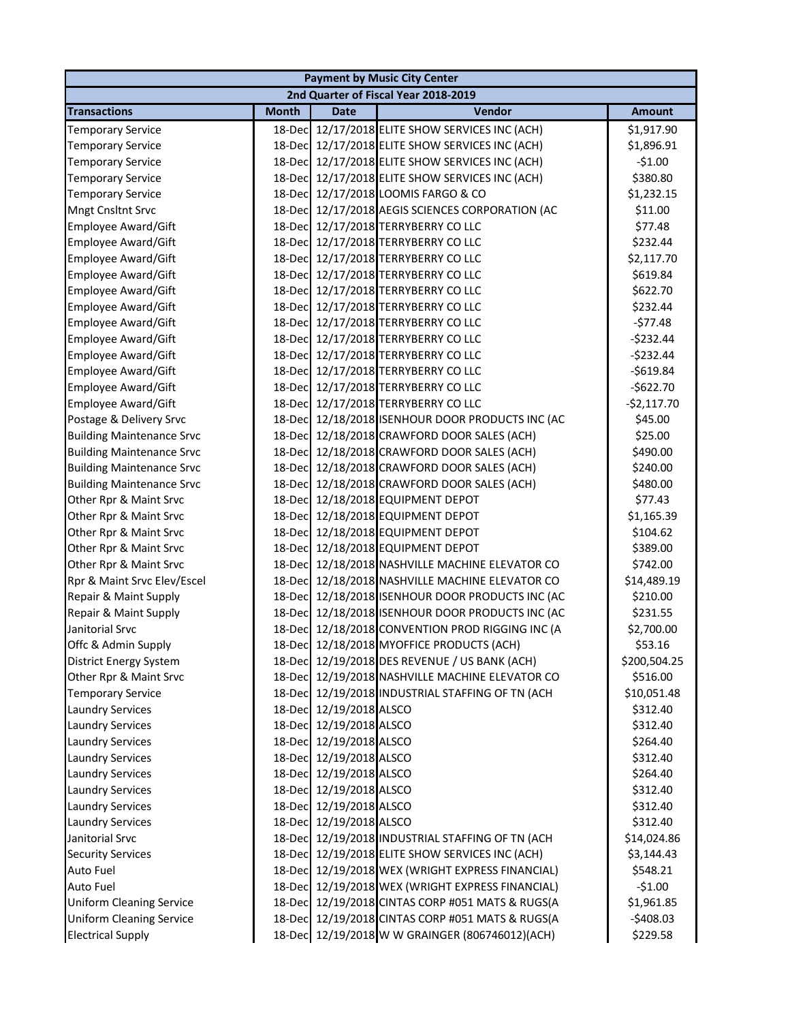| <b>Payment by Music City Center</b>  |              |                         |                                                  |               |  |  |
|--------------------------------------|--------------|-------------------------|--------------------------------------------------|---------------|--|--|
| 2nd Quarter of Fiscal Year 2018-2019 |              |                         |                                                  |               |  |  |
| <b>Transactions</b>                  | <b>Month</b> | Date                    | Vendor                                           | <b>Amount</b> |  |  |
| <b>Temporary Service</b>             |              |                         | 18-Dec 12/17/2018 ELITE SHOW SERVICES INC (ACH)  | \$1,917.90    |  |  |
| <b>Temporary Service</b>             |              |                         | 18-Dec 12/17/2018 ELITE SHOW SERVICES INC (ACH)  | \$1,896.91    |  |  |
| <b>Temporary Service</b>             |              |                         | 18-Dec 12/17/2018 ELITE SHOW SERVICES INC (ACH)  | $-51.00$      |  |  |
| <b>Temporary Service</b>             |              |                         | 18-Dec 12/17/2018 ELITE SHOW SERVICES INC (ACH)  | \$380.80      |  |  |
| <b>Temporary Service</b>             |              |                         | 18-Dec 12/17/2018 LOOMIS FARGO & CO              | \$1,232.15    |  |  |
| <b>Mngt Cnsltnt Srvc</b>             |              |                         | 18-Dec 12/17/2018 AEGIS SCIENCES CORPORATION (AC | \$11.00       |  |  |
| <b>Employee Award/Gift</b>           |              |                         | 18-Dec 12/17/2018 TERRYBERRY CO LLC              | \$77.48       |  |  |
| <b>Employee Award/Gift</b>           |              |                         | 18-Dec 12/17/2018 TERRYBERRY CO LLC              | \$232.44      |  |  |
| <b>Employee Award/Gift</b>           | 18-Dec       |                         | 12/17/2018 TERRYBERRY CO LLC                     | \$2,117.70    |  |  |
| <b>Employee Award/Gift</b>           | 18-Dec       |                         | 12/17/2018 TERRYBERRY CO LLC                     | \$619.84      |  |  |
| <b>Employee Award/Gift</b>           | 18-Dec       |                         | 12/17/2018 TERRYBERRY CO LLC                     | \$622.70      |  |  |
| <b>Employee Award/Gift</b>           |              |                         | 18-Dec 12/17/2018 TERRYBERRY CO LLC              | \$232.44      |  |  |
| <b>Employee Award/Gift</b>           |              |                         | 18-Dec 12/17/2018 TERRYBERRY CO LLC              | $-577.48$     |  |  |
| <b>Employee Award/Gift</b>           |              |                         | 18-Dec 12/17/2018 TERRYBERRY CO LLC              | $-5232.44$    |  |  |
| <b>Employee Award/Gift</b>           |              |                         | 18-Dec 12/17/2018 TERRYBERRY CO LLC              | $-5232.44$    |  |  |
| <b>Employee Award/Gift</b>           |              |                         | 18-Dec 12/17/2018 TERRYBERRY CO LLC              | $-5619.84$    |  |  |
| <b>Employee Award/Gift</b>           |              |                         | 18-Dec 12/17/2018 TERRYBERRY CO LLC              | $-5622.70$    |  |  |
| <b>Employee Award/Gift</b>           |              |                         | 18-Dec 12/17/2018 TERRYBERRY CO LLC              | $-$2,117.70$  |  |  |
| Postage & Delivery Srvc              |              |                         | 18-Dec 12/18/2018 ISENHOUR DOOR PRODUCTS INC (AC | \$45.00       |  |  |
| <b>Building Maintenance Srvc</b>     |              |                         | 18-Dec 12/18/2018 CRAWFORD DOOR SALES (ACH)      | \$25.00       |  |  |
| <b>Building Maintenance Srvc</b>     |              |                         | 18-Dec 12/18/2018 CRAWFORD DOOR SALES (ACH)      | \$490.00      |  |  |
| <b>Building Maintenance Srvc</b>     | 18-Dec       |                         | 12/18/2018 CRAWFORD DOOR SALES (ACH)             | \$240.00      |  |  |
| <b>Building Maintenance Srvc</b>     | 18-Dec       |                         | 12/18/2018 CRAWFORD DOOR SALES (ACH)             | \$480.00      |  |  |
| Other Rpr & Maint Srvc               |              |                         | 18-Dec 12/18/2018 EQUIPMENT DEPOT                | \$77.43       |  |  |
| Other Rpr & Maint Srvc               |              |                         | 18-Dec 12/18/2018 EQUIPMENT DEPOT                | \$1,165.39    |  |  |
| Other Rpr & Maint Srvc               |              |                         | 18-Dec 12/18/2018 EQUIPMENT DEPOT                | \$104.62      |  |  |
| Other Rpr & Maint Srvc               |              |                         | 18-Dec 12/18/2018 EQUIPMENT DEPOT                | \$389.00      |  |  |
| Other Rpr & Maint Srvc               |              |                         | 18-Dec 12/18/2018 NASHVILLE MACHINE ELEVATOR CO  | \$742.00      |  |  |
| Rpr & Maint Srvc Elev/Escel          |              |                         | 18-Dec 12/18/2018 NASHVILLE MACHINE ELEVATOR CO  | \$14,489.19   |  |  |
| Repair & Maint Supply                |              |                         | 18-Dec 12/18/2018 ISENHOUR DOOR PRODUCTS INC (AC | \$210.00      |  |  |
| Repair & Maint Supply                |              |                         | 18-Dec 12/18/2018 ISENHOUR DOOR PRODUCTS INC (AC | \$231.55      |  |  |
| Janitorial Srvc                      |              |                         | 18-Dec 12/18/2018 CONVENTION PROD RIGGING INC (A | \$2,700.00    |  |  |
| Offc & Admin Supply                  |              |                         | 18-Dec 12/18/2018 MYOFFICE PRODUCTS (ACH)        | \$53.16       |  |  |
| District Energy System               |              |                         | 18-Dec 12/19/2018 DES REVENUE / US BANK (ACH)    | \$200,504.25  |  |  |
| Other Rpr & Maint Srvc               |              |                         | 18-Dec 12/19/2018 NASHVILLE MACHINE ELEVATOR CO  | \$516.00      |  |  |
| <b>Temporary Service</b>             |              |                         | 18-Dec 12/19/2018 INDUSTRIAL STAFFING OF TN (ACH | \$10,051.48   |  |  |
| <b>Laundry Services</b>              |              | 18-Dec 12/19/2018 ALSCO |                                                  | \$312.40      |  |  |
| <b>Laundry Services</b>              |              | 18-Dec 12/19/2018 ALSCO |                                                  | \$312.40      |  |  |
| <b>Laundry Services</b>              |              | 18-Dec 12/19/2018 ALSCO |                                                  | \$264.40      |  |  |
| <b>Laundry Services</b>              |              | 18-Dec 12/19/2018 ALSCO |                                                  | \$312.40      |  |  |
| <b>Laundry Services</b>              |              | 18-Dec 12/19/2018 ALSCO |                                                  | \$264.40      |  |  |
| <b>Laundry Services</b>              |              | 18-Dec 12/19/2018 ALSCO |                                                  | \$312.40      |  |  |
| <b>Laundry Services</b>              |              | 18-Dec 12/19/2018 ALSCO |                                                  | \$312.40      |  |  |
| <b>Laundry Services</b>              |              | 18-Dec 12/19/2018 ALSCO |                                                  | \$312.40      |  |  |
| Janitorial Srvc                      |              |                         | 18-Dec 12/19/2018 INDUSTRIAL STAFFING OF TN (ACH | \$14,024.86   |  |  |
| <b>Security Services</b>             |              |                         | 18-Dec 12/19/2018 ELITE SHOW SERVICES INC (ACH)  | \$3,144.43    |  |  |
| Auto Fuel                            |              |                         | 18-Dec 12/19/2018 WEX (WRIGHT EXPRESS FINANCIAL) | \$548.21      |  |  |
| <b>Auto Fuel</b>                     |              |                         | 18-Dec 12/19/2018 WEX (WRIGHT EXPRESS FINANCIAL) | $-51.00$      |  |  |
| <b>Uniform Cleaning Service</b>      |              |                         | 18-Dec 12/19/2018 CINTAS CORP #051 MATS & RUGS(A | \$1,961.85    |  |  |
| <b>Uniform Cleaning Service</b>      |              |                         | 18-Dec 12/19/2018 CINTAS CORP #051 MATS & RUGS(A | $-5408.03$    |  |  |
| <b>Electrical Supply</b>             |              |                         | 18-Dec 12/19/2018 W W GRAINGER (806746012)(ACH)  | \$229.58      |  |  |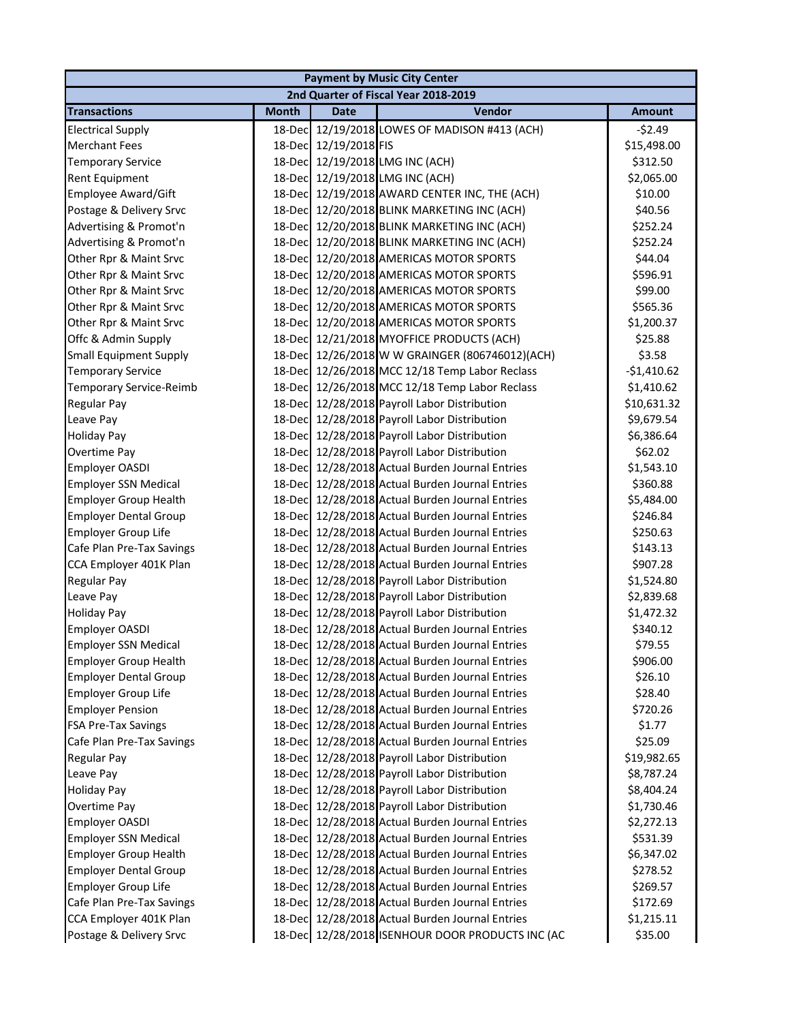| <b>Payment by Music City Center</b>  |              |                       |                                                  |               |  |  |
|--------------------------------------|--------------|-----------------------|--------------------------------------------------|---------------|--|--|
| 2nd Quarter of Fiscal Year 2018-2019 |              |                       |                                                  |               |  |  |
| <b>Transactions</b>                  | <b>Month</b> | <b>Date</b>           | <b>Vendor</b>                                    | <b>Amount</b> |  |  |
| <b>Electrical Supply</b>             | 18-Dec       |                       | 12/19/2018 LOWES OF MADISON #413 (ACH)           | $-52.49$      |  |  |
| <b>Merchant Fees</b>                 |              | 18-Dec 12/19/2018 FIS |                                                  | \$15,498.00   |  |  |
| <b>Temporary Service</b>             |              |                       | 18-Dec 12/19/2018 LMG INC (ACH)                  | \$312.50      |  |  |
| <b>Rent Equipment</b>                |              |                       | 18-Dec 12/19/2018 LMG INC (ACH)                  | \$2,065.00    |  |  |
| <b>Employee Award/Gift</b>           |              |                       | 18-Dec 12/19/2018 AWARD CENTER INC, THE (ACH)    | \$10.00       |  |  |
| Postage & Delivery Srvc              |              |                       | 18-Dec 12/20/2018 BLINK MARKETING INC (ACH)      | \$40.56       |  |  |
| Advertising & Promot'n               |              |                       | 18-Dec 12/20/2018 BLINK MARKETING INC (ACH)      | \$252.24      |  |  |
| Advertising & Promot'n               | 18-Dec       |                       | 12/20/2018 BLINK MARKETING INC (ACH)             | \$252.24      |  |  |
| Other Rpr & Maint Srvc               | 18-Dec       |                       | 12/20/2018 AMERICAS MOTOR SPORTS                 | \$44.04       |  |  |
| Other Rpr & Maint Srvc               | 18-Dec       |                       | 12/20/2018 AMERICAS MOTOR SPORTS                 | \$596.91      |  |  |
| Other Rpr & Maint Srvc               | 18-Dec       |                       | 12/20/2018 AMERICAS MOTOR SPORTS                 | \$99.00       |  |  |
| Other Rpr & Maint Srvc               | 18-Dec       |                       | 12/20/2018 AMERICAS MOTOR SPORTS                 | \$565.36      |  |  |
| Other Rpr & Maint Srvc               | 18-Dec       |                       | 12/20/2018 AMERICAS MOTOR SPORTS                 | \$1,200.37    |  |  |
| Offc & Admin Supply                  | 18-Dec       |                       | 12/21/2018 MYOFFICE PRODUCTS (ACH)               | \$25.88       |  |  |
| <b>Small Equipment Supply</b>        | 18-Dec       |                       | 12/26/2018 W W GRAINGER (806746012)(ACH)         | \$3.58        |  |  |
| <b>Temporary Service</b>             |              |                       | 18-Dec 12/26/2018 MCC 12/18 Temp Labor Reclass   | $-$1,410.62$  |  |  |
| Temporary Service-Reimb              |              |                       | 18-Dec 12/26/2018 MCC 12/18 Temp Labor Reclass   | \$1,410.62    |  |  |
| <b>Regular Pay</b>                   |              |                       | 18-Dec 12/28/2018 Payroll Labor Distribution     | \$10,631.32   |  |  |
| Leave Pay                            |              |                       | 18-Dec 12/28/2018 Payroll Labor Distribution     | \$9,679.54    |  |  |
| <b>Holiday Pay</b>                   | 18-Dec       |                       | 12/28/2018 Payroll Labor Distribution            | \$6,386.64    |  |  |
| Overtime Pay                         | 18-Dec       |                       | 12/28/2018 Payroll Labor Distribution            | \$62.02       |  |  |
| Employer OASDI                       | 18-Decl      |                       | 12/28/2018 Actual Burden Journal Entries         | \$1,543.10    |  |  |
| <b>Employer SSN Medical</b>          | 18-Dec       |                       | 12/28/2018 Actual Burden Journal Entries         | \$360.88      |  |  |
| <b>Employer Group Health</b>         | 18-Dec       |                       | 12/28/2018 Actual Burden Journal Entries         | \$5,484.00    |  |  |
| <b>Employer Dental Group</b>         | 18-Dec       |                       | 12/28/2018 Actual Burden Journal Entries         | \$246.84      |  |  |
| <b>Employer Group Life</b>           | 18-Dec       |                       | 12/28/2018 Actual Burden Journal Entries         | \$250.63      |  |  |
| Cafe Plan Pre-Tax Savings            | 18-Dec       |                       | 12/28/2018 Actual Burden Journal Entries         | \$143.13      |  |  |
| CCA Employer 401K Plan               |              |                       | 18-Dec 12/28/2018 Actual Burden Journal Entries  | \$907.28      |  |  |
| <b>Regular Pay</b>                   |              |                       | 18-Dec 12/28/2018 Payroll Labor Distribution     | \$1,524.80    |  |  |
| Leave Pay                            |              |                       | 18-Dec 12/28/2018 Payroll Labor Distribution     | \$2,839.68    |  |  |
| <b>Holiday Pay</b>                   |              |                       | 18-Dec 12/28/2018 Payroll Labor Distribution     | \$1,472.32    |  |  |
| <b>Employer OASDI</b>                |              |                       | 18-Dec 12/28/2018 Actual Burden Journal Entries  | \$340.12      |  |  |
| <b>Employer SSN Medical</b>          |              |                       | 18-Dec 12/28/2018 Actual Burden Journal Entries  | \$79.55       |  |  |
| <b>Employer Group Health</b>         | 18-Decl      |                       | 12/28/2018 Actual Burden Journal Entries         | \$906.00      |  |  |
| <b>Employer Dental Group</b>         | 18-Decl      |                       | 12/28/2018 Actual Burden Journal Entries         | \$26.10       |  |  |
| <b>Employer Group Life</b>           | 18-Dec       |                       | 12/28/2018 Actual Burden Journal Entries         | \$28.40       |  |  |
| <b>Employer Pension</b>              | 18-Dec       |                       | 12/28/2018 Actual Burden Journal Entries         | \$720.26      |  |  |
| <b>FSA Pre-Tax Savings</b>           | 18-Dec       |                       | 12/28/2018 Actual Burden Journal Entries         | \$1.77        |  |  |
| Cafe Plan Pre-Tax Savings            | 18-Dec       |                       | 12/28/2018 Actual Burden Journal Entries         | \$25.09       |  |  |
| <b>Regular Pay</b>                   | 18-Dec       |                       | 12/28/2018 Payroll Labor Distribution            | \$19,982.65   |  |  |
| Leave Pay                            |              |                       | 18-Dec 12/28/2018 Payroll Labor Distribution     | \$8,787.24    |  |  |
| <b>Holiday Pay</b>                   |              |                       | 18-Dec 12/28/2018 Payroll Labor Distribution     | \$8,404.24    |  |  |
| Overtime Pay                         |              |                       | 18-Dec 12/28/2018 Payroll Labor Distribution     | \$1,730.46    |  |  |
| Employer OASDI                       | 18-Dec       |                       | 12/28/2018 Actual Burden Journal Entries         | \$2,272.13    |  |  |
| <b>Employer SSN Medical</b>          | 18-Dec       |                       | 12/28/2018 Actual Burden Journal Entries         | \$531.39      |  |  |
| <b>Employer Group Health</b>         | 18-Decl      |                       | 12/28/2018 Actual Burden Journal Entries         | \$6,347.02    |  |  |
| <b>Employer Dental Group</b>         | 18-Dec       |                       | 12/28/2018 Actual Burden Journal Entries         | \$278.52      |  |  |
| <b>Employer Group Life</b>           | 18-Dec       |                       | 12/28/2018 Actual Burden Journal Entries         | \$269.57      |  |  |
| Cafe Plan Pre-Tax Savings            | 18-Decl      |                       | 12/28/2018 Actual Burden Journal Entries         | \$172.69      |  |  |
| CCA Employer 401K Plan               | 18-Dec       |                       | 12/28/2018 Actual Burden Journal Entries         | \$1,215.11    |  |  |
| Postage & Delivery Srvc              |              |                       | 18-Dec 12/28/2018 ISENHOUR DOOR PRODUCTS INC (AC | \$35.00       |  |  |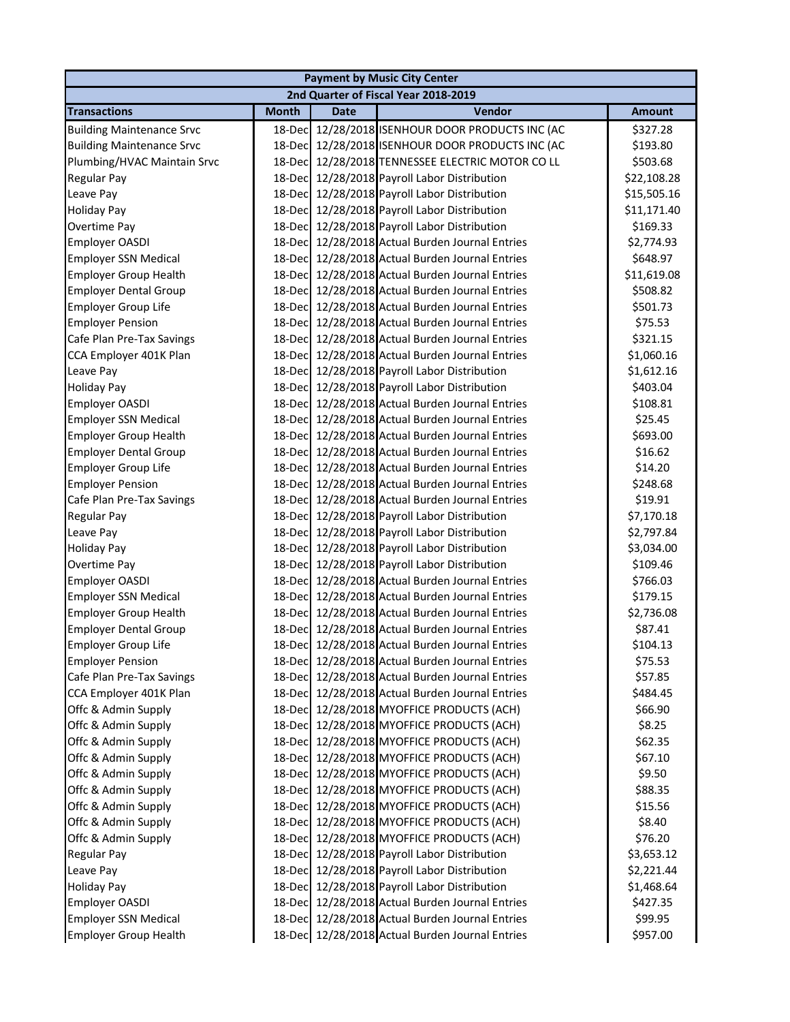| <b>Payment by Music City Center</b>  |              |             |                                                  |               |  |
|--------------------------------------|--------------|-------------|--------------------------------------------------|---------------|--|
| 2nd Quarter of Fiscal Year 2018-2019 |              |             |                                                  |               |  |
| <b>Transactions</b>                  | <b>Month</b> | <b>Date</b> | Vendor                                           | <b>Amount</b> |  |
| <b>Building Maintenance Srvc</b>     |              |             | 18-Dec 12/28/2018 ISENHOUR DOOR PRODUCTS INC (AC | \$327.28      |  |
| <b>Building Maintenance Srvc</b>     |              |             | 18-Dec 12/28/2018 ISENHOUR DOOR PRODUCTS INC (AC | \$193.80      |  |
| Plumbing/HVAC Maintain Srvc          |              |             | 18-Dec 12/28/2018 TENNESSEE ELECTRIC MOTOR CO LL | \$503.68      |  |
| Regular Pay                          |              |             | 18-Dec 12/28/2018 Payroll Labor Distribution     | \$22,108.28   |  |
| Leave Pay                            |              |             | 18-Dec 12/28/2018 Payroll Labor Distribution     | \$15,505.16   |  |
| <b>Holiday Pay</b>                   |              |             | 18-Dec 12/28/2018 Payroll Labor Distribution     | \$11,171.40   |  |
| Overtime Pay                         |              |             | 18-Dec 12/28/2018 Payroll Labor Distribution     | \$169.33      |  |
| <b>Employer OASDI</b>                |              |             | 18-Dec 12/28/2018 Actual Burden Journal Entries  | \$2,774.93    |  |
| <b>Employer SSN Medical</b>          | 18-Dec       |             | 12/28/2018 Actual Burden Journal Entries         | \$648.97      |  |
| <b>Employer Group Health</b>         |              |             | 18-Dec 12/28/2018 Actual Burden Journal Entries  | \$11,619.08   |  |
| <b>Employer Dental Group</b>         |              |             | 18-Dec 12/28/2018 Actual Burden Journal Entries  | \$508.82      |  |
| <b>Employer Group Life</b>           |              |             | 18-Dec 12/28/2018 Actual Burden Journal Entries  | \$501.73      |  |
| <b>Employer Pension</b>              |              |             | 18-Dec 12/28/2018 Actual Burden Journal Entries  | \$75.53       |  |
| Cafe Plan Pre-Tax Savings            |              |             | 18-Dec 12/28/2018 Actual Burden Journal Entries  | \$321.15      |  |
| CCA Employer 401K Plan               |              |             | 18-Dec 12/28/2018 Actual Burden Journal Entries  | \$1,060.16    |  |
| Leave Pay                            |              |             | 18-Dec 12/28/2018 Payroll Labor Distribution     | \$1,612.16    |  |
| <b>Holiday Pay</b>                   |              |             | 18-Dec 12/28/2018 Payroll Labor Distribution     | \$403.04      |  |
| Employer OASDI                       |              |             | 18-Dec 12/28/2018 Actual Burden Journal Entries  | \$108.81      |  |
| <b>Employer SSN Medical</b>          |              |             | 18-Dec 12/28/2018 Actual Burden Journal Entries  | \$25.45       |  |
| <b>Employer Group Health</b>         |              |             | 18-Dec 12/28/2018 Actual Burden Journal Entries  | \$693.00      |  |
| <b>Employer Dental Group</b>         | 18-Decl      |             | 12/28/2018 Actual Burden Journal Entries         | \$16.62       |  |
| <b>Employer Group Life</b>           | 18-Decl      |             | 12/28/2018 Actual Burden Journal Entries         | \$14.20       |  |
| <b>Employer Pension</b>              | 18-Dec       |             | 12/28/2018 Actual Burden Journal Entries         | \$248.68      |  |
| Cafe Plan Pre-Tax Savings            |              |             | 18-Dec 12/28/2018 Actual Burden Journal Entries  | \$19.91       |  |
| Regular Pay                          |              |             | 18-Dec 12/28/2018 Payroll Labor Distribution     | \$7,170.18    |  |
| Leave Pay                            |              |             | 18-Dec 12/28/2018 Payroll Labor Distribution     | \$2,797.84    |  |
| <b>Holiday Pay</b>                   |              |             | 18-Dec 12/28/2018 Payroll Labor Distribution     | \$3,034.00    |  |
| Overtime Pay                         |              |             | 18-Dec 12/28/2018 Payroll Labor Distribution     | \$109.46      |  |
| <b>Employer OASDI</b>                |              |             | 18-Dec 12/28/2018 Actual Burden Journal Entries  | \$766.03      |  |
| <b>Employer SSN Medical</b>          |              |             | 18-Dec 12/28/2018 Actual Burden Journal Entries  | \$179.15      |  |
| <b>Employer Group Health</b>         |              |             | 18-Dec 12/28/2018 Actual Burden Journal Entries  | \$2,736.08    |  |
| <b>Employer Dental Group</b>         |              |             | 18-Dec 12/28/2018 Actual Burden Journal Entries  | \$87.41       |  |
| <b>Employer Group Life</b>           |              |             | 18-Dec 12/28/2018 Actual Burden Journal Entries  | \$104.13      |  |
| <b>Employer Pension</b>              |              |             | 18-Dec 12/28/2018 Actual Burden Journal Entries  | \$75.53       |  |
| Cafe Plan Pre-Tax Savings            | 18-Dec       |             | 12/28/2018 Actual Burden Journal Entries         | \$57.85       |  |
| CCA Employer 401K Plan               | 18-Dec       |             | 12/28/2018 Actual Burden Journal Entries         | \$484.45      |  |
| Offc & Admin Supply                  | 18-Dec       |             | 12/28/2018 MYOFFICE PRODUCTS (ACH)               | \$66.90       |  |
| Offc & Admin Supply                  | 18-Dec       |             | 12/28/2018 MYOFFICE PRODUCTS (ACH)               | \$8.25        |  |
| Offc & Admin Supply                  |              |             | 18-Dec 12/28/2018 MYOFFICE PRODUCTS (ACH)        | \$62.35       |  |
| Offc & Admin Supply                  |              |             | 18-Dec 12/28/2018 MYOFFICE PRODUCTS (ACH)        | \$67.10       |  |
| Offc & Admin Supply                  |              |             | 18-Dec 12/28/2018 MYOFFICE PRODUCTS (ACH)        | \$9.50        |  |
| Offc & Admin Supply                  |              |             | 18-Dec 12/28/2018 MYOFFICE PRODUCTS (ACH)        | \$88.35       |  |
| Offc & Admin Supply                  |              |             | 18-Dec 12/28/2018 MYOFFICE PRODUCTS (ACH)        | \$15.56       |  |
| Offc & Admin Supply                  |              |             | 18-Dec 12/28/2018 MYOFFICE PRODUCTS (ACH)        | \$8.40        |  |
| Offc & Admin Supply                  |              |             | 18-Dec 12/28/2018 MYOFFICE PRODUCTS (ACH)        | \$76.20       |  |
| Regular Pay                          |              |             | 18-Dec 12/28/2018 Payroll Labor Distribution     | \$3,653.12    |  |
| Leave Pay                            | 18-Dec       |             | 12/28/2018 Payroll Labor Distribution            | \$2,221.44    |  |
| <b>Holiday Pay</b>                   | 18-Dec       |             | 12/28/2018 Payroll Labor Distribution            | \$1,468.64    |  |
| Employer OASDI                       |              |             | 18-Dec 12/28/2018 Actual Burden Journal Entries  | \$427.35      |  |
| <b>Employer SSN Medical</b>          |              |             | 18-Dec 12/28/2018 Actual Burden Journal Entries  | \$99.95       |  |
| <b>Employer Group Health</b>         |              |             | 18-Dec 12/28/2018 Actual Burden Journal Entries  | \$957.00      |  |
|                                      |              |             |                                                  |               |  |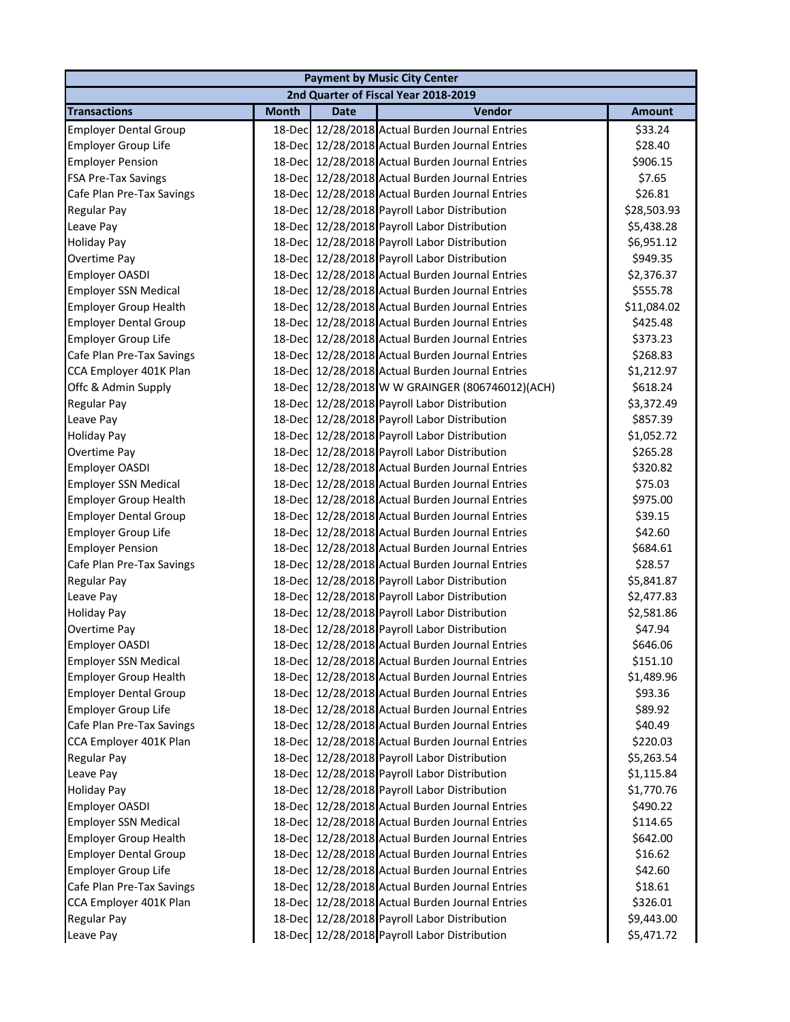| <b>Payment by Music City Center</b>  |              |             |                                                 |               |  |
|--------------------------------------|--------------|-------------|-------------------------------------------------|---------------|--|
| 2nd Quarter of Fiscal Year 2018-2019 |              |             |                                                 |               |  |
| <b>Transactions</b>                  | <b>Month</b> | <b>Date</b> | Vendor                                          | <b>Amount</b> |  |
| <b>Employer Dental Group</b>         |              |             | 18-Dec 12/28/2018 Actual Burden Journal Entries | \$33.24       |  |
| <b>Employer Group Life</b>           |              |             | 18-Dec 12/28/2018 Actual Burden Journal Entries | \$28.40       |  |
| <b>Employer Pension</b>              |              |             | 18-Dec 12/28/2018 Actual Burden Journal Entries | \$906.15      |  |
| FSA Pre-Tax Savings                  |              |             | 18-Dec 12/28/2018 Actual Burden Journal Entries | \$7.65        |  |
| Cafe Plan Pre-Tax Savings            |              |             | 18-Dec 12/28/2018 Actual Burden Journal Entries | \$26.81       |  |
| Regular Pay                          |              |             | 18-Dec 12/28/2018 Payroll Labor Distribution    | \$28,503.93   |  |
| Leave Pay                            |              |             | 18-Dec 12/28/2018 Payroll Labor Distribution    | \$5,438.28    |  |
| <b>Holiday Pay</b>                   |              |             | 18-Dec 12/28/2018 Payroll Labor Distribution    | \$6,951.12    |  |
| Overtime Pay                         | 18-Dec       |             | 12/28/2018 Payroll Labor Distribution           | \$949.35      |  |
| Employer OASDI                       | 18-Dec       |             | 12/28/2018 Actual Burden Journal Entries        | \$2,376.37    |  |
| <b>Employer SSN Medical</b>          | 18-Dec       |             | 12/28/2018 Actual Burden Journal Entries        | \$555.78      |  |
| <b>Employer Group Health</b>         |              |             | 18-Dec 12/28/2018 Actual Burden Journal Entries | \$11,084.02   |  |
| <b>Employer Dental Group</b>         |              |             | 18-Dec 12/28/2018 Actual Burden Journal Entries | \$425.48      |  |
| <b>Employer Group Life</b>           |              |             | 18-Dec 12/28/2018 Actual Burden Journal Entries | \$373.23      |  |
| Cafe Plan Pre-Tax Savings            |              |             | 18-Dec 12/28/2018 Actual Burden Journal Entries | \$268.83      |  |
| CCA Employer 401K Plan               |              |             | 18-Dec 12/28/2018 Actual Burden Journal Entries | \$1,212.97    |  |
| Offc & Admin Supply                  |              |             | 18-Dec 12/28/2018 W W GRAINGER (806746012)(ACH) | \$618.24      |  |
| Regular Pay                          |              |             | 18-Dec 12/28/2018 Payroll Labor Distribution    | \$3,372.49    |  |
| Leave Pay                            |              |             | 18-Dec 12/28/2018 Payroll Labor Distribution    | \$857.39      |  |
| <b>Holiday Pay</b>                   | 18-Decl      |             | 12/28/2018 Payroll Labor Distribution           | \$1,052.72    |  |
| Overtime Pay                         |              |             | 18-Dec 12/28/2018 Payroll Labor Distribution    | \$265.28      |  |
| Employer OASDI                       |              |             | 18-Dec 12/28/2018 Actual Burden Journal Entries | \$320.82      |  |
| <b>Employer SSN Medical</b>          | 18-Dec       |             | 12/28/2018 Actual Burden Journal Entries        | \$75.03       |  |
| <b>Employer Group Health</b>         | 18-Dec       |             | 12/28/2018 Actual Burden Journal Entries        | \$975.00      |  |
| <b>Employer Dental Group</b>         |              |             | 18-Dec 12/28/2018 Actual Burden Journal Entries | \$39.15       |  |
| <b>Employer Group Life</b>           |              |             | 18-Dec 12/28/2018 Actual Burden Journal Entries | \$42.60       |  |
| <b>Employer Pension</b>              |              |             | 18-Dec 12/28/2018 Actual Burden Journal Entries | \$684.61      |  |
| Cafe Plan Pre-Tax Savings            |              |             | 18-Dec 12/28/2018 Actual Burden Journal Entries | \$28.57       |  |
| <b>Regular Pay</b>                   |              |             | 18-Dec 12/28/2018 Payroll Labor Distribution    | \$5,841.87    |  |
| Leave Pay                            |              |             | 18-Dec 12/28/2018 Payroll Labor Distribution    | \$2,477.83    |  |
| <b>Holiday Pay</b>                   |              |             | 18-Dec 12/28/2018 Payroll Labor Distribution    | \$2,581.86    |  |
| Overtime Pay                         |              |             | 18-Dec 12/28/2018 Payroll Labor Distribution    | \$47.94       |  |
| <b>Employer OASDI</b>                |              |             | 18-Dec 12/28/2018 Actual Burden Journal Entries | \$646.06      |  |
| <b>Employer SSN Medical</b>          |              |             | 18-Dec 12/28/2018 Actual Burden Journal Entries | \$151.10      |  |
| <b>Employer Group Health</b>         | 18-Dec       |             | 12/28/2018 Actual Burden Journal Entries        | \$1,489.96    |  |
| <b>Employer Dental Group</b>         | 18-Dec       |             | 12/28/2018 Actual Burden Journal Entries        | \$93.36       |  |
| <b>Employer Group Life</b>           | 18-Dec       |             | 12/28/2018 Actual Burden Journal Entries        | \$89.92       |  |
| Cafe Plan Pre-Tax Savings            | 18-Dec       |             | 12/28/2018 Actual Burden Journal Entries        | \$40.49       |  |
| CCA Employer 401K Plan               |              |             | 18-Dec 12/28/2018 Actual Burden Journal Entries | \$220.03      |  |
| Regular Pay                          |              |             | 18-Dec 12/28/2018 Payroll Labor Distribution    | \$5,263.54    |  |
| Leave Pay                            |              |             | 18-Dec 12/28/2018 Payroll Labor Distribution    | \$1,115.84    |  |
| <b>Holiday Pay</b>                   |              |             | 18-Dec 12/28/2018 Payroll Labor Distribution    | \$1,770.76    |  |
| Employer OASDI                       |              |             | 18-Dec 12/28/2018 Actual Burden Journal Entries | \$490.22      |  |
| <b>Employer SSN Medical</b>          | 18-Decl      |             | 12/28/2018 Actual Burden Journal Entries        | \$114.65      |  |
| <b>Employer Group Health</b>         | 18-Decl      |             | 12/28/2018 Actual Burden Journal Entries        | \$642.00      |  |
| <b>Employer Dental Group</b>         | 18-Dec       |             | 12/28/2018 Actual Burden Journal Entries        | \$16.62       |  |
| <b>Employer Group Life</b>           | 18-Dec       |             | 12/28/2018 Actual Burden Journal Entries        | \$42.60       |  |
| Cafe Plan Pre-Tax Savings            | 18-Dec       |             | 12/28/2018 Actual Burden Journal Entries        | \$18.61       |  |
| CCA Employer 401K Plan               | 18-Dec       |             | 12/28/2018 Actual Burden Journal Entries        | \$326.01      |  |
| <b>Regular Pay</b>                   |              |             | 18-Dec 12/28/2018 Payroll Labor Distribution    | \$9,443.00    |  |
| Leave Pay                            |              |             | 18-Dec 12/28/2018 Payroll Labor Distribution    | \$5,471.72    |  |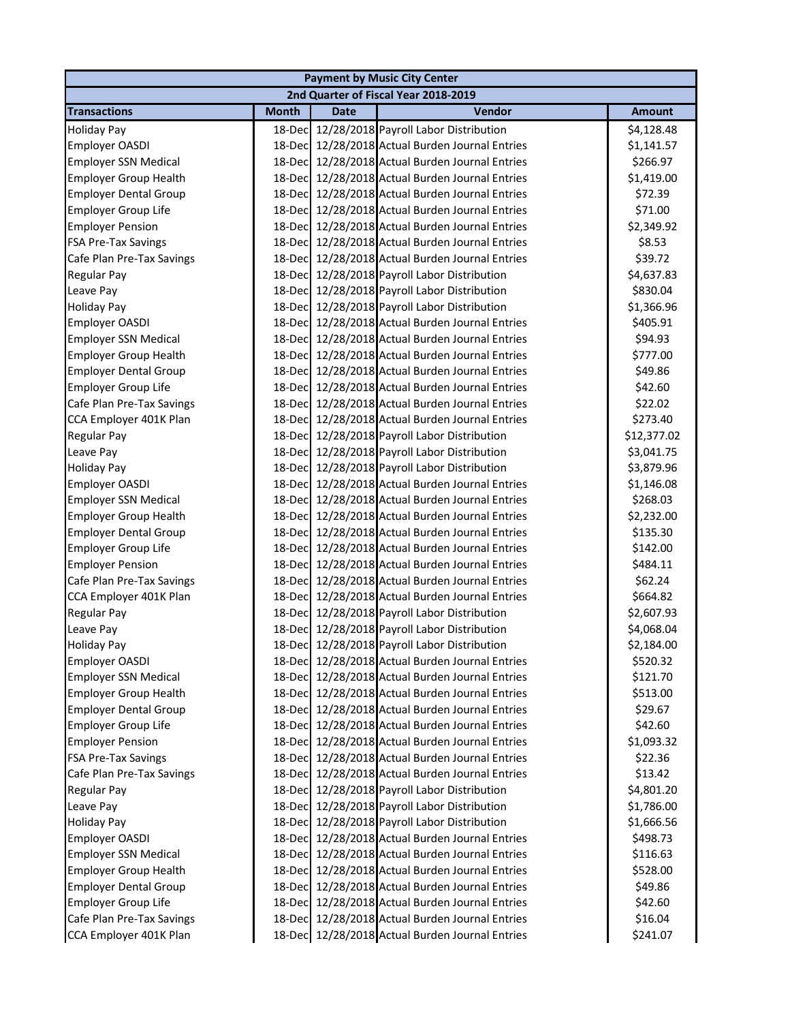| <b>Payment by Music City Center</b>  |              |             |                                                 |               |  |  |
|--------------------------------------|--------------|-------------|-------------------------------------------------|---------------|--|--|
| 2nd Quarter of Fiscal Year 2018-2019 |              |             |                                                 |               |  |  |
| <b>Transactions</b>                  | <b>Month</b> | <b>Date</b> | Vendor                                          | <b>Amount</b> |  |  |
| <b>Holiday Pay</b>                   |              |             | 18-Dec 12/28/2018 Payroll Labor Distribution    | \$4,128.48    |  |  |
| Employer OASDI                       |              |             | 18-Dec 12/28/2018 Actual Burden Journal Entries | \$1,141.57    |  |  |
| <b>Employer SSN Medical</b>          |              |             | 18-Dec 12/28/2018 Actual Burden Journal Entries | \$266.97      |  |  |
| <b>Employer Group Health</b>         |              |             | 18-Dec 12/28/2018 Actual Burden Journal Entries | \$1,419.00    |  |  |
| <b>Employer Dental Group</b>         |              |             | 18-Dec 12/28/2018 Actual Burden Journal Entries | \$72.39       |  |  |
| <b>Employer Group Life</b>           |              |             | 18-Dec 12/28/2018 Actual Burden Journal Entries | \$71.00       |  |  |
| <b>Employer Pension</b>              |              |             | 18-Dec 12/28/2018 Actual Burden Journal Entries | \$2,349.92    |  |  |
| FSA Pre-Tax Savings                  |              |             | 18-Dec 12/28/2018 Actual Burden Journal Entries | \$8.53        |  |  |
| Cafe Plan Pre-Tax Savings            |              |             | 18-Dec 12/28/2018 Actual Burden Journal Entries | \$39.72       |  |  |
| Regular Pay                          |              |             | 18-Dec 12/28/2018 Payroll Labor Distribution    | \$4,637.83    |  |  |
| Leave Pay                            |              |             | 18-Dec 12/28/2018 Payroll Labor Distribution    | \$830.04      |  |  |
| <b>Holiday Pay</b>                   |              |             | 18-Dec 12/28/2018 Payroll Labor Distribution    | \$1,366.96    |  |  |
| Employer OASDI                       |              |             | 18-Dec 12/28/2018 Actual Burden Journal Entries | \$405.91      |  |  |
| <b>Employer SSN Medical</b>          |              |             | 18-Dec 12/28/2018 Actual Burden Journal Entries | \$94.93       |  |  |
| <b>Employer Group Health</b>         |              |             | 18-Dec 12/28/2018 Actual Burden Journal Entries | \$777.00      |  |  |
| <b>Employer Dental Group</b>         |              |             | 18-Dec 12/28/2018 Actual Burden Journal Entries | \$49.86       |  |  |
| <b>Employer Group Life</b>           |              |             | 18-Dec 12/28/2018 Actual Burden Journal Entries | \$42.60       |  |  |
| Cafe Plan Pre-Tax Savings            |              |             | 18-Dec 12/28/2018 Actual Burden Journal Entries | \$22.02       |  |  |
| CCA Employer 401K Plan               |              |             | 18-Dec 12/28/2018 Actual Burden Journal Entries | \$273.40      |  |  |
| <b>Regular Pay</b>                   |              |             | 18-Dec 12/28/2018 Payroll Labor Distribution    | \$12,377.02   |  |  |
| Leave Pay                            |              |             | 18-Dec 12/28/2018 Payroll Labor Distribution    | \$3,041.75    |  |  |
| <b>Holiday Pay</b>                   |              |             | 18-Dec 12/28/2018 Payroll Labor Distribution    | \$3,879.96    |  |  |
| Employer OASDI                       |              |             | 18-Dec 12/28/2018 Actual Burden Journal Entries | \$1,146.08    |  |  |
| <b>Employer SSN Medical</b>          |              |             | 18-Dec 12/28/2018 Actual Burden Journal Entries | \$268.03      |  |  |
| <b>Employer Group Health</b>         |              |             | 18-Dec 12/28/2018 Actual Burden Journal Entries | \$2,232.00    |  |  |
| <b>Employer Dental Group</b>         |              |             | 18-Dec 12/28/2018 Actual Burden Journal Entries | \$135.30      |  |  |
| <b>Employer Group Life</b>           |              |             | 18-Dec 12/28/2018 Actual Burden Journal Entries | \$142.00      |  |  |
| <b>Employer Pension</b>              |              |             | 18-Dec 12/28/2018 Actual Burden Journal Entries | \$484.11      |  |  |
| Cafe Plan Pre-Tax Savings            |              |             | 18-Dec 12/28/2018 Actual Burden Journal Entries | \$62.24       |  |  |
| CCA Employer 401K Plan               |              |             | 18-Dec 12/28/2018 Actual Burden Journal Entries | \$664.82      |  |  |
| <b>Regular Pay</b>                   |              |             | 18-Dec 12/28/2018 Payroll Labor Distribution    | \$2,607.93    |  |  |
| Leave Pay                            |              |             | 18-Dec 12/28/2018 Payroll Labor Distribution    | \$4,068.04    |  |  |
| <b>Holiday Pay</b>                   |              |             | 18-Dec 12/28/2018 Payroll Labor Distribution    | \$2,184.00    |  |  |
| Employer OASDI                       |              |             | 18-Dec 12/28/2018 Actual Burden Journal Entries | \$520.32      |  |  |
| <b>Employer SSN Medical</b>          | 18-Decl      |             | 12/28/2018 Actual Burden Journal Entries        | \$121.70      |  |  |
| <b>Employer Group Health</b>         | 18-Dec       |             | 12/28/2018 Actual Burden Journal Entries        | \$513.00      |  |  |
| <b>Employer Dental Group</b>         |              |             | 18-Dec 12/28/2018 Actual Burden Journal Entries | \$29.67       |  |  |
| <b>Employer Group Life</b>           |              |             | 18-Dec 12/28/2018 Actual Burden Journal Entries | \$42.60       |  |  |
| <b>Employer Pension</b>              |              |             | 18-Dec 12/28/2018 Actual Burden Journal Entries | \$1,093.32    |  |  |
| FSA Pre-Tax Savings                  |              |             | 18-Dec 12/28/2018 Actual Burden Journal Entries | \$22.36       |  |  |
| Cafe Plan Pre-Tax Savings            |              |             | 18-Dec 12/28/2018 Actual Burden Journal Entries | \$13.42       |  |  |
| Regular Pay                          |              |             | 18-Dec 12/28/2018 Payroll Labor Distribution    | \$4,801.20    |  |  |
| Leave Pay                            |              |             | 18-Dec 12/28/2018 Payroll Labor Distribution    | \$1,786.00    |  |  |
| <b>Holiday Pay</b>                   |              |             | 18-Dec 12/28/2018 Payroll Labor Distribution    | \$1,666.56    |  |  |
| Employer OASDI                       |              |             | 18-Dec 12/28/2018 Actual Burden Journal Entries | \$498.73      |  |  |
| <b>Employer SSN Medical</b>          |              |             | 18-Dec 12/28/2018 Actual Burden Journal Entries | \$116.63      |  |  |
| <b>Employer Group Health</b>         | 18-Decl      |             | 12/28/2018 Actual Burden Journal Entries        | \$528.00      |  |  |
| <b>Employer Dental Group</b>         | 18-Dec       |             | 12/28/2018 Actual Burden Journal Entries        | \$49.86       |  |  |
| <b>Employer Group Life</b>           |              |             | 18-Dec 12/28/2018 Actual Burden Journal Entries | \$42.60       |  |  |
| Cafe Plan Pre-Tax Savings            |              |             | 18-Dec 12/28/2018 Actual Burden Journal Entries | \$16.04       |  |  |
| CCA Employer 401K Plan               |              |             | 18-Dec 12/28/2018 Actual Burden Journal Entries | \$241.07      |  |  |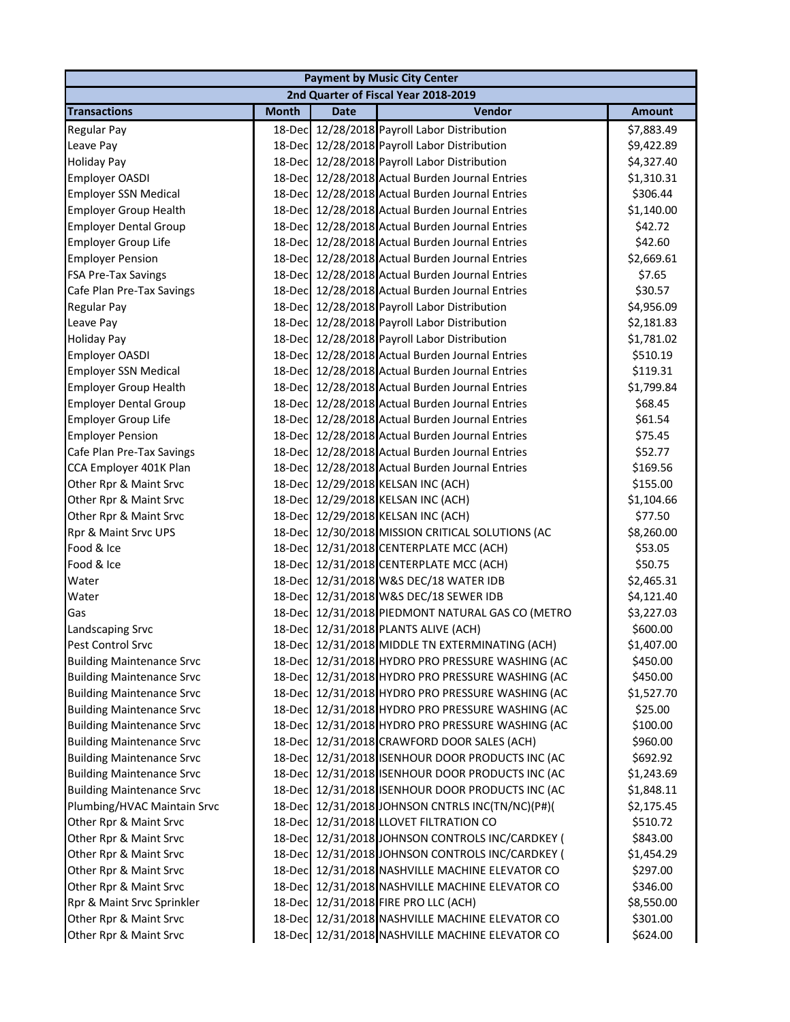| <b>Payment by Music City Center</b>  |              |             |                                                  |               |  |
|--------------------------------------|--------------|-------------|--------------------------------------------------|---------------|--|
| 2nd Quarter of Fiscal Year 2018-2019 |              |             |                                                  |               |  |
| <b>Transactions</b>                  | <b>Month</b> | <b>Date</b> | Vendor                                           | <b>Amount</b> |  |
| <b>Regular Pay</b>                   |              |             | 18-Dec 12/28/2018 Payroll Labor Distribution     | \$7,883.49    |  |
| Leave Pay                            |              |             | 18-Dec 12/28/2018 Payroll Labor Distribution     | \$9,422.89    |  |
| <b>Holiday Pay</b>                   |              |             | 18-Dec 12/28/2018 Payroll Labor Distribution     | \$4,327.40    |  |
| Employer OASDI                       |              |             | 18-Dec 12/28/2018 Actual Burden Journal Entries  | \$1,310.31    |  |
| <b>Employer SSN Medical</b>          |              |             | 18-Dec 12/28/2018 Actual Burden Journal Entries  | \$306.44      |  |
| <b>Employer Group Health</b>         |              |             | 18-Dec 12/28/2018 Actual Burden Journal Entries  | \$1,140.00    |  |
| <b>Employer Dental Group</b>         |              |             | 18-Dec 12/28/2018 Actual Burden Journal Entries  | \$42.72       |  |
| <b>Employer Group Life</b>           |              |             | 18-Dec 12/28/2018 Actual Burden Journal Entries  | \$42.60       |  |
| <b>Employer Pension</b>              |              |             | 18-Dec 12/28/2018 Actual Burden Journal Entries  | \$2,669.61    |  |
| <b>FSA Pre-Tax Savings</b>           |              |             | 18-Dec 12/28/2018 Actual Burden Journal Entries  | \$7.65        |  |
| Cafe Plan Pre-Tax Savings            |              |             | 18-Dec 12/28/2018 Actual Burden Journal Entries  | \$30.57       |  |
| <b>Regular Pay</b>                   |              |             | 18-Dec 12/28/2018 Payroll Labor Distribution     | \$4,956.09    |  |
| Leave Pay                            |              |             | 18-Dec 12/28/2018 Payroll Labor Distribution     | \$2,181.83    |  |
| <b>Holiday Pay</b>                   |              |             | 18-Dec 12/28/2018 Payroll Labor Distribution     | \$1,781.02    |  |
| Employer OASDI                       |              |             | 18-Dec 12/28/2018 Actual Burden Journal Entries  | \$510.19      |  |
| <b>Employer SSN Medical</b>          |              |             | 18-Dec 12/28/2018 Actual Burden Journal Entries  | \$119.31      |  |
| <b>Employer Group Health</b>         |              |             | 18-Dec 12/28/2018 Actual Burden Journal Entries  | \$1,799.84    |  |
| <b>Employer Dental Group</b>         |              |             | 18-Dec 12/28/2018 Actual Burden Journal Entries  | \$68.45       |  |
| <b>Employer Group Life</b>           |              |             | 18-Dec 12/28/2018 Actual Burden Journal Entries  | \$61.54       |  |
| <b>Employer Pension</b>              |              |             | 18-Dec 12/28/2018 Actual Burden Journal Entries  | \$75.45       |  |
| Cafe Plan Pre-Tax Savings            |              |             | 18-Dec 12/28/2018 Actual Burden Journal Entries  | \$52.77       |  |
| CCA Employer 401K Plan               |              |             | 18-Dec 12/28/2018 Actual Burden Journal Entries  | \$169.56      |  |
| Other Rpr & Maint Srvc               |              |             | 18-Dec 12/29/2018 KELSAN INC (ACH)               | \$155.00      |  |
| Other Rpr & Maint Srvc               |              |             | 18-Dec 12/29/2018 KELSAN INC (ACH)               | \$1,104.66    |  |
| Other Rpr & Maint Srvc               |              |             | 18-Dec 12/29/2018 KELSAN INC (ACH)               | \$77.50       |  |
| Rpr & Maint Srvc UPS                 |              |             | 18-Dec 12/30/2018 MISSION CRITICAL SOLUTIONS (AC | \$8,260.00    |  |
| Food & Ice                           |              |             | 18-Dec 12/31/2018 CENTERPLATE MCC (ACH)          | \$53.05       |  |
| Food & Ice                           |              |             | 18-Dec 12/31/2018 CENTERPLATE MCC (ACH)          | \$50.75       |  |
| Water                                |              |             | 18-Dec 12/31/2018 W&S DEC/18 WATER IDB           | \$2,465.31    |  |
| Water                                |              |             | 18-Dec 12/31/2018 W&S DEC/18 SEWER IDB           | \$4,121.40    |  |
| Gas                                  |              |             | 18-Dec 12/31/2018 PIEDMONT NATURAL GAS CO (METRO | \$3,227.03    |  |
| <b>Landscaping Srvc</b>              |              |             | 18-Dec 12/31/2018 PLANTS ALIVE (ACH)             | \$600.00      |  |
| Pest Control Srvc                    |              |             | 18-Dec 12/31/2018 MIDDLE TN EXTERMINATING (ACH)  | \$1,407.00    |  |
| <b>Building Maintenance Srvc</b>     |              |             | 18-Dec 12/31/2018 HYDRO PRO PRESSURE WASHING (AC | \$450.00      |  |
| <b>Building Maintenance Srvc</b>     | 18-Decl      |             | 12/31/2018 HYDRO PRO PRESSURE WASHING (AC        | \$450.00      |  |
| <b>Building Maintenance Srvc</b>     | 18-Dec       |             | 12/31/2018 HYDRO PRO PRESSURE WASHING (AC        | \$1,527.70    |  |
| <b>Building Maintenance Srvc</b>     | 18-Dec       |             | 12/31/2018 HYDRO PRO PRESSURE WASHING (AC        | \$25.00       |  |
| <b>Building Maintenance Srvc</b>     |              |             | 18-Dec 12/31/2018 HYDRO PRO PRESSURE WASHING (AC | \$100.00      |  |
| <b>Building Maintenance Srvc</b>     |              |             | 18-Dec 12/31/2018 CRAWFORD DOOR SALES (ACH)      | \$960.00      |  |
| <b>Building Maintenance Srvc</b>     |              |             | 18-Dec 12/31/2018 ISENHOUR DOOR PRODUCTS INC (AC | \$692.92      |  |
| <b>Building Maintenance Srvc</b>     |              |             | 18-Dec 12/31/2018 ISENHOUR DOOR PRODUCTS INC (AC | \$1,243.69    |  |
| <b>Building Maintenance Srvc</b>     |              |             | 18-Dec 12/31/2018 ISENHOUR DOOR PRODUCTS INC (AC | \$1,848.11    |  |
| Plumbing/HVAC Maintain Srvc          |              |             | 18-Dec 12/31/2018 JOHNSON CNTRLS INC(TN/NC)(P#)( | \$2,175.45    |  |
| Other Rpr & Maint Srvc               |              |             | 18-Dec 12/31/2018 LLOVET FILTRATION CO           | \$510.72      |  |
| Other Rpr & Maint Srvc               | 18-Dec       |             | 12/31/2018 JOHNSON CONTROLS INC/CARDKEY (        | \$843.00      |  |
| Other Rpr & Maint Srvc               | 18-Dec       |             | 12/31/2018 JOHNSON CONTROLS INC/CARDKEY (        | \$1,454.29    |  |
| Other Rpr & Maint Srvc               | 18-Dec       |             | 12/31/2018 NASHVILLE MACHINE ELEVATOR CO         | \$297.00      |  |
| Other Rpr & Maint Srvc               | 18-Decl      |             | 12/31/2018 NASHVILLE MACHINE ELEVATOR CO         | \$346.00      |  |
| Rpr & Maint Srvc Sprinkler           |              |             | 18-Dec 12/31/2018 FIRE PRO LLC (ACH)             | \$8,550.00    |  |
| Other Rpr & Maint Srvc               |              |             | 18-Dec 12/31/2018 NASHVILLE MACHINE ELEVATOR CO  | \$301.00      |  |
| Other Rpr & Maint Srvc               |              |             | 18-Dec 12/31/2018 NASHVILLE MACHINE ELEVATOR CO  | \$624.00      |  |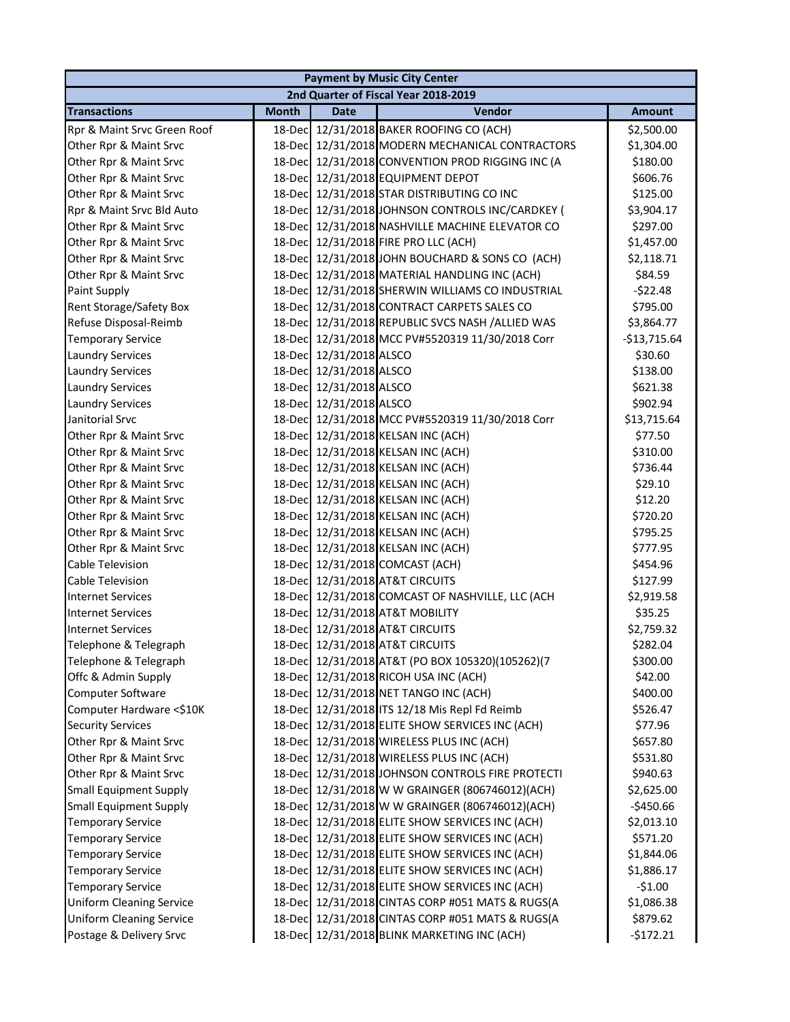| <b>Payment by Music City Center</b>  |              |                         |                                                  |               |  |  |
|--------------------------------------|--------------|-------------------------|--------------------------------------------------|---------------|--|--|
| 2nd Quarter of Fiscal Year 2018-2019 |              |                         |                                                  |               |  |  |
| <b>Transactions</b>                  | <b>Month</b> | Date                    | Vendor                                           | <b>Amount</b> |  |  |
| Rpr & Maint Srvc Green Roof          |              |                         | 18-Dec 12/31/2018 BAKER ROOFING CO (ACH)         | \$2,500.00    |  |  |
| Other Rpr & Maint Srvc               |              |                         | 18-Dec 12/31/2018 MODERN MECHANICAL CONTRACTORS  | \$1,304.00    |  |  |
| Other Rpr & Maint Srvc               |              |                         | 18-Dec 12/31/2018 CONVENTION PROD RIGGING INC (A | \$180.00      |  |  |
| Other Rpr & Maint Srvc               |              |                         | 18-Dec 12/31/2018 EQUIPMENT DEPOT                | \$606.76      |  |  |
| Other Rpr & Maint Srvc               |              |                         | 18-Dec 12/31/2018 STAR DISTRIBUTING CO INC       | \$125.00      |  |  |
| Rpr & Maint Srvc Bld Auto            |              |                         | 18-Dec 12/31/2018 JOHNSON CONTROLS INC/CARDKEY ( | \$3,904.17    |  |  |
| Other Rpr & Maint Srvc               |              |                         | 18-Dec 12/31/2018 NASHVILLE MACHINE ELEVATOR CO  | \$297.00      |  |  |
| Other Rpr & Maint Srvc               |              |                         | 18-Dec 12/31/2018 FIRE PRO LLC (ACH)             | \$1,457.00    |  |  |
| Other Rpr & Maint Srvc               | 18-Dec       |                         | 12/31/2018 JOHN BOUCHARD & SONS CO (ACH)         | \$2,118.71    |  |  |
| Other Rpr & Maint Srvc               | 18-Dec       |                         | 12/31/2018 MATERIAL HANDLING INC (ACH)           | \$84.59       |  |  |
| Paint Supply                         |              |                         | 18-Dec 12/31/2018 SHERWIN WILLIAMS CO INDUSTRIAL | $-522.48$     |  |  |
| <b>Rent Storage/Safety Box</b>       |              |                         | 18-Dec 12/31/2018 CONTRACT CARPETS SALES CO      | \$795.00      |  |  |
| Refuse Disposal-Reimb                |              |                         | 18-Dec 12/31/2018 REPUBLIC SVCS NASH /ALLIED WAS | \$3,864.77    |  |  |
| <b>Temporary Service</b>             |              |                         | 18-Dec 12/31/2018 MCC PV#5520319 11/30/2018 Corr | $-$13,715.64$ |  |  |
| <b>Laundry Services</b>              |              | 18-Dec 12/31/2018 ALSCO |                                                  | \$30.60       |  |  |
| <b>Laundry Services</b>              |              | 18-Dec 12/31/2018 ALSCO |                                                  | \$138.00      |  |  |
| <b>Laundry Services</b>              |              | 18-Dec 12/31/2018 ALSCO |                                                  | \$621.38      |  |  |
| <b>Laundry Services</b>              |              | 18-Dec 12/31/2018 ALSCO |                                                  | \$902.94      |  |  |
| Janitorial Srvc                      |              |                         | 18-Dec 12/31/2018 MCC PV#5520319 11/30/2018 Corr | \$13,715.64   |  |  |
| Other Rpr & Maint Srvc               |              |                         | 18-Dec 12/31/2018 KELSAN INC (ACH)               | \$77.50       |  |  |
| Other Rpr & Maint Srvc               |              |                         | 18-Dec 12/31/2018 KELSAN INC (ACH)               | \$310.00      |  |  |
| Other Rpr & Maint Srvc               |              |                         | 18-Dec 12/31/2018 KELSAN INC (ACH)               | \$736.44      |  |  |
| Other Rpr & Maint Srvc               |              |                         | 18-Dec 12/31/2018 KELSAN INC (ACH)               | \$29.10       |  |  |
| Other Rpr & Maint Srvc               |              |                         | 18-Dec 12/31/2018 KELSAN INC (ACH)               | \$12.20       |  |  |
| Other Rpr & Maint Srvc               |              |                         | 18-Dec 12/31/2018 KELSAN INC (ACH)               | \$720.20      |  |  |
| Other Rpr & Maint Srvc               |              |                         | 18-Dec 12/31/2018 KELSAN INC (ACH)               | \$795.25      |  |  |
| Other Rpr & Maint Srvc               |              |                         | 18-Dec 12/31/2018 KELSAN INC (ACH)               | \$777.95      |  |  |
| Cable Television                     |              |                         | 18-Dec 12/31/2018 COMCAST (ACH)                  | \$454.96      |  |  |
| <b>Cable Television</b>              |              |                         | 18-Dec 12/31/2018 AT&T CIRCUITS                  | \$127.99      |  |  |
| <b>Internet Services</b>             |              |                         | 18-Dec 12/31/2018 COMCAST OF NASHVILLE, LLC (ACH | \$2,919.58    |  |  |
| <b>Internet Services</b>             |              |                         | 18-Dec 12/31/2018 AT&T MOBILITY                  | \$35.25       |  |  |
| <b>Internet Services</b>             |              |                         | 18-Dec 12/31/2018 AT&T CIRCUITS                  | \$2,759.32    |  |  |
| Telephone & Telegraph                |              |                         | 18-Dec 12/31/2018 AT&T CIRCUITS                  | \$282.04      |  |  |
| Telephone & Telegraph                |              |                         | 18-Dec 12/31/2018 AT&T (PO BOX 105320)(105262)(7 | \$300.00      |  |  |
| Offc & Admin Supply                  | 18-Dec       |                         | 12/31/2018 RICOH USA INC (ACH)                   | \$42.00       |  |  |
| Computer Software                    |              |                         | 18-Dec 12/31/2018 NET TANGO INC (ACH)            | \$400.00      |  |  |
| Computer Hardware <\$10K             |              |                         | 18-Dec 12/31/2018 ITS 12/18 Mis Repl Fd Reimb    | \$526.47      |  |  |
| <b>Security Services</b>             |              |                         | 18-Dec 12/31/2018 ELITE SHOW SERVICES INC (ACH)  | \$77.96       |  |  |
| Other Rpr & Maint Srvc               |              |                         | 18-Dec 12/31/2018 WIRELESS PLUS INC (ACH)        | \$657.80      |  |  |
| Other Rpr & Maint Srvc               |              |                         | 18-Dec 12/31/2018 WIRELESS PLUS INC (ACH)        | \$531.80      |  |  |
| Other Rpr & Maint Srvc               |              |                         | 18-Dec 12/31/2018 JOHNSON CONTROLS FIRE PROTECTI | \$940.63      |  |  |
| <b>Small Equipment Supply</b>        |              |                         | 18-Dec 12/31/2018 W W GRAINGER (806746012)(ACH)  | \$2,625.00    |  |  |
| <b>Small Equipment Supply</b>        |              |                         | 18-Dec 12/31/2018 W W GRAINGER (806746012)(ACH)  | -\$450.66     |  |  |
| <b>Temporary Service</b>             |              |                         | 18-Dec 12/31/2018 ELITE SHOW SERVICES INC (ACH)  | \$2,013.10    |  |  |
| <b>Temporary Service</b>             |              |                         | 18-Dec 12/31/2018 ELITE SHOW SERVICES INC (ACH)  | \$571.20      |  |  |
| <b>Temporary Service</b>             |              |                         | 18-Dec 12/31/2018 ELITE SHOW SERVICES INC (ACH)  | \$1,844.06    |  |  |
| <b>Temporary Service</b>             | 18-Dec       |                         | 12/31/2018 ELITE SHOW SERVICES INC (ACH)         | \$1,886.17    |  |  |
| <b>Temporary Service</b>             | 18-Dec       |                         | 12/31/2018 ELITE SHOW SERVICES INC (ACH)         | $-51.00$      |  |  |
| <b>Uniform Cleaning Service</b>      |              |                         | 18-Dec 12/31/2018 CINTAS CORP #051 MATS & RUGS(A | \$1,086.38    |  |  |
| <b>Uniform Cleaning Service</b>      |              |                         | 18-Dec 12/31/2018 CINTAS CORP #051 MATS & RUGS(A | \$879.62      |  |  |
| Postage & Delivery Srvc              |              |                         | 18-Dec 12/31/2018 BLINK MARKETING INC (ACH)      | $-$172.21$    |  |  |